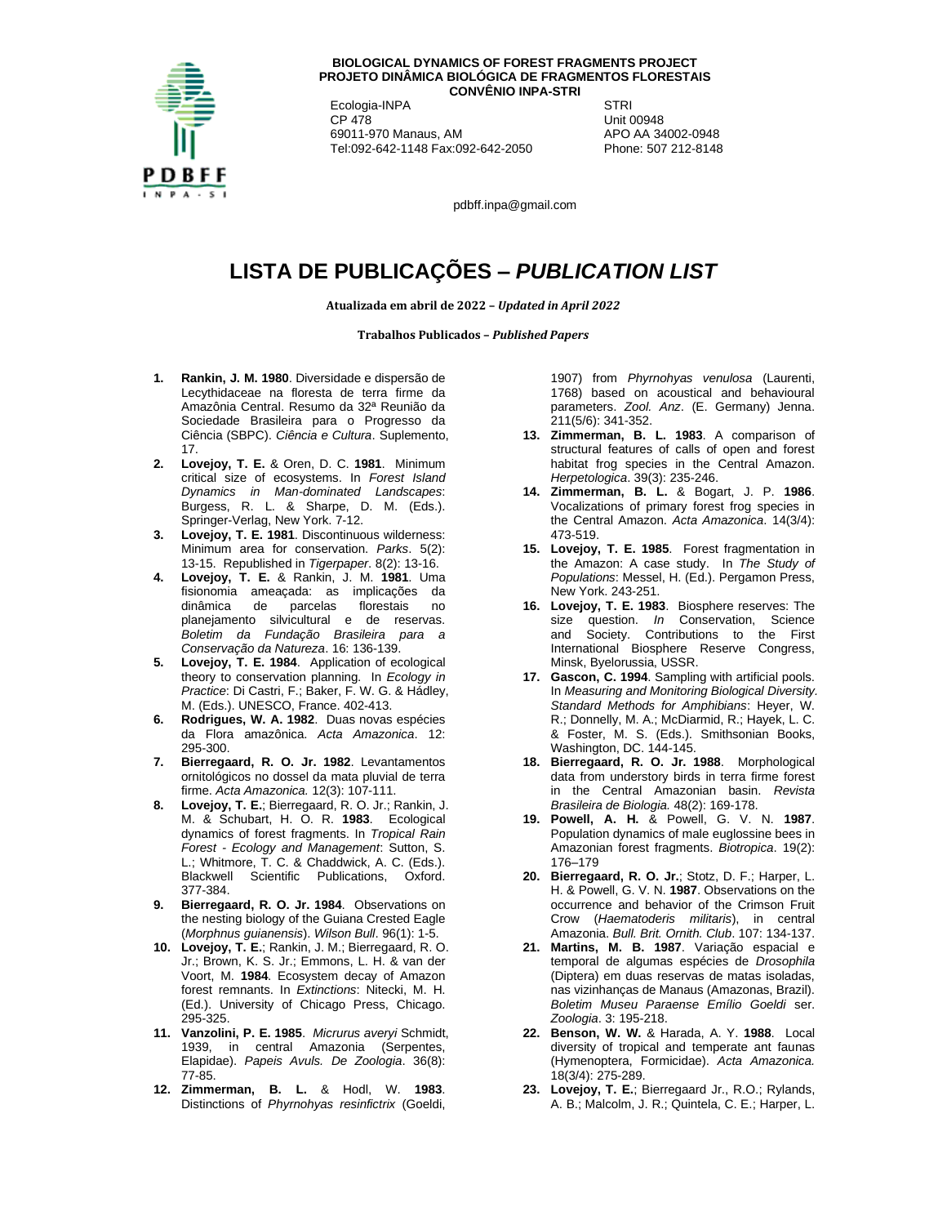

**BIOLOGICAL DYNAMICS OF FOREST FRAGMENTS PROJECT PROJETO DINÂMICA BIOLÓGICA DE FRAGMENTOS FLORESTAIS CONVÊNIO INPA-STRI**

Ecologia-INPA STRI<br>CP 478 Unit 0 69011-970 Manaus, AM <br>
Tel:092-642-1148 Fax:092-642-2050 Phone: 507 212-8148 Tel:092-642-1148 Fax:092-642-2050

Unit 00948<br>APO AA 34002-0948

pdbff.inpa@gmail.com

## **LISTA DE PUBLICAÇÕES –** *PUBLICATION LIST*

## **Atualizada em abril de 2022 –** *Updated in April 2022*

**Trabalhos Publicados –** *Published Papers*

- **1. Rankin, J. M. 1980**. Diversidade e dispersão de Lecythidaceae na floresta de terra firme da Amazônia Central. Resumo da 32ª Reunião da Sociedade Brasileira para o Progresso da Ciência (SBPC). *Ciência e Cultura*. Suplemento, 17.
- **2. Lovejoy, T. E.** & Oren, D. C. **1981**. Minimum critical size of ecosystems. In *Forest Island Dynamics in Man-dominated Landscapes*: Burgess, R. L. & Sharpe, D. M. (Eds.). Springer-Verlag, New York. 7-12.
- **3. Lovejoy, T. E. 1981**. Discontinuous wilderness: Minimum area for conservation. *Parks*. 5(2): 13-15. Republished in *Tigerpaper*. 8(2): 13-16.
- **4. Lovejoy, T. E.** & Rankin, J. M. **1981**. Uma fisionomia ameaçada: as implicações da dinâmica de parcelas florestais no planejamento silvicultural e de reservas. *Boletim da Fundação Brasileira para a Conservação da Natureza*. 16: 136-139.
- **5. Lovejoy, T. E. 1984**. Application of ecological theory to conservation planning. In *Ecology in Practice*: Di Castri, F.; Baker, F. W. G. & Hádley, M. (Eds.). UNESCO, France. 402-413.
- **6. Rodrigues, W. A. 1982**. Duas novas espécies da Flora amazônica. *Acta Amazonica*. 12: 295-300.
- **7. Bierregaard, R. O. Jr. 1982**. Levantamentos ornitológicos no dossel da mata pluvial de terra firme. *Acta Amazonica.* 12(3): 107-111.
- **8. Lovejoy, T. E.**; Bierregaard, R. O. Jr.; Rankin, J. M. & Schubart, H. O. R. **1983**. Ecological dynamics of forest fragments. In *Tropical Rain Forest - Ecology and Management*: Sutton, S. L.; Whitmore, T. C. & Chaddwick, A. C. (Eds.). Blackwell Scientific Publications, Oxford. 377-384.
- **9. Bierregaard, R. O. Jr. 1984**. Observations on the nesting biology of the Guiana Crested Eagle (*Morphnus guianensis*). *Wilson Bull*. 96(1): 1-5.
- **10. Lovejoy, T. E.**; Rankin, J. M.; Bierregaard, R. O. Jr.; Brown, K. S. Jr.; Emmons, L. H. & van der Voort, M. **1984**. Ecosystem decay of Amazon forest remnants. In *Extinctions*: Nitecki, M. H. (Ed.). University of Chicago Press, Chicago. 295-325.
- **11. Vanzolini, P. E. 1985**. *Micrurus averyi* Schmidt, 1939, in central Amazonia (Serpentes, Elapidae). *Papeis Avuls. De Zoologia*. 36(8): 77-85.
- **12. Zimmerman, B. L.** & Hodl, W. **1983**. Distinctions of *Phyrnohyas resinfictrix* (Goeldi,

1907) from *Phyrnohyas venulosa* (Laurenti, 1768) based on acoustical and behavioural parameters. *Zool. Anz*. (E. Germany) Jenna. 211(5/6): 341-352.

- **13. Zimmerman, B. L. 1983**. A comparison of structural features of calls of open and forest habitat frog species in the Central Amazon. *Herpetologica*. 39(3): 235-246.
- **14. Zimmerman, B. L.** & Bogart, J. P. **1986**. Vocalizations of primary forest frog species in the Central Amazon. *Acta Amazonica*. 14(3/4): 473-519.
- **15. Lovejoy, T. E. 1985**. Forest fragmentation in the Amazon: A case study. In *The Study of Populations*: Messel, H. (Ed.). Pergamon Press, New York. 243-251.
- **16. Lovejoy, T. E. 1983**. Biosphere reserves: The size question. *In* Conservation, Science and Society. Contributions to the First International Biosphere Reserve Congress, Minsk, Byelorussia, USSR.
- **17. Gascon, C. 1994**. Sampling with artificial pools. In *Measuring and Monitoring Biological Diversity. Standard Methods for Amphibians*: Heyer, W. R.; Donnelly, M. A.; McDiarmid, R.; Hayek, L. C. & Foster, M. S. (Eds.). Smithsonian Books, Washington, DC. 144-145.
- **18. Bierregaard, R. O. Jr. 1988**. Morphological data from understory birds in terra firme forest in the Central Amazonian basin. *Revista Brasileira de Biologia.* 48(2): 169-178.
- **19. Powell, A. H.** & Powell, G. V. N. **1987**. Population dynamics of male euglossine bees in Amazonian forest fragments. *Biotropica*. 19(2): 176–179
- **20. Bierregaard, R. O. Jr.**; Stotz, D. F.; Harper, L. H. & Powell, G. V. N. **1987**. Observations on the occurrence and behavior of the Crimson Fruit Crow (*Haematoderis militaris*), in central Amazonia. *Bull. Brit. Ornith. Club*. 107: 134-137.
- **21. Martins, M. B. 1987**. Variação espacial e temporal de algumas espécies de *Drosophila* (Diptera) em duas reservas de matas isoladas, nas vizinhanças de Manaus (Amazonas, Brazil). *Boletim Museu Paraense Emílio Goeldi* ser. *Zoologia*. 3: 195-218.
- **22. Benson, W. W.** & Harada, A. Y. **1988**. Local diversity of tropical and temperate ant faunas (Hymenoptera, Formicidae). *Acta Amazonica.*  18(3/4): 275-289.
- **23. Lovejoy, T. E.**; Bierregaard Jr., R.O.; Rylands, A. B.; Malcolm, J. R.; Quintela, C. E.; Harper, L.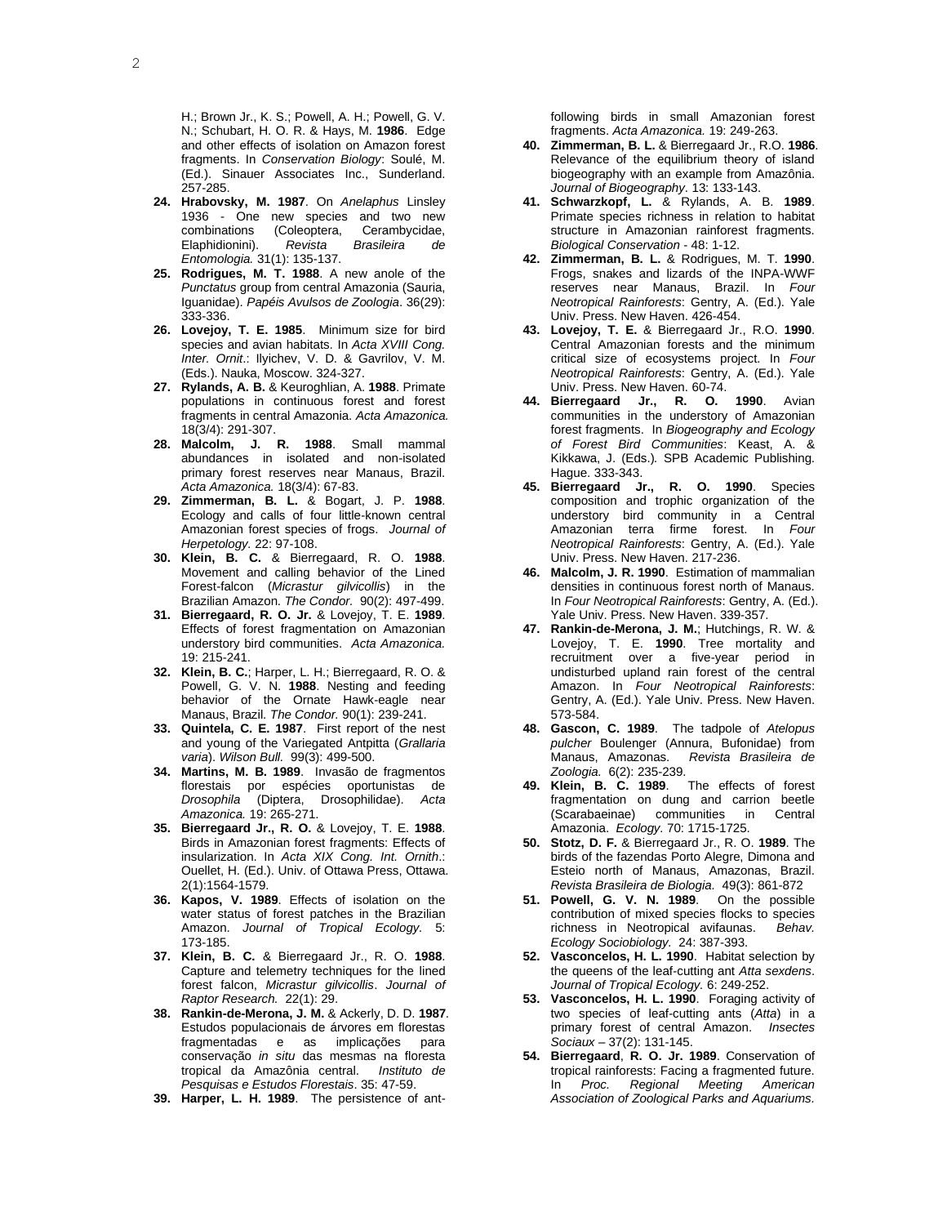H.; Brown Jr., K. S.; Powell, A. H.; Powell, G. V. N.; Schubart, H. O. R. & Hays, M. **1986**. Edge and other effects of isolation on Amazon forest fragments. In *Conservation Biology*: Soulé, M. (Ed.). Sinauer Associates Inc., Sunderland. 257-285.

- **24. Hrabovsky, M. 1987**. On *Anelaphus* Linsley 1936 - One new species and two new combinations (Coleoptera, Cerambycidae,<br>Elaphidionini). Revista Brasileira de Elaphidionini). *Revista Brasileira de Entomologia.* 31(1): 135-137.
- **25. Rodrigues, M. T. 1988**. A new anole of the *Punctatus* group from central Amazonia (Sauria, Iguanidae). *Papéis Avulsos de Zoologia*. 36(29): 333-336.
- **26. Lovejoy, T. E. 1985**. Minimum size for bird species and avian habitats. In *Acta XVIII Cong. Inter. Ornit*.: Ilyichev, V. D. & Gavrilov, V. M. (Eds.). Nauka, Moscow. 324-327.
- **27. Rylands, A. B.** & Keuroghlian, A. **1988**. Primate populations in continuous forest and forest fragments in central Amazonia. *Acta Amazonica.* 18(3/4): 291-307.
- **28. Malcolm, J. R. 1988**. Small mammal abundances in isolated and non-isolated primary forest reserves near Manaus, Brazil. *Acta Amazonica.* 18(3/4): 67-83.
- **29. Zimmerman, B. L.** & Bogart, J. P. **1988**. Ecology and calls of four little-known central Amazonian forest species of frogs. *Journal of Herpetology.* 22: 97-108.
- **30. Klein, B. C.** & Bierregaard, R. O. **1988**. Movement and calling behavior of the Lined Forest-falcon (*Micrastur gilvicollis*) in the Brazilian Amazon. *The Condor.* 90(2): 497-499.
- **31. Bierregaard, R. O. Jr.** & Lovejoy, T. E. **1989**. Effects of forest fragmentation on Amazonian understory bird communities. *Acta Amazonica.* 19: 215-241.
- **32. Klein, B. C.**; Harper, L. H.; Bierregaard, R. O. & Powell, G. V. N. **1988**. Nesting and feeding behavior of the Ornate Hawk-eagle near Manaus, Brazil. *The Condor.* 90(1): 239-241.
- **33. Quintela, C. E. 1987**. First report of the nest and young of the Variegated Antpitta (*Grallaria varia*). *Wilson Bull.* 99(3): 499-500.
- **34. Martins, M. B. 1989**. Invasão de fragmentos florestais por espécies oportunistas de *Drosophila* (Diptera, Drosophilidae). *Acta Amazonica.* 19: 265-271.
- **35. Bierregaard Jr., R. O.** & Lovejoy, T. E. **1988**. Birds in Amazonian forest fragments: Effects of insularization. In *Acta XIX Cong. Int. Ornith*.: Ouellet, H. (Ed.). Univ. of Ottawa Press, Ottawa. 2(1):1564-1579.
- **36. Kapos, V. 1989**. Effects of isolation on the water status of forest patches in the Brazilian Amazon. *Journal of Tropical Ecology.* 5: 173-185.
- **37. Klein, B. C.** & Bierregaard Jr., R. O. **1988**. Capture and telemetry techniques for the lined forest falcon, *Micrastur gilvicollis*. *Journal of Raptor Research.* 22(1): 29.
- **38. Rankin-de-Merona, J. M.** & Ackerly, D. D. **1987**. Estudos populacionais de árvores em florestas fragmentadas e as implicações para conservação *in situ* das mesmas na floresta tropical da Amazônia central. *Instituto de Pesquisas e Estudos Florestais*. 35: 47-59.
- **39. Harper, L. H. 1989**. The persistence of ant-

following birds in small Amazonian forest fragments. *Acta Amazonica.* 19: 249-263.

- **40. Zimmerman, B. L.** & Bierregaard Jr., R.O. **1986**. Relevance of the equilibrium theory of island biogeography with an example from Amazônia. *Journal of Biogeography*. 13: 133-143.
- **41. Schwarzkopf, L.** & Rylands, A. B. **1989**. Primate species richness in relation to habitat structure in Amazonian rainforest fragments. *Biological Conservation* - 48: 1-12.
- **42. Zimmerman, B. L.** & Rodrigues, M. T. **1990**. Frogs, snakes and lizards of the INPA-WWF reserves near Manaus, Brazil. In *Four Neotropical Rainforests*: Gentry, A. (Ed.). Yale Univ. Press. New Haven. 426-454.
- **43. Lovejoy, T. E.** & Bierregaard Jr., R.O. **1990**. Central Amazonian forests and the minimum critical size of ecosystems project. In *Four Neotropical Rainforests*: Gentry, A. (Ed.). Yale Univ. Press. New Haven. 60-74.
- **44. Bierregaard Jr., R. O. 1990**. Avian communities in the understory of Amazonian forest fragments. In *Biogeography and Ecology of Forest Bird Communities*: Keast, A. & Kikkawa, J. (Eds.)*.* SPB Academic Publishing. Hague. 333-343.
- **45. Bierregaard Jr., R. O. 1990**. Species composition and trophic organization of the understory bird community in a Central Amazonian terra firme forest. In *Four Neotropical Rainforests*: Gentry, A. (Ed.). Yale Univ. Press. New Haven. 217-236.
- **46. Malcolm, J. R. 1990**. Estimation of mammalian densities in continuous forest north of Manaus. In *Four Neotropical Rainforests*: Gentry, A. (Ed.). Yale Univ. Press. New Haven. 339-357.
- **47. Rankin-de-Merona, J. M.**; Hutchings, R. W. & Lovejoy, T. E. **1990**. Tree mortality and recruitment over a five-year period in undisturbed upland rain forest of the central Amazon. In *Four Neotropical Rainforests*: Gentry, A. (Ed.). Yale Univ. Press. New Haven. 573-584.
- **48. Gascon, C. 1989**. The tadpole of *Atelopus pulcher* Boulenger (Annura, Bufonidae) from Manaus, Amazonas. *Revista Brasileira de Zoologia.* 6(2): 235-239.
- **49. Klein, B. C. 1989**. The effects of forest fragmentation on dung and carrion beetle<br>(Scarabaeinae) communities in Central (Scarabaeinae) communities in Amazonia. *Ecology.* 70: 1715-1725.
- **50. Stotz, D. F.** & Bierregaard Jr., R. O. **1989**. The birds of the fazendas Porto Alegre, Dimona and Esteio north of Manaus, Amazonas, Brazil. *Revista Brasileira de Biologia.* 49(3): 861-872
- **51. Powell, G. V. N. 1989**. On the possible contribution of mixed species flocks to species richness in Neotropical avifaunas. *Behav. Ecology Sociobiology.* 24: 387-393.
- **52. Vasconcelos, H. L. 1990**. Habitat selection by the queens of the leaf-cutting ant *Atta sexdens*. *Journal of Tropical Ecology.* 6: 249-252.
- **53. Vasconcelos, H. L. 1990**. Foraging activity of two species of leaf-cutting ants (*Atta*) in a primary forest of central Amazon. *Insectes Sociaux* – 37(2): 131-145.
- **54. Bierregaard**, **R. O. Jr. 1989**. Conservation of tropical rainforests: Facing a fragmented future. In *Proc. Regional Meeting American Association of Zoological Parks and Aquariums.*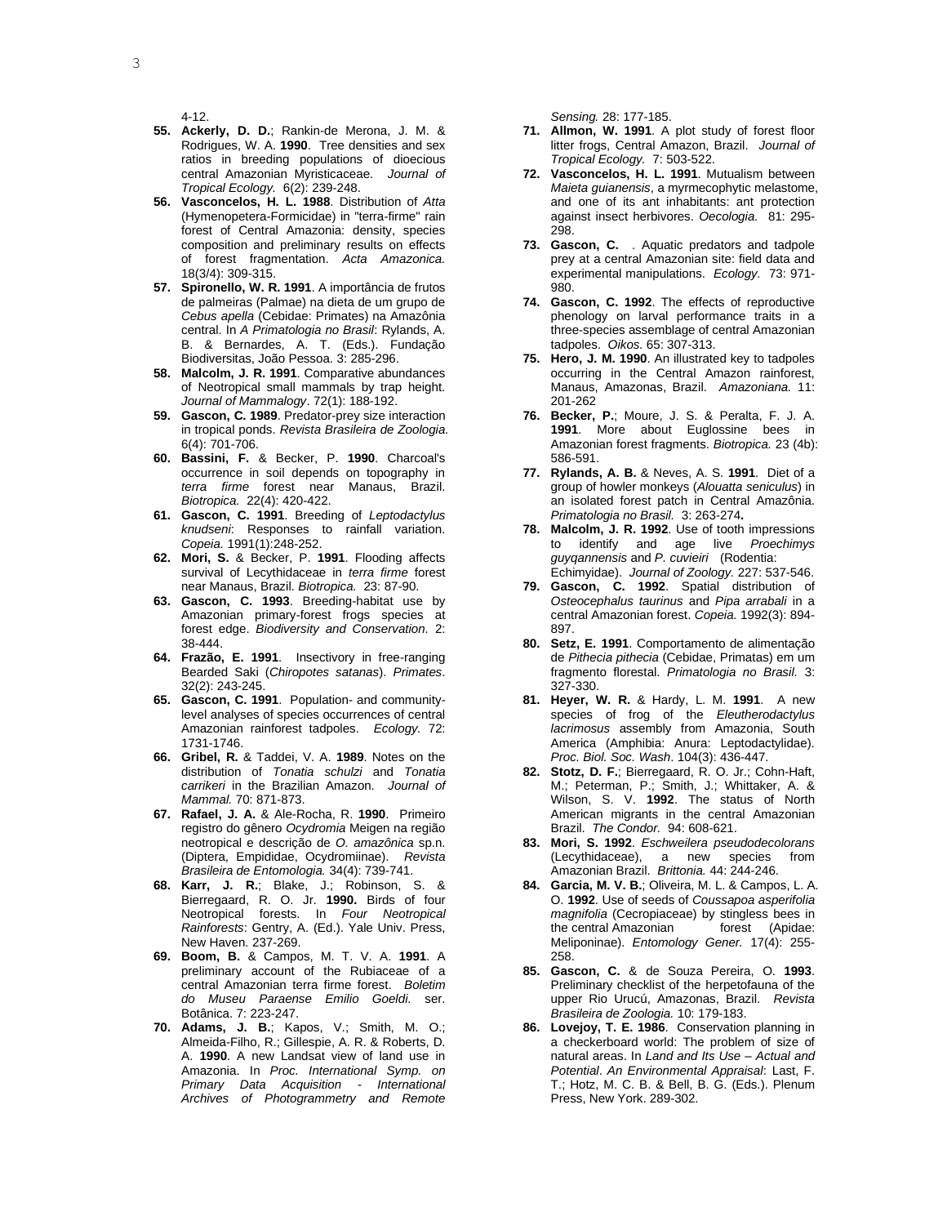4-12.

- **55. Ackerly, D. D.**; Rankin-de Merona, J. M. & Rodrigues, W. A. **1990**. Tree densities and sex ratios in breeding populations of dioecious central Amazonian Myristicaceae. *Journal of Tropical Ecology.* 6(2): 239-248.
- **56. Vasconcelos, H. L. 1988**. Distribution of *Atta*  (Hymenopetera-Formicidae) in "terra-firme" rain forest of Central Amazonia: density, species composition and preliminary results on effects of forest fragmentation. *Acta Amazonica.*  18(3/4): 309-315.
- **57. Spironello, W. R. 1991**. A importância de frutos de palmeiras (Palmae) na dieta de um grupo de *Cebus apella* (Cebidae: Primates) na Amazônia central. In *A Primatologia no Brasil*: Rylands, A. B. & Bernardes, A. T. (Eds.). Fundação Biodiversitas, João Pessoa. 3: 285-296.
- **58. Malcolm, J. R. 1991**. Comparative abundances of Neotropical small mammals by trap height. *Journal of Mammalogy*. 72(1): 188-192.
- **59. Gascon, C. 1989**. Predator-prey size interaction in tropical ponds. *Revista Brasileira de Zoologia.*  6(4): 701-706.
- **60. Bassini, F.** & Becker, P. **1990**. Charcoal's occurrence in soil depends on topography in *terra firme* forest near Manaus, Brazil. *Biotropica.* 22(4): 420-422.
- **61. Gascon, C. 1991**. Breeding of *Leptodactylus knudseni*: Responses to rainfall variation. *Copeia.* 1991(1):248-252.
- **62. Mori, S.** & Becker, P. **1991**. Flooding affects survival of Lecythidaceae in *terra firme* forest near Manaus, Brazil. *Biotropica.* 23: 87-90.
- **63. Gascon, C. 1993**. Breeding-habitat use by Amazonian primary-forest frogs species at forest edge. *Biodiversity and Conservation.* 2: 38-444.
- **64. Frazão, E. 1991**. Insectivory in free-ranging Bearded Saki (*Chiropotes satanas*). *Primates*. 32(2): 243-245.
- **65. Gascon, C. 1991**. Population- and communitylevel analyses of species occurrences of central Amazonian rainforest tadpoles. *Ecology.* 72: 1731-1746.
- **66. Gribel, R.** & Taddei, V. A. **1989**. Notes on the distribution of *Tonatia schulzi* and *Tonatia carrikeri* in the Brazilian Amazon. *Journal of Mammal.* 70: 871-873.
- **67. Rafael, J. A.** & Ale-Rocha, R. **1990**. Primeiro registro do gênero *Ocydromia* Meigen na região neotropical e descrição de *O. amazônica* sp.n. (Diptera, Empididae, Ocydromiinae). *Revista Brasileira de Entomologia.* 34(4): 739-741.
- **68. Karr, J. R.**; Blake, J.; Robinson, S. & Bierregaard, R. O. Jr. **1990.** Birds of four Neotropical forests. In *Four Neotropical Rainforests*: Gentry, A. (Ed.). Yale Univ. Press, New Haven. 237-269.
- **69. Boom, B.** & Campos, M. T. V. A. **1991**. A preliminary account of the Rubiaceae of a central Amazonian terra firme forest. *Boletim do Museu Paraense Emilio Goeldi.* ser. Botânica. 7: 223-247.
- **70. Adams, J. B.**; Kapos, V.; Smith, M. O.; Almeida-Filho, R.; Gillespie, A. R. & Roberts, D. A. **1990**. A new Landsat view of land use in Amazonia. In *Proc. International Symp. on Primary Data Acquisition* - *International Archives of Photogrammetry and Remote*

*Sensing.* 28: 177-185.

- **71. Allmon, W. 1991**. A plot study of forest floor litter frogs, Central Amazon, Brazil. *Journal of Tropical Ecology.* 7: 503-522.
- **72. Vasconcelos, H. L. 1991**. Mutualism between *Maieta guianensis*, a myrmecophytic melastome, and one of its ant inhabitants: ant protection against insect herbivores. *Oecologia.* 81: 295- 298.
- **73. Gascon, C.** . Aquatic predators and tadpole prey at a central Amazonian site: field data and experimental manipulations. *Ecology.* 73: 971- 980.
- **74. Gascon, C. 1992**. The effects of reproductive phenology on larval performance traits in a three-species assemblage of central Amazonian tadpoles. *Oikos.* 65: 307-313.
- **75. Hero, J. M. 1990**. An illustrated key to tadpoles occurring in the Central Amazon rainforest, Manaus, Amazonas, Brazil. *Amazoniana.* 11: 201-262
- **76. Becker, P.**; Moure, J. S. & Peralta, F. J. A. **1991**. More about Euglossine bees in Amazonian forest fragments. *Biotropica.* 23 (4b): 586-591.
- **77. Rylands, A. B.** & Neves, A. S. **1991**. Diet of a group of howler monkeys (*Alouatta seniculus*) in an isolated forest patch in Central Amazônia. *Primatologia no Brasil.* 3: 263-274**.**
- **78. Malcolm, J. R. 1992**. Use of tooth impressions to identify and age live *Proechimys guyqannensis* and *P. cuvieiri* (Rodentia: Echimyidae). *Journal of Zoology.* 227: 537-546.
- **79. Gascon, C. 1992**. Spatial distribution of *Osteocephalus taurinus* and *Pipa arrabali* in a central Amazonian forest. *Copeia.* 1992(3): 894- 897.
- **80. Setz, E. 1991**. Comportamento de alimentação de *Pithecia pithecia* (Cebidae, Primatas) em um fragmento florestal. *Primatologia no Brasil.* 3: 327-330.
- **81. Heyer, W. R.** & Hardy, L. M. **1991**. A new species of frog of the *Eleutherodactylus lacrimosus* assembly from Amazonia, South America (Amphibia: Anura: Leptodactylidae). *Proc. Biol. Soc. Wash*. 104(3): 436-447.
- **82. Stotz, D. F.**; Bierregaard, R. O. Jr.; Cohn-Haft, M.; Peterman, P.; Smith, J.; Whittaker, A. & Wilson, S. V. **1992**. The status of North American migrants in the central Amazonian Brazil. *The Condor.* 94: 608-621.
- **83. Mori, S. 1992**. *Eschweilera pseudodecolorans* (Lecythidaceae), a new species from Amazonian Brazil. *Brittonia.* 44: 244-246.
- **84. Garcia, M. V. B.**; Oliveira, M. L. & Campos, L. A. O. **1992**. Use of seeds of *Coussapoa asperifolia magnifolia* (Cecropiaceae) by stingless bees in the central Amazonian forest (Apidae: Meliponinae). *Entomology Gener.* 17(4): 255- 258.
- **85. Gascon, C.** & de Souza Pereira, O. **1993**. Preliminary checklist of the herpetofauna of the upper Rio Urucú, Amazonas, Brazil. *Revista Brasileira de Zoologia.* 10: 179-183.
- **86. Lovejoy, T. E. 1986**. Conservation planning in a checkerboard world: The problem of size of natural areas. In *Land and Its Use – Actual and Potential*. *An Environmental Appraisal*: Last, F. T.; Hotz, M. C. B. & Bell, B. G. (Eds.). Plenum Press, New York. 289-302.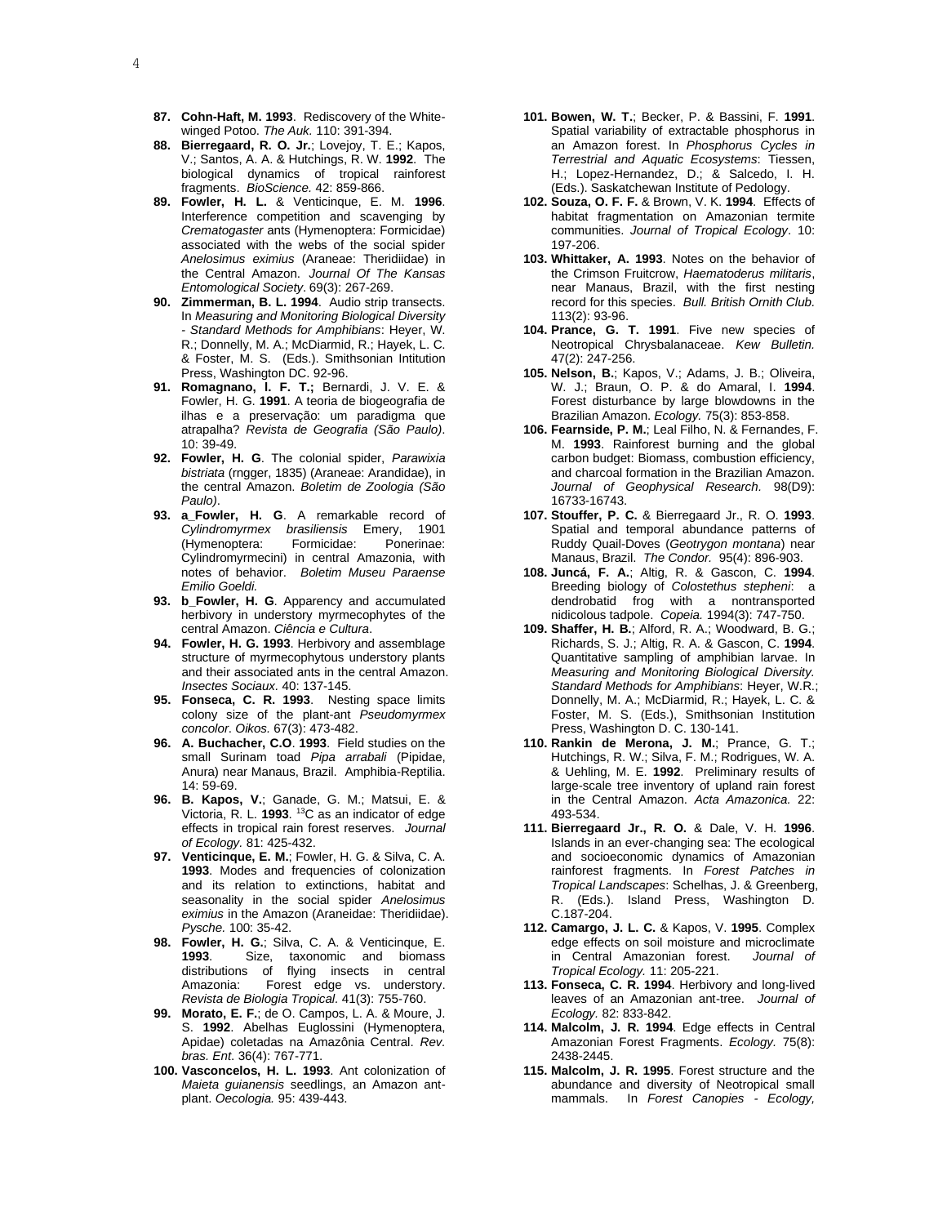- **87. Cohn-Haft, M. 1993**. Rediscovery of the Whitewinged Potoo. *The Auk.* 110: 391-394.
- **88. Bierregaard, R. O. Jr.**; Lovejoy, T. E.; Kapos, V.; Santos, A. A. & Hutchings, R. W. **1992**. The biological dynamics of tropical rainforest fragments. *BioScience.* 42: 859-866.
- **89. Fowler, H. L.** & Venticinque, E. M. **1996**. Interference competition and scavenging by *Crematogaster* ants (Hymenoptera: Formicidae) associated with the webs of the social spider *Anelosimus eximius* (Araneae: Theridiidae) in the Central Amazon. *Journal Of The Kansas Entomological Society*. 69(3): 267-269.
- **90. Zimmerman, B. L. 1994**. Audio strip transects. In *Measuring and Monitoring Biological Diversity - Standard Methods for Amphibians*: Heyer, W. R.; Donnelly, M. A.; McDiarmid, R.; Hayek, L. C. & Foster, M. S. (Eds.). Smithsonian Intitution Press, Washington DC. 92-96.
- **91. Romagnano, l. F. T.;** Bernardi, J. V. E. & Fowler, H. G. **1991**. A teoria de biogeografia de ilhas e a preservação: um paradigma que atrapalha? *Revista de Geografia (São Paulo)*. 10: 39-49.
- **92. Fowler, H. G**. The colonial spider, *Parawixia bistriata* (rngger, 1835) (Araneae: Arandidae), in the central Amazon. *Boletim de Zoologia (São Paulo)*.
- **93. a\_Fowler, H. G**. A remarkable record of *Cylindromyrmex brasiliensis* Emery, 1901 (Hymenoptera: Cylindromyrmecini) in central Amazonia, with notes of behavior. *Boletim Museu Paraense Emilio Goeldi.*
- **93. b\_Fowler, H. G**. Apparency and accumulated herbivory in understory myrmecophytes of the central Amazon. *Ciência e Cultura*.
- **94. Fowler, H. G. 1993**. Herbivory and assemblage structure of myrmecophytous understory plants and their associated ants in the central Amazon. *Insectes Sociaux.* 40: 137-145.
- **95. Fonseca, C. R. 1993**. Nesting space limits colony size of the plant-ant *Pseudomyrmex concolor*. *Oikos.* 67(3): 473-482.
- **96. A. Buchacher, C.O**. **1993**. Field studies on the small Surinam toad *Pipa arrabali* (Pipidae, Anura) near Manaus, Brazil. Amphibia-Reptilia. 14: 59-69.
- **96. B. Kapos, V.**; Ganade, G. M.; Matsui, E. & Victoria, R. L. **1993**. <sup>13</sup>C as an indicator of edge effects in tropical rain forest reserves. *Journal of Ecology.* 81: 425-432.
- **97. Venticinque, E. M.**; Fowler, H. G. & Silva, C. A. **1993**. Modes and frequencies of colonization and its relation to extinctions, habitat and seasonality in the social spider *Anelosimus eximius* in the Amazon (Araneidae: Theridiidae). *Pysche.* 100: 35-42.
- **98. Fowler, H. G.**; Silva, C. A. & Venticinque, E. Size, taxonomic and biomass distributions of flying insects in central Amazonia: Forest edge vs. understory. *Revista de Biologia Tropical.* 41(3): 755-760.
- **99. Morato, E. F.**; de O. Campos, L. A. & Moure, J. S. **1992**. Abelhas Euglossini (Hymenoptera, Apidae) coletadas na Amazônia Central. *Rev. bras. Ent*. 36(4): 767-771.
- **100. Vasconcelos, H. L. 1993**. Ant colonization of *Maieta guianensis* seedlings, an Amazon antplant. *Oecologia.* 95: 439-443.
- **101. Bowen, W. T.**; Becker, P. & Bassini, F. **1991**. Spatial variability of extractable phosphorus in an Amazon forest. In *Phosphorus Cycles in Terrestrial and Aquatic Ecosystems*: Tiessen, H.; Lopez-Hernandez, D.; & Salcedo, I. H. (Eds.). Saskatchewan Institute of Pedology.
- **102. Souza, O. F. F.** & Brown, V. K. **1994**. Effects of habitat fragmentation on Amazonian termite communities. *Journal of Tropical Ecology*. 10: 197-206.
- **103. Whittaker, A. 1993**. Notes on the behavior of the Crimson Fruitcrow, *Haematoderus militaris*, near Manaus, Brazil, with the first nesting record for this species. *Bull. British Ornith Club.*  113(2): 93-96.
- **104. Prance, G. T. 1991**. Five new species of Neotropical Chrysbalanaceae. *Kew Bulletin.* 47(2): 247-256.
- **105. Nelson, B.**; Kapos, V.; Adams, J. B.; Oliveira, W. J.; Braun, O. P. & do Amaral, I. **1994**. Forest disturbance by large blowdowns in the Brazilian Amazon. *Ecology.* 75(3): 853-858.
- **106. Fearnside, P. M.**; Leal Filho, N. & Fernandes, F. M. **1993**. Rainforest burning and the global carbon budget: Biomass, combustion efficiency, and charcoal formation in the Brazilian Amazon. *Journal of Geophysical Research.* 98(D9): 16733-16743.
- **107. Stouffer, P. C.** & Bierregaard Jr., R. O. **1993**. Spatial and temporal abundance patterns of Ruddy Quail-Doves (*Geotrygon montana*) near Manaus, Brazil. *The Condor.* 95(4): 896-903.
- **108. Juncá, F. A.**; Altig, R. & Gascon, C. **1994**. Breeding biology of *Colostethus stepheni*: a dendrobatid frog with a nontransported nidicolous tadpole. *Copeia.* 1994(3): 747-750.
- **109. Shaffer, H. B.**; Alford, R. A.; Woodward, B. G.; Richards, S. J.; Altig, R. A. & Gascon, C. **1994**. Quantitative sampling of amphibian larvae. In *Measuring and Monitoring Biological Diversity. Standard Methods for Amphibians*: Heyer, W.R.; Donnelly, M. A.; McDiarmid, R.; Hayek, L. C. & Foster, M. S. (Eds.), Smithsonian Institution Press, Washington D. C. 130-141.
- **110. Rankin de Merona, J. M.**; Prance, G. T.; Hutchings, R. W.; Silva, F. M.; Rodrigues, W. A. & Uehling, M. E. **1992**. Preliminary results of large-scale tree inventory of upland rain forest in the Central Amazon. *Acta Amazonica.* 22: 493-534.
- **111. Bierregaard Jr., R. O.** & Dale, V. H. **1996**. Islands in an ever-changing sea: The ecological and socioeconomic dynamics of Amazonian rainforest fragments. In *Forest Patches in Tropical Landscapes*: Schelhas, J. & Greenberg, R. (Eds.). Island Press, Washington D. C.187-204.
- **112. Camargo, J. L. C.** & Kapos, V. **1995**. Complex edge effects on soil moisture and microclimate<br>in Central Amazonian forest. Journal of in Central Amazonian forest. *Tropical Ecology.* 11: 205-221.
- **113. Fonseca, C. R. 1994**. Herbivory and long-lived leaves of an Amazonian ant-tree. *Journal of Ecology.* 82: 833-842.
- **114. Malcolm, J. R. 1994**. Edge effects in Central Amazonian Forest Fragments. *Ecology.* 75(8): 2438-2445.
- **115. Malcolm, J. R. 1995**. Forest structure and the abundance and diversity of Neotropical small mammals. In *Forest Canopies - Ecology,*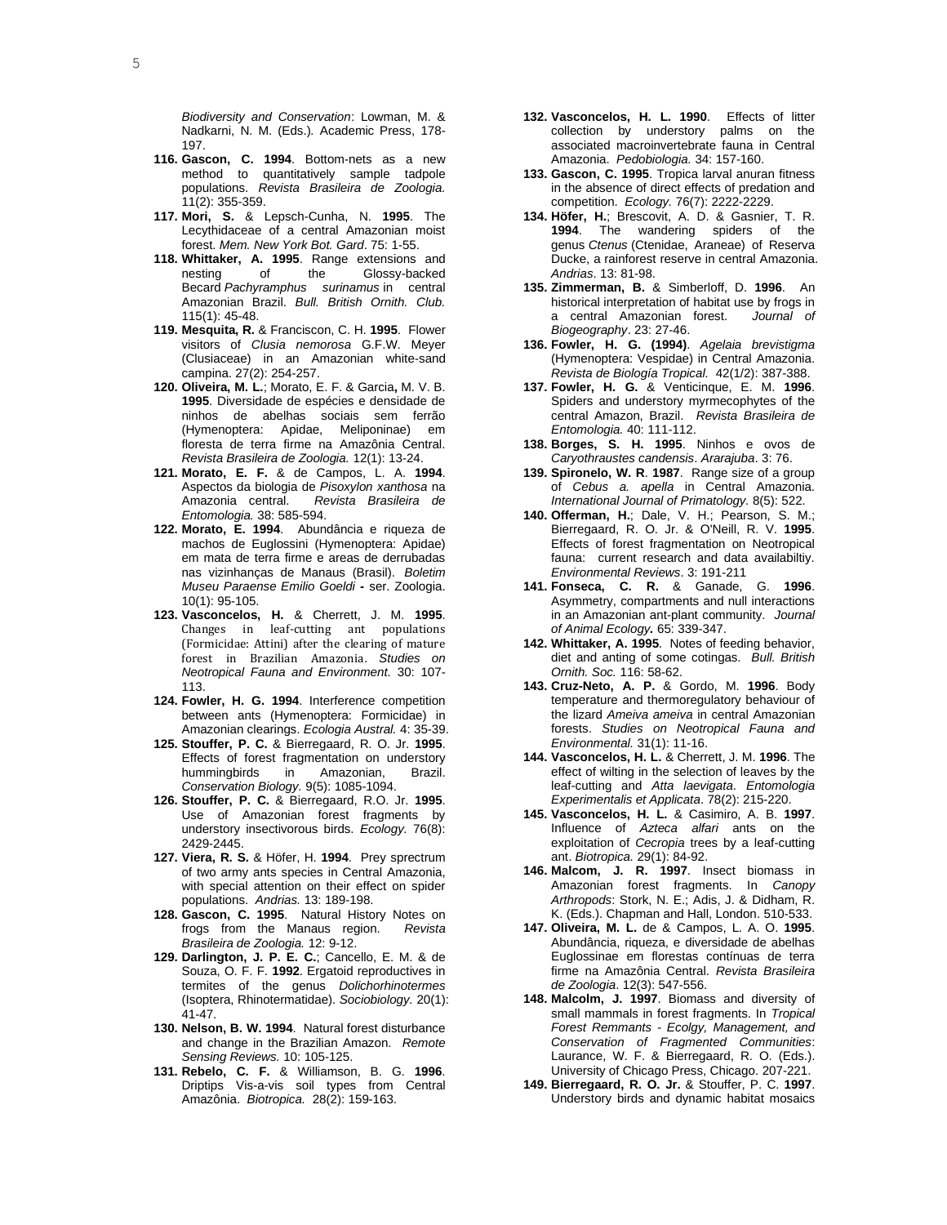*Biodiversity and Conservation*: Lowman, M. & Nadkarni, N. M. (Eds.)*.* Academic Press, 178- 197.

- **116. Gascon, C. 1994**. Bottom-nets as a new method to quantitatively sample tadpole populations. *Revista Brasileira de Zoologia.*  11(2): 355-359.
- **117. Mori, S.** & Lepsch-Cunha, N. **1995**. The Lecythidaceae of a central Amazonian moist forest. *Mem. New York Bot. Gard*. 75: 1-55.
- **118. Whittaker, A. 1995**. Range extensions and nesting of the Glossy-backed Becard *Pachyramphus surinamus* in central Amazonian Brazil. *Bull. British Ornith. Club.* 115(1): 45-48.
- **119. Mesquita, R.** & Franciscon, C. H. **1995**. Flower visitors of *Clusia nemorosa* G.F.W. Meyer (Clusiaceae) in an Amazonian white-sand campina. 27(2): 254-257.
- **120. Oliveira, M. L.**; Morato, E. F. & Garcia**,** M. V. B. **1995**. Diversidade de espécies e densidade de ninhos de abelhas sociais sem ferrão (Hymenoptera: Apidae, Meliponinae) em floresta de terra firme na Amazônia Central. *Revista Brasileira de Zoologia.* 12(1): 13-24.
- **121. Morato, E. F.** & de Campos, L. A. **1994**. Aspectos da biologia de *Pisoxylon xanthosa* na Amazonia central. *Revista Brasileira de Entomologia.* 38: 585-594.
- **122. Morato, E. 1994**. Abundância e riqueza de machos de Euglossini (Hymenoptera: Apidae) em mata de terra firme e areas de derrubadas nas vizinhanças de Manaus (Brasil). *Boletim Museu Paraense Emilio Goeldi* **-** ser. Zoologia. 10(1): 95-105.
- **123. Vasconcelos, H.** & Cherrett, J. M. **1995**. Changes in leaf-cutting ant populations (Formicidae: Attini) after the clearing of mature forest in Brazilian Amazonia. *Studies on Neotropical Fauna and Environment.* 30: 107- 113.
- **124. Fowler, H. G. 1994**. Interference competition between ants (Hymenoptera: Formicidae) in Amazonian clearings. *Ecologia Austral.* 4: 35-39.
- **125. Stouffer, P. C.** & Bierregaard, R. O. Jr. **1995**. Effects of forest fragmentation on understory<br>hummingbirds in Amazonian, Brazil. hummingbirds in Amazonian, Brazil. *Conservation Biology.* 9(5): 1085-1094.
- **126. Stouffer, P. C.** & Bierregaard, R.O. Jr. **1995**. Use of Amazonian forest fragments by understory insectivorous birds. *Ecology.* 76(8): 2429-2445.
- **127. Viera, R. S.** & Höfer, H. **1994**. Prey sprectrum of two army ants species in Central Amazonia, with special attention on their effect on spider populations. *Andrias.* 13: 189-198.
- **128. Gascon, C. 1995**. Natural History Notes on frogs from the Manaus region. *Revista Brasileira de Zoologia.* 12: 9-12.
- **129. Darlington, J. P. E. C.**; Cancello, E. M. & de Souza, O. F. F. **1992**. Ergatoid reproductives in termites of the genus *Dolichorhinotermes*  (Isoptera, Rhinotermatidae). *Sociobiology.* 20(1): 41-47.
- **130. Nelson, B. W. 1994**. Natural forest disturbance and change in the Brazilian Amazon. *Remote Sensing Reviews.* 10: 105-125.
- **131. Rebelo, C. F.** & Williamson, B. G. **1996**. Driptips Vis-a-vis soil types from Central Amazônia. *Biotropica.* 28(2): 159-163.
- **132. Vasconcelos, H. L. 1990**. Effects of litter collection by understory palms on the associated macroinvertebrate fauna in Central Amazonia. *Pedobiologia.* 34: 157-160.
- **133. Gascon, C. 1995**. Tropica larval anuran fitness in the absence of direct effects of predation and competition. *Ecology.* 76(7): 2222-2229.
- **134. Höfer, H.**; Brescovit, A. D. & Gasnier, T. R. **1994**. The wandering spiders of the genus *Ctenus* (Ctenidae, Araneae) of Reserva Ducke, a rainforest reserve in central Amazonia. *Andrias*. 13: 81-98.
- **135. Zimmerman, B.** & Simberloff, D. **1996**. An historical interpretation of habitat use by frogs in<br>a central Amazonian forest. Journal of a central Amazonian forest. *Biogeography*. 23: 27-46.
- **136. Fowler, H. G. (1994)**. *Agelaia brevistigma*  (Hymenoptera: Vespidae) in Central Amazonia. *Revista de Biología Tropical.* 42(1/2): 387-388.
- **137. Fowler, H. G.** & Venticinque, E. M. **1996**. Spiders and understory myrmecophytes of the central Amazon, Brazil. *Revista Brasileira de Entomologia.* 40: 111-112.
- **138. Borges, S. H. 1995**. Ninhos e ovos de *Caryothraustes candensis*. *Ararajuba*. 3: 76.
- **139. Spironelo, W. R**. **1987**. Range size of a group of *Cebus a. apella* in Central Amazonia. *International Journal of Primatology.* 8(5): 522.
- **140. Offerman, H.**; Dale, V. H.; Pearson, S. M.; Bierregaard, R. O. Jr. & O'Neill, R. V. **1995**. Effects of forest fragmentation on Neotropical fauna: current research and data availabiltiy. *Environmental Reviews*. 3: 191-211
- **141. Fonseca, C. R.** & Ganade, G. **1996**. Asymmetry, compartments and null interactions in an Amazonian ant-plant community. *Journal of Animal Ecology.* 65: 339-347.
- **142. Whittaker, A. 1995**. Notes of feeding behavior, diet and anting of some cotingas. *Bull. British Ornith. Soc.* 116: 58-62.
- **143. Cruz-Neto, A. P.** & Gordo, M. **1996**. Body temperature and thermoregulatory behaviour of the lizard *Ameiva ameiva* in central Amazonian forests. *Studies on Neotropical Fauna and Environmental.* 31(1): 11-16.
- **144. Vasconcelos, H. L.** & Cherrett, J. M. **1996**. The effect of wilting in the selection of leaves by the leaf-cutting and *Atta laevigata*. *Entomologia Experimentalis et Applicata*. 78(2): 215-220.
- **145. Vasconcelos, H. L.** & Casimiro, A. B. **1997**. Influence of *Azteca alfari* ants on the exploitation of *Cecropia* trees by a leaf-cutting ant. *Biotropica.* 29(1): 84-92.
- **146. Malcom, J. R. 1997**. Insect biomass in Amazonian forest fragments. In *Canopy Arthropods*: Stork, N. E.; Adis, J. & Didham, R. K. (Eds.). Chapman and Hall, London. 510-533.
- **147. Oliveira, M. L.** de & Campos, L. A. O. **1995**. Abundância, riqueza, e diversidade de abelhas Euglossinae em florestas contínuas de terra firme na Amazônia Central. *Revista Brasileira de Zoologia*. 12(3): 547-556.
- **148. Malcolm, J. 1997**. Biomass and diversity of small mammals in forest fragments. In *Tropical Forest Remmants - Ecolgy, Management, and Conservation of Fragmented Communities*: Laurance, W. F. & Bierregaard, R. O. (Eds.). University of Chicago Press, Chicago. 207-221.
- **149. Bierregaard, R. O. Jr.** & Stouffer, P. C. **1997**. Understory birds and dynamic habitat mosaics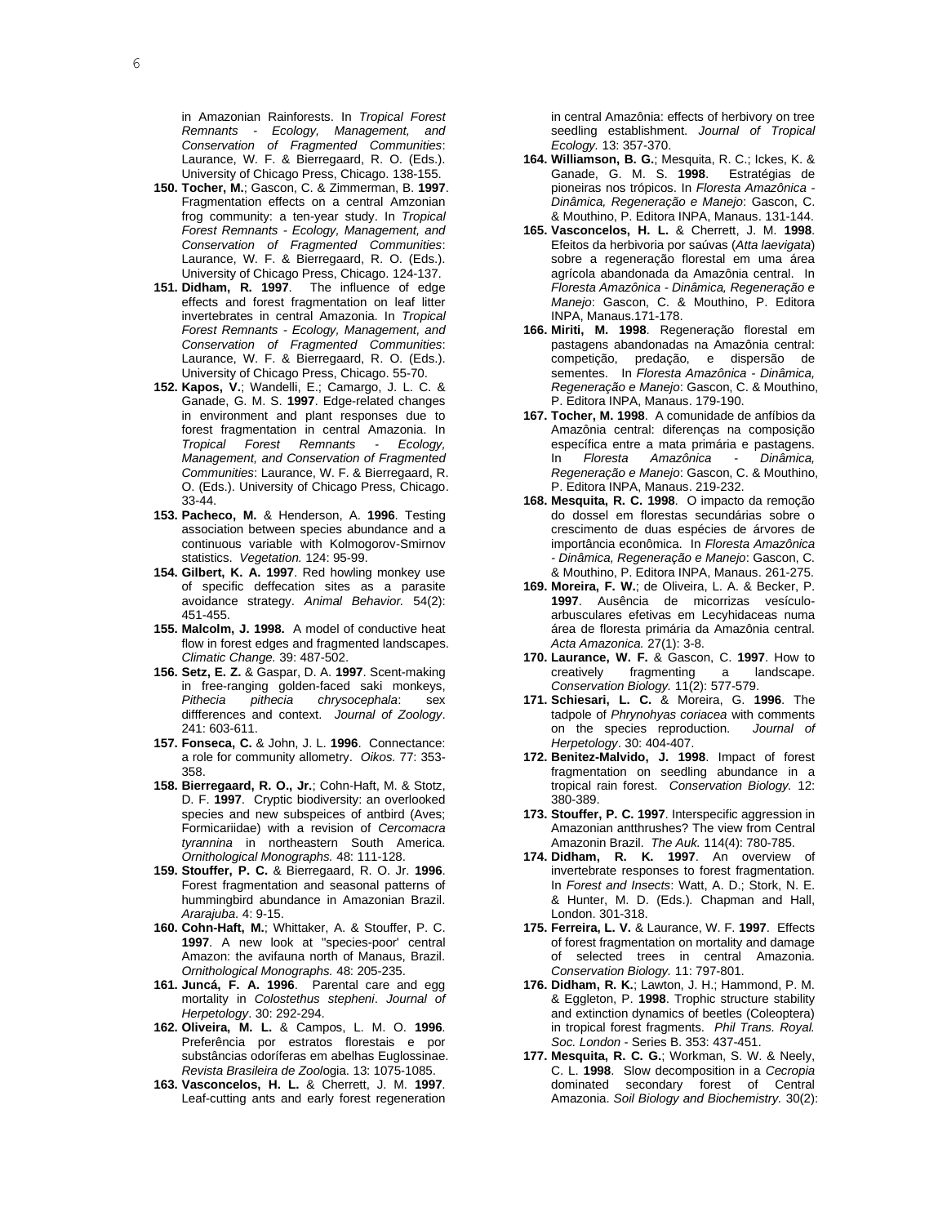in Amazonian Rainforests. In *Tropical Forest Remnants - Ecology, Management, and Conservation of Fragmented Communities*: Laurance, W. F. & Bierregaard, R. O. (Eds.). University of Chicago Press, Chicago. 138-155.

- **150. Tocher, M.**; Gascon, C. & Zimmerman, B. **1997**. Fragmentation effects on a central Amzonian frog community: a ten-year study. In *Tropical Forest Remnants - Ecology, Management, and Conservation of Fragmented Communities*: Laurance, W. F. & Bierregaard, R. O. (Eds.). University of Chicago Press, Chicago. 124-137.
- **151. Didham, R. 1997**. The influence of edge effects and forest fragmentation on leaf litter invertebrates in central Amazonia. In *Tropical Forest Remnants - Ecology, Management, and Conservation of Fragmented Communities*: Laurance, W. F. & Bierregaard, R. O. (Eds.). University of Chicago Press, Chicago. 55-70.
- **152. Kapos, V.**; Wandelli, E.; Camargo, J. L. C. & Ganade, G. M. S. **1997**. Edge-related changes in environment and plant responses due to forest fragmentation in central Amazonia. In *Tropical Forest Remnants - Ecology, Management, and Conservation of Fragmented Communities*: Laurance, W. F. & Bierregaard, R. O. (Eds.). University of Chicago Press, Chicago. 33-44.
- **153. Pacheco, M.** & Henderson, A. **1996**. Testing association between species abundance and a continuous variable with Kolmogorov-Smirnov statistics. *Vegetation.* 124: 95-99.
- **154. Gilbert, K. A. 1997**. Red howling monkey use of specific deffecation sites as a parasite avoidance strategy. *Animal Behavior.* 54(2): 451-455.
- **155. Malcolm, J. 1998.** A model of conductive heat flow in forest edges and fragmented landscapes. *Climatic Change.* 39: 487-502.
- **156. Setz, E. Z.** & Gaspar, D. A. **1997**. Scent-making in free-ranging golden-faced saki monkeys, *Pithecia pithecia chrysocephala*: sex diffferences and context. *Journal of Zoology*. 241: 603-611.
- **157. Fonseca, C.** & John, J. L. **1996**. Connectance: a role for community allometry. *Oikos.* 77: 353- 358.
- **158. Bierregaard, R. O., Jr.**; Cohn-Haft, M. & Stotz, D. F. **1997**. Cryptic biodiversity: an overlooked species and new subspeices of antbird (Aves; Formicariidae) with a revision of *Cercomacra tyrannina* in northeastern South America. *Ornithological Monographs.* 48: 111-128.
- **159. Stouffer, P. C.** & Bierregaard, R. O. Jr. **1996**. Forest fragmentation and seasonal patterns of hummingbird abundance in Amazonian Brazil. *Ararajuba*. 4: 9-15.
- **160. Cohn-Haft, M.**; Whittaker, A. & Stouffer, P. C. **1997**. A new look at "species-poor' central Amazon: the avifauna north of Manaus, Brazil. *Ornithological Monographs.* 48: 205-235.
- **161. Juncá, F. A. 1996**. Parental care and egg mortality in *Colostethus stepheni*. *Journal of Herpetology*. 30: 292-294.
- **162. Oliveira, M. L.** & Campos, L. M. O. **1996**. Preferência por estratos florestais e por substâncias odoríferas em abelhas Euglossinae. *Revista Brasileira de Zool*ogia. 13: 1075-1085.
- **163. Vasconcelos, H. L.** & Cherrett, J. M. **1997**. Leaf-cutting ants and early forest regeneration

in central Amazônia: effects of herbivory on tree seedling establishment. *Journal of Tropical Ecology.* 13: 357-370.

- **164. Williamson, B. G.**; Mesquita, R. C.; Ickes, K. & Ganade, G. M. S. **1998**. Estratégias de pioneiras nos trópicos. In *Floresta Amazônica - Dinâmica, Regeneração e Manejo*: Gascon, C. & Mouthino, P. Editora INPA, Manaus. 131-144.
- **165. Vasconcelos, H. L.** & Cherrett, J. M. **1998**. Efeitos da herbivoria por saúvas (*Atta laevigata*) sobre a regeneração florestal em uma área agrícola abandonada da Amazônia central. In *Floresta Amazônica - Dinâmica, Regeneração e Manejo*: Gascon, C. & Mouthino, P. Editora INPA, Manaus.171-178.
- **166. Miriti, M. 1998**. Regeneração florestal em pastagens abandonadas na Amazônia central: competição, predação, e dispersão de sementes. In *Floresta Amazônica - Dinâmica, Regeneração e Manejo*: Gascon, C. & Mouthino, P. Editora INPA, Manaus. 179-190.
- **167. Tocher, M. 1998**. A comunidade de anfíbios da Amazônia central: diferenças na composição específica entre a mata primária e pastagens.<br>In Floresta Amazônica - Dinâmica. In *Floresta Amazônica - Dinâmica, Regeneração e Manejo*: Gascon, C. & Mouthino, P. Editora INPA, Manaus. 219-232.
- **168. Mesquita, R. C. 1998**. O impacto da remoção do dossel em florestas secundárias sobre o crescimento de duas espécies de árvores de importância econômica. In *Floresta Amazônica - Dinâmica, Regeneração e Manejo*: Gascon, C. & Mouthino, P. Editora INPA, Manaus. 261-275.
- **169. Moreira, F. W.**; de Oliveira, L. A. & Becker, P. **1997**. Ausência de micorrizas vesículoarbusculares efetivas em Lecyhidaceas numa área de floresta primária da Amazônia central. *Acta Amazonica.* 27(1): 3-8.
- **170. Laurance, W. F.** & Gascon, C. **1997**. How to creatively fragmenting a landscape. *Conservation Biology.* 11(2): 577-579.
- **171. Schiesari, L. C.** & Moreira, G. **1996**. The tadpole of *Phrynohyas coriacea* with comments on the species reproduction. *Journal of Herpetology*. 30: 404-407.
- **172. Benitez-Malvido, J. 1998**. Impact of forest fragmentation on seedling abundance in a tropical rain forest. *Conservation Biology.* 12: 380-389.
- **173. Stouffer, P. C. 1997**. Interspecific aggression in Amazonian antthrushes? The view from Central Amazonin Brazil. *The Auk.* 114(4): 780-785.
- **174. Didham, R. K. 1997**. An overview of invertebrate responses to forest fragmentation. In *Forest and Insects*: Watt, A. D.; Stork, N. E. & Hunter, M. D. (Eds.)*.* Chapman and Hall, London. 301-318.
- **175. Ferreira, L. V.** & Laurance, W. F. **1997**. Effects of forest fragmentation on mortality and damage of selected trees in central Amazonia. *Conservation Biology.* 11: 797-801.
- **176. Didham, R. K.**; Lawton, J. H.; Hammond, P. M. & Eggleton, P. **1998**. Trophic structure stability and extinction dynamics of beetles (Coleoptera) in tropical forest fragments. *Phil Trans. Royal. Soc. London* - Series B. 353: 437-451.
- **177. Mesquita, R. C. G.**; Workman, S. W. & Neely, C. L. **1998**. Slow decomposition in a *Cecropia* dominated secondary forest of Central Amazonia. *Soil Biology and Biochemistry.* 30(2):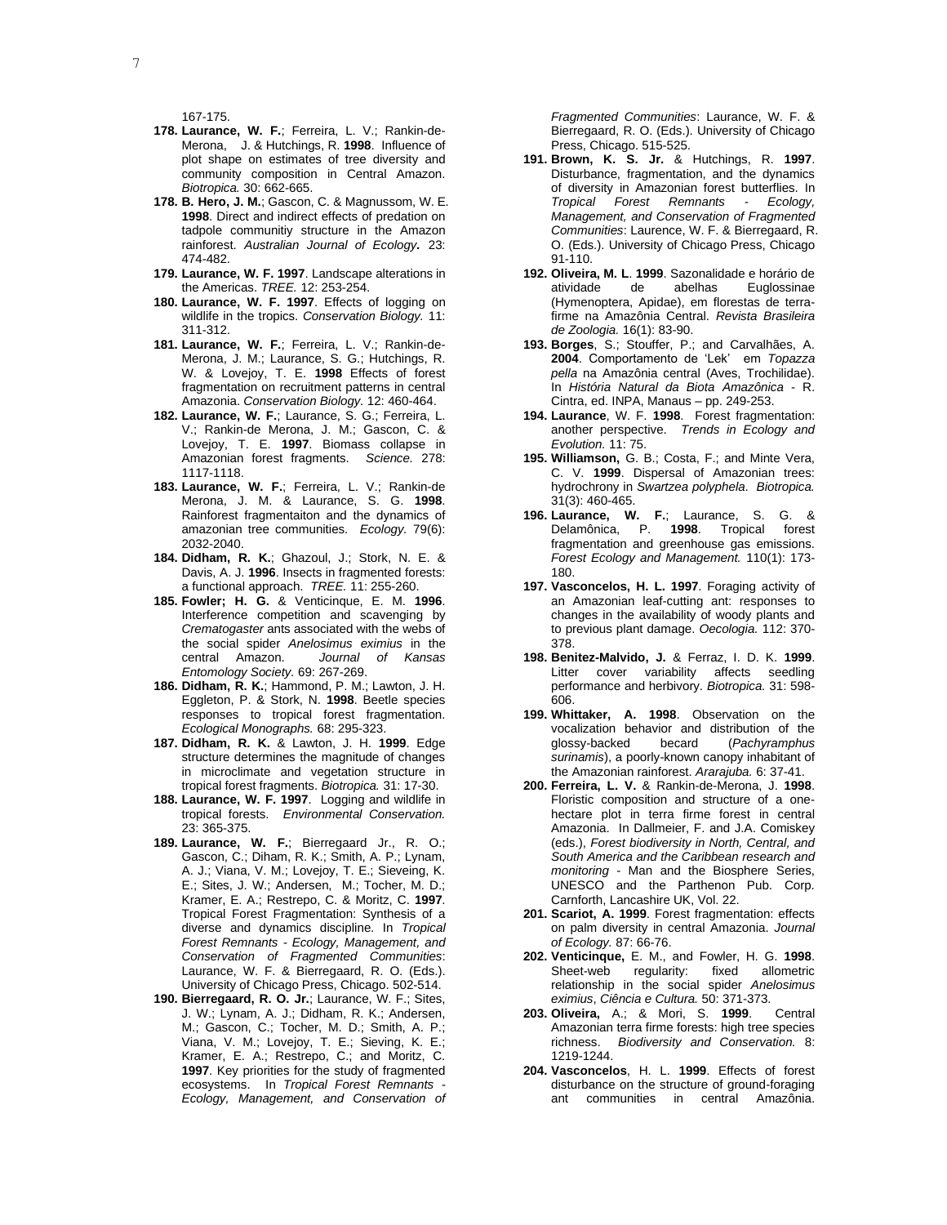167-175.

- **178. Laurance, W. F.**; Ferreira, L. V.; Rankin-de-Merona, J. & Hutchings, R. **1998**. Influence of plot shape on estimates of tree diversity and community composition in Central Amazon. *Biotropica.* 30: 662-665.
- **178. B. Hero, J. M.**; Gascon, C. & Magnussom, W. E. **1998**. Direct and indirect effects of predation on tadpole communitiy structure in the Amazon rainforest. *Australian Journal of Ecology.* 23: 474-482.
- **179. Laurance, W. F. 1997**. Landscape alterations in the Americas. *TREE.* 12: 253-254.
- **180. Laurance, W. F. 1997**. Effects of logging on wildlife in the tropics. *Conservation Biology.* 11: 311-312.
- **181. Laurance, W. F.**; Ferreira, L. V.; Rankin-de-Merona, J. M.; Laurance, S. G.; Hutchings, R. W. & Lovejoy, T. E. **1998** Effects of forest fragmentation on recruitment patterns in central Amazonia. *Conservation Biology.* 12: 460-464.
- **182. Laurance, W. F.**; Laurance, S. G.; Ferreira, L. V.; Rankin-de Merona, J. M.; Gascon, C. & Lovejoy, T. E. **1997**. Biomass collapse in Amazonian forest fragments. *Science.* 278: 1117-1118.
- **183. Laurance, W. F.**; Ferreira, L. V.; Rankin-de Merona, J. M. & Laurance, S. G. **1998**. Rainforest fragmentaiton and the dynamics of amazonian tree communities. *Ecology.* 79(6): 2032-2040.
- **184. Didham, R. K.**; Ghazoul, J.; Stork, N. E. & Davis, A. J. **1996**. Insects in fragmented forests: a functional approach. *TREE.* 11: 255-260.
- **185. Fowler; H. G.** & Venticinque, E. M. **1996**. Interference competition and scavenging by *Crematogaster* ants associated with the webs of the social spider *Anelosimus eximius* in the central Amazon. *Journal of Kansas Entomology Society.* 69: 267-269.
- **186. Didham, R. K.**; Hammond, P. M.; Lawton, J. H. Eggleton, P. & Stork, N. **1998**. Beetle species responses to tropical forest fragmentation. *Ecological Monographs.* 68: 295-323.
- **187. Didham, R. K.** & Lawton, J. H. **1999**. Edge structure determines the magnitude of changes in microclimate and vegetation structure in tropical forest fragments. *Biotropica.* 31: 17-30.
- **188. Laurance, W. F. 1997**. Logging and wildlife in tropical forests. *Environmental Conservation.* 23: 365-375.
- **189. Laurance, W. F.**; Bierregaard Jr., R. O.; Gascon, C.; Diham, R. K.; Smith, A. P.; Lynam, A. J.; Viana, V. M.; Lovejoy, T. E.; Sieveing, K. E.; Sites, J. W.; Andersen, M.; Tocher, M. D.; Kramer, E. A.; Restrepo, C. & Moritz, C. **1997**. Tropical Forest Fragmentation: Synthesis of a diverse and dynamics discipline. In *Tropical Forest Remnants - Ecology, Management, and Conservation of Fragmented Communities*: Laurance, W. F. & Bierregaard, R. O. (Eds.). University of Chicago Press, Chicago. 502-514.
- **190. Bierregaard, R. O. Jr.**; Laurance, W. F.; Sites, J. W.; Lynam, A. J.; Didham, R. K.; Andersen, M.; Gascon, C.; Tocher, M. D.; Smith, A. P.; Viana, V. M.; Lovejoy, T. E.; Sieving, K. E.; Kramer, E. A.; Restrepo, C.; and Moritz, C. **1997**. Key priorities for the study of fragmented ecosystems. In *Tropical Forest Remnants - Ecology, Management, and Conservation of*

*Fragmented Communities*: Laurance, W. F. & Bierregaard, R. O. (Eds.). University of Chicago Press, Chicago. 515-525.

- **191. Brown, K. S. Jr.** & Hutchings, R. **1997**. Disturbance, fragmentation, and the dynamics of diversity in Amazonian forest butterflies. In *Tropical Forest Remnants - Ecology, Management, and Conservation of Fragmented Communities*: Laurence, W. F. & Bierregaard, R. O. (Eds.). University of Chicago Press, Chicago 91-110.
- **192. Oliveira, M. L**. **1999**. Sazonalidade e horário de de abelhas Euglossinae (Hymenoptera, Apidae), em florestas de terrafirme na Amazônia Central. *Revista Brasileira de Zoologia.* 16(1): 83-90.
- **193. Borges**, S.; Stouffer, P.; and Carvalhães, A. **2004**. Comportamento de 'Lek' em *Topazza pella* na Amazônia central (Aves, Trochilidae). In *História Natural da Biota Amazônica* - R. Cintra, ed. INPA, Manaus – pp. 249-253.
- **194. Laurance**, W. F. **1998**. Forest fragmentation: another perspective. *Trends in Ecology and Evolution.* 11: 75.
- **195. Williamson,** G. B.; Costa, F.; and Minte Vera, C. V. **1999**. Dispersal of Amazonian trees: hydrochrony in *Swartzea polyphela*. *Biotropica.* 31(3): 460-465.
- **196. Laurance, W. F.**; Laurance, S. G. & Delamônica, P. **1998**. Tropical forest fragmentation and greenhouse gas emissions. *Forest Ecology and Management.* 110(1): 173- 180.
- **197. Vasconcelos, H. L. 1997**. Foraging activity of an Amazonian leaf-cutting ant: responses to changes in the availability of woody plants and to previous plant damage. *Oecologia.* 112: 370- 378.
- **198. Benitez-Malvido, J.** & Ferraz, I. D. K. **1999**. Litter cover variability affects seedling performance and herbivory. *Biotropica.* 31: 598- 606.
- **199. Whittaker, A. 1998**. Observation on the vocalization behavior and distribution of the glossy-backed becard (*Pachyramphus surinamis*), a poorly-known canopy inhabitant of the Amazonian rainforest. *Ararajuba.* 6: 37-41.
- **200. Ferreira, L. V.** & Rankin-de-Merona, J. **1998**. Floristic composition and structure of a onehectare plot in terra firme forest in central Amazonia. In Dallmeier, F. and J.A. Comiskey (eds.), *Forest biodiversity in North, Central, and South America and the Caribbean research and monitoring* - Man and the Biosphere Series, UNESCO and the Parthenon Pub. Corp. Carnforth, Lancashire UK, Vol. 22.
- **201. Scariot, A. 1999**. Forest fragmentation: effects on palm diversity in central Amazonia. *Journal of Ecology.* 87: 66-76.
- **202. Venticinque,** E. M., and Fowler, H. G. **1998**. Sheet-web regularity: fixed allometric relationship in the social spider *Anelosimus eximius*, *Ciência e Cultura.* 50: 371-373.
- **203. Oliveira, A.; & Mori, S. 1999.** Amazonian terra firme forests: high tree species richness. *Biodiversity and Conservation.* 8: 1219-1244.
- **204. Vasconcelos**, H. L. **1999**. Effects of forest disturbance on the structure of ground-foraging ant communities in central Amazônia.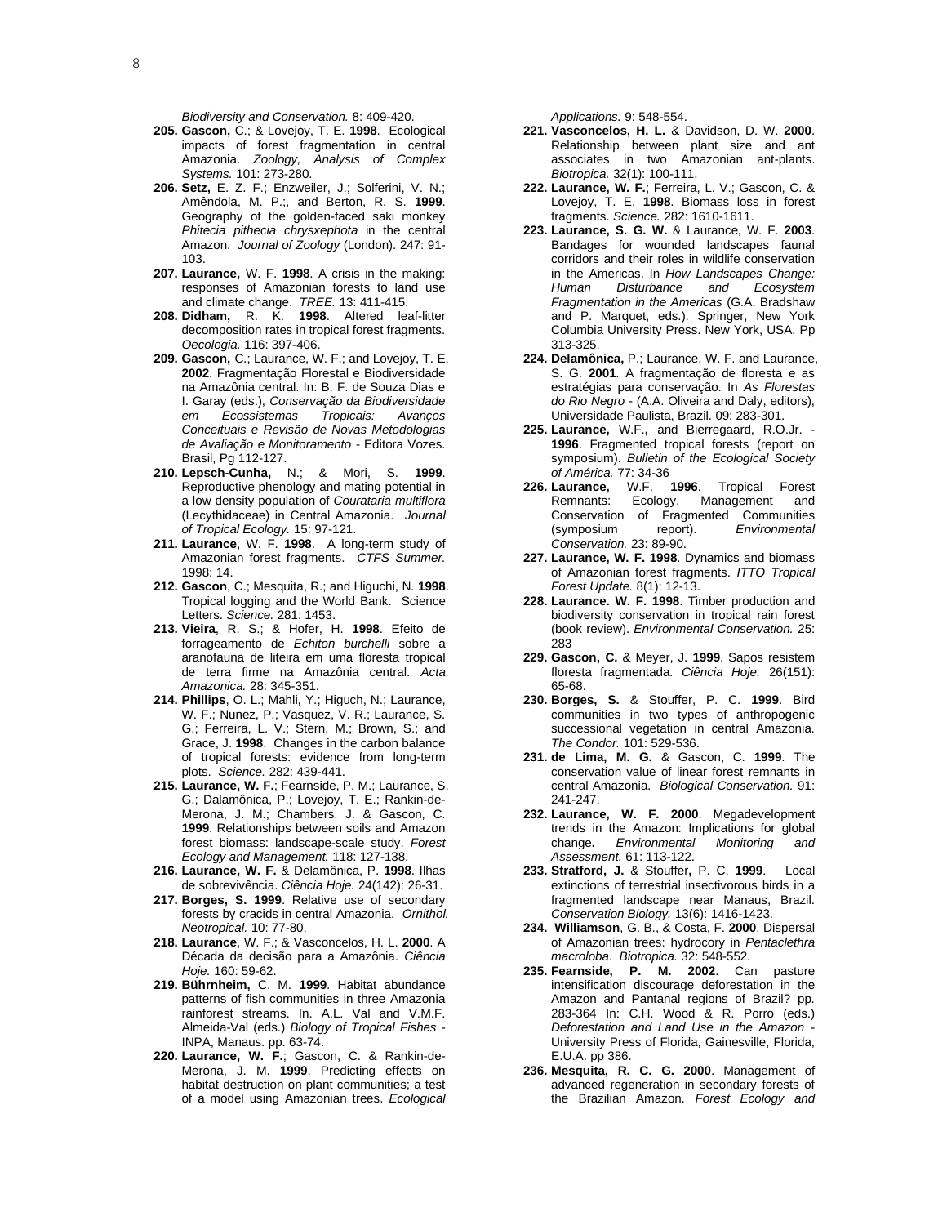*Biodiversity and Conservation.* 8: 409-420.

- **205. Gascon,** C.; & Lovejoy, T. E. **1998**. Ecological impacts of forest fragmentation in central Amazonia. *Zoology, Analysis of Complex Systems.* 101: 273-280.
- **206. Setz,** E. Z. F.; Enzweiler, J.; Solferini, V. N.; Amêndola, M. P.;, and Berton, R. S. **1999**. Geography of the golden-faced saki monkey *Phitecia pithecia chrysxephota* in the central Amazon. *Journal of Zoology* (London). 247: 91- 103.
- **207. Laurance,** W. F. **1998**. A crisis in the making: responses of Amazonian forests to land use and climate change. *TREE.* 13: 411-415.
- **208. Didham,** R. K. **1998**. Altered leaf-litter decomposition rates in tropical forest fragments. *Oecologia.* 116: 397-406.
- **209. Gascon,** C.; Laurance, W. F.; and Lovejoy, T. E. **2002**. Fragmentação Florestal e Biodiversidade na Amazônia central. In: B. F. de Souza Dias e I. Garay (eds.), *Conservação da Biodiversidade em Ecossistemas Tropicais: Avanços Conceituais e Revisão de Novas Metodologias de Avaliação e Monitoramento* - Editora Vozes. Brasil, Pg 112-127.
- **210. Lepsch-Cunha,** N.; & Mori, S. **1999**. Reproductive phenology and mating potential in a low density population of *Courataria multiflora* (Lecythidaceae) in Central Amazonia. *Journal of Tropical Ecology.* 15: 97-121.
- **211. Laurance**, W. F. **1998**. A long-term study of Amazonian forest fragments. *CTFS Summer.* 1998: 14.
- **212. Gascon**, C.; Mesquita, R.; and Higuchi, N. **1998**. Tropical logging and the World Bank. Science Letters. *Science.* 281: 1453.
- **213. Vieira**, R. S.; & Hofer, H. **1998**. Efeito de forrageamento de *Echiton burchelli* sobre a aranofauna de liteira em uma floresta tropical de terra firme na Amazônia central. *Acta Amazonica.* 28: 345-351.
- **214. Phillips**, O. L.; Mahli, Y.; Higuch, N.; Laurance, W. F.; Nunez, P.; Vasquez, V. R.; Laurance, S. G.; Ferreira, L. V.; Stern, M.; Brown, S.; and Grace, J. **1998**. Changes in the carbon balance of tropical forests: evidence from long-term plots. *Science.* 282: 439-441.
- **215. Laurance, W. F.**; Fearnside, P. M.; Laurance, S. G.; Dalamônica, P.; Lovejoy, T. E.; Rankin-de-Merona, J. M.; Chambers, J. & Gascon, C. **1999**. Relationships between soils and Amazon forest biomass: landscape-scale study. *Forest Ecology and Management.* 118: 127-138.
- **216. Laurance, W. F.** & Delamônica, P. **1998**. Ilhas de sobrevivência. *Ciência Hoje.* 24(142): 26-31.
- **217. Borges, S. 1999**. Relative use of secondary forests by cracids in central Amazonia. *Ornithol. Neotropical.* 10: 77-80.
- **218. Laurance**, W. F.; & Vasconcelos, H. L. **2000**. A Década da decisão para a Amazônia. *Ciência Hoje.* 160: 59-62.
- **219. Bührnheim,** C. M. **1999**. Habitat abundance patterns of fish communities in three Amazonia rainforest streams. In. A.L. Val and V.M.F. Almeida-Val (eds.) *Biology of Tropical Fishes* - INPA, Manaus. pp. 63-74.
- **220. Laurance, W. F.**; Gascon, C. & Rankin-de-Merona, J. M. **1999**. Predicting effects on habitat destruction on plant communities; a test of a model using Amazonian trees. *Ecological*

*Applications.* 9: 548-554.

- **221. Vasconcelos, H. L.** & Davidson, D. W. **2000**. Relationship between plant size and ant associates in two Amazonian ant-plants. *Biotropica.* 32(1): 100-111.
- **222. Laurance, W. F.**; Ferreira, L. V.; Gascon, C. & Lovejoy, T. E. **1998**. Biomass loss in forest fragments. *Science.* 282: 1610-1611.
- **223. Laurance, S. G. W.** & Laurance, W. F. **2003**. Bandages for wounded landscapes faunal corridors and their roles in wildlife conservation in the Americas. In *How Landscapes Change: Human Disturbance and Ecosystem Fragmentation in the Americas* (G.A. Bradshaw and P. Marquet, eds.). Springer, New York Columbia University Press. New York, USA. Pp 313-325.
- **224. Delamônica,** P.; Laurance, W. F. and Laurance, S. G. **2001**. A fragmentação de floresta e as estratégias para conservação. In *As Florestas do Rio Negro* - (A.A. Oliveira and Daly, editors), Universidade Paulista, Brazil. 09: 283-301.
- **225. Laurance,** W.F.**,** and Bierregaard, R.O.Jr. **1996**. Fragmented tropical forests (report on symposium). *Bulletin of the Ecological Society of América.* 77: 34-36
- **226. Laurance,** W.F. **1996**. Tropical Forest Remnants: Ecology, Management and Conservation of Fragmented Communities (symposium report). *Environmental Conservation.* 23: 89-90.
- **227. Laurance, W. F. 1998**. Dynamics and biomass of Amazonian forest fragments. *ITTO Tropical Forest Update.* 8(1): 12-13.
- **228. Laurance. W. F. 1998**. Timber production and biodiversity conservation in tropical rain forest (book review). *Environmental Conservation.* 25: 283
- **229. Gascon, C.** & Meyer, J. **1999**. Sapos resistem floresta fragmentada. *Ciência Hoje.* 26(151): 65-68.
- **230. Borges, S.** & Stouffer, P. C. **1999**. Bird communities in two types of anthropogenic successional vegetation in central Amazonia. *The Condor.* 101: 529-536.
- **231. de Lima, M. G.** & Gascon, C. **1999**. The conservation value of linear forest remnants in central Amazonia. *Biological Conservation.* 91: 241-247.
- **232. Laurance, W. F. 2000**. Megadevelopment trends in the Amazon: Implications for global change**.** *Environmental Monitoring and Assessment.* 61: 113-122.
- **233. Stratford, J.** & Stouffer**,** P. C. **1999**. Local extinctions of terrestrial insectivorous birds in a fragmented landscape near Manaus, Brazil. *Conservation Biology.* 13(6): 1416-1423.
- **234. Williamson**, G. B., & Costa, F. **2000**. Dispersal of Amazonian trees: hydrocory in *Pentaclethra macroloba*. *Biotropica.* 32: 548-552.
- **235. Fearnside, P. M. 2002**. Can pasture intensification discourage deforestation in the Amazon and Pantanal regions of Brazil? pp. 283-364 In: C.H. Wood & R. Porro (eds.) *Deforestation and Land Use in the Amazon* - University Press of Florida, Gainesville, Florida, E.U.A. pp 386.
- **236. Mesquita, R. C. G. 2000**. Management of advanced regeneration in secondary forests of the Brazilian Amazon. *Forest Ecology and*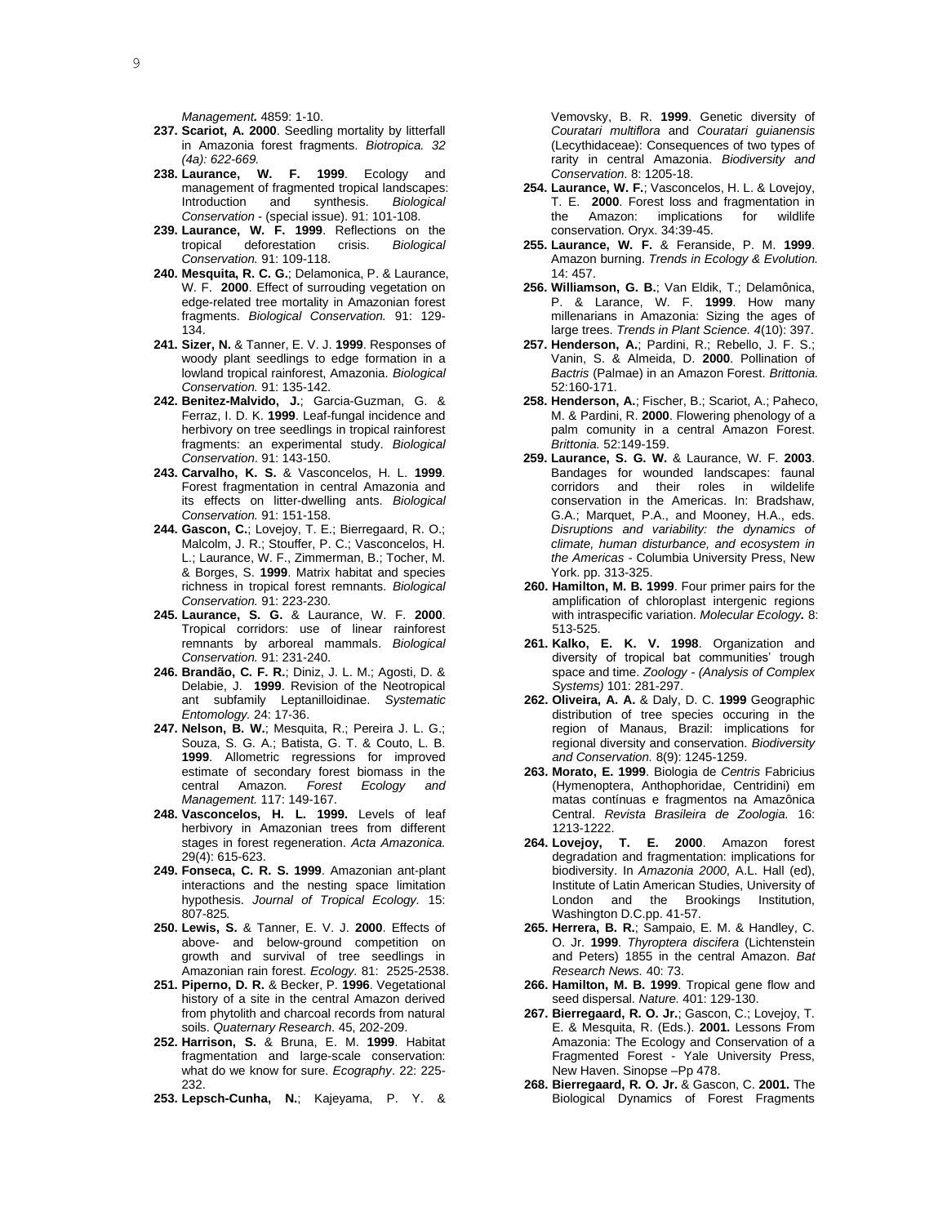*Management.* 4859: 1-10.

- **237. Scariot, A. 2000**. Seedling mortality by litterfall in Amazonia forest fragments. *Biotropica. 32 (4a): 622-669.*
- **238. Laurance, W. F. 1999**. Ecology and management of fragmented tropical landscapes: Introduction and synthesis. *Biological Conservation* - (special issue). 91: 101-108.
- **239. Laurance, W. F. 1999**. Reflections on the tropical deforestation crisis. *Biological Conservation.* 91: 109-118.
- **240. Mesquita, R. C. G.**; Delamonica, P. & Laurance, W. F. **2000**. Effect of surrouding vegetation on edge-related tree mortality in Amazonian forest fragments. *Biological Conservation.* 91: 129- 134.
- **241. Sizer, N.** & Tanner, E. V. J. **1999**. Responses of woody plant seedlings to edge formation in a lowland tropical rainforest, Amazonia. *Biological Conservation.* 91: 135-142.
- **242. Benitez-Malvido, J.**; Garcia-Guzman, G. & Ferraz, I. D. K. **1999**. Leaf-fungal incidence and herbivory on tree seedlings in tropical rainforest fragments: an experimental study. *Biological Conservation*. 91: 143-150.
- **243. Carvalho, K. S.** & Vasconcelos, H. L. **1999**. Forest fragmentation in central Amazonia and its effects on litter-dwelling ants. *Biological Conservation.* 91: 151-158.
- **244. Gascon, C.**; Lovejoy, T. E.; Bierregaard, R. O.; Malcolm, J. R.; Stouffer, P. C.; Vasconcelos, H. L.; Laurance, W. F., Zimmerman, B.; Tocher, M. & Borges, S. **1999**. Matrix habitat and species richness in tropical forest remnants. *Biological Conservation.* 91: 223-230.
- **245. Laurance, S. G.** & Laurance, W. F. **2000**. Tropical corridors: use of linear rainforest remnants by arboreal mammals. *Biological Conservation.* 91: 231-240.
- **246. Brandão, C. F. R.**; Diniz, J. L. M.; Agosti, D. & Delabie, J. **1999**. Revision of the Neotropical ant subfamily Leptanilloidinae. *Systematic Entomology.* 24: 17-36.
- **247. Nelson, B. W.**; Mesquita, R.; Pereira J. L. G.; Souza, S. G. A.; Batista, G. T. & Couto, L. B. **1999**. Allometric regressions for improved estimate of secondary forest biomass in the central Amazon. *Forest Ecology and Management.* 117: 149-167.
- **248. Vasconcelos, H. L. 1999.** Levels of leaf herbivory in Amazonian trees from different stages in forest regeneration. *Acta Amazonica.*  29(4): 615-623.
- **249. Fonseca, C. R. S. 1999**. Amazonian ant-plant interactions and the nesting space limitation hypothesis. *Journal of Tropical Ecology.* 15: 807-825*.*
- **250. Lewis, S.** & Tanner, E. V. J. **2000**. Effects of above- and below-ground competition on growth and survival of tree seedlings in Amazonian rain forest. *Ecology.* 81: 2525-2538.
- **251. Piperno, D. R.** & Becker, P. **1996**. Vegetational history of a site in the central Amazon derived from phytolith and charcoal records from natural soils. *Quaternary Research*. 45, 202-209.
- **252. Harrison, S.** & Bruna, E. M. **1999**. Habitat fragmentation and large-scale conservation: what do we know for sure. *Ecography*. 22: 225- 232.
- **253. Lepsch-Cunha, N.**; Kajeyama, P. Y. &

Vemovsky, B. R. **1999**. Genetic diversity of *Couratari multiflora* and *Couratari guianensis* (Lecythidaceae): Consequences of two types of rarity in central Amazonia. *Biodiversity and Conservation*. 8: 1205-18.

- **254. Laurance, W. F.**; Vasconcelos, H. L. & Lovejoy, T. E. **2000**. Forest loss and fragmentation in the Amazon: implications for wildlife conservation. Oryx. 34:39-45.
- **255. Laurance, W. F.** & Feranside, P. M. **1999**. Amazon burning. *Trends in Ecology & Evolution.*  14: 457.
- **256. Williamson, G. B.**; Van Eldik, T.; Delamônica, P. & Larance, W. F. **1999**. How many millenarians in Amazonia: Sizing the ages of large trees. *Trends in Plant Science. 4*(10): 397.
- **257. Henderson, A.**; Pardini, R.; Rebello, J. F. S.; Vanin, S. & Almeida, D. **2000**. Pollination of *Bactris* (Palmae) in an Amazon Forest. *Brittonia.*  52:160-171.
- **258. Henderson, A.**; Fischer, B.; Scariot, A.; Paheco, M. & Pardini, R. **2000**. Flowering phenology of a palm comunity in a central Amazon Forest. *Brittonia.* 52:149-159.
- **259. Laurance, S. G. W.** & Laurance, W. F. **2003**. Bandages for wounded landscapes: faunal corridors and their roles in wildelife conservation in the Americas. In: Bradshaw, G.A.; Marquet, P.A., and Mooney, H.A., eds. *Disruptions and variability: the dynamics of climate, human disturbance, and ecosystem in the Americas -* Columbia University Press, New York. pp. 313-325.
- **260. Hamilton, M. B. 1999**. Four primer pairs for the amplification of chloroplast intergenic regions with intraspecific variation. *Molecular Ecology.* 8: 513-525.
- **261. Kalko, E. K. V. 1998**. Organization and diversity of tropical bat communities' trough space and time. *Zoology - (Analysis of Complex Systems)* 101: 281-297.
- **262. Oliveira, A. A.** & Daly, D. C. **1999** Geographic distribution of tree species occuring in the region of Manaus, Brazil: implications for regional diversity and conservation. *Biodiversity and Conservation.* 8(9): 1245-1259.
- **263. Morato, E. 1999**. Biologia de *Centris* Fabricius (Hymenoptera, Anthophoridae, Centridini) em matas contínuas e fragmentos na Amazônica Central. *Revista Brasileira de Zoologia.* 16: 1213-1222.
- **264. Lovejoy, T. E. 2000**. Amazon forest degradation and fragmentation: implications for biodiversity. In *Amazonia 2000*, A.L. Hall (ed), Institute of Latin American Studies, University of London and the Brookings Institution, Washington D.C.pp. 41-57.
- **265. Herrera, B. R.**; Sampaio, E. M. & Handley, C. O. Jr. **1999**. *Thyroptera discifera* (Lichtenstein and Peters) 1855 in the central Amazon. *Bat Research News.* 40: 73.
- **266. Hamilton, M. B. 1999**. Tropical gene flow and seed dispersal. *Nature.* 401: 129-130.
- **267. Bierregaard, R. O. Jr.**; Gascon, C.; Lovejoy, T. E. & Mesquita, R. (Eds.). **2001.** Lessons From Amazonia: The Ecology and Conservation of a Fragmented Forest *-* Yale University Press, New Haven. Sinopse –Pp 478.
- **268. Bierregaard, R. O. Jr.** & Gascon, C. **2001.** The Biological Dynamics of Forest Fragments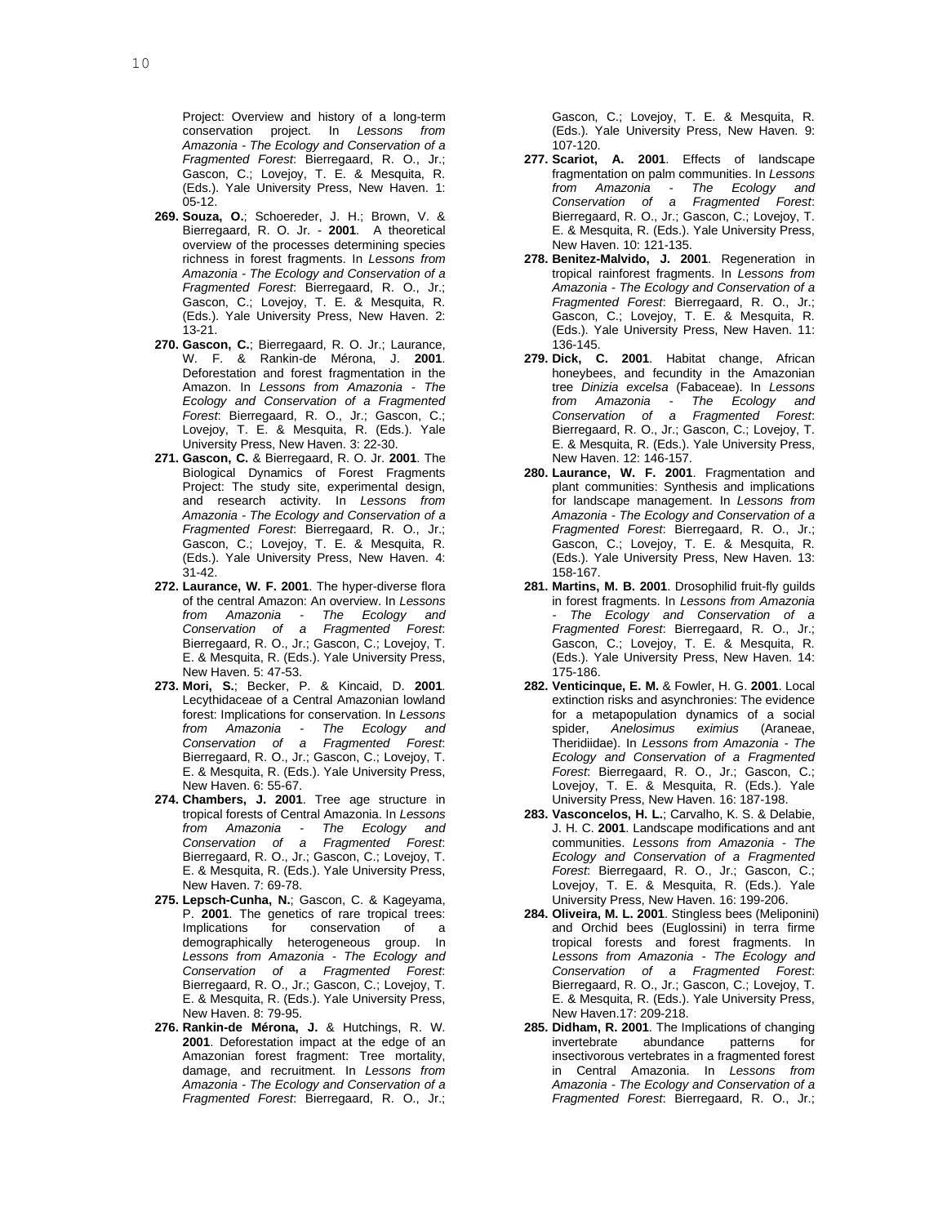Project: Overview and history of a long-term conservation project. In *Lessons from Amazonia - The Ecology and Conservation of a Fragmented Forest*: Bierregaard, R. O., Jr.; Gascon, C.; Lovejoy, T. E. & Mesquita, R. (Eds.). Yale University Press, New Haven. 1:  $05-12.$ 

- **269. Souza, O.**; Schoereder, J. H.; Brown, V. & Bierregaard, R. O. Jr. - **2001**. A theoretical overview of the processes determining species richness in forest fragments. In *Lessons from Amazonia - The Ecology and Conservation of a Fragmented Forest*: Bierregaard, R. O., Jr.; Gascon, C.; Lovejoy, T. E. & Mesquita, R. (Eds.). Yale University Press, New Haven. 2: 13-21.
- **270. Gascon, C.**; Bierregaard, R. O. Jr.; Laurance, W. F. & Rankin-de Mérona, J. **2001**. Deforestation and forest fragmentation in the Amazon. In *Lessons from Amazonia - The Ecology and Conservation of a Fragmented Forest*: Bierregaard, R. O., Jr.; Gascon, C.; Lovejoy, T. E. & Mesquita, R. (Eds.). Yale University Press, New Haven. 3: 22-30.
- **271. Gascon, C.** & Bierregaard, R. O. Jr. **2001**. The Biological Dynamics of Forest Fragments Project: The study site, experimental design, and research activity. In *Lessons from Amazonia - The Ecology and Conservation of a Fragmented Forest*: Bierregaard, R. O., Jr.; Gascon, C.; Lovejoy, T. E. & Mesquita, R. (Eds.). Yale University Press, New Haven. 4: 31-42.
- **272. Laurance, W. F. 2001**. The hyper-diverse flora of the central Amazon: An overview. In *Lessons from Amazonia - The Ecology and Conservation of a Fragmented Forest*: Bierregaard, R. O., Jr.; Gascon, C.; Lovejoy, T. E. & Mesquita, R. (Eds.). Yale University Press, New Haven. 5: 47-53.
- **273. Mori, S.**; Becker, P. & Kincaid, D. **2001**. Lecythidaceae of a Central Amazonian lowland forest: Implications for conservation. In *Lessons from Amazonia - The Ecology and Conservation of a Fragmented Forest*: Bierregaard, R. O., Jr.; Gascon, C.; Lovejoy, T. E. & Mesquita, R. (Eds.). Yale University Press, New Haven. 6: 55-67.
- **274. Chambers, J. 2001**. Tree age structure in tropical forests of Central Amazonia. In *Lessons from Amazonia - The Ecology and Conservation of a Fragmented Forest*: Bierregaard, R. O., Jr.; Gascon, C.; Lovejoy, T. E. & Mesquita, R. (Eds.). Yale University Press, New Haven. 7: 69-78.
- **275. Lepsch-Cunha, N.**; Gascon, C. & Kageyama, P. **2001**. The genetics of rare tropical trees: Implications for conservation of a demographically heterogeneous group. In *Lessons from Amazonia - The Ecology and Conservation of a Fragmented Forest*: Bierregaard, R. O., Jr.; Gascon, C.; Lovejoy, T. E. & Mesquita, R. (Eds.). Yale University Press, New Haven. 8: 79-95.
- **276. Rankin-de Mérona, J.** & Hutchings, R. W. **2001**. Deforestation impact at the edge of an Amazonian forest fragment: Tree mortality, damage, and recruitment. In *Lessons from Amazonia - The Ecology and Conservation of a Fragmented Forest*: Bierregaard, R. O., Jr.;

Gascon, C.; Lovejoy, T. E. & Mesquita, R. (Eds.). Yale University Press, New Haven. 9: 107-120.

- **277. Scariot, A. 2001**. Effects of landscape fragmentation on palm communities. In *Lessons from Amazonia - The Ecology and Conservation of a Fragmented Forest*: Bierregaard, R. O., Jr.; Gascon, C.; Lovejoy, T. E. & Mesquita, R. (Eds.). Yale University Press, New Haven. 10: 121-135.
- **278. Benitez-Malvido, J. 2001**. Regeneration in tropical rainforest fragments. In *Lessons from Amazonia - The Ecology and Conservation of a Fragmented Forest*: Bierregaard, R. O., Jr.; Gascon, C.; Lovejoy, T. E. & Mesquita, R. (Eds.). Yale University Press, New Haven. 11: 136-145.
- **279. Dick, C. 2001**. Habitat change, African honeybees, and fecundity in the Amazonian tree *Dinizia excelsa* (Fabaceae). In *Lessons from Amazonia - The Ecology and Conservation of a Fragmented Forest*: Bierregaard, R. O., Jr.; Gascon, C.; Lovejoy, T. E. & Mesquita, R. (Eds.). Yale University Press, New Haven. 12: 146-157.
- **280. Laurance, W. F. 2001**. Fragmentation and plant communities: Synthesis and implications for landscape management. In *Lessons from Amazonia - The Ecology and Conservation of a Fragmented Forest*: Bierregaard, R. O., Jr.; Gascon, C.; Lovejoy, T. E. & Mesquita, R. (Eds.). Yale University Press, New Haven. 13: 158-167.
- **281. Martins, M. B. 2001**. Drosophilid fruit-fly guilds in forest fragments. In *Lessons from Amazonia - The Ecology and Conservation of a Fragmented Forest*: Bierregaard, R. O., Jr.; Gascon, C.; Lovejoy, T. E. & Mesquita, R. (Eds.). Yale University Press, New Haven. 14: 175-186.
- **282. Venticinque, E. M.** & Fowler, H. G. **2001**. Local extinction risks and asynchronies: The evidence for a metapopulation dynamics of a social spider, *Anelosimus eximius* (Araneae, Theridiidae). In *Lessons from Amazonia - The Ecology and Conservation of a Fragmented Forest*: Bierregaard, R. O., Jr.; Gascon, C.; Lovejoy, T. E. & Mesquita, R. (Eds.). Yale University Press, New Haven. 16: 187-198.
- **283. Vasconcelos, H. L.**; Carvalho, K. S. & Delabie, J. H. C. **2001**. Landscape modifications and ant communities. *Lessons from Amazonia - The Ecology and Conservation of a Fragmented Forest*: Bierregaard, R. O., Jr.; Gascon, C.; Lovejoy, T. E. & Mesquita, R. (Eds.). Yale University Press, New Haven. 16: 199-206.
- **284. Oliveira, M. L. 2001**. Stingless bees (Meliponini) and Orchid bees (Euglossini) in terra firme tropical forests and forest fragments. In *Lessons from Amazonia - The Ecology and Conservation of a Fragmented Forest*: Bierregaard, R. O., Jr.; Gascon, C.; Lovejoy, T. E. & Mesquita, R. (Eds.). Yale University Press, New Haven.17: 209-218.
- **285. Didham, R. 2001**. The Implications of changing invertebrate abundance patterns for insectivorous vertebrates in a fragmented forest in Central Amazonia. In *Lessons from Amazonia - The Ecology and Conservation of a Fragmented Forest*: Bierregaard, R. O., Jr.;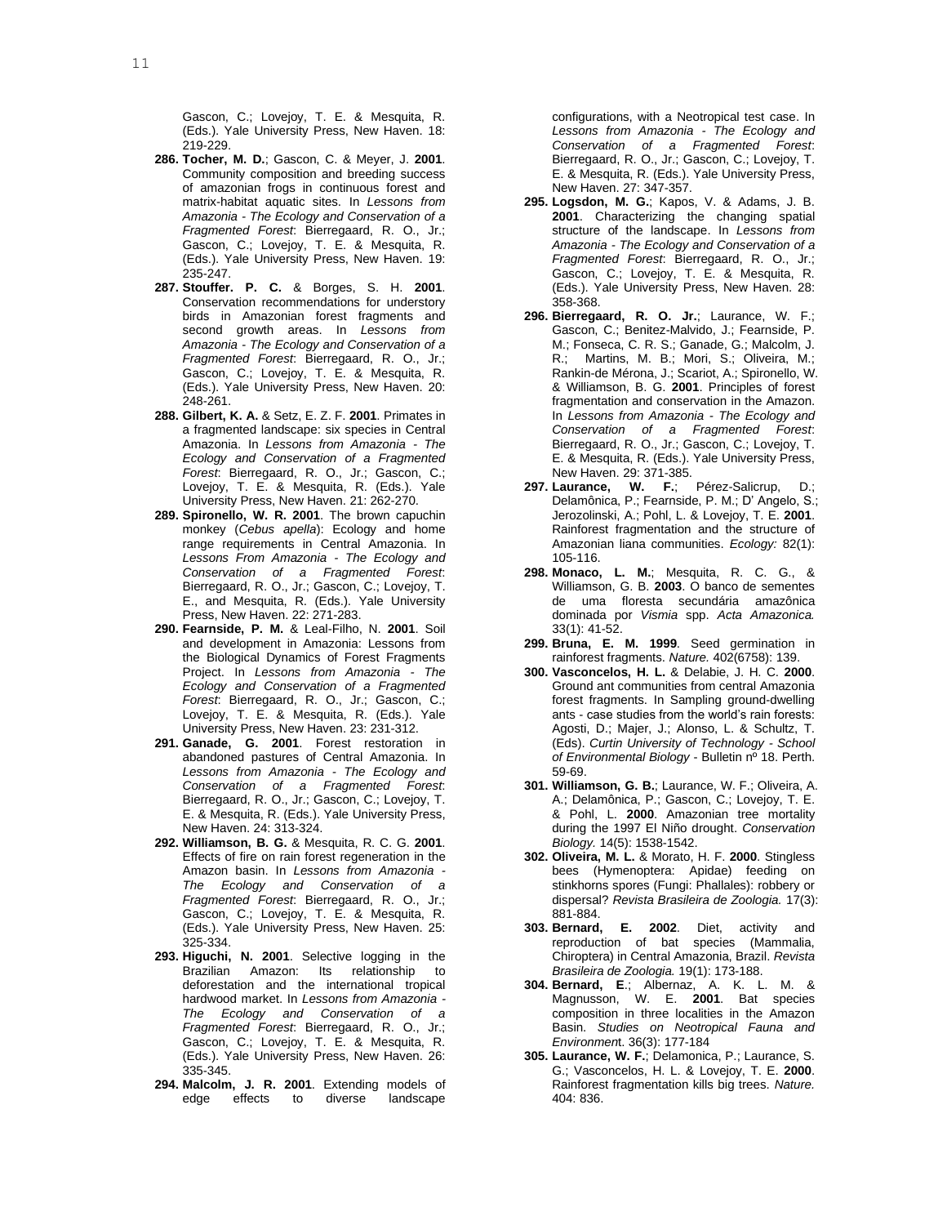Gascon, C.; Lovejoy, T. E. & Mesquita, R. (Eds.). Yale University Press, New Haven. 18: 219-229.

- **286. Tocher, M. D.**; Gascon, C. & Meyer, J. **2001**. Community composition and breeding success of amazonian frogs in continuous forest and matrix-habitat aquatic sites. In *Lessons from Amazonia - The Ecology and Conservation of a Fragmented Forest*: Bierregaard, R. O., Jr.; Gascon, C.; Lovejoy, T. E. & Mesquita, R. (Eds.). Yale University Press, New Haven. 19: 235-247.
- **287. Stouffer. P. C.** & Borges, S. H. **2001**. Conservation recommendations for understory birds in Amazonian forest fragments and second growth areas. In *Lessons from Amazonia - The Ecology and Conservation of a Fragmented Forest*: Bierregaard, R. O., Jr.; Gascon, C.; Lovejoy, T. E. & Mesquita, R. (Eds.). Yale University Press, New Haven. 20: 248-261.
- **288. Gilbert, K. A.** & Setz, E. Z. F. **2001**. Primates in a fragmented landscape: six species in Central Amazonia. In *Lessons from Amazonia - The Ecology and Conservation of a Fragmented Forest*: Bierregaard, R. O., Jr.; Gascon, C.; Lovejoy, T. E. & Mesquita, R. (Eds.). Yale University Press, New Haven. 21: 262-270.
- **289. Spironello, W. R. 2001**. The brown capuchin monkey (*Cebus apella*): Ecology and home range requirements in Central Amazonia. In *Lessons From Amazonia - The Ecology and Conservation of a Fragmented Forest*: Bierregaard, R. O., Jr.; Gascon, C.; Lovejoy, T. E., and Mesquita, R. (Eds.). Yale University Press, New Haven. 22: 271-283.
- **290. Fearnside, P. M.** & Leal-Filho, N. **2001**. Soil and development in Amazonia: Lessons from the Biological Dynamics of Forest Fragments Project. In *Lessons from Amazonia - The Ecology and Conservation of a Fragmented Forest*: Bierregaard, R. O., Jr.; Gascon, C.; Lovejoy, T. E. & Mesquita, R. (Eds.). Yale University Press, New Haven. 23: 231-312.
- **291. Ganade, G. 2001**. Forest restoration in abandoned pastures of Central Amazonia. In *Lessons from Amazonia - The Ecology and Conservation of a Fragmented Forest*: Bierregaard, R. O., Jr.; Gascon, C.; Lovejoy, T. E. & Mesquita, R. (Eds.). Yale University Press, New Haven. 24: 313-324.
- **292. Williamson, B. G.** & Mesquita, R. C. G. **2001**. Effects of fire on rain forest regeneration in the Amazon basin. In *Lessons from Amazonia - The Ecology and Conservation of a Fragmented Forest*: Bierregaard, R. O., Jr.; Gascon, C.; Lovejoy, T. E. & Mesquita, R. (Eds.). Yale University Press, New Haven. 25: 325-334.
- **293. Higuchi, N. 2001**. Selective logging in the Brazilian Amazon: Its relationship to deforestation and the international tropical hardwood market. In *Lessons from Amazonia - The Ecology and Conservation of a Fragmented Forest*: Bierregaard, R. O., Jr.; Gascon, C.; Lovejoy, T. E. & Mesquita, R. (Eds.). Yale University Press, New Haven. 26: 335-345.
- **294. Malcolm, J. R. 2001**. Extending models of edge effects to diverse landscape

configurations, with a Neotropical test case. In *Lessons from Amazonia - The Ecology and Conservation of a Fragmented Forest*: Bierregaard, R. O., Jr.; Gascon, C.; Lovejoy, T. E. & Mesquita, R. (Eds.). Yale University Press, New Haven. 27: 347-357.

- **295. Logsdon, M. G.**; Kapos, V. & Adams, J. B. **2001**. Characterizing the changing spatial structure of the landscape. In *Lessons from Amazonia - The Ecology and Conservation of a Fragmented Forest*: Bierregaard, R. O., Jr.; Gascon, C.; Lovejoy, T. E. & Mesquita, R. (Eds.). Yale University Press, New Haven. 28: 358-368.
- **296. Bierregaard, R. O. Jr.**; Laurance, W. F.; Gascon, C.; Benitez-Malvido, J.; Fearnside, P. M.; Fonseca, C. R. S.; Ganade, G.; Malcolm, J. R.; Martins, M. B.; Mori, S.; Oliveira, M.; Rankin-de Mérona, J.; Scariot, A.; Spironello, W. & Williamson, B. G. **2001**. Principles of forest fragmentation and conservation in the Amazon. In *Lessons from Amazonia - The Ecology and Conservation of a Fragmented Forest*: Bierregaard, R. O., Jr.; Gascon, C.; Lovejoy, T. E. & Mesquita, R. (Eds.). Yale University Press, New Haven. 29: 371-385.
- **297. Laurance, W. F.**; Pérez-Salicrup, D.; Delamônica, P.; Fearnside, P. M.; D' Angelo, S.; Jerozolinski, A.; Pohl, L. & Lovejoy, T. E. **2001**. Rainforest fragmentation and the structure of Amazonian liana communities. *Ecology:* 82(1): 105-116.
- **298. Monaco, L. M.**; Mesquita, R. C. G., & Williamson, G. B. **2003**. O banco de sementes de uma floresta secundária amazônica dominada por *Vismia* spp. *Acta Amazonica.*  33(1): 41-52.
- **299. Bruna, E. M. 1999**. Seed germination in rainforest fragments. *Nature.* 402(6758): 139.
- **300. Vasconcelos, H. L.** & Delabie, J. H. C. **2000**. Ground ant communities from central Amazonia forest fragments. In Sampling ground-dwelling ants - case studies from the world's rain forests: Agosti, D.; Majer, J.; Alonso, L. & Schultz, T. (Eds). *Curtin University of Technology - School of Environmental Biology* - Bulletin nº 18. Perth. 59-69.
- **301. Williamson, G. B.**; Laurance, W. F.; Oliveira, A. A.; Delamônica, P.; Gascon, C.; Lovejoy, T. E. & Pohl, L. **2000**. Amazonian tree mortality during the 1997 El Niño drought. *Conservation Biology.* 14(5): 1538-1542.
- **302. Oliveira, M. L.** & Morato, H. F. **2000**. Stingless bees (Hymenoptera: Apidae) feeding on stinkhorns spores (Fungi: Phallales): robbery or dispersal? *Revista Brasileira de Zoologia.* 17(3): 881-884.<br>**303. Bernard.**
- **5. 2002**. Diet, activity and reproduction of bat species (Mammalia, Chiroptera) in Central Amazonia, Brazil. *Revista Brasileira de Zoologia.* 19(1): 173-188.
- **304. Bernard, E**.; Albernaz, A. K. L. M. & Magnusson, W. E. **2001**. Bat species composition in three localities in the Amazon Basin. *Studies on Neotropical Fauna and Environmen*t. 36(3): 177-184
- **305. Laurance, W. F.**; Delamonica, P.; Laurance, S. G.; Vasconcelos, H. L. & Lovejoy, T. E. **2000**. Rainforest fragmentation kills big trees. *Nature.*  404: 836.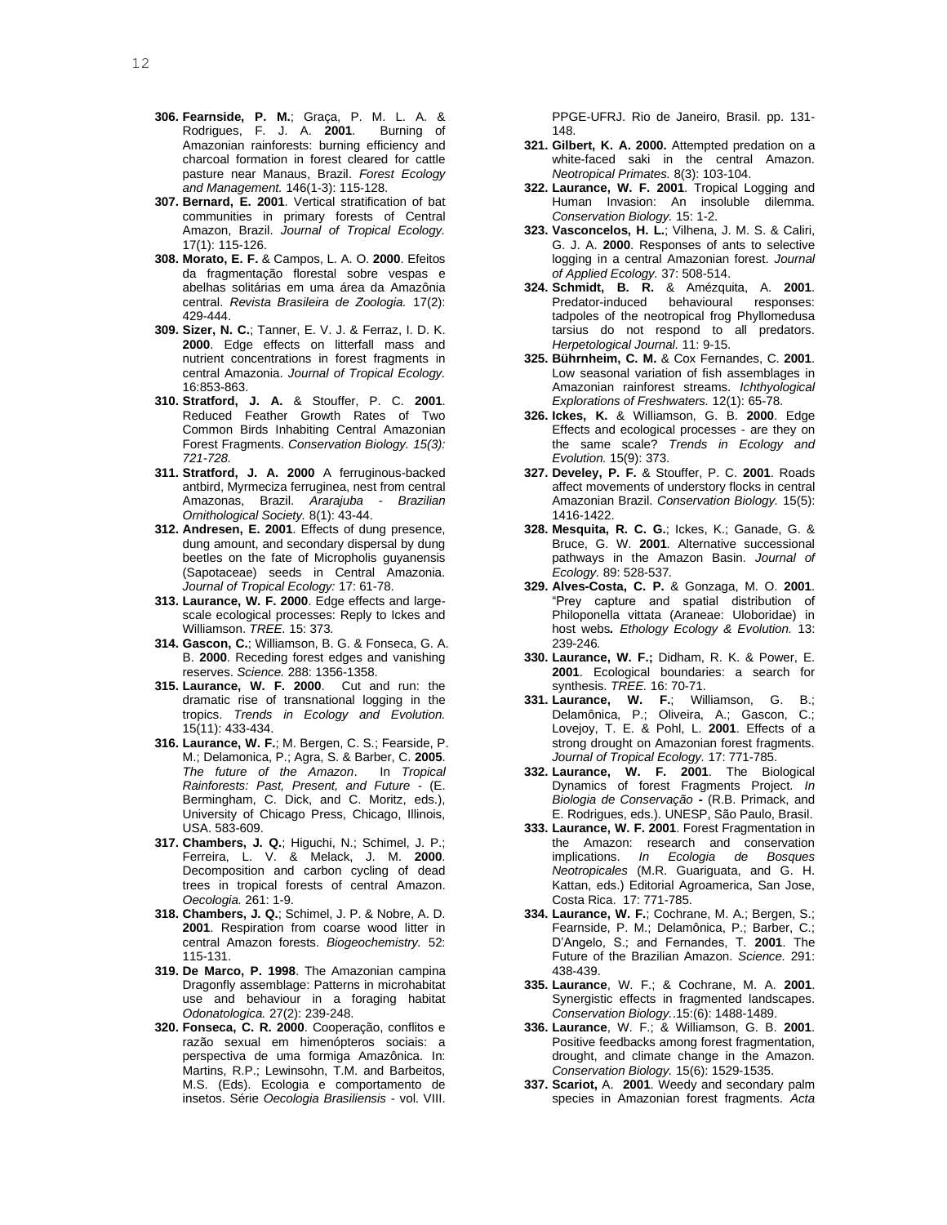- **306. Fearnside, P. M.**; Graça, P. M. L. A. & Rodrigues, F. J. A. **2001**. Burning of Amazonian rainforests: burning efficiency and charcoal formation in forest cleared for cattle pasture near Manaus, Brazil. *Forest Ecology and Management.* 146(1-3): 115-128.
- **307. Bernard, E. 2001**. Vertical stratification of bat communities in primary forests of Central Amazon, Brazil. *Journal of Tropical Ecology.*  17(1): 115-126.
- **308. Morato, E. F.** & Campos, L. A. O. **2000**. Efeitos da fragmentação florestal sobre vespas e abelhas solitárias em uma área da Amazônia central. *Revista Brasileira de Zoologia.* 17(2): 429-444.
- **309. Sizer, N. C.**; Tanner, E. V. J. & Ferraz, I. D. K. **2000**. Edge effects on litterfall mass and nutrient concentrations in forest fragments in central Amazonia. *Journal of Tropical Ecology.*  16:853-863.
- **310. Stratford, J. A.** & Stouffer, P. C. **2001**. Reduced Feather Growth Rates of Two Common Birds Inhabiting Central Amazonian Forest Fragments. *Conservation Biology. 15(3): 721-728.*
- **311. Stratford, J. A. 2000** A ferruginous-backed antbird, Myrmeciza ferruginea, nest from central Amazonas, Brazil. *Ararajuba - Brazilian Ornithological Society.* 8(1): 43-44.
- **312. Andresen, E. 2001**. Effects of dung presence, dung amount, and secondary dispersal by dung beetles on the fate of Micropholis guyanensis (Sapotaceae) seeds in Central Amazonia. *Journal of Tropical Ecology:* 17: 61-78.
- **313. Laurance, W. F. 2000**. Edge effects and largescale ecological processes: Reply to Ickes and Williamson. *TREE.* 15: 373*.*
- **314. Gascon, C.**; Williamson, B. G. & Fonseca, G. A. B. **2000**. Receding forest edges and vanishing reserves. *Science.* 288: 1356-1358.
- **315. Laurance, W. F. 2000**. Cut and run: the dramatic rise of transnational logging in the tropics. *Trends in Ecology and Evolution.*  15(11): 433-434.
- **316. Laurance, W. F.**; M. Bergen, C. S.; Fearside, P. M.; Delamonica, P.; Agra, S. & Barber, C. **2005**. *The future of the Amazon*. In *Tropical Rainforests: Past, Present, and Future* - (E. Bermingham, C. Dick, and C. Moritz, eds.), University of Chicago Press, Chicago, Illinois, USA. 583-609.
- **317. Chambers, J. Q.**; Higuchi, N.; Schimel, J. P.; Ferreira, L. V. & Melack, J. M. **2000**. Decomposition and carbon cycling of dead trees in tropical forests of central Amazon. *Oecologia.* 261: 1-9.
- **318. Chambers, J. Q.**; Schimel, J. P. & Nobre, A. D. **2001**. Respiration from coarse wood litter in central Amazon forests. *Biogeochemistry.* 52: 115-131.
- **319. De Marco, P. 1998**. The Amazonian campina Dragonfly assemblage: Patterns in microhabitat use and behaviour in a foraging habitat *Odonatologica.* 27(2): 239-248.
- **320. Fonseca, C. R. 2000**. Cooperação, conflitos e razão sexual em himenópteros sociais: a perspectiva de uma formiga Amazônica. In: Martins, R.P.; Lewinsohn, T.M. and Barbeitos, M.S. (Eds). Ecologia e comportamento de insetos. Série *Oecologia Brasiliensis* - vol. VIII.

PPGE-UFRJ. Rio de Janeiro, Brasil. pp. 131- 148.

- **321. Gilbert, K. A. 2000.** Attempted predation on a white-faced saki in the central Amazon. *Neotropical Primates.* 8(3): 103-104.
- **322. Laurance, W. F. 2001**. Tropical Logging and Human Invasion: An insoluble dilemma. *Conservation Biology.* 15: 1-2.
- **323. Vasconcelos, H. L.**; Vilhena, J. M. S. & Caliri, G. J. A. **2000**. Responses of ants to selective logging in a central Amazonian forest. *Journal of Applied Ecology.* 37: 508-514.
- **324. Schmidt, B. R.** & Amézquita, A. **2001**. Predator-induced behavioural responses: tadpoles of the neotropical frog Phyllomedusa tarsius do not respond to all predators. *Herpetological Journal.* 11: 9-15.
- **325. Bührnheim, C. M.** & Cox Fernandes, C. **2001**. Low seasonal variation of fish assemblages in Amazonian rainforest streams. *Ichthyological Explorations of Freshwaters.* 12(1): 65-78.
- **326. Ickes, K.** & Williamson, G. B. **2000**. Edge Effects and ecological processes - are they on the same scale? *Trends in Ecology and Evolution.* 15(9): 373.
- **327. Develey, P. F.** & Stouffer, P. C. **2001**. Roads affect movements of understory flocks in central Amazonian Brazil. *Conservation Biology.* 15(5): 1416-1422.
- **328. Mesquita, R. C. G.**; Ickes, K.; Ganade, G. & Bruce, G. W. **2001**. Alternative successional pathways in the Amazon Basin. *Journal of Ecology.* 89: 528-537*.*
- **329. Alves-Costa, C. P.** & Gonzaga, M. O. **2001**. "Prey capture and spatial distribution of Philoponella vittata (Araneae: Uloboridae) in host webs*. Ethology Ecology & Evolution.* 13: 239-246*.*
- **330. Laurance, W. F.;** Didham, R. K. & Power, E. **2001**. Ecological boundaries: a search for synthesis. *TREE.* 16: 70-71.
- **331. Laurance, W. F.**; Williamson, G. B.; Delamônica, P.; Oliveira, A.; Gascon, C.; Lovejoy, T. E. & Pohl, L. **2001**. Effects of a strong drought on Amazonian forest fragments. *Journal of Tropical Ecology.* 17: 771-785.
- **332. Laurance, W. F. 2001**. The Biological Dynamics of forest Fragments Project. *In Biologia de Conservação -* (R.B. Primack, and E. Rodrigues, eds.). UNESP, São Paulo, Brasil.
- **333. Laurance, W. F. 2001**. Forest Fragmentation in the Amazon: research and conservation implications. *In Ecologia de Bosques Neotropicales* (M.R. Guariguata, and G. H. Kattan, eds.) Editorial Agroamerica, San Jose, Costa Rica. 17: 771-785.
- **334. Laurance, W. F.**; Cochrane, M. A.; Bergen, S.; Fearnside, P. M.; Delamônica, P.; Barber, C.; D'Angelo, S.; and Fernandes, T. **2001**. The Future of the Brazilian Amazon. *Science.* 291: 438-439.
- **335. Laurance**, W. F.; & Cochrane, M. A. **2001**. Synergistic effects in fragmented landscapes. *Conservation Biology.*.15:(6): 1488-1489.
- **336. Laurance**, W. F.; & Williamson, G. B. **2001**. Positive feedbacks among forest fragmentation, drought, and climate change in the Amazon. *Conservation Biology.* 15(6): 1529-1535.
- **337. Scariot,** A. **2001**. Weedy and secondary palm species in Amazonian forest fragments. *Acta*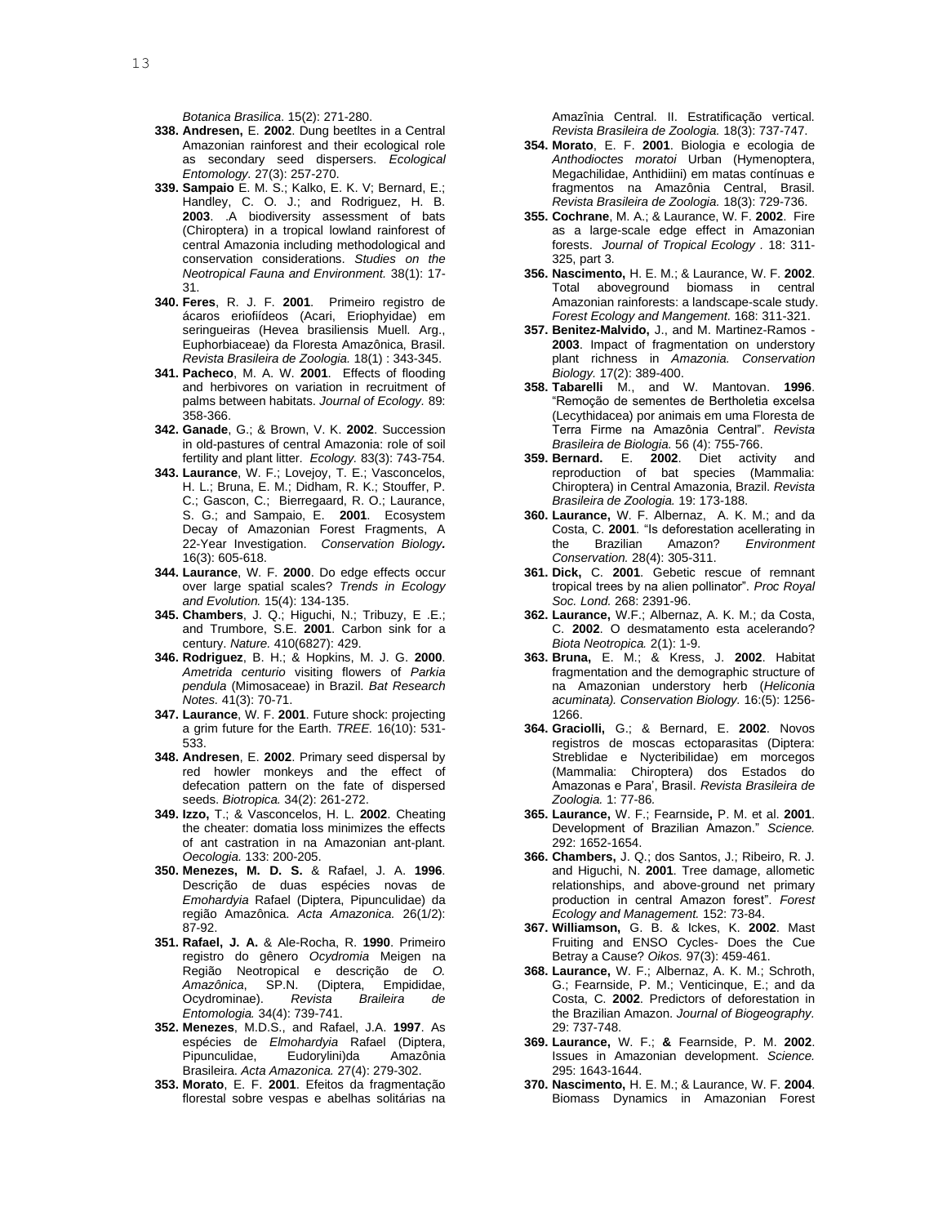*Botanica Brasilica*. 15(2): 271-280.

- **338. Andresen,** E. **2002**. Dung beetltes in a Central Amazonian rainforest and their ecological role as secondary seed dispersers. *Ecological Entomology.* 27(3): 257-270.
- **339. Sampaio** E. M. S.; Kalko, E. K. V; Bernard, E.; Handley, C. O. J.; and Rodriguez, H. B. **2003**. .A biodiversity assessment of bats (Chiroptera) in a tropical lowland rainforest of central Amazonia including methodological and conservation considerations. *Studies on the Neotropical Fauna and Environment.* 38(1): 17- 31.
- **340. Feres**, R. J. F. **2001**. Primeiro registro de ácaros eriofiídeos (Acari, Eriophyidae) em seringueiras (Hevea brasiliensis Muell. Arg., Euphorbiaceae) da Floresta Amazônica, Brasil. *Revista Brasileira de Zoologia.* 18(1) : 343-345.
- **341. Pacheco**, M. A. W. **2001**. Effects of flooding and herbivores on variation in recruitment of palms between habitats. *Journal of Ecology.* 89: 358-366.
- **342. Ganade**, G.; & Brown, V. K. **2002**. Succession in old-pastures of central Amazonia: role of soil fertility and plant litter. *Ecology.* 83(3): 743-754.
- **343. Laurance**, W. F.; Lovejoy, T. E.; Vasconcelos, H. L.; Bruna, E. M.; Didham, R. K.; Stouffer, P. C.; Gascon, C.; Bierregaard, R. O.; Laurance, S. G.; and Sampaio, E. **2001**. Ecosystem Decay of Amazonian Forest Fragments, A 22-Year Investigation. *Conservation Biology.*  16(3): 605-618.
- **344. Laurance**, W. F. **2000**. Do edge effects occur over large spatial scales? *Trends in Ecology and Evolution.* 15(4): 134-135.
- **345. Chambers**, J. Q.; Higuchi, N.; Tribuzy, E .E.; and Trumbore, S.E. **2001**. Carbon sink for a century. *Nature.* 410(6827): 429.
- **346. Rodriguez**, B. H.; & Hopkins, M. J. G. **2000**. *Ametrida centurio* visiting flowers of *Parkia pendula* (Mimosaceae) in Brazil. *Bat Research Notes.* 41(3): 70-71.
- **347. Laurance**, W. F. **2001**. Future shock: projecting a grim future for the Earth. *TREE.* 16(10): 531- 533.
- **348. Andresen**, E. **2002**. Primary seed dispersal by red howler monkeys and the effect of defecation pattern on the fate of dispersed seeds. *Biotropica.* 34(2): 261-272.
- **349. Izzo,** T.; & Vasconcelos, H. L. **2002**. Cheating the cheater: domatia loss minimizes the effects of ant castration in na Amazonian ant-plant. *Oecologia.* 133: 200-205.
- **350. Menezes, M. D. S.** & Rafael, J. A. **1996**. Descrição de duas espécies novas de *Emohardyia* Rafael (Diptera, Pipunculidae) da região Amazônica. *Acta Amazonica.* 26(1/2): 87-92.
- **351. Rafael, J. A.** & Ale-Rocha, R. **1990**. Primeiro registro do gênero *Ocydromia* Meigen na Região Neotropical e descrição de *O. Amazônica*, SP.N. (Diptera, Empididae, Ocydrominae). *Revista Braileira de Entomologia.* 34(4): 739-741.
- **352. Menezes**, M.D.S., and Rafael, J.A. **1997**. As espécies de *Elmohardyia* Rafael (Diptera, Pipunculidae, Eudorylini)da Amazônia Brasileira. *Acta Amazonica.* 27(4): 279-302.
- **353. Morato**, E. F. **2001**. Efeitos da fragmentação florestal sobre vespas e abelhas solitárias na

Amazînia Central. II. Estratificação vertical. *Revista Brasileira de Zoologia.* 18(3): 737-747.

- **354. Morato**, E. F. **2001**. Biologia e ecologia de *Anthodioctes moratoi* Urban (Hymenoptera, Megachilidae, Anthidiini) em matas contínuas e fragmentos na Amazônia Central, Brasil. *Revista Brasileira de Zoologia.* 18(3): 729-736.
- **355. Cochrane**, M. A.; & Laurance, W. F. **2002**. Fire as a large-scale edge effect in Amazonian forests. *Journal of Tropical Ecology .* 18: 311- 325, part 3.
- **356. Nascimento,** H. E. M.; & Laurance, W. F. **2002**. Total aboveground biomass in central Amazonian rainforests: a landscape-scale study. *Forest Ecology and Mangement.* 168: 311-321.
- **357. Benitez-Malvido,** J., and M. Martinez-Ramos **2003**. Impact of fragmentation on understory plant richness in *Amazonia. Conservation Biology.* 17(2): 389-400.
- **358. Tabarelli** M., and W. Mantovan. **1996**. "Remoção de sementes de Bertholetia excelsa (Lecythidacea) por animais em uma Floresta de Terra Firme na Amazônia Central". *Revista Brasileira de Biologia.* 56 (4): 755-766.
- **359. Bernard.** E. **2002**. Diet activity and reproduction of bat species (Mammalia: Chiroptera) in Central Amazonia, Brazil. *Revista Brasileira de Zoologia.* 19: 173-188.
- **360. Laurance,** W. F. Albernaz, A. K. M.; and da Costa, C. **2001**. "Is deforestation acellerating in the Brazilian Amazon? *Environment Conservation.* 28(4): 305-311.
- **361. Dick,** C. **2001**. Gebetic rescue of remnant tropical trees by na alien pollinator". *Proc Royal Soc. Lond.* 268: 2391-96.
- **362. Laurance,** W.F.; Albernaz, A. K. M.; da Costa, C. **2002**. O desmatamento esta acelerando? *Biota Neotropica.* 2(1): 1-9.
- **363. Bruna,** E. M.; & Kress, J. **2002**. Habitat fragmentation and the demographic structure of na Amazonian understory herb (*Heliconia acuminata). Conservation Biology.* 16:(5): 1256- 1266.
- **364. Graciolli,** G.; & Bernard, E. **2002**. Novos registros de moscas ectoparasitas (Diptera: Streblidae e Nycteribilidae) em morcegos (Mammalia: Chiroptera) dos Estados do Amazonas e Para', Brasil. *Revista Brasileira de Zoologia.* 1: 77-86*.*
- **365. Laurance,** W. F.; Fearnside**,** P. M. et al. **2001**. Development of Brazilian Amazon." *Science.*  292: 1652-1654.
- **366. Chambers,** J. Q.; dos Santos, J.; Ribeiro, R. J. and Higuchi, N. **2001**. Tree damage, allometic relationships, and above-ground net primary production in central Amazon forest". *Forest Ecology and Management.* 152: 73-84.
- **367. Williamson,** G. B. & Ickes, K. **2002**. Mast Fruiting and ENSO Cycles- Does the Cue Betray a Cause? *Oikos.* 97(3): 459-461.
- **368. Laurance,** W. F.; Albernaz, A. K. M.; Schroth, G.; Fearnside, P. M.; Venticinque, E.; and da Costa, C. **2002**. Predictors of deforestation in the Brazilian Amazon. *Journal of Biogeography.*  29: 737-748.
- **369. Laurance,** W. F.; **&** Fearnside, P. M. **2002**. Issues in Amazonian development. *Science.*  295: 1643-1644.
- **370. Nascimento,** H. E. M.; & Laurance, W. F. **2004**. Biomass Dynamics in Amazonian Forest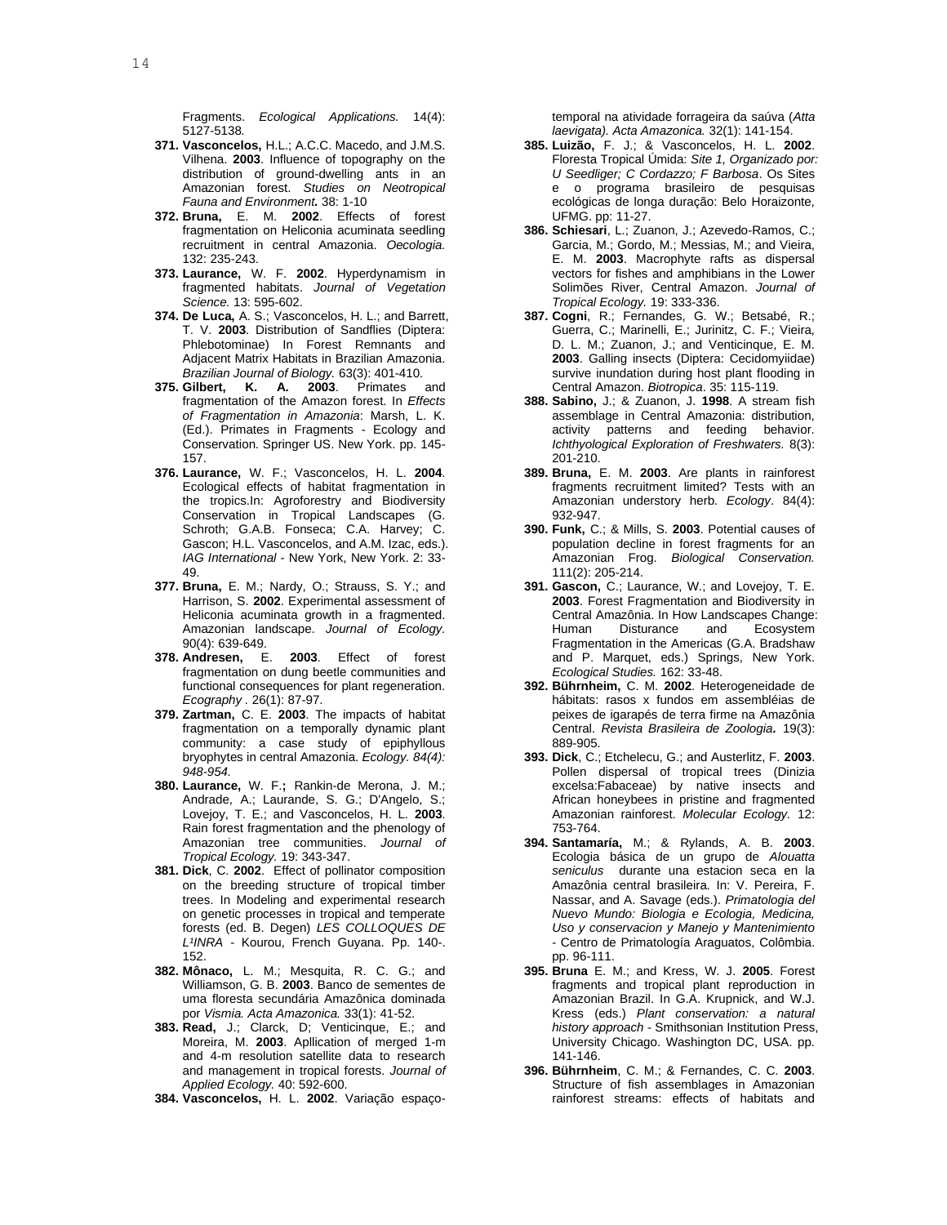Fragments. *Ecological Applications.* 14(4): 5127-5138*.*

- **371. Vasconcelos,** H.L.; A.C.C. Macedo, and J.M.S. Vilhena. **2003**. Influence of topography on the distribution of ground-dwelling ants in an Amazonian forest. *Studies on Neotropical Fauna and Environment.* 38: 1-10
- **372. Bruna,** E. M. **2002**. Effects of forest fragmentation on Heliconia acuminata seedling recruitment in central Amazonia. *Oecologia.*  132: 235-243.
- **373. Laurance,** W. F. **2002**. Hyperdynamism in fragmented habitats. *Journal of Vegetation Science.* 13: 595-602.
- **374. De Luca,** A. S.; Vasconcelos, H. L.; and Barrett, T. V. **2003**. Distribution of Sandflies (Diptera: Phlebotominae) In Forest Remnants and Adjacent Matrix Habitats in Brazilian Amazonia. *Brazilian Journal of Biology.* 63(3): 401-410.
- **375. Gilbert, K. A. 2003**. Primates and fragmentation of the Amazon forest. In *Effects of Fragmentation in Amazonia*: Marsh, L. K. (Ed.). Primates in Fragments - Ecology and Conservation. Springer US. New York. pp. 145- 157.
- **376. Laurance,** W. F.; Vasconcelos, H. L. **2004**. Ecological effects of habitat fragmentation in the tropics.In: Agroforestry and Biodiversity Conservation in Tropical Landscapes (G. Schroth; G.A.B. Fonseca; C.A. Harvey; C. Gascon; H.L. Vasconcelos, and A.M. Izac, eds.). *IAG International* - New York, New York. 2: 33- 49.
- **377. Bruna,** E. M.; Nardy, O.; Strauss, S. Y.; and Harrison, S. **2002**. Experimental assessment of Heliconia acuminata growth in a fragmented. Amazonian landscape. *Journal of Ecology.*  90(4): 639-649.
- **378. Andresen,** E. **2003**. Effect of forest fragmentation on dung beetle communities and functional consequences for plant regeneration. *Ecography .* 26(1): 87-97.
- **379. Zartman,** C. E. **2003**. The impacts of habitat fragmentation on a temporally dynamic plant community: a case study of epiphyllous bryophytes in central Amazonia. *Ecology. 84(4): 948-954.*
- **380. Laurance,** W. F.**;** Rankin-de Merona, J. M.; Andrade, A.; Laurande, S. G.; D'Angelo, S.; Lovejoy, T. E.; and Vasconcelos, H. L. **2003**. Rain forest fragmentation and the phenology of Amazonian tree communities. *Journal of Tropical Ecology.* 19: 343-347.
- **381. Dick**, C. **2002**. Effect of pollinator composition on the breeding structure of tropical timber trees. In Modeling and experimental research on genetic processes in tropical and temperate forests (ed. B. Degen) *LES COLLOQUES DE L¹INRA* - Kourou, French Guyana. Pp. 140-. 152.
- **382. Mônaco,** L. M.; Mesquita, R. C. G.; and Williamson, G. B. **2003**. Banco de sementes de uma floresta secundária Amazônica dominada por *Vismia. Acta Amazonica.* 33(1): 41-52.
- **383. Read,** J.; Clarck, D; Venticinque, E.; and Moreira, M. **2003**. Apllication of merged 1-m and 4-m resolution satellite data to research and management in tropical forests. *Journal of Applied Ecology.* 40: 592-600.
- **384. Vasconcelos,** H. L. **2002**. Variação espaço-

temporal na atividade forrageira da saúva (*Atta laevigata). Acta Amazonica.* 32(1): 141-154.

- **385. Luizão,** F. J.; & Vasconcelos, H. L. **2002**. Floresta Tropical Úmida: *Site 1, Organizado por: U Seedliger; C Cordazzo; F Barbosa*. Os Sites e o programa brasileiro de pesquisas ecológicas de longa duração: Belo Horaizonte, UFMG. pp: 11-27.
- **386. Schiesari**, L.; Zuanon, J.; Azevedo-Ramos, C.; Garcia, M.; Gordo, M.; Messias, M.; and Vieira, E. M. **2003**. Macrophyte rafts as dispersal vectors for fishes and amphibians in the Lower Solimões River, Central Amazon. *Journal of Tropical Ecology.* 19: 333-336.
- **387. Cogni**, R.; Fernandes, G. W.; Betsabé, R.; Guerra, C.; Marinelli, E.; Jurinitz, C. F.; Vieira, D. L. M.; Zuanon, J.; and Venticinque, E. M. **2003**. Galling insects (Diptera: Cecidomyiidae) survive inundation during host plant flooding in Central Amazon. *Biotropica*. 35: 115-119.
- **388. Sabino,** J.; & Zuanon, J. **1998**. A stream fish assemblage in Central Amazonia: distribution, activity patterns and feeding behavior. *Ichthyological Exploration of Freshwaters.* 8(3): 201-210.
- **389. Bruna,** E. M. **2003**. Are plants in rainforest fragments recruitment limited? Tests with an Amazonian understory herb. *Ecology*. 84(4): 932-947.
- **390. Funk,** C.; & Mills, S. **2003**. Potential causes of population decline in forest fragments for an Amazonian Frog. *Biological Conservation.* 111(2): 205-214.
- **391. Gascon,** C.; Laurance, W.; and Lovejoy, T. E. **2003**. Forest Fragmentation and Biodiversity in Central Amazônia. In How Landscapes Change: Human Disturance and Ecosystem Fragmentation in the Americas (G.A. Bradshaw and P. Marquet, eds.) Springs, New York. *Ecological Studies.* 162: 33-48.
- **392. Bührnheim,** C. M. **2002**. Heterogeneidade de hábitats: rasos x fundos em assembléias de peixes de igarapés de terra firme na Amazônia Central. *Revista Brasileira de Zoologia.* 19(3): 889-905.
- **393. Dick**, C.; Etchelecu, G.; and Austerlitz, F. **2003**. Pollen dispersal of tropical trees (Dinizia excelsa:Fabaceae) by native insects and African honeybees in pristine and fragmented Amazonian rainforest. *Molecular Ecology.* 12: 753-764.
- **394. Santamaría,** M.; & Rylands, A. B. **2003**. Ecologia básica de un grupo de *Alouatta seniculus* durante una estacion seca en la Amazônia central brasileira. In: V. Pereira, F. Nassar, and A. Savage (eds.). *Primatologia del Nuevo Mundo: Biologia e Ecologia, Medicina, Uso y conservacion y Manejo y Mantenimiento* - Centro de Primatología Araguatos, Colômbia. pp. 96-111.
- **395. Bruna** E. M.; and Kress, W. J. **2005**. Forest fragments and tropical plant reproduction in Amazonian Brazil. In G.A. Krupnick, and W.J. Kress (eds.) *Plant conservation: a natural history approach* - Smithsonian Institution Press, University Chicago. Washington DC, USA. pp. 141-146.
- **396. Bührnheim**, C. M.; & Fernandes, C. C. **2003**. Structure of fish assemblages in Amazonian rainforest streams: effects of habitats and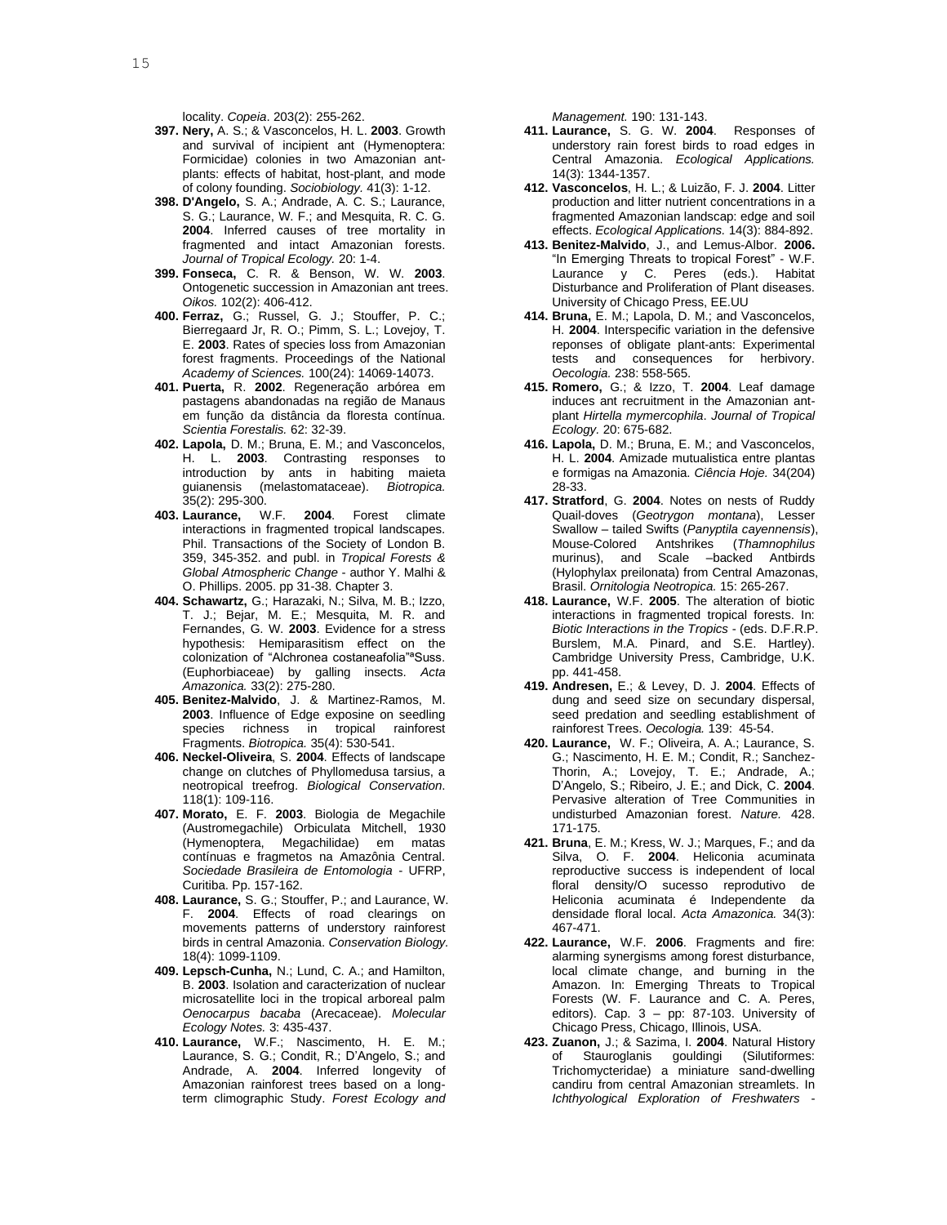locality. *Copeia*. 203(2): 255-262.

- **397. Nery,** A. S.; & Vasconcelos, H. L. **2003**. Growth and survival of incipient ant (Hymenoptera: Formicidae) colonies in two Amazonian antplants: effects of habitat, host-plant, and mode of colony founding. *Sociobiology.* 41(3): 1-12.
- **398. D'Angelo,** S. A.; Andrade, A. C. S.; Laurance, S. G.; Laurance, W. F.; and Mesquita, R. C. G. **2004**. Inferred causes of tree mortality in fragmented and intact Amazonian forests. *Journal of Tropical Ecology.* 20: 1-4.
- **399. Fonseca,** C. R. & Benson, W. W. **2003**. Ontogenetic succession in Amazonian ant trees. *Oikos.* 102(2): 406-412.
- **400. Ferraz,** G.; Russel, G. J.; Stouffer, P. C.; Bierregaard Jr, R. O.; Pimm, S. L.; Lovejoy, T. E. **2003**. Rates of species loss from Amazonian forest fragments. Proceedings of the National *Academy of Sciences.* 100(24): 14069-14073.
- **401. Puerta,** R. **2002**. Regeneração arbórea em pastagens abandonadas na região de Manaus em função da distância da floresta contínua. *Scientia Forestalis.* 62: 32-39.
- **402. Lapola,** D. M.; Bruna, E. M.; and Vasconcelos, H. L. **2003**. Contrasting responses to introduction by ants in habiting maieta guianensis (melastomataceae). *Biotropica.*  35(2): 295-300.
- **403. Laurance,** W.F. **2004**. Forest climate interactions in fragmented tropical landscapes. Phil. Transactions of the Society of London B. 359, 345-352. and publ. in *Tropical Forests & Global Atmospheric Change* - author Y. Malhi & O. Phillips. 2005. pp 31-38. Chapter 3.
- **404. Schawartz,** G.; Harazaki, N.; Silva, M. B.; Izzo, T. J.; Bejar, M. E.; Mesquita, M. R. and Fernandes, G. W. **2003**. Evidence for a stress hypothesis: Hemiparasitism effect on the colonization of "Alchronea costaneafolia"ªSuss. (Euphorbiaceae) by galling insects. *Acta Amazonica.* 33(2): 275-280.
- **405. Benitez-Malvido**, J. & Martinez-Ramos, M. **2003**. Influence of Edge exposine on seedling species richness in tropical rainforest Fragments. *Biotropica.* 35(4): 530-541.
- **406. Neckel-Oliveira**, S. **2004**. Effects of landscape change on clutches of Phyllomedusa tarsius, a neotropical treefrog. *Biological Conservation*. 118(1): 109-116.
- **407. Morato,** E. F. **2003**. Biologia de Megachile (Austromegachile) Orbiculata Mitchell, 1930 (Hymenoptera, Megachilidae) em matas contínuas e fragmetos na Amazônia Central. *Sociedade Brasileira de Entomologia* - UFRP, Curitiba. Pp. 157-162.
- **408. Laurance,** S. G.; Stouffer, P.; and Laurance, W. F. **2004**. Effects of road clearings on movements patterns of understory rainforest birds in central Amazonia. *Conservation Biology.*  18(4): 1099-1109.
- **409. Lepsch-Cunha,** N.; Lund, C. A.; and Hamilton, B. **2003**. Isolation and caracterization of nuclear microsatellite loci in the tropical arboreal palm *Oenocarpus bacaba* (Arecaceae). *Molecular Ecology Notes.* 3: 435-437.
- **410. Laurance,** W.F.; Nascimento, H. E. M.; Laurance, S. G.; Condit, R.; D'Angelo, S.; and Andrade, A. **2004**. Inferred longevity of Amazonian rainforest trees based on a longterm climographic Study. *Forest Ecology and*

*Management.* 190: 131-143.

- **411. Laurance,** S. G. W. **2004**. Responses of understory rain forest birds to road edges in Central Amazonia. *Ecological Applications.*  14(3): 1344-1357.
- **412. Vasconcelos**, H. L.; & Luizão, F. J. **2004**. Litter production and litter nutrient concentrations in a fragmented Amazonian landscap: edge and soil effects. *Ecological Applications.* 14(3): 884-892.
- **413. Benitez-Malvido**, J., and Lemus-Albor. **2006.** "In Emerging Threats to tropical Forest" - W.F. Laurance y C. Peres (eds.). Habitat Disturbance and Proliferation of Plant diseases. University of Chicago Press, EE.UU
- **414. Bruna,** E. M.; Lapola, D. M.; and Vasconcelos, H. **2004**. Interspecific variation in the defensive reponses of obligate plant-ants: Experimental tests and consequences for herbivory. *Oecologia.* 238: 558-565.
- **415. Romero,** G.; & Izzo, T. **2004**. Leaf damage induces ant recruitment in the Amazonian antplant *Hirtella mymercophila*. *Journal of Tropical Ecology.* 20: 675-682.
- **416. Lapola,** D. M.; Bruna, E. M.; and Vasconcelos, H. L. **2004**. Amizade mutualistica entre plantas e formigas na Amazonia. *Ciência Hoje.* 34(204) 28-33.
- **417. Stratford**, G. **2004**. Notes on nests of Ruddy Quail-doves (*Geotrygon montana*), Lesser Swallow – tailed Swifts (*Panyptila cayennensis*), Mouse-Colored Antshrikes (*Thamnophilus*  murinus), and Scale –backed Antbirds (Hylophylax preilonata) from Central Amazonas, Brasil. *Ornitologia Neotropica.* 15: 265-267.
- **418. Laurance,** W.F. **2005**. The alteration of biotic interactions in fragmented tropical forests. In: *Biotic Interactions in the Tropics* - (eds. D.F.R.P. Burslem, M.A. Pinard, and S.E. Hartley). Cambridge University Press, Cambridge, U.K. pp. 441-458.
- **419. Andresen,** E.; & Levey, D. J. **2004**. Effects of dung and seed size on secundary dispersal, seed predation and seedling establishment of rainforest Trees. *Oecologia.* 139: 45-54.
- **420. Laurance,** W. F.; Oliveira, A. A.; Laurance, S. G.; Nascimento, H. E. M.; Condit, R.; Sanchez-Thorin, A.; Lovejoy, T. E.; Andrade, A.; D'Angelo, S.; Ribeiro, J. E.; and Dick, C. **2004**. Pervasive alteration of Tree Communities in undisturbed Amazonian forest. *Nature.* 428. 171-175.
- **421. Bruna**, E. M.; Kress, W. J.; Marques, F.; and da Silva, O. F. **2004**. Heliconia acuminata reproductive success is independent of local floral density/O sucesso reprodutivo de Heliconia acuminata é Independente da densidade floral local. *Acta Amazonica.* 34(3): 467-471.
- **422. Laurance,** W.F. **2006**. Fragments and fire: alarming synergisms among forest disturbance, local climate change, and burning in the Amazon. In: Emerging Threats to Tropical Forests (W. F. Laurance and C. A. Peres, editors). Cap.  $3 - pp$ : 87-103. University of Chicago Press, Chicago, Illinois, USA.
- **423. Zuanon,** J.; & Sazima, I. **2004**. Natural History of Stauroglanis gouldingi (Silutiformes: Trichomycteridae) a miniature sand-dwelling candiru from central Amazonian streamlets. In *Ichthyological Exploration of Freshwaters* -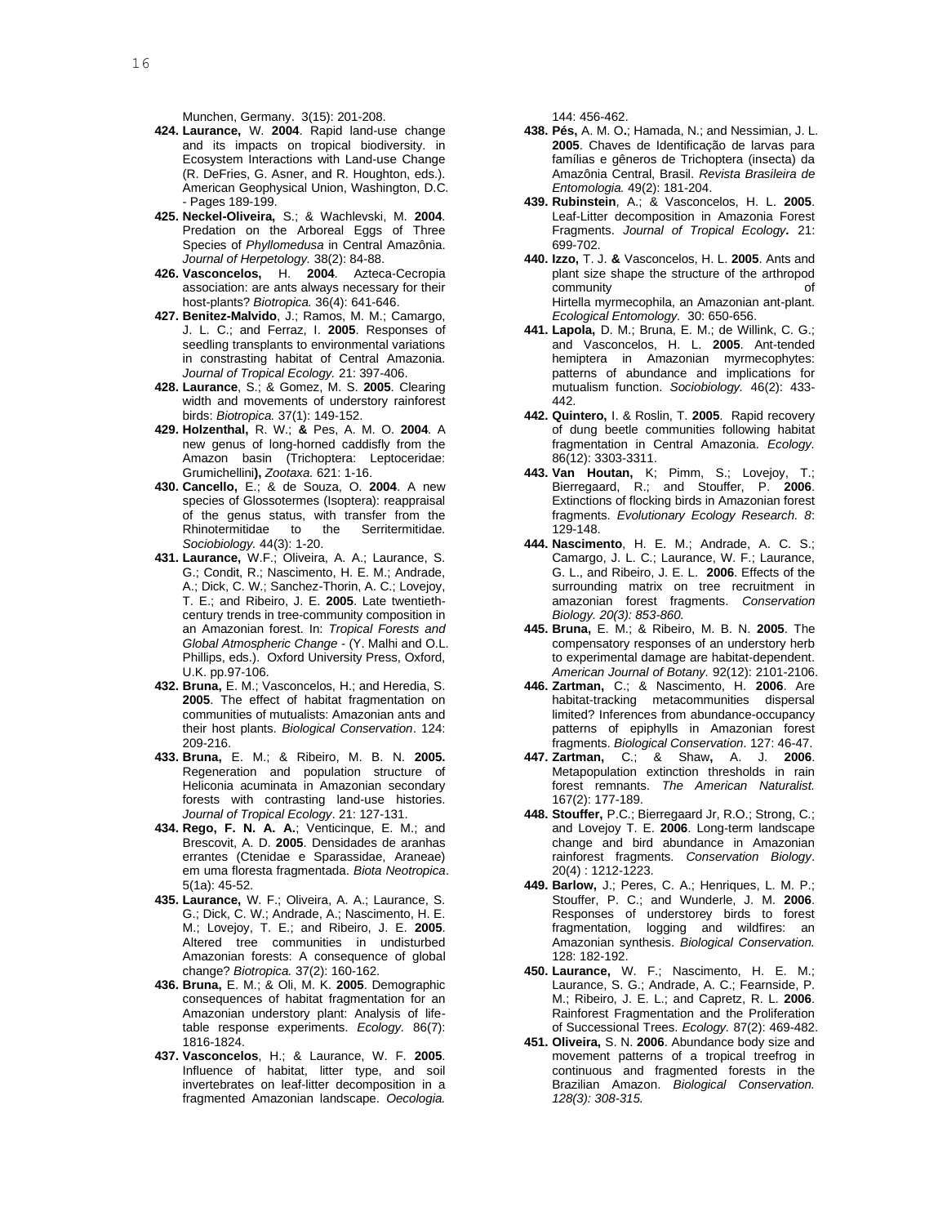Munchen, Germany. 3(15): 201-208.

- **424. Laurance,** W. **2004**. Rapid land-use change and its impacts on tropical biodiversity. in Ecosystem Interactions with Land-use Change (R. DeFries, G. Asner, and R. Houghton, eds.). American Geophysical Union, Washington, D.C. - Pages 189-199.
- **425. Neckel-Oliveira,** S.; & Wachlevski, M. **2004**. Predation on the Arboreal Eggs of Three Species of *Phyllomedusa* in Central Amazônia. *Journal of Herpetology.* 38(2): 84-88.
- **426. Vasconcelos,** H. **2004**. Azteca-Cecropia association: are ants always necessary for their host-plants? *Biotropica.* 36(4): 641-646.
- **427. Benitez-Malvido**, J.; Ramos, M. M.; Camargo, J. L. C.; and Ferraz, I. **2005**. Responses of seedling transplants to environmental variations in constrasting habitat of Central Amazonia. *Journal of Tropical Ecology.* 21: 397-406.
- **428. Laurance**, S.; & Gomez, M. S. **2005**. Clearing width and movements of understory rainforest birds: *Biotropica.* 37(1): 149-152.
- **429. Holzenthal,** R. W.; **&** Pes, A. M. O. **2004**. A new genus of long-horned caddisfly from the Amazon basin (Trichoptera: Leptoceridae: Grumichellini**),** *Zootaxa.* 621: 1-16.
- **430. Cancello,** E.; & de Souza, O. **2004**. A new species of Glossotermes (Isoptera): reappraisal of the genus status, with transfer from the<br>Rhinotermitidae to the Serritermitidae. Rhinotermitidae to the *Sociobiology.* 44(3): 1-20.
- **431. Laurance,** W.F.; Oliveira, A. A.; Laurance, S. G.; Condit, R.; Nascimento, H. E. M.; Andrade, A.; Dick, C. W.; Sanchez-Thorin, A. C.; Lovejoy, T. E.; and Ribeiro, J. E. **2005**. Late twentiethcentury trends in tree-community composition in an Amazonian forest. In: *Tropical Forests and Global Atmospheric Change* - (Y. Malhi and O.L. Phillips, eds.). Oxford University Press, Oxford, U.K. pp.97-106.
- **432. Bruna,** E. M.; Vasconcelos, H.; and Heredia, S. **2005**. The effect of habitat fragmentation on communities of mutualists: Amazonian ants and their host plants. *Biological Conservation*. 124: 209-216.
- **433. Bruna,** E. M.; & Ribeiro, M. B. N. **2005.** Regeneration and population structure of Heliconia acuminata in Amazonian secondary forests with contrasting land-use histories. *Journal of Tropical Ecology*. 21: 127-131.
- **434. Rego, F. N. A. A.**; Venticinque, E. M.; and Brescovit, A. D. **2005**. Densidades de aranhas errantes (Ctenidae e Sparassidae, Araneae) em uma floresta fragmentada. *Biota Neotropica*. 5(1a): 45-52.
- **435. Laurance,** W. F.; Oliveira, A. A.; Laurance, S. G.; Dick, C. W.; Andrade, A.; Nascimento, H. E. M.; Lovejoy, T. E.; and Ribeiro, J. E. **2005**. Altered tree communities in undisturbed Amazonian forests: A consequence of global change? *Biotropica.* 37(2): 160-162.
- **436. Bruna,** E. M.; & Oli, M. K. **2005**. Demographic consequences of habitat fragmentation for an Amazonian understory plant: Analysis of lifetable response experiments. *Ecology.* 86(7): 1816-1824.
- **437. Vasconcelos**, H.; & Laurance, W. F. **2005**. Influence of habitat, litter type, and soil invertebrates on leaf-litter decomposition in a fragmented Amazonian landscape. *Oecologia.*

144: 456-462.

- **438. Pés,** A. M. O**.**; Hamada, N.; and Nessimian, J. L. **2005**. Chaves de Identificação de larvas para famílias e gêneros de Trichoptera (insecta) da Amazônia Central, Brasil. *Revista Brasileira de Entomologia.* 49(2): 181-204.
- **439. Rubinstein**, A.; & Vasconcelos, H. L. **2005**. Leaf-Litter decomposition in Amazonia Forest Fragments. *Journal of Tropical Ecology.* 21: 699-702.
- **440. Izzo,** T. J. **&** Vasconcelos, H. L. **2005**. Ants and plant size shape the structure of the arthropod community of Hirtella myrmecophila, an Amazonian ant-plant. *Ecological Entomology.* 30: 650-656.
- **441. Lapola,** D. M.; Bruna, E. M.; de Willink, C. G.; and Vasconcelos, H. L. **2005**. Ant-tended hemiptera in Amazonian myrmecophytes: patterns of abundance and implications for mutualism function. *Sociobiology.* 46(2): 433- 442.
- **442. Quintero,** I. & Roslin, T. **2005**. Rapid recovery of dung beetle communities following habitat fragmentation in Central Amazonia. *Ecology.* 86(12): 3303-3311.
- **443. Van Houtan,** K; Pimm, S.; Lovejoy, T.; Bierregaard, R.; and Stouffer, P. **2006**. Extinctions of flocking birds in Amazonian forest fragments. *Evolutionary Ecology Research. 8*: 129-148.
- **444. Nascimento**, H. E. M.; Andrade, A. C. S.; Camargo, J. L. C.; Laurance, W. F.; Laurance, G. L., and Ribeiro, J. E. L. **2006**. Effects of the surrounding matrix on tree recruitment in amazonian forest fragments. *Conservation Biology. 20(3): 853-860.*
- **445. Bruna,** E. M.; & Ribeiro, M. B. N. **2005**. The compensatory responses of an understory herb to experimental damage are habitat-dependent. *American Journal of Botany.* 92(12): 2101-2106.
- **446. Zartman,** C.; & Nascimento, H. **2006**. Are habitat-tracking metacommunities dispersal limited? Inferences from abundance-occupancy patterns of epiphylls in Amazonian forest fragments. *Biological Conservation*. 127: 46-47.
- **447. Zartman,** C.; & Shaw**,** A. J. **2006**. Metapopulation extinction thresholds in rain forest remnants. *The American Naturalist.*  167(2): 177-189.
- **448. Stouffer,** P.C.; Bierregaard Jr, R.O.; Strong, C.; and Lovejoy T. E. **2006**. Long-term landscape change and bird abundance in Amazonian rainforest fragments. *Conservation Biology*. 20(4) : 1212-1223.
- **449. Barlow,** J.; Peres, C. A.; Henriques, L. M. P.; Stouffer, P. C.; and Wunderle, J. M. **2006**. Responses of understorey birds to forest fragmentation, logging and wildfires: an Amazonian synthesis. *Biological Conservation.*  128: 182-192.
- **450. Laurance,** W. F.; Nascimento, H. E. M.; Laurance, S. G.; Andrade, A. C.; Fearnside, P. M.; Ribeiro, J. E. L.; and Capretz, R. L. **2006**. Rainforest Fragmentation and the Proliferation of Successional Trees. *Ecology.* 87(2): 469-482.
- **451. Oliveira,** S. N. **2006**. Abundance body size and movement patterns of a tropical treefrog in continuous and fragmented forests in the Brazilian Amazon. *Biological Conservation. 128(3): 308-315.*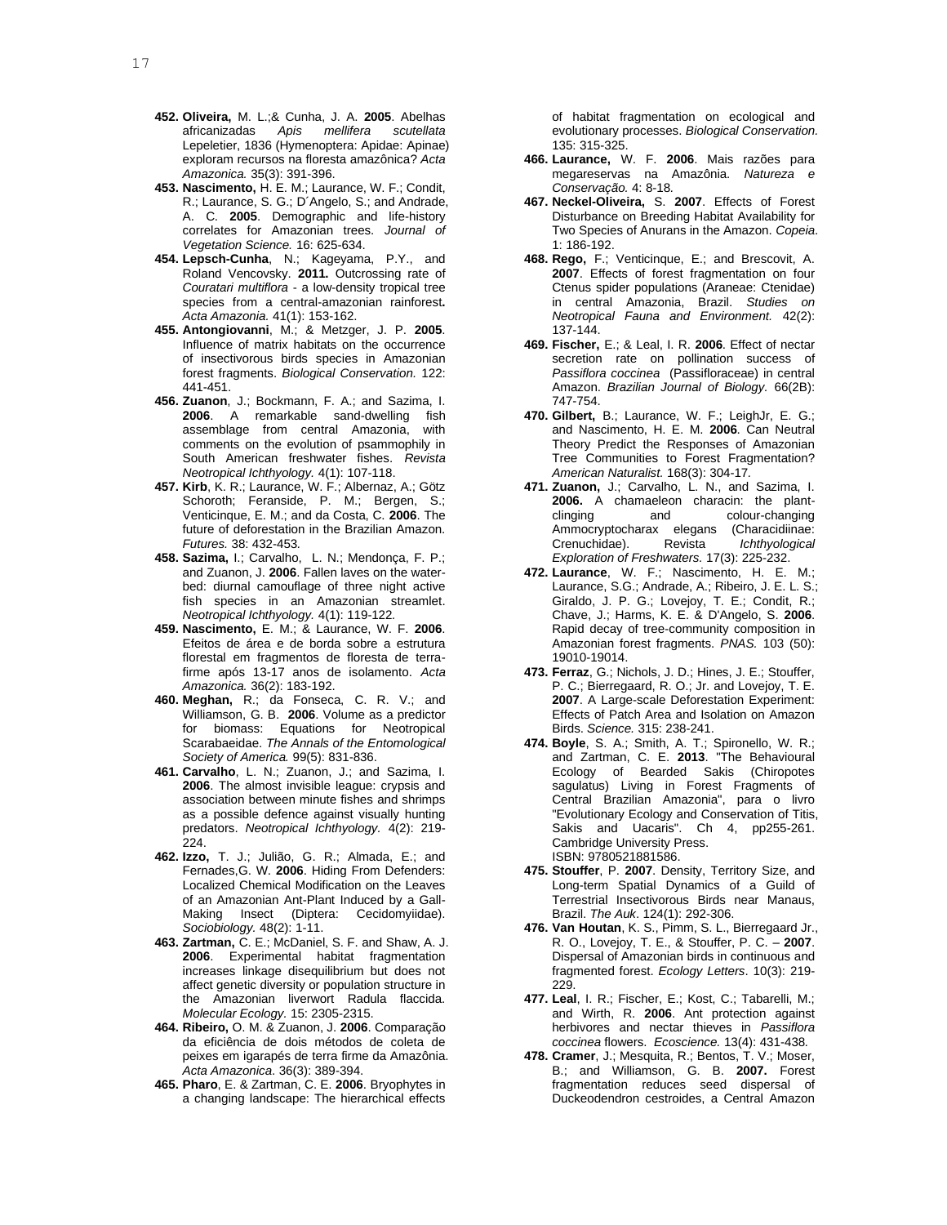- **452. Oliveira,** M. L.;& Cunha, J. A. **2005**. Abelhas africanizadas *Apis mellifera scutellata* Lepeletier, 1836 (Hymenoptera: Apidae: Apinae) exploram recursos na floresta amazônica? *Acta Amazonica.* 35(3): 391-396.
- **453. Nascimento,** H. E. M.; Laurance, W. F.; Condit, R.; Laurance, S. G.; D´Angelo, S.; and Andrade, A. C. **2005**. Demographic and life-history correlates for Amazonian trees. *Journal of Vegetation Science.* 16: 625-634.
- **454. Lepsch-Cunha**, N.; Kageyama, P.Y., and Roland Vencovsky. **2011.** Outcrossing rate of *Couratari multiflora* - a low-density tropical tree species from a central-amazonian rainforest**.**  *Acta Amazonia.* 41(1): 153-162.
- **455. Antongiovanni**, M.; & Metzger, J. P. **2005**. Influence of matrix habitats on the occurrence of insectivorous birds species in Amazonian forest fragments. *Biological Conservation.* 122: 441-451.
- **456. Zuanon**, J.; Bockmann, F. A.; and Sazima, I. **2006**. A remarkable sand-dwelling fish assemblage from central Amazonia, with comments on the evolution of psammophily in South American freshwater fishes. *Revista Neotropical Ichthyology.* 4(1): 107-118.
- **457. Kirb**, K. R.; Laurance, W. F.; Albernaz, A.; Götz Schoroth; Feranside, P. M.; Bergen, S.; Venticinque, E. M.; and da Costa, C. **2006**. The future of deforestation in the Brazilian Amazon. *Futures.* 38: 432-453*.*
- **458. Sazima,** I.; Carvalho, L. N.; Mendonça, F. P.; and Zuanon, J. **2006**. Fallen laves on the waterbed: diurnal camouflage of three night active fish species in an Amazonian streamlet. *Neotropical Ichthyology.* 4(1): 119-122*.*
- **459. Nascimento,** E. M.; & Laurance, W. F. **2006**. Efeitos de área e de borda sobre a estrutura florestal em fragmentos de floresta de terrafirme após 13-17 anos de isolamento. *Acta Amazonica.* 36(2): 183-192.
- **460. Meghan,** R.; da Fonseca, C. R. V.; and Williamson, G. B. **2006**. Volume as a predictor for biomass: Equations for Neotropical Scarabaeidae. *The Annals of the Entomological Society of America.* 99(5): 831-836.
- **461. Carvalho**, L. N.; Zuanon, J.; and Sazima, I. **2006**. The almost invisible league: crypsis and association between minute fishes and shrimps as a possible defence against visually hunting predators. *Neotropical Ichthyology.* 4(2): 219- 224.
- **462. Izzo,** T. J.; Julião, G. R.; Almada, E.; and Fernades,G. W. **2006**. Hiding From Defenders: Localized Chemical Modification on the Leaves of an Amazonian Ant-Plant Induced by a Gall-Making Insect (Diptera: Cecidomyiidae). *Sociobiology.* 48(2): 1-11.
- **463. Zartman,** C. E.; McDaniel, S. F. and Shaw, A. J. **2006**. Experimental habitat fragmentation increases linkage disequilibrium but does not affect genetic diversity or population structure in the Amazonian liverwort Radula flaccida. *Molecular Ecology.* 15: 2305-2315.
- **464. Ribeiro,** O. M. & Zuanon, J. **2006**. Comparação da eficiência de dois métodos de coleta de peixes em igarapés de terra firme da Amazônia. *Acta Amazonica*. 36(3): 389-394.
- **465. Pharo**, E. & Zartman, C. E. **2006**. Bryophytes in a changing landscape: The hierarchical effects

of habitat fragmentation on ecological and evolutionary processes. *Biological Conservation.*  135: 315-325.

- **466. Laurance,** W. F. **2006**. Mais razões para megareservas na Amazônia. *Natureza e Conservação.* 4: 8-18*.*
- **467. Neckel-Oliveira,** S. **2007**. Effects of Forest Disturbance on Breeding Habitat Availability for Two Species of Anurans in the Amazon. *Copeia*. 1: 186-192.
- **468. Rego,** F.; Venticinque, E.; and Brescovit, A. **2007**. Effects of forest fragmentation on four Ctenus spider populations (Araneae: Ctenidae) in central Amazonia, Brazil. *Studies on Neotropical Fauna and Environment.* 42(2): 137-144.
- **469. Fischer,** E.; & Leal, I. R. **2006**. Effect of nectar secretion rate on pollination success of *Passiflora coccinea* (Passifloraceae) in central Amazon. *Brazilian Journal of Biology.* 66(2B): 747-754.
- **470. Gilbert,** B.; Laurance, W. F.; LeighJr, E. G.; and Nascimento, H. E. M. **2006**. Can Neutral Theory Predict the Responses of Amazonian Tree Communities to Forest Fragmentation? *American Naturalist.* 168(3): 304-17*.*
- **471. Zuanon,** J.; Carvalho, L. N., and Sazima, I. **2006.** A chamaeleon characin: the plantclinging and colour-changing Ammocryptocharax elegans (Characidiinae:<br>Crenuchidae). Revista *Ichthyological*  $l$ chthyological *Exploration of Freshwaters.* 17(3): 225-232.
- **472. Laurance**, W. F.; Nascimento, H. E. M.; Laurance, S.G.; Andrade, A.; Ribeiro, J. E. L. S.; Giraldo, J. P. G.; Lovejoy, T. E.; Condit, R.; Chave, J.; Harms, K. E. & D'Angelo, S. **2006**. Rapid decay of tree-community composition in Amazonian forest fragments. *PNAS.* 103 (50): 19010-19014.
- **473. Ferraz**, G.; Nichols, J. D.; Hines, J. E.; Stouffer, P. C.; Bierregaard, R. O.; Jr. and Lovejoy, T. E. **2007**. A Large-scale Deforestation Experiment: Effects of Patch Area and Isolation on Amazon Birds. *Science.* 315: 238-241.
- **474. Boyle**, S. A.; Smith, A. T.; Spironello, W. R.; and Zartman, C. E. **2013**. "The Behavioural Ecology of Bearded Sakis (Chiropotes sagulatus) Living in Forest Fragments of Central Brazilian Amazonia", para o livro "Evolutionary Ecology and Conservation of Titis, Sakis and Uacaris". Ch 4, pp255-261. Cambridge University Press. ISBN: 9780521881586.
- **475. Stouffer**, P. **2007**. Density, Territory Size, and Long-term Spatial Dynamics of a Guild of Terrestrial Insectivorous Birds near Manaus, Brazil. *The Auk*. 124(1): 292-306.
- **476. Van Houtan**, K. S., Pimm, S. L., Bierregaard Jr., R. O., Lovejoy, T. E., & Stouffer, P. C. – **2007**. Dispersal of Amazonian birds in continuous and fragmented forest. *Ecology Letters*. 10(3): 219- 229.
- **477. Leal**, I. R.; Fischer, E.; Kost, C.; Tabarelli, M.; and Wirth, R. **2006**. Ant protection against herbivores and nectar thieves in *Passiflora coccinea* flowers. *Ecoscience.* 13(4): 431-438*.*
- **478. Cramer**, J.; Mesquita, R.; Bentos, T. V.; Moser, B.; and Williamson, G. B. **2007.** Forest fragmentation reduces seed dispersal of Duckeodendron cestroides, a Central Amazon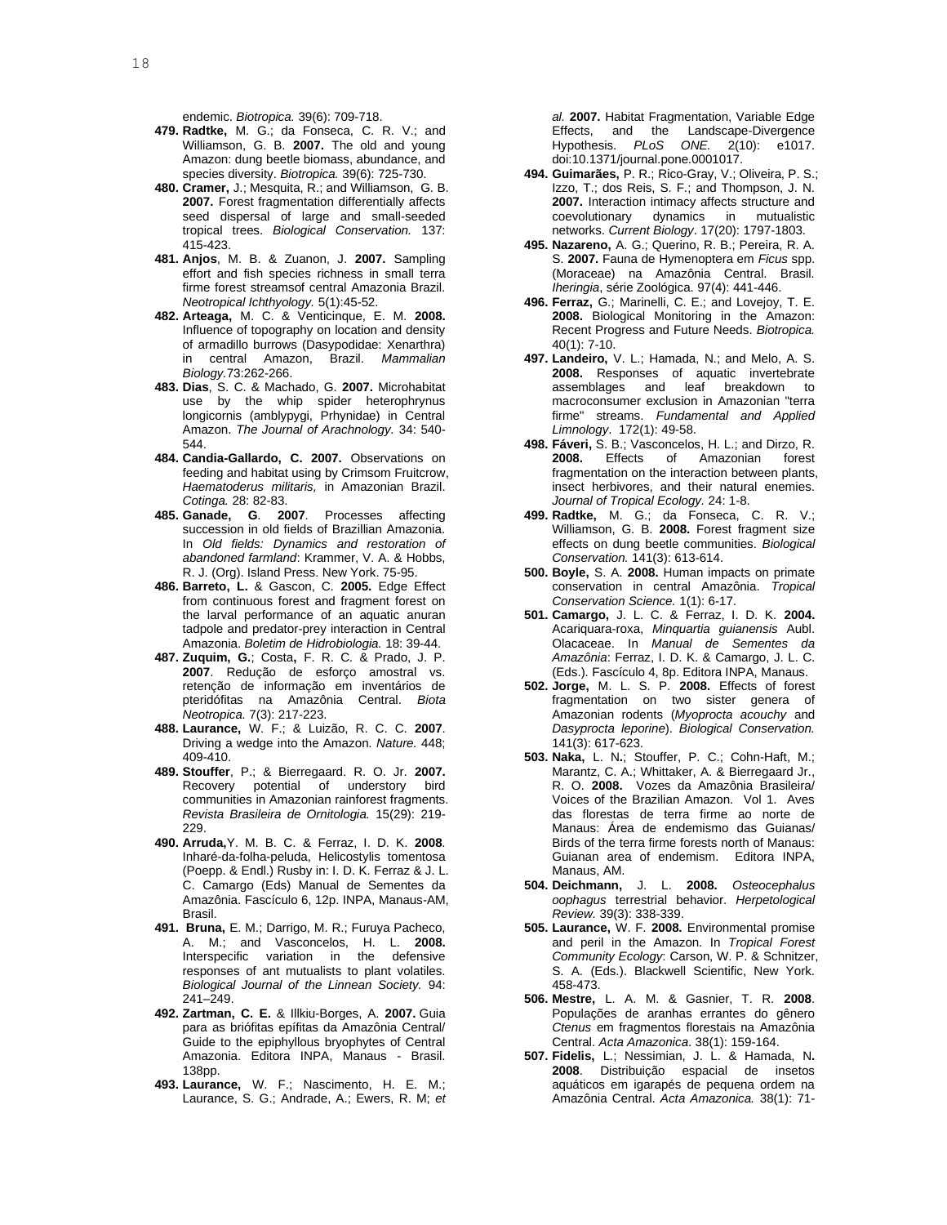endemic. *Biotropica.* 39(6): 709-718.

- **479. Radtke,** M. G.; da Fonseca, C. R. V.; and Williamson, G. B. **2007.** The old and young Amazon: dung beetle biomass, abundance, and species diversity. *Biotropica.* 39(6): 725-730.
- **480. Cramer,** J.; Mesquita, R.; and Williamson, G. B. **2007.** Forest fragmentation differentially affects seed dispersal of large and small-seeded tropical trees. *Biological Conservation.* 137: 415-423.
- **481. Anjos**, M. B. & Zuanon, J. **2007.** Sampling effort and fish species richness in small terra firme forest streamsof central Amazonia Brazil. *Neotropical Ichthyology.* 5(1):45-52.
- **482. Arteaga,** M. C. & Venticinque, E. M. **2008.**  Influence of topography on location and density of armadillo burrows (Dasypodidae: Xenarthra) in central Amazon, Brazil. *Mammalian Biology.*73:262-266.
- **483. Dias**, S. C. & Machado, G. **2007.** Microhabitat use by the whip spider heterophrynus longicornis (amblypygi, Prhynidae) in Central Amazon. *The Journal of Arachnology.* 34: 540- 544.
- **484. Candia-Gallardo, C. 2007.** Observations on feeding and habitat using by Crimsom Fruitcrow, *Haematoderus militaris,* in Amazonian Brazil. *Cotinga.* 28: 82-83.
- **485. Ganade, G**. **2007**. Processes affecting succession in old fields of Brazillian Amazonia. In *Old fields: Dynamics and restoration of abandoned farmland*: Krammer, V. A. & Hobbs, R. J. (Org). Island Press. New York. 75-95.
- **486. Barreto, L.** & Gascon, C. **2005.** Edge Effect from continuous forest and fragment forest on the larval performance of an aquatic anuran tadpole and predator-prey interaction in Central Amazonia. *Boletim de Hidrobiologia.* 18: 39-44.
- **487. Zuquim, G.**; Costa**,** F. R. C. & Prado, J. P. **2007**. Redução de esforço amostral vs. retenção de informação em inventários de pteridófitas na Amazônia Central. *Biota Neotropica.* 7(3): 217-223.
- **488. Laurance,** W. F.; & Luizão, R. C. C. **2007**. Driving a wedge into the Amazon. *Nature.* 448; 409-410.
- **489. Stouffer**, P.; & Bierregaard. R. O. Jr. **2007.** Recovery potential of understory bird communities in Amazonian rainforest fragments. *Revista Brasileira de Ornitologia.* 15(29): 219- 229.
- **490. Arruda,**Y. M. B. C. & Ferraz, I. D. K. **2008**. Inharé-da-folha-peluda, Helicostylis tomentosa (Poepp. & Endl.) Rusby in: I. D. K. Ferraz & J. L. C. Camargo (Eds) Manual de Sementes da Amazônia. Fascículo 6, 12p. INPA, Manaus-AM, Brasil.
- **491. Bruna,** E. M.; Darrigo, M. R.; Furuya Pacheco, A. M.; and Vasconcelos, H. L. **2008.**  Interspecific variation in the defensive responses of ant mutualists to plant volatiles. *Biological Journal of the Linnean Society.* 94: 241–249.
- **492. Zartman, C. E.** & Illkiu-Borges, A. **2007.** Guia para as briófitas epífitas da Amazônia Central/ Guide to the epiphyllous bryophytes of Central Amazonia. Editora INPA, Manaus - Brasil. 138pp.
- **493. Laurance,** W. F.; Nascimento, H. E. M.; Laurance, S. G.; Andrade, A.; Ewers, R. M; *et*

*al.* **2007.** Habitat Fragmentation, Variable Edge Effects, and the Landscape-Divergence Hypothesis. *PLoS ONE.* 2(10): e1017. doi:10.1371/journal.pone.0001017.

- **494. Guimarães,** P. R.; Rico-Gray, V.; Oliveira, P. S.; Izzo, T.; dos Reis, S. F.; and Thompson, J. N. **2007.** Interaction intimacy affects structure and coevolutionary dynamics in mutualistic networks. *Current Biology*. 17(20): 1797-1803.
- **495. Nazareno,** A. G.; Querino, R. B.; Pereira, R. A. S. **2007.** Fauna de Hymenoptera em *Ficus* spp. (Moraceae) na Amazônia Central. Brasil*. Iheringia*, série Zoológica. 97(4): 441-446.
- **496. Ferraz,** G.; Marinelli, C. E.; and Lovejoy, T. E. **2008.** Biological Monitoring in the Amazon: Recent Progress and Future Needs. *Biotropica.* 40(1): 7-10.
- **497. Landeiro,** V. L.; Hamada, N.; and Melo, A. S. **2008.** Responses of aquatic invertebrate assemblages and leaf breakdown to macroconsumer exclusion in Amazonian "terra firme" streams. *Fundamental and Applied Limnology*. 172(1): 49-58.
- **498. Fáveri,** S. B.; Vasconcelos, H. L.; and Dirzo, R. **2008.** Effects of Amazonian forest fragmentation on the interaction between plants, insect herbivores, and their natural enemies. *Journal of Tropical Ecology.* 24: 1-8.
- **499. Radtke,** M. G.; da Fonseca, C. R. V.; Williamson, G. B. **2008.** Forest fragment size effects on dung beetle communities. *Biological Conservation.* 141(3): 613-614.
- **500. Boyle,** S. A. **2008.** Human impacts on primate conservation in central Amazônia. *Tropical Conservation Science.* 1(1): 6-17.
- **501. Camargo,** J. L. C. & Ferraz, I. D. K. **2004.** Acariquara-roxa, *Minquartia guianensis* Aubl. Olacaceae. In *Manual de Sementes da Amazônia*: Ferraz, I. D. K. & Camargo, J. L. C. (Eds.). Fascículo 4, 8p. Editora INPA, Manaus.
- **502. Jorge,** M. L. S. P. **2008.** Effects of forest fragmentation on two sister genera of Amazonian rodents (*Myoprocta acouchy* and *Dasyprocta leporine*). *Biological Conservation.* 141(3): 617-623.
- **503. Naka,** L. N**.**; Stouffer, P. C.; Cohn-Haft, M.; Marantz, C. A.; Whittaker, A. & Bierregaard Jr., R. O. **2008.** Vozes da Amazônia Brasileira/ Voices of the Brazilian Amazon. Vol 1. Aves das florestas de terra firme ao norte de Manaus: Área de endemismo das Guianas/ Birds of the terra firme forests north of Manaus: Guianan area of endemism. Editora INPA, Manaus, AM.
- **504. Deichmann,** J. L. **2008.** *Osteocephalus oophagus* terrestrial behavior. *Herpetological Review.* 39(3): 338-339.
- **505. Laurance,** W. F. **2008.** Environmental promise and peril in the Amazon. In *Tropical Forest Community Ecology*: Carson, W. P. & Schnitzer, S. A. (Eds.). Blackwell Scientific, New York. 458-473.
- **506. Mestre,** L. A. M. & Gasnier, T. R. **2008**. Populações de aranhas errantes do gênero *Ctenus* em fragmentos florestais na Amazônia Central. *Acta Amazonica*. 38(1): 159-164.
- **507. Fidelis,** L.; Nessimian, J. L. & Hamada, N**. 2008**. Distribuição espacial de insetos aquáticos em igarapés de pequena ordem na Amazônia Central. *Acta Amazonica.* 38(1): 71-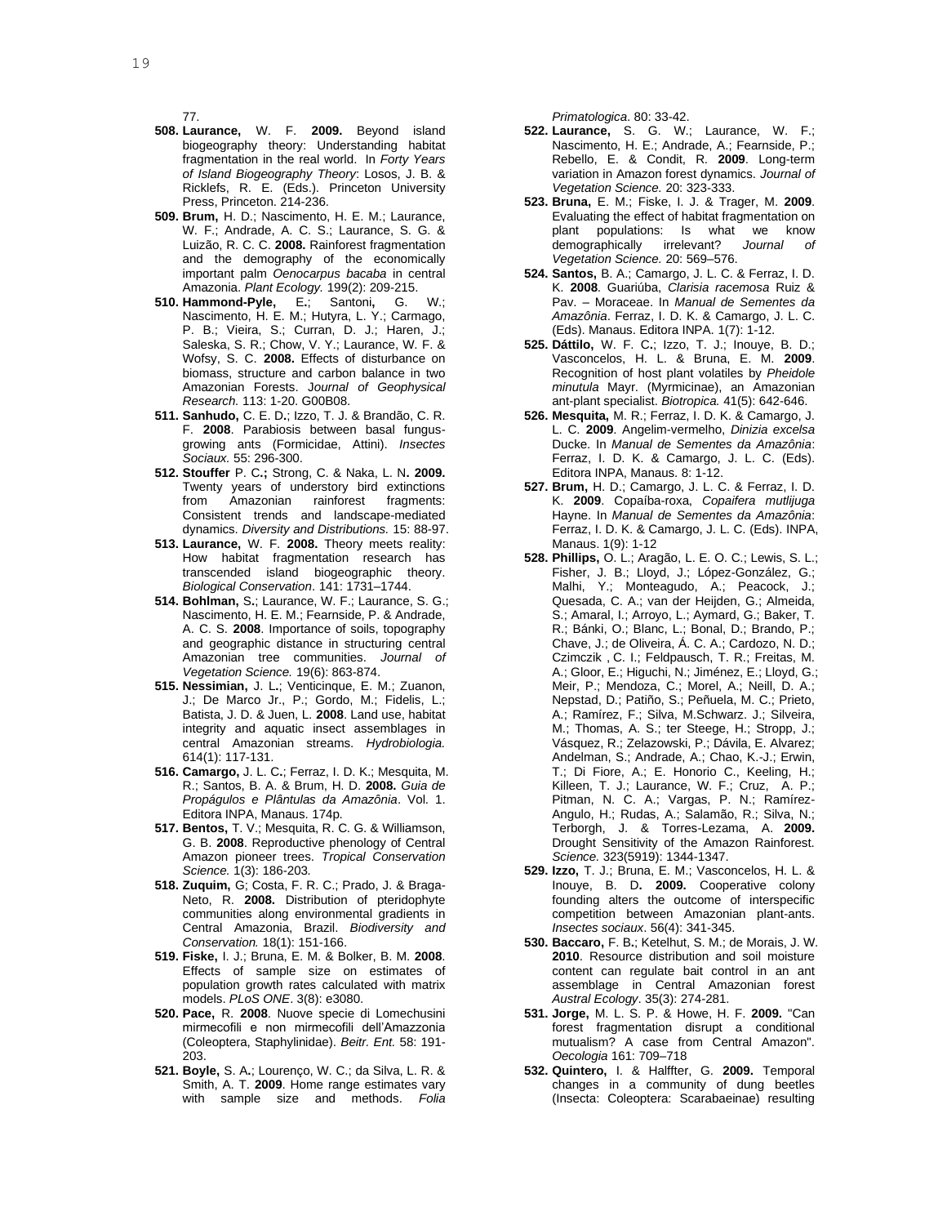77.

- **508. Laurance,** W. F. **2009.** Beyond island biogeography theory: Understanding habitat fragmentation in the real world. In *Forty Years of Island Biogeography Theory*: Losos, J. B. & Ricklefs, R. E. (Eds.). Princeton University Press, Princeton. 214-236.
- **509. Brum,** H. D.; Nascimento, H. E. M.; Laurance, W. F.; Andrade, A. C. S.; Laurance, S. G. & Luizão, R. C. C. **2008.** Rainforest fragmentation and the demography of the economically important palm *Oenocarpus bacaba* in central Amazonia. *Plant Ecology.* 199(2): 209-215.
- **510. Hammond-Pyle,** E**.**; Santoni**,** G. W.; Nascimento, H. E. M.; Hutyra, L. Y.; Carmago, P. B.; Vieira, S.; Curran, D. J.; Haren, J.; Saleska, S. R.; Chow, V. Y.; Laurance, W. F. & Wofsy, S. C. **2008.** Effects of disturbance on biomass, structure and carbon balance in two Amazonian Forests. J*ournal of Geophysical Research.* 113: 1-20. G00B08.
- **511. Sanhudo,** C. E. D**.**; Izzo, T. J. & Brandão, C. R. F. **2008**. Parabiosis between basal fungusgrowing ants (Formicidae, Attini). *Insectes Sociaux.* 55: 296-300.
- **512. Stouffer** P. C**.;** Strong, C. & Naka, L. N**. 2009.** Twenty years of understory bird extinctions from Amazonian rainforest fragments: Consistent trends and landscape-mediated dynamics. *Diversity and Distributions.* 15: 88-97.
- **513. Laurance,** W. F. **2008.** Theory meets reality: How habitat fragmentation research has transcended island biogeographic theory. *Biological Conservation*. 141: 1731–1744.
- **514. Bohlman,** S**.**; Laurance, W. F.; Laurance, S. G.; Nascimento, H. E. M.; Fearnside, P. & Andrade, A. C. S. **2008**. Importance of soils, topography and geographic distance in structuring central Amazonian tree communities. *Journal of Vegetation Science.* 19(6): 863-874.
- **515. Nessimian,** J. L**.**; Venticinque, E. M.; Zuanon, J.; De Marco Jr., P.; Gordo, M.; Fidelis, L.; Batista, J. D. & Juen, L. **2008**. Land use, habitat integrity and aquatic insect assemblages in central Amazonian streams. *Hydrobiologia.*  614(1): 117-131.
- **516. Camargo,** J. L. C**.**; Ferraz, I. D. K.; Mesquita, M. R.; Santos, B. A. & Brum, H. D. **2008.** *Guia de Propágulos e Plântulas da Amazônia*. Vol. 1. Editora INPA, Manaus. 174p.
- **517. Bentos,** T. V.; Mesquita, R. C. G. & Williamson, G. B. **2008**. Reproductive phenology of Central Amazon pioneer trees. *Tropical Conservation Science.* 1(3): 186-203*.*
- **518. Zuquim,** G; Costa, F. R. C.; Prado, J. & Braga-Neto, R. **2008.** Distribution of pteridophyte communities along environmental gradients in Central Amazonia, Brazil. *Biodiversity and Conservation.* 18(1): 151-166.
- **519. Fiske,** I. J.; Bruna, E. M. & Bolker, B. M. **2008**. Effects of sample size on estimates of population growth rates calculated with matrix models. *PLoS ONE*. 3(8): e3080.
- **520. Pace,** R. **2008**. Nuove specie di Lomechusini mirmecofili e non mirmecofili dell'Amazzonia (Coleoptera, Staphylinidae). *Beitr. Ent.* 58: 191- 203.
- **521. Boyle,** S. A**.**; Lourenço, W. C.; da Silva, L. R. & Smith, A. T. **2009**. Home range estimates vary with sample size and methods. *Folia*

*Primatologica*. 80: 33-42.

- **522. Laurance,** S. G. W.; Laurance, W. F.; Nascimento, H. E.; Andrade, A.; Fearnside, P.; Rebello, E. & Condit, R. **2009**. Long-term variation in Amazon forest dynamics. *Journal of Vegetation Science.* 20: 323-333.
- **523. Bruna,** E. M.; Fiske, I. J. & Trager, M. **2009**. Evaluating the effect of habitat fragmentation on plant populations: Is what we know demographically irrelevant? *Journal of Vegetation Science.* 20: 569–576.
- **524. Santos,** B. A.; Camargo, J. L. C. & Ferraz, I. D. K. **2008**. Guariúba, *Clarisia racemosa* Ruiz & Pav. – Moraceae. In *Manual de Sementes da Amazônia*. Ferraz, I. D. K. & Camargo, J. L. C. (Eds). Manaus. Editora INPA. 1(7): 1-12.
- **525. Dáttilo,** W. F. C**.**; Izzo, T. J.; Inouye, B. D.; Vasconcelos, H. L. & Bruna, E. M. **2009**. Recognition of host plant volatiles by *Pheidole minutula* Mayr. (Myrmicinae), an Amazonian ant-plant specialist. *Biotropica.* 41(5): 642-646.
- **526. Mesquita,** M. R.; Ferraz, I. D. K. & Camargo, J. L. C. **2009**. Angelim-vermelho, *Dinizia excelsa* Ducke. In *Manual de Sementes da Amazônia*: Ferraz, I. D. K. & Camargo, J. L. C. (Eds). Editora INPA, Manaus. 8: 1-12.
- **527. Brum,** H. D.; Camargo, J. L. C. & Ferraz, I. D. K. **2009**. Copaíba-roxa, *Copaifera mutlijuga* Hayne. In *Manual de Sementes da Amazônia*: Ferraz, I. D. K. & Camargo, J. L. C. (Eds). INPA, Manaus. 1(9): 1-12
- **528. Phillips,** O. L.; Aragão, L. E. O. C.; Lewis, S. L.; Fisher, J. B.; Lloyd, J.; López-González, G.; Malhi, Y.; Monteagudo, A.; Peacock, J.; Quesada, C. A.; van der Heijden, G.; Almeida, S.; Amaral, I.; Arroyo, L.; Aymard, G.; Baker, T. R.; Bánki, O.; Blanc, L.; Bonal, D.; Brando, P.; Chave, J.; de Oliveira, Á. C. A.; Cardozo, N. D.; Czimczik , C. I.; Feldpausch, T. R.; Freitas, M. A.; Gloor, E.; Higuchi, N.; Jiménez, E.; Lloyd, G.; Meir, P.; Mendoza, C.; Morel, A.; Neill, D. A.; Nepstad, D.; Patiño, S.; Peñuela, M. C.; Prieto, A.; Ramírez, F.; Silva, M.Schwarz. J.; Silveira, M.; Thomas, A. S.; ter Steege, H.; Stropp, J.; Vásquez, R.; Zelazowski, P.; Dávila, E. Alvarez; Andelman, S.; Andrade, A.; Chao, K.-J.; Erwin, T.; Di Fiore, A.; E. Honorio C., Keeling, H.; Killeen, T. J.; Laurance, W. F.; Cruz, A. P.; Pitman, N. C. A.; Vargas, P. N.; Ramírez-Angulo, H.; Rudas, A.; Salamão, R.; Silva, N.; Terborgh, J. & Torres-Lezama, A. **2009.** Drought Sensitivity of the Amazon Rainforest. *Science.* 323(5919): 1344-1347.
- **529. Izzo,** T. J.; Bruna, E. M.; Vasconcelos, H. L. & Inouye, B. D**. 2009.** Cooperative colony founding alters the outcome of interspecific competition between Amazonian plant-ants. *Insectes sociaux*. 56(4): 341-345.
- **530. Baccaro,** F. B**.**; Ketelhut, S. M.; de Morais, J. W. **2010**. Resource distribution and soil moisture content can regulate bait control in an ant assemblage in Central Amazonian forest *Austral Ecology*. 35(3): 274-281.
- **531. Jorge,** M. L. S. P. & Howe, H. F. **2009.** "Can forest fragmentation disrupt a conditional mutualism? A case from Central Amazon". *Oecologia* 161: 709–718
- **532. Quintero,** I. & Halffter, G. **2009.** Temporal changes in a community of dung beetles (Insecta: Coleoptera: Scarabaeinae) resulting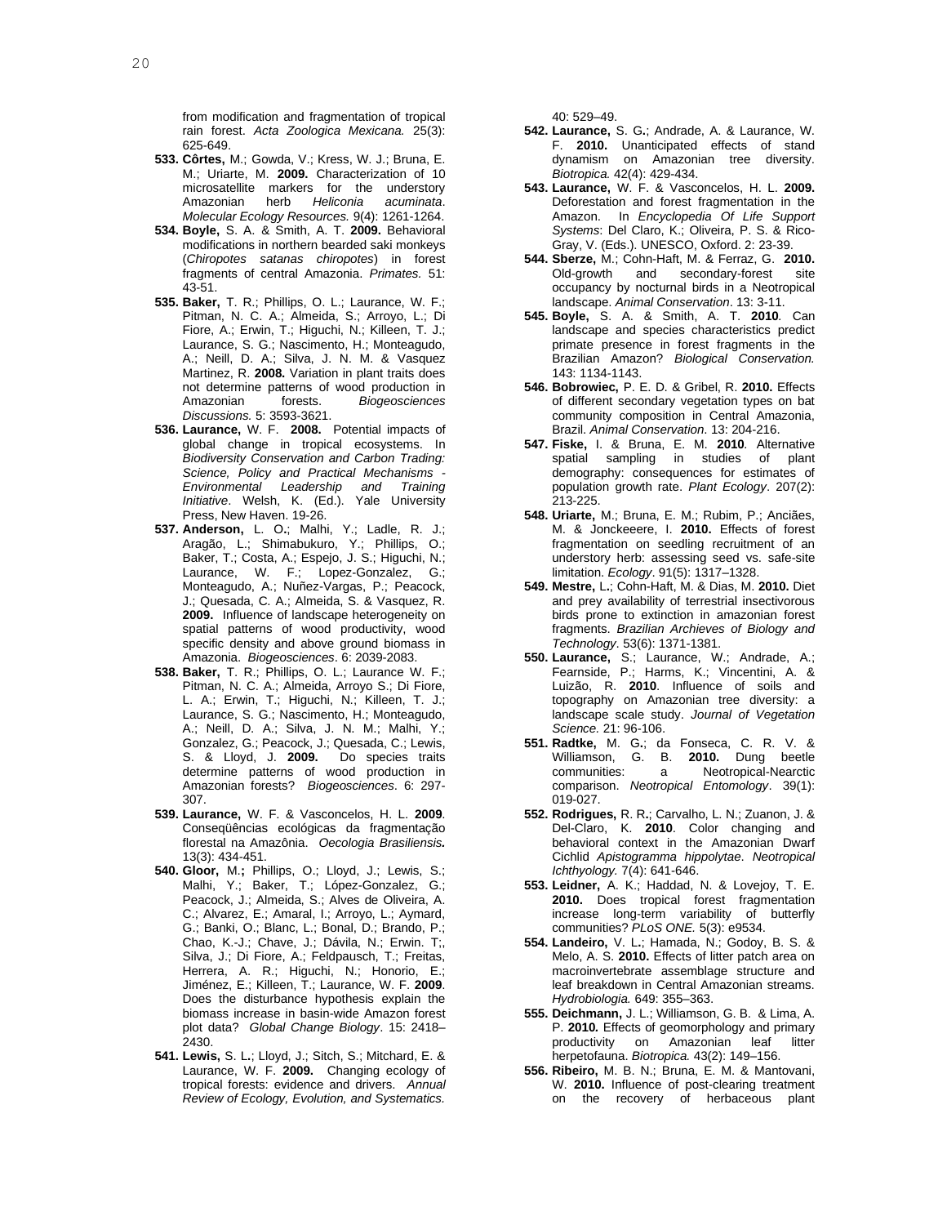from modification and fragmentation of tropical rain forest. *Acta Zoologica Mexicana.* 25(3): 625-649.

- **533. Côrtes,** M.; Gowda, V.; Kress, W. J.; Bruna, E. M.; Uriarte, M. **2009.** Characterization of 10 microsatellite markers for the understory Amazonian herb *Heliconia acuminata*. *Molecular Ecology Resources.* 9(4): 1261-1264.
- **534. Boyle,** S. A. & Smith, A. T. **2009.** Behavioral modifications in northern bearded saki monkeys (*Chiropotes satanas chiropotes*) in forest fragments of central Amazonia. *Primates.* 51: 43-51.
- **535. Baker,** T. R.; Phillips, O. L.; Laurance, W. F.; Pitman, N. C. A.; Almeida, S.; Arroyo, L.; Di Fiore, A.; Erwin, T.; Higuchi, N.; Killeen, T. J.; Laurance, S. G.; Nascimento, H.; Monteagudo, A.; Neill, D. A.; Silva, J. N. M. & Vasquez Martinez, R. **2008.** Variation in plant traits does not determine patterns of wood production in Amazonian forests. *Biogeosciences Discussions.* 5: 3593-3621.
- **536. Laurance,** W. F. **2008.** Potential impacts of global change in tropical ecosystems. In *Biodiversity Conservation and Carbon Trading: Science, Policy and Practical Mechanisms - Environmental Leadership and Training Initiative*. Welsh, K. (Ed.). Yale University Press, New Haven. 19-26.
- **537. Anderson,** L. O**.**; Malhi, Y.; Ladle, R. J.; Aragão, L.; Shimabukuro, Y.; Phillips, O.; Baker, T.; Costa, A.; Espejo, J. S.; Higuchi, N.; Laurance, W. F.; Lopez-Gonzalez, G.; Monteagudo, A.; Nuñez-Vargas, P.; Peacock, J.; Quesada, C. A.; Almeida, S. & Vasquez, R. **2009.** Influence of landscape heterogeneity on spatial patterns of wood productivity, wood specific density and above ground biomass in Amazonia. *Biogeosciences*. 6: 2039-2083.
- **538. Baker,** T. R.; Phillips, O. L.; Laurance W. F.; Pitman, N. C. A.; Almeida, Arroyo S.; Di Fiore, L. A.; Erwin, T.; Higuchi, N.; Killeen, T. J.; Laurance, S. G.; Nascimento, H.; Monteagudo, A.; Neill, D. A.; Silva, J. N. M.; Malhi, Y.; Gonzalez, G.; Peacock, J.; Quesada, C.; Lewis, S. & Lloyd, J. **2009.** Do species traits determine patterns of wood production in Amazonian forests? *Biogeosciences*. 6: 297- 307.
- **539. Laurance,** W. F. & Vasconcelos, H. L. **2009**. Conseqüências ecológicas da fragmentação florestal na Amazônia. *Oecologia Brasiliensis.* 13(3): 434-451.
- **540. Gloor,** M.**;** Phillips, O.; Lloyd, J.; Lewis, S.; Malhi, Y.; Baker, T.; López-Gonzalez, G.; Peacock, J.; Almeida, S.; Alves de Oliveira, A. C.; Alvarez, E.; Amaral, I.; Arroyo, L.; Aymard, G.; Banki, O.; Blanc, L.; Bonal, D.; Brando, P.; Chao, K.-J.; Chave, J.; Dávila, N.; Erwin. T;, Silva, J.; Di Fiore, A.; Feldpausch, T.; Freitas, Herrera, A. R.; Higuchi, N.; Honorio, E.; Jiménez, E.; Killeen, T.; Laurance, W. F. **2009**. Does the disturbance hypothesis explain the biomass increase in basin-wide Amazon forest plot data? *Global Change Biology*. 15: 2418– 2430.
- **541. Lewis,** S. L**.**; Lloyd, J.; Sitch, S.; Mitchard, E. & Laurance, W. F. **2009.** Changing ecology of tropical forests: evidence and drivers. *Annual Review of Ecology, Evolution, and Systematics.*

40: 529–49.

- **542. Laurance,** S. G**.**; Andrade, A. & Laurance, W. F. **2010.** Unanticipated effects of stand dynamism on Amazonian tree diversity. *Biotropica.* 42(4): 429-434.
- **543. Laurance,** W. F. & Vasconcelos, H. L. **2009.** Deforestation and forest fragmentation in the Amazon. In *Encyclopedia Of Life Support Systems*: Del Claro, K.; Oliveira, P. S. & Rico-Gray, V. (Eds.). UNESCO, Oxford. 2: 23-39.
- **544. Sberze,** M.; Cohn-Haft, M. & Ferraz, G. **2010.** Old-growth and secondary-forest site occupancy by nocturnal birds in a Neotropical landscape. *Animal Conservation*. 13: 3-11.
- **545. Boyle,** S. A. & Smith, A. T. **2010***.* Can landscape and species characteristics predict primate presence in forest fragments in the Brazilian Amazon? *Biological Conservation.*  143: 1134-1143.
- **546. Bobrowiec,** P. E. D. & Gribel, R. **2010.** Effects of different secondary vegetation types on bat community composition in Central Amazonia, Brazil. *Animal Conservation*. 13: 204-216.
- **547. Fiske,** I. & Bruna, E. M. **2010***.* Alternative spatial sampling in studies of plant demography: consequences for estimates of population growth rate. *Plant Ecology*. 207(2): 213-225.
- **548. Uriarte,** M.; Bruna, E. M.; Rubim, P.; Anciães, M. & Jonckeeere, I. **2010.** Effects of forest fragmentation on seedling recruitment of an understory herb: assessing seed vs. safe-site limitation. *Ecology*. 91(5): 1317–1328.
- **549. Mestre,** L**.**; Cohn-Haft, M. & Dias, M. **2010.** Diet and prey availability of terrestrial insectivorous birds prone to extinction in amazonian forest fragments. *Brazilian Archieves of Biology and Technology*. 53(6): 1371-1381.
- **550. Laurance,** S.; Laurance, W.; Andrade, A.; Fearnside, P.; Harms, K.; Vincentini, A. & Luizão, R. **2010**. Influence of soils and topography on Amazonian tree diversity: a landscape scale study. *Journal of Vegetation Science.* 21: 96-106.
- **551. Radtke,** M. G**.**; da Fonseca, C. R. V. & Williamson, G. B. **2010.** Dung beetle a Neotropical-Nearctic comparison. *Neotropical Entomology*. 39(1): 019-027.
- **552. Rodrigues,** R. R**.**; Carvalho, L. N.; Zuanon, J. & Del-Claro, K. **2010**. Color changing and behavioral context in the Amazonian Dwarf Cichlid *Apistogramma hippolytae*. *Neotropical Ichthyology.* 7(4): 641-646.
- **553. Leidner,** A. K.; Haddad, N. & Lovejoy, T. E. **2010.** Does tropical forest fragmentation increase long-term variability of butterfly communities? *PLoS ONE.* 5(3): e9534.
- **554. Landeiro,** V. L**.**; Hamada, N.; Godoy, B. S. & Melo, A. S. **2010.** Effects of litter patch area on macroinvertebrate assemblage structure and leaf breakdown in Central Amazonian streams. *Hydrobiologia.* 649: 355–363.
- **555. Deichmann,** J. L.; Williamson, G. B. & Lima, A. P. **2010***.* Effects of geomorphology and primary productivity on Amazonian leaf litter herpetofauna. *Biotropica.* 43(2): 149–156.
- **556. Ribeiro,** M. B. N.; Bruna, E. M. & Mantovani, W. **2010.** Influence of post-clearing treatment on the recovery of herbaceous plant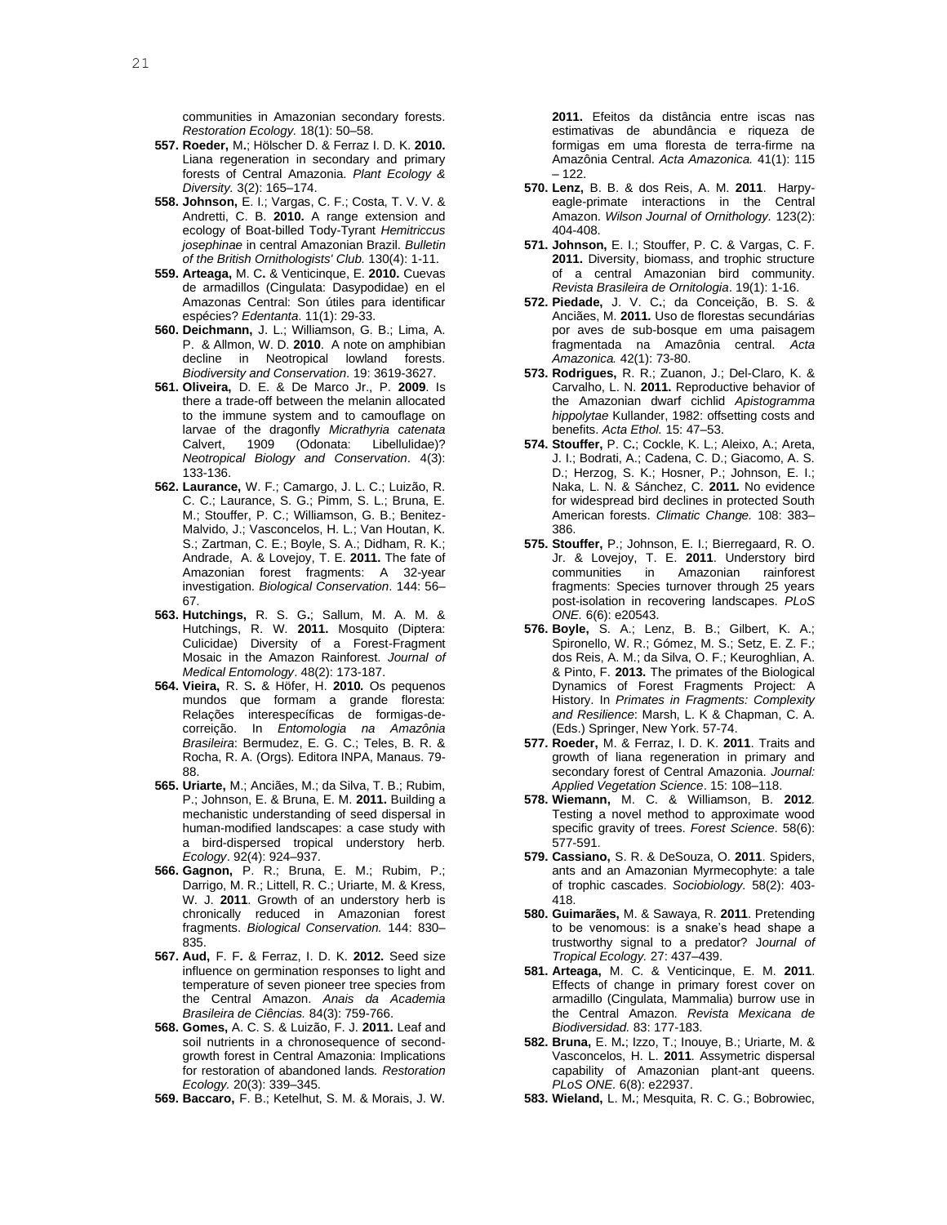communities in Amazonian secondary forests. *Restoration Ecology.* 18(1): 50–58.

- **557. Roeder,** M**.**; Hölscher D. & Ferraz I. D. K. **2010.** Liana regeneration in secondary and primary forests of Central Amazonia. *Plant Ecology & Diversity.* 3(2): 165–174.
- **558. Johnson,** E. I.; Vargas, C. F.; Costa, T. V. V. & Andretti, C. B. **2010.** A range extension and ecology of Boat-billed Tody-Tyrant *Hemitriccus josephinae* in central Amazonian Brazil. *Bulletin of the British Ornithologists' Club.* 130(4): 1-11.
- **559. Arteaga,** M. C**.** & Venticinque, E. **2010.** Cuevas de armadillos (Cingulata: Dasypodidae) en el Amazonas Central: Son útiles para identificar espécies? *Edentanta*. 11(1): 29-33.
- **560. Deichmann,** J. L.; Williamson, G. B.; Lima, A. P. & Allmon, W. D. **2010**. A note on amphibian decline in Neotropical lowland forests. *Biodiversity and Conservation*. 19: 3619-3627.
- **561. Oliveira,** D. E. & De Marco Jr., P. **2009**. Is there a trade-off between the melanin allocated to the immune system and to camouflage on larvae of the dragonfly *Micrathyria catenata* Calvert, 1909 (Odonata: Libellulidae)? *Neotropical Biology and Conservation*. 4(3): 133-136.
- **562. Laurance,** W. F.; Camargo, J. L. C.; Luizão, R. C. C.; Laurance, S. G.; Pimm, S. L.; Bruna, E. M.; Stouffer, P. C.; Williamson, G. B.; Benitez-Malvido, J.; Vasconcelos, H. L.; Van Houtan, K. S.; Zartman, C. E.; Boyle, S. A.; Didham, R. K.; Andrade, A. & Lovejoy, T. E. **2011.** The fate of Amazonian forest fragments: A 32-year investigation. *Biological Conservation*. 144: 56– 67.
- **563. Hutchings,** R. S. G**.**; Sallum, M. A. M. & Hutchings, R. W. **2011.** Mosquito (Diptera: Culicidae) Diversity of a Forest-Fragment Mosaic in the Amazon Rainforest. *Journal of Medical Entomology*. 48(2): 173-187.
- **564. Vieira,** R. S**.** & Höfer, H. **2010***.* Os pequenos mundos que formam a grande floresta: Relações interespecíficas de formigas-decorreição. In *Entomologia na Amazônia Brasileira*: Bermudez, E. G. C.; Teles, B. R. & Rocha, R. A. (Orgs)*.* Editora INPA, Manaus. 79- 88.
- **565. Uriarte,** M.; Anciães, M.; da Silva, T. B.; Rubim, P.; Johnson, E. & Bruna, E. M. **2011.** Building a mechanistic understanding of seed dispersal in human-modified landscapes: a case study with a bird-dispersed tropical understory herb. *Ecology*. 92(4): 924–937.
- **566. Gagnon,** P. R.; Bruna, E. M.; Rubim, P.; Darrigo, M. R.; Littell, R. C.; Uriarte, M. & Kress, W. J. **2011**. Growth of an understory herb is chronically reduced in Amazonian forest fragments. *Biological Conservation.* 144: 830– 835.
- **567. Aud,** F. F**.** & Ferraz, I. D. K. **2012.** Seed size influence on germination responses to light and temperature of seven pioneer tree species from the Central Amazon. *Anais da Academia Brasileira de Ciências.* 84(3): 759-766.
- **568. Gomes,** A. C. S. & Luizão, F. J. **2011.** Leaf and soil nutrients in a chronosequence of secondgrowth forest in Central Amazonia: Implications for restoration of abandoned lands*. Restoration Ecology.* 20(3): 339–345.
- **569. Baccaro,** F. B.; Ketelhut, S. M. & Morais, J. W.

**2011.** Efeitos da distância entre iscas nas estimativas de abundância e riqueza de formigas em uma floresta de terra-firme na Amazônia Central. *Acta Amazonica.* 41(1): 115 – 122.

- **570. Lenz,** B. B. & dos Reis, A. M. **2011**. Harpyeagle-primate interactions in the Central Amazon. *Wilson Journal of Ornithology.* 123(2): 404-408.
- **571. Johnson,** E. I.; Stouffer, P. C. & Vargas, C. F. **2011.** Diversity, biomass, and trophic structure of a central Amazonian bird community. *Revista Brasileira de Ornitologia*. 19(1): 1-16.
- **572. Piedade,** J. V. C**.**; da Conceição, B. S. & Anciães, M. **2011***.* Uso de florestas secundárias por aves de sub-bosque em uma paisagem fragmentada na Amazônia central. *Acta Amazonica.* 42(1): 73-80.
- **573. Rodrigues,** R. R.; Zuanon, J.; Del-Claro, K. & Carvalho, L. N. **2011.** Reproductive behavior of the Amazonian dwarf cichlid *Apistogramma hippolytae* Kullander, 1982: offsetting costs and benefits. *Acta Ethol.* 15: 47–53.
- **574. Stouffer,** P. C**.**; Cockle, K. L.; Aleixo, A.; Areta, J. I.; Bodrati, A.; Cadena, C. D.; Giacomo, A. S. D.; Herzog, S. K.; Hosner, P.; Johnson, E. I.; Naka, L. N. & Sánchez, C. **2011***.* No evidence for widespread bird declines in protected South American forests. *Climatic Change.* 108: 383– 386.
- **575. Stouffer,** P.; Johnson, E. I.; Bierregaard, R. O. Jr. & Lovejoy, T. E. **2011**. Understory bird communities in Amazonian rainforest fragments: Species turnover through 25 years post-isolation in recovering landscapes. *PLoS ONE.* 6(6): e20543.
- **576. Boyle,** S. A.; Lenz, B. B.; Gilbert, K. A.; Spironello, W. R.; Gómez, M. S.; Setz, E. Z. F.; dos Reis, A. M.; da Silva, O. F.; Keuroghlian, A. & Pinto, F. **2013.** The primates of the Biological Dynamics of Forest Fragments Project: A History. In *Primates in Fragments: Complexity and Resilience*: Marsh, L. K & Chapman, C. A. (Eds.) Springer, New York. 57-74.
- **577. Roeder,** M. & Ferraz, I. D. K. **2011**. Traits and growth of liana regeneration in primary and secondary forest of Central Amazonia. *Journal: Applied Vegetation Science*. 15: 108–118.
- **578. Wiemann,** M. C. & Williamson, B. **2012***.* Testing a novel method to approximate wood specific gravity of trees. *Forest Science*. 58(6): 577-591.
- **579. Cassiano,** S. R. & DeSouza, O. **2011**. Spiders, ants and an Amazonian Myrmecophyte: a tale of trophic cascades. *Sociobiology.* 58(2): 403- 418.
- **580. Guimarães,** M. & Sawaya, R. **2011**. Pretending to be venomous: is a snake's head shape a trustworthy signal to a predator? J*ournal of Tropical Ecology.* 27: 437–439.
- **581. Arteaga,** M. C. & Venticinque, E. M. **2011**. Effects of change in primary forest cover on armadillo (Cingulata, Mammalia) burrow use in the Central Amazon. *Revista Mexicana de Biodiversidad.* 83: 177-183.
- **582. Bruna,** E. M**.**; Izzo, T.; Inouye, B.; Uriarte, M. & Vasconcelos, H. L. **2011**. Assymetric dispersal capability of Amazonian plant-ant queens. *PLoS ONE.* 6(8): e22937.
- **583. Wieland,** L. M**.**; Mesquita, R. C. G.; Bobrowiec,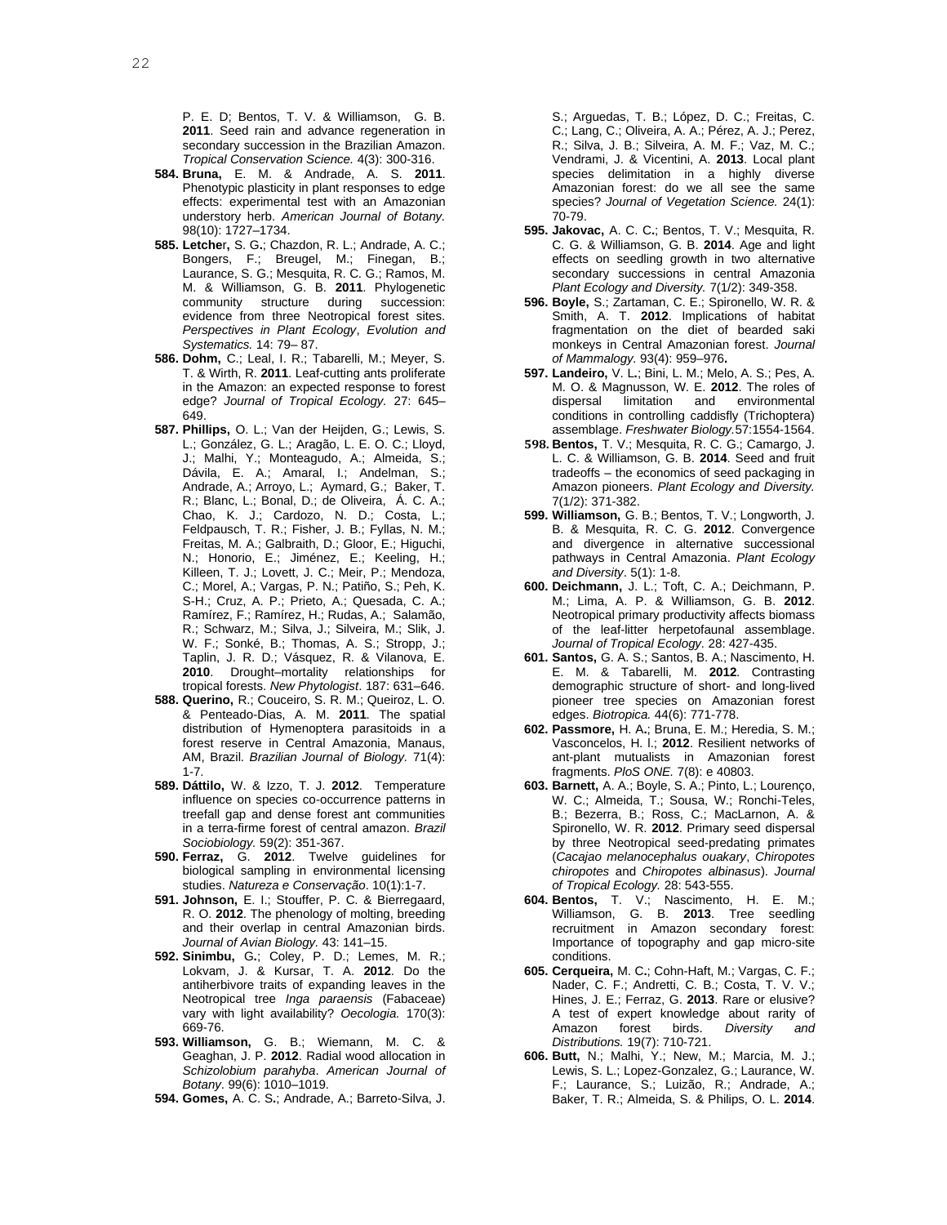P. E. D; Bentos, T. V. & Williamson, G. B. **2011**. Seed rain and advance regeneration in secondary succession in the Brazilian Amazon. *Tropical Conservation Science.* 4(3): 300-316.

- **584. Bruna,** E. M. & Andrade, A. S. **2011**. Phenotypic plasticity in plant responses to edge effects: experimental test with an Amazonian understory herb. *American Journal of Botany.*  98(10): 1727–1734.
- **585. Letche**r**,** S. G**.**; Chazdon, R. L.; Andrade, A. C.; Bongers, F.; Breugel, M.; Finegan, B.; Laurance, S. G.; Mesquita, R. C. G.; Ramos, M. M. & Williamson, G. B. **2011**. Phylogenetic community structure during succession: evidence from three Neotropical forest sites. *Perspectives in Plant Ecology*, *Evolution and Systematics.* 14: 79– 87.
- **586. Dohm,** C.; Leal, I. R.; Tabarelli, M.; Meyer, S. T. & Wirth, R. **2011**. Leaf-cutting ants proliferate in the Amazon: an expected response to forest edge? *Journal of Tropical Ecology.* 27: 645– 649.
- **587. Phillips,** O. L.; Van der Heijden, G.; Lewis, S. L.; González, G. L.; Aragão, L. E. O. C.; Lloyd, J.; Malhi, Y.; Monteagudo, A.; Almeida, S.; Dávila, E. A.; Amaral, I.; Andelman, S.; Andrade, A.; Arroyo, L.; Aymard, G.; Baker, T. R.; Blanc, L.; Bonal, D.; de Oliveira, Á. C. A.; Chao, K. J.; Cardozo, N. D.; Costa, L.; Feldpausch, T. R.; Fisher, J. B.; Fyllas, N. M.; Freitas, M. A.; Galbraith, D.; Gloor, E.; Higuchi, N.; Honorio, E.; Jiménez, E.; Keeling, H.; Killeen, T. J.; Lovett, J. C.; Meir, P.; Mendoza, C.; Morel, A.; Vargas, P. N.; Patiño, S.; Peh, K. S-H.; Cruz, A. P.; Prieto, A.; Quesada, C. A.; Ramírez, F.; Ramírez, H.; Rudas, A.; Salamão, R.; Schwarz, M.; Silva, J.; Silveira, M.; Slik, J. W. F.; Sonké, B.; Thomas, A. S.; Stropp, J.; Taplin, J. R. D.; Vásquez, R. & Vilanova, E. **2010**. Drought–mortality relationships for tropical forests. *New Phytologist*. 187: 631–646.
- **588. Querino,** R.; Couceiro, S. R. M.; Queiroz, L. O. & Penteado-Dias, A. M. **2011**. The spatial distribution of Hymenoptera parasitoids in a forest reserve in Central Amazonia, Manaus, AM, Brazil. *Brazilian Journal of Biology.* 71(4): 1-7.
- **589. Dáttilo,** W. & Izzo, T. J. **2012**. Temperature influence on species co-occurrence patterns in treefall gap and dense forest ant communities in a terra-firme forest of central amazon. *Brazil Sociobiology.* 59(2): 351-367.
- **590. Ferraz,** G. **2012**. Twelve guidelines for biological sampling in environmental licensing studies. *Natureza e Conservação*. 10(1):1-7.
- **591. Johnson,** E. I.; Stouffer, P. C. & Bierregaard, R. O. **2012**. The phenology of molting, breeding and their overlap in central Amazonian birds. *Journal of Avian Biology.* 43: 141–15.
- **592. Sinimbu,** G**.**; Coley, P. D.; Lemes, M. R.; Lokvam, J. & Kursar, T. A. **2012**. Do the antiherbivore traits of expanding leaves in the Neotropical tree *Inga paraensis* (Fabaceae) vary with light availability? *Oecologia.* 170(3): 669-76.
- **593. Williamson,** G. B.; Wiemann, M. C. & Geaghan, J. P. **2012**. Radial wood allocation in *Schizolobium parahyba*. *American Journal of Botany*. 99(6): 1010–1019.
- **594. Gomes,** A. C. S**.**; Andrade, A.; Barreto-Silva, J.

S.; Arguedas, T. B.; López, D. C.; Freitas, C. C.; Lang, C.; Oliveira, A. A.; Pérez, A. J.; Perez, R.; Silva, J. B.; Silveira, A. M. F.; Vaz, M. C.; Vendrami, J. & Vicentini, A. **2013**. Local plant species delimitation in a highly diverse Amazonian forest: do we all see the same species? *Journal of Vegetation Science.* 24(1): 70-79.

- **595. Jakovac,** A. C. C**.**; Bentos, T. V.; Mesquita, R. C. G. & Williamson, G. B. **2014**. Age and light effects on seedling growth in two alternative secondary successions in central Amazonia *Plant Ecology and Diversity.* 7(1/2): 349-358.
- **596. Boyle,** S.; Zartaman, C. E.; Spironello, W. R. & Smith, A. T. **2012**. Implications of habitat fragmentation on the diet of bearded saki monkeys in Central Amazonian forest. *Journal of Mammalogy.* 93(4): 959–976**.**
- **597. Landeiro,** V. L**.**; Bini, L. M.; Melo, A. S.; Pes, A. M. O. & Magnusson, W. E. **2012**. The roles of dispersal limitation and environmental conditions in controlling caddisfly (Trichoptera) assemblage. *Freshwater Biology.*57:1554-1564.
- **598. Bentos,** T. V.; Mesquita, R. C. G.; Camargo, J. L. C. & Williamson, G. B. **2014**. Seed and fruit tradeoffs – the economics of seed packaging in Amazon pioneers. *Plant Ecology and Diversity.* 7(1/2): 371-382.
- **599. Williamson,** G. B.; Bentos, T. V.; Longworth, J. B. & Mesquita, R. C. G. **2012**. Convergence and divergence in alternative successional pathways in Central Amazonia. *Plant Ecology and Diversity*. 5(1): 1-8.
- **600. Deichmann,** J. L.; Toft, C. A.; Deichmann, P. M.; Lima, A. P. & Williamson, G. B. **2012**. Neotropical primary productivity affects biomass of the leaf-litter herpetofaunal assemblage. *Journal of Tropical Ecology.* 28: 427-435.
- **601. Santos,** G. A. S.; Santos, B. A.; Nascimento, H. E. M. & Tabarelli, M. **2012**. Contrasting demographic structure of short- and long-lived pioneer tree species on Amazonian forest edges. *Biotropica.* 44(6): 771-778.
- **602. Passmore,** H. A**.**; Bruna, E. M.; Heredia, S. M.; Vasconcelos, H. l.; **2012**. Resilient networks of ant-plant mutualists in Amazonian forest fragments. *PloS ONE.* 7(8): e 40803.
- **603. Barnett,** A. A.; Boyle, S. A.; Pinto, L.; Lourenço, W. C.; Almeida, T.; Sousa, W.; Ronchi-Teles, B.; Bezerra, B.; Ross, C.; MacLarnon, A. & Spironello, W. R. **2012**. Primary seed dispersal by three Neotropical seed-predating primates (*Cacajao melanocephalus ouakary*, *Chiropotes chiropotes* and *Chiropotes albinasus*). *Journal of Tropical Ecology.* 28: 543-555.
- **604. Bentos,** T. V.; Nascimento, H. E. M.; Williamson, G. B. **2013**. Tree seedling recruitment in Amazon secondary forest: Importance of topography and gap micro-site conditions.
- **605. Cerqueira,** M. C**.**; Cohn-Haft, M.; Vargas, C. F.; Nader, C. F.; Andretti, C. B.; Costa, T. V. V.; Hines, J. E.; Ferraz, G. **2013**. Rare or elusive? A test of expert knowledge about rarity of Amazon forest birds. *Diversity and Distributions.* 19(7): 710-721.
- **606. Butt,** N.; Malhi, Y.; New, M.; Marcia, M. J.; Lewis, S. L.; Lopez-Gonzalez, G.; Laurance, W. F.; Laurance, S.; Luizão, R.; Andrade, A.; Baker, T. R.; Almeida, S. & Philips, O. L. **2014**.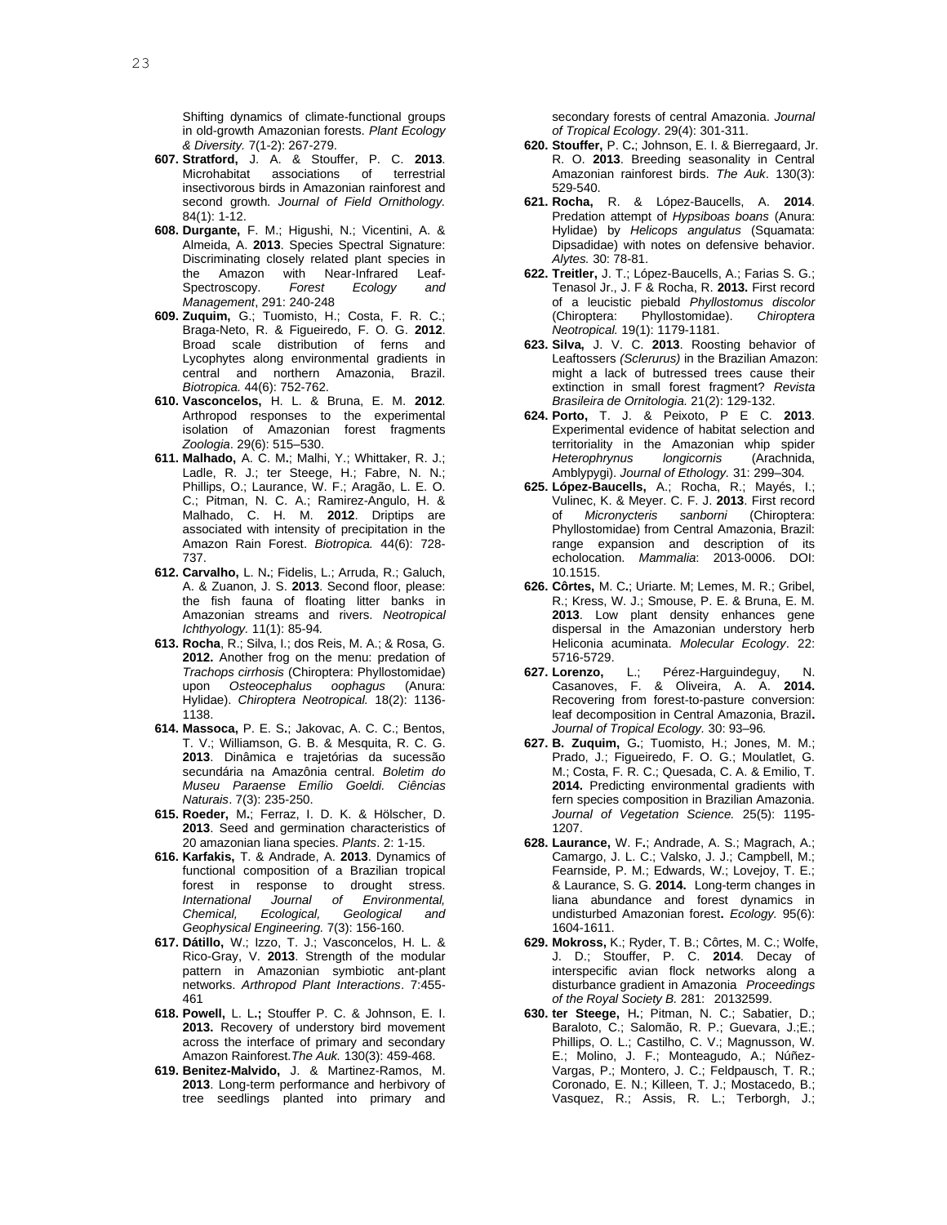Shifting dynamics of climate-functional groups in old-growth Amazonian forests. *Plant Ecology & Diversity.* 7(1-2): 267-279.

- **607. Stratford,** J. A. & Stouffer, P. C. **2013**. Microhabitat associations of terrestrial insectivorous birds in Amazonian rainforest and second growth. *Journal of Field Ornithology.* 84(1): 1-12.
- **608. Durgante,** F. M.; Higushi, N.; Vicentini, A. & Almeida, A. **2013**. Species Spectral Signature: Discriminating closely related plant species in the Amazon with Near-Infrared Leaf-<br>Spectroscopy. Forest Ecology and Spectroscopy. *Forest Ecology and Management*, 291: 240-248
- **609. Zuquim,** G.; Tuomisto, H.; Costa, F. R. C.; Braga-Neto, R. & Figueiredo, F. O. G. **2012**. Broad scale distribution of ferns and Lycophytes along environmental gradients in central and northern Amazonia, Brazil. *Biotropica.* 44(6): 752-762.
- **610. Vasconcelos,** H. L. & Bruna, E. M. **2012**. Arthropod responses to the experimental isolation of Amazonian forest fragments *Zoologia*. 29(6): 515–530.
- **611. Malhado,** A. C. M**.**; Malhi, Y.; Whittaker, R. J.; Ladle, R. J.; ter Steege, H.; Fabre, N. N.; Phillips, O.; Laurance, W. F.; Aragão, L. E. O. C.; Pitman, N. C. A.; Ramirez-Angulo, H. & Malhado, C. H. M. **2012**. Driptips are associated with intensity of precipitation in the Amazon Rain Forest. *Biotropica.* 44(6): 728- 737.
- **612. Carvalho,** L. N**.**; Fidelis, L.; Arruda, R.; Galuch, A. & Zuanon, J. S. **2013**. Second floor, please: the fish fauna of floating litter banks in Amazonian streams and rivers. *Neotropical Ichthyology.* 11(1): 85-94*.*
- **613. Rocha**, R.; Silva, I.; dos Reis, M. A.; & Rosa, G. **2012.** Another frog on the menu: predation of *Trachops cirrhosis* (Chiroptera: Phyllostomidae) upon *Osteocephalus oophagus* (Anura: Hylidae). *Chiroptera Neotropical.* 18(2): 1136- 1138.
- **614. Massoca,** P. E. S**.**; Jakovac, A. C. C.; Bentos, T. V.; Williamson, G. B. & Mesquita, R. C. G. **2013**. Dinâmica e trajetórias da sucessão secundária na Amazônia central. *Boletim do Museu Paraense Emílio Goeldi. Ciências Naturais*. 7(3): 235-250.
- **615. Roeder,** M**.**; Ferraz, I. D. K. & Hölscher, D. **2013**. Seed and germination characteristics of 20 amazonian liana species. *Plants*. 2: 1-15.
- **616. Karfakis,** T. & Andrade, A. **2013**. Dynamics of functional composition of a Brazilian tropical forest in response to drought stress. *International Journal of Environmental, Chemical, Ecological, Geological and Geophysical Engineering.* 7(3): 156-160.
- **617. Dátillo,** W.; Izzo, T. J.; Vasconcelos, H. L. & Rico-Gray, V. **2013**. Strength of the modular pattern in Amazonian symbiotic ant-plant networks. *Arthropod Plant Interactions*. 7:455- 461
- **618. Powell,** L. L**.;** Stouffer P. C. & Johnson, E. I. **2013.** Recovery of understory bird movement across the interface of primary and secondary Amazon Rainforest.*The Auk.* 130(3): 459-468.
- **619. Benitez-Malvido,** J. & Martinez-Ramos, M. **2013**. Long-term performance and herbivory of tree seedlings planted into primary and

secondary forests of central Amazonia. *Journal of Tropical Ecology*. 29(4): 301-311.

- **620. Stouffer,** P. C**.**; Johnson, E. I. & Bierregaard, Jr. R. O. **2013**. Breeding seasonality in Central Amazonian rainforest birds. *The Auk*. 130(3): 529-540.
- **621. Rocha,** R. & López-Baucells, A. **2014**. Predation attempt of *Hypsiboas boans* (Anura: Hylidae) by *Helicops angulatus* (Squamata: Dipsadidae) with notes on defensive behavior. *Alytes.* 30: 78-81.
- **622. Treitler,** J. T.; López-Baucells, A.; Farias S. G.; Tenasol Jr., J. F & Rocha, R. **2013.** First record of a leucistic piebald *Phyllostomus discolor*  (Chiroptera: Phyllostomidae). *Chiroptera Neotropical.* 19(1): 1179-1181.
- **623. Silva,** J. V. C. **2013**. Roosting behavior of Leaftossers *(Sclerurus)* in the Brazilian Amazon: might a lack of butressed trees cause their extinction in small forest fragment? *Revista Brasileira de Ornitologia.* 21(2): 129-132.
- **624. Porto,** T. J. & Peixoto, P E C. **2013**. Experimental evidence of habitat selection and territoriality in the Amazonian whip spider *Heterophrynus longicornis* (Arachnida, Amblypygi). *Journal of Ethology.* 31: 299–304*.*
- **625. López-Baucells,** A.; Rocha, R.; Mayés, I.; Vulinec, K. & Meyer. C. F. J. **2013**. First record of *Micronycteris sanborni* (Chiroptera: Phyllostomidae) from Central Amazonia, Brazil: range expansion and description of its echolocation. *Mammalia*: 2013-0006. DOI: 10.1515.
- **626. Côrtes,** M. C**.**; Uriarte. M; Lemes, M. R.; Gribel, R.; Kress, W. J.; Smouse, P. E. & Bruna, E. M. **2013**. Low plant density enhances gene dispersal in the Amazonian understory herb Heliconia acuminata. *Molecular Ecology*. 22:
- 5716-5729.<br>**627. Lorenzo, 627. Lorenzo,** L.; Pérez-Harguindeguy, N. Casanoves, F. & Oliveira, A. A. **2014.** Recovering from forest-to-pasture conversion: leaf decomposition in Central Amazonia, Brazil**.**  *Journal of Tropical Ecology.* 30: 93–96*.*
- **627. B. Zuquim,** G**.**; Tuomisto, H.; Jones, M. M.; Prado, J.; Figueiredo, F. O. G.; Moulatlet, G. M.; Costa, F. R. C.; Quesada, C. A. & Emilio, T. **2014.** Predicting environmental gradients with fern species composition in Brazilian Amazonia. *Journal of Vegetation Science.* 25(5): 1195- 1207.
- **628. Laurance,** W. F**.**; Andrade, A. S.; Magrach, A.; Camargo, J. L. C.; Valsko, J. J.; Campbell, M.; Fearnside, P. M.; Edwards, W.; Lovejoy, T. E.; & Laurance, S. G. **2014.** Long-term changes in liana abundance and forest dynamics in undisturbed Amazonian forest**.** *Ecology.* 95(6): 1604-1611.
- **629. Mokross,** K.; Ryder, T. B.; Côrtes, M. C.; Wolfe, J. D.; Stouffer, P. C. **2014**. Decay of interspecific avian flock networks along a disturbance gradient in Amazonia *Proceedings of the Royal Society B.* 281: 20132599.
- **630. ter Steege,** H**.**; Pitman, N. C.; Sabatier, D.; Baraloto, C.; Salomão, R. P.; Guevara, J.;E.; Phillips, O. L.; Castilho, C. V.; Magnusson, W. E.; Molino, J. F.; Monteagudo, A.; Núñez-Vargas, P.; Montero, J. C.; Feldpausch, T. R.; Coronado, E. N.; Killeen, T. J.; Mostacedo, B.; Vasquez, R.; Assis, R. L.; Terborgh, J.;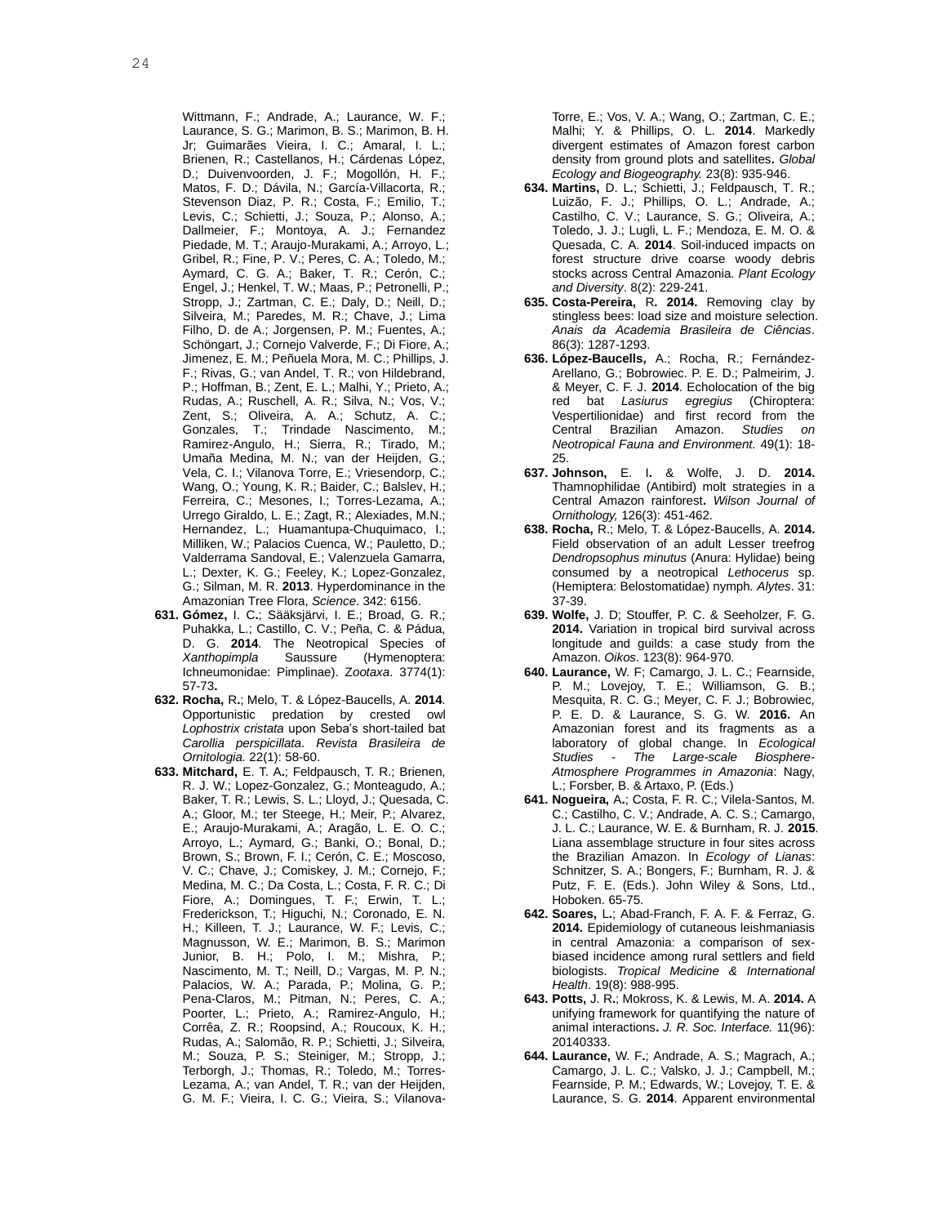Wittmann, F.; Andrade, A.; Laurance, W. F.; Laurance, S. G.; Marimon, B. S.; Marimon, B. H. Jr; Guimarães Vieira, I. C.; Amaral, I. L.; Brienen, R.; Castellanos, H.; Cárdenas López, D.; Duivenvoorden, J. F.; Mogollón, H. F.; Matos, F. D.; Dávila, N.; García-Villacorta, R.; Stevenson Diaz, P. R.; Costa, F.; Emilio, T.; Levis, C.; Schietti, J.; Souza, P.; Alonso, A.; Dallmeier, F.; Montoya, A. J.; Fernandez Piedade, M. T.; Araujo-Murakami, A.; Arroyo, L.; Gribel, R.; Fine, P. V.; Peres, C. A.; Toledo, M.; Aymard, C. G. A.; Baker, T. R.; Cerón, C.; Engel, J.; Henkel, T. W.; Maas, P.; Petronelli, P.; Stropp, J.; Zartman, C. E.; Daly, D.; Neill, D.; Silveira, M.; Paredes, M. R.; Chave, J.; Lima Filho, D. de A.; Jorgensen, P. M.; Fuentes, A.; Schöngart, J.; Cornejo Valverde, F.; Di Fiore, A.; Jimenez, E. M.; Peñuela Mora, M. C.; Phillips, J. F.; Rivas, G.; van Andel, T. R.; von Hildebrand, P.; Hoffman, B.; Zent, E. L.; Malhi, Y.; Prieto, A.; Rudas, A.; Ruschell, A. R.; Silva, N.; Vos, V.; Zent, S.; Oliveira, A. A.; Schutz, A. C.; Gonzales, T.; Trindade Nascimento, M.; Ramirez-Angulo, H.; Sierra, R.; Tirado, M.; Umaña Medina, M. N.; van der Heijden, G.; Vela, C. I.; Vilanova Torre, E.; Vriesendorp, C. Wang, O.; Young, K. R.; Baider, C.; Balslev, H.; Ferreira, C.; Mesones, I.; Torres-Lezama, A.; Urrego Giraldo, L. E.; Zagt, R.; Alexiades, M.N.; Hernandez, L.; Huamantupa-Chuquimaco, I.; Milliken, W.; Palacios Cuenca, W.; Pauletto, D.; Valderrama Sandoval, E.; Valenzuela Gamarra, L.; Dexter, K. G.; Feeley, K.; Lopez-Gonzalez, G.; Silman, M. R. **2013**. Hyperdominance in the Amazonian Tree Flora, *Science*. 342: 6156.

- **631. Gómez,** I. C**.**; Sääksjärvi, I. E.; Broad, G. R.; Puhakka, L.; Castillo, C. V.; Peña, C. & Pádua, D. G. **2014**. The Neotropical Species of *Xanthopimpla* Saussure (Hymenoptera: Ichneumonidae: Pimplinae). Z*ootaxa*. 3774(1): 57-73**.**
- **632. Rocha,** R**.**; Melo, T. & López-Baucells, A. **2014**. Opportunistic predation by crested owl *Lophostrix cristata* upon Seba's short-tailed bat *Carollia perspicillata*. *Revista Brasileira de Ornitologia.* 22(1): 58-60.
- **633. Mitchard,** E. T. A**.**; Feldpausch, T. R.; Brienen, R. J. W.; Lopez-Gonzalez, G.; Monteagudo, A.; Baker, T. R.; Lewis, S. L.; Lloyd, J.; Quesada, C. A.; Gloor, M.; ter Steege, H.; Meir, P.; Alvarez, E.; Araujo-Murakami, A.; Aragão, L. E. O. C.; Arroyo, L.; Aymard, G.; Banki, O.; Bonal, D.; Brown, S.; Brown, F. I.; Cerón, C. E.; Moscoso, V. C.; Chave, J.; Comiskey, J. M.; Cornejo, F.; Medina, M. C.; Da Costa, L.; Costa, F. R. C.; Di Fiore, A.; Domingues, T. F.; Erwin, T. L.; Frederickson, T.; Higuchi, N.; Coronado, E. N. H.; Killeen, T. J.; Laurance, W. F.; Levis, C.; Magnusson, W. E.; Marimon, B. S.; Marimon Junior, B. H.; Polo, I. M.; Mishra, P.; Nascimento, M. T.; Neill, D.; Vargas, M. P. N.; Palacios, W. A.; Parada, P.; Molina, G. P.; Pena-Claros, M.; Pitman, N.; Peres, C. A.; Poorter, L.; Prieto, A.; Ramirez-Angulo, H.; Corrêa, Z. R.; Roopsind, A.; Roucoux, K. H.; Rudas, A.; Salomão, R. P.; Schietti, J.; Silveira, M.; Souza, P. S.; Steiniger, M.; Stropp, J.; Terborgh, J.; Thomas, R.; Toledo, M.; Torres-Lezama, A.; van Andel, T. R.; van der Heijden, G. M. F.; Vieira, I. C. G.; Vieira, S.; Vilanova-

Torre, E.; Vos, V. A.; Wang, O.; Zartman, C. E.; Malhi; Y. & Phillips, O. L. **2014**. Markedly divergent estimates of Amazon forest carbon density from ground plots and satellites**.** *Global Ecology and Biogeography.* 23(8): 935-946.

- **634. Martins,** D. L**.**; Schietti, J.; Feldpausch, T. R.; Luizão, F. J.; Phillips, O. L.; Andrade, A.; Castilho, C. V.; Laurance, S. G.; Oliveira, A.; Toledo, J. J.; Lugli, L. F.; Mendoza, E. M. O. & Quesada, C. A. **2014**. Soil-induced impacts on forest structure drive coarse woody debris stocks across Central Amazonia. *Plant Ecology and Diversity*. 8(2): 229-241.
- **635. Costa-Pereira,** R**. 2014.** Removing clay by stingless bees: load size and moisture selection. *Anais da Academia Brasileira de Ciências*. 86(3): 1287-1293.
- **636. López-Baucells,** A.; Rocha, R.; Fernández-Arellano, G.; Bobrowiec. P. E. D.; Palmeirim, J. & Meyer, C. F. J. **2014**. Echolocation of the big red bat *Lasiurus egregius* (Chiroptera: Vespertilionidae) and first record from the Central Brazilian Amazon. *Studies on Neotropical Fauna and Environment.* 49(1): 18- 25.
- **637. Johnson,** E. I**.** & Wolfe, J. D. **2014.** Thamnophilidae (Antibird) molt strategies in a Central Amazon rainforest**.** *Wilson Journal of Ornithology,* 126(3): 451-462.
- **638. Rocha,** R.; Melo, T. & López-Baucells, A. **2014.**  Field observation of an adult Lesser treefrog *Dendropsophus minutus* (Anura: Hylidae) being consumed by a neotropical *Lethocerus* sp. (Hemiptera: Belostomatidae) nymph*. Alytes*. 31: 37-39.
- **639. Wolfe,** J. D; Stouffer, P. C. & Seeholzer, F. G. **2014.** Variation in tropical bird survival across longitude and guilds: a case study from the Amazon. *Oikos*. 123(8): 964-970.
- **640. Laurance,** W. F; Camargo, J. L. C.; Fearnside, P. M.; Lovejoy, T. E.; Williamson, G. B.; Mesquita, R. C. G.; Meyer, C. F. J.; Bobrowiec, P. E. D. & Laurance, S. G. W. **2016.** An Amazonian forest and its fragments as a laboratory of global change. In *Ecological Studies - The Large-scale Biosphere-Atmosphere Programmes in Amazonia*: Nagy, L.; Forsber, B. & Artaxo, P. (Eds.)
- **641. Nogueira,** A**.**; Costa, F. R. C.; Vilela-Santos, M. C.; Castilho, C. V.; Andrade, A. C. S.; Camargo, J. L. C.; Laurance, W. E. & Burnham, R. J. **2015**. Liana assemblage structure in four sites across the Brazilian Amazon. In *Ecology of Lianas*: Schnitzer, S. A.; Bongers, F.; Burnham, R. J. & Putz, F. E. (Eds.). John Wiley & Sons, Ltd., Hoboken. 65-75.
- **642. Soares,** L**.**; Abad-Franch, F. A. F. & Ferraz, G. **2014.** Epidemiology of cutaneous leishmaniasis in central Amazonia: a comparison of sexbiased incidence among rural settlers and field biologists. *Tropical Medicine & International Health*. 19(8): 988-995.
- **643. Potts,** J. R**.**; Mokross, K. & Lewis, M. A. **2014.** A unifying framework for quantifying the nature of animal interactions**.** *J. R. Soc. Interface.* 11(96): 20140333.
- **644. Laurance,** W. F**.**; Andrade, A. S.; Magrach, A.; Camargo, J. L. C.; Valsko, J. J.; Campbell, M.; Fearnside, P. M.; Edwards, W.; Lovejoy, T. E. & Laurance, S. G. **2014**. Apparent environmental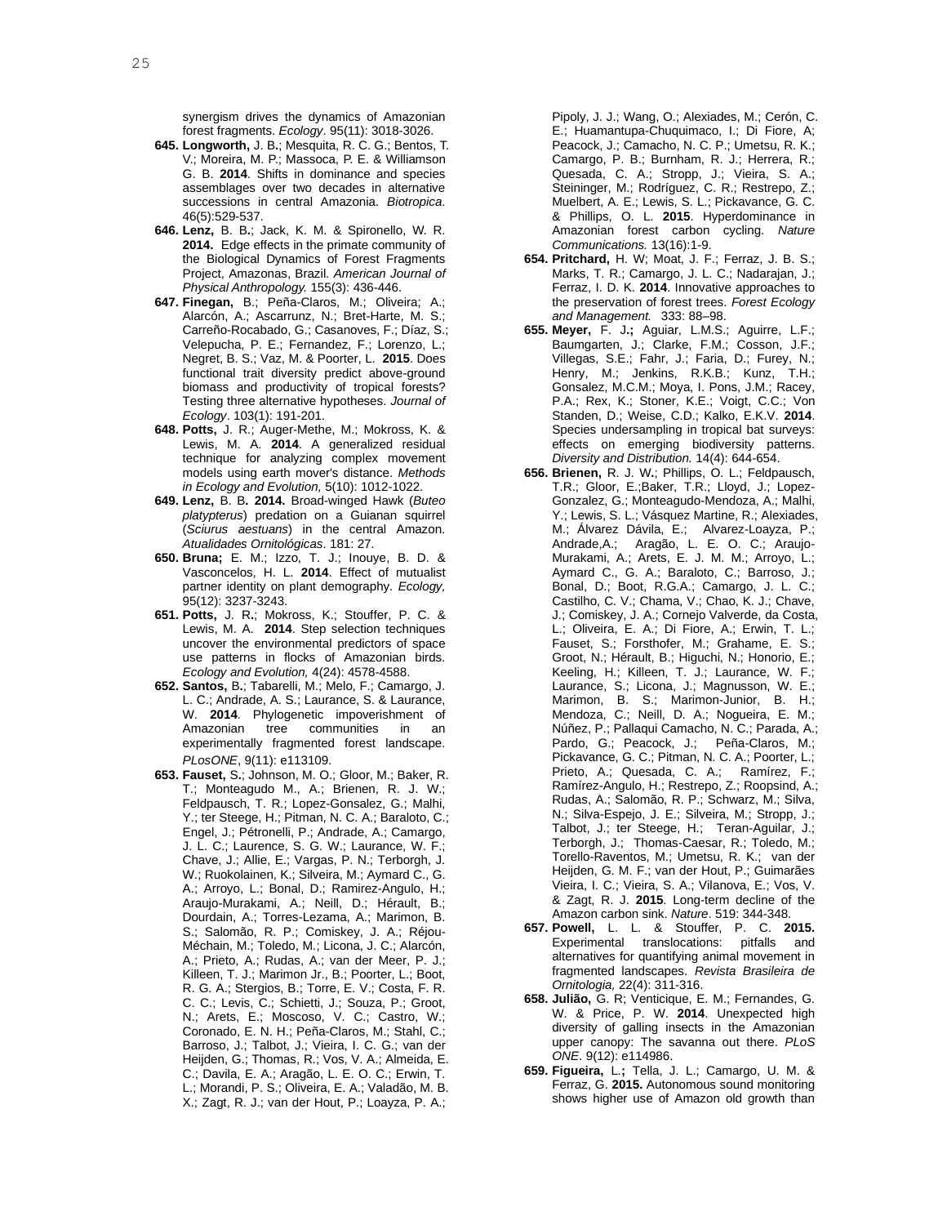synergism drives the dynamics of Amazonian forest fragments. *Ecology*. 95(11): 3018-3026.

- **645. Longworth,** J. B**.**; Mesquita, R. C. G.; Bentos, T. V.; Moreira, M. P.; Massoca, P. E. & Williamson G. B. **2014**. Shifts in dominance and species assemblages over two decades in alternative successions in central Amazonia. *Biotropica*. 46(5):529-537.
- **646. Lenz,** B. B**.**; Jack, K. M. & Spironello, W. R. **2014.** Edge effects in the primate community of the Biological Dynamics of Forest Fragments Project, Amazonas, Brazil. *American Journal of Physical Anthropology.* 155(3): 436-446.
- **647. Finegan,** B.; Peña-Claros, M.; Oliveira; A.; Alarcón, A.; Ascarrunz, N.; Bret-Harte, M. S.; Carreño-Rocabado, G.; Casanoves, F.; Díaz, S.; Velepucha, P. E.; Fernandez, F.; Lorenzo, L.; Negret, B. S.; Vaz, M. & Poorter, L. **2015**. Does functional trait diversity predict above-ground biomass and productivity of tropical forests? Testing three alternative hypotheses. *Journal of Ecology*. 103(1): 191-201.
- **648. Potts,** J. R.; Auger-Methe, M.; Mokross, K. & Lewis, M. A. **2014**. A generalized residual technique for analyzing complex movement models using earth mover's distance. *Methods in Ecology and Evolution,* 5(10): 1012-1022.
- **649. Lenz,** B. B**. 2014.** Broad-winged Hawk (*Buteo platypterus*) predation on a Guianan squirrel (*Sciurus aestuans*) in the central Amazon. *Atualidades Ornitológicas*. 181: 27.
- **650. Bruna;** E. M.; Izzo, T. J.; Inouye, B. D. & Vasconcelos, H. L. **2014**. Effect of mutualist partner identity on plant demography*. Ecology,* 95(12): 3237-3243.
- **651. Potts,** J. R**.**; Mokross, K.; Stouffer, P. C. & Lewis, M. A. **2014**. Step selection techniques uncover the environmental predictors of space use patterns in flocks of Amazonian birds. *Ecology and Evolution,* 4(24): 4578-4588.
- **652. Santos,** B**.**; Tabarelli, M.; Melo, F.; Camargo, J. L. C.; Andrade, A. S.; Laurance, S. & Laurance, W. **2014**. Phylogenetic impoverishment of Amazonian tree communities in an experimentally fragmented forest landscape. *PLosONE*, 9(11): e113109.
- **653. Fauset,** S**.**; Johnson, M. O.; Gloor, M.; Baker, R. T.; Monteagudo M., A.; Brienen, R. J. W.; Feldpausch, T. R.; Lopez-Gonsalez, G.; Malhi, Y.; ter Steege, H.; Pitman, N. C. A.; Baraloto, C.; Engel, J.; Pétronelli, P.; Andrade, A.; Camargo, J. L. C.; Laurence, S. G. W.; Laurance, W. F.; Chave, J.; Allie, E.; Vargas, P. N.; Terborgh, J. W.; Ruokolainen, K.; Silveira, M.; Aymard C., G. A.; Arroyo, L.; Bonal, D.; Ramirez-Angulo, H.; Araujo-Murakami, A.; Neill, D.; Hérault, B.; Dourdain, A.; Torres-Lezama, A.; Marimon, B. S.; Salomão, R. P.; Comiskey, J. A.; Réjou-Méchain, M.; Toledo, M.; Licona, J. C.; Alarcón, A.; Prieto, A.; Rudas, A.; van der Meer, P. J.; Killeen, T. J.; Marimon Jr., B.; Poorter, L.; Boot, R. G. A.; Stergios, B.; Torre, E. V.; Costa, F. R. C. C.; Levis, C.; Schietti, J.; Souza, P.; Groot, N.; Arets, E.; Moscoso, V. C.; Castro, W.; Coronado, E. N. H.; Peña-Claros, M.; Stahl, C.; Barroso, J.; Talbot, J.; Vieira, I. C. G.; van der Heijden, G.; Thomas, R.; Vos, V. A.; Almeida, E. C.; Davila, E. A.; Aragão, L. E. O. C.; Erwin, T. L.; Morandi, P. S.; Oliveira, E. A.; Valadão, M. B. X.; Zagt, R. J.; van der Hout, P.; Loayza, P. A.;

Pipoly, J. J.; Wang, O.; Alexiades, M.; Cerón, C. E.; Huamantupa-Chuquimaco, I.; Di Fiore, A; Peacock, J.; Camacho, N. C. P.; Umetsu, R. K.; Camargo, P. B.; Burnham, R. J.; Herrera, R.; Quesada, C. A.; Stropp, J.; Vieira, S. A.; Steininger, M.; Rodríguez, C. R.; Restrepo, Z.; Muelbert, A. E.; Lewis, S. L.; Pickavance, G. C. & Phillips, O. L. **2015**. Hyperdominance in Amazonian forest carbon cycling. *Nature Communications.* 13(16):1-9.

- **654. Pritchard,** H. W; Moat, J. F.; Ferraz, J. B. S.; Marks, T. R.; Camargo, J. L. C.; Nadarajan, J.; Ferraz, I. D. K. **2014**. Innovative approaches to the preservation of forest trees. *Forest Ecology and Management.* 333: 88–98.
- **655. Meyer,** F. J**.;** Aguiar, L.M.S.; Aguirre, L.F.; Baumgarten, J.; Clarke, F.M.; Cosson, J.F.; Villegas, S.E.; Fahr, J.; Faria, D.; Furey, N.; Henry, M.; Jenkins, R.K.B.; Kunz, T.H.; Gonsalez, M.C.M.; Moya, I. Pons, J.M.; Racey, P.A.; Rex, K.; Stoner, K.E.; Voigt, C.C.; Von Standen, D.; Weise, C.D.; Kalko, E.K.V. **2014**. Species undersampling in tropical bat surveys: effects on emerging biodiversity patterns. *Diversity and Distribution.* 14(4): 644-654.
- **656. Brienen,** R. J. W**.**; Phillips, O. L.; Feldpausch, T.R.; Gloor, E.;Baker, T.R.; Lloyd, J.; Lopez-Gonzalez, G.; Monteagudo-Mendoza, A.; Malhi, Y.; Lewis, S. L.; Vásquez Martine, R.; Alexiades, M.; Álvarez Dávila, E.; Alvarez-Loayza, P.; Andrade,A.; Aragão, L. E. O. C.; Araujo-Murakami, A.; Arets, E. J. M. M.; Arroyo, L.; Aymard C., G. A.; Baraloto, C.; Barroso, J.; Bonal, D.; Boot, R.G.A.; Camargo, J. L. C.; Castilho, C. V.; Chama, V.; Chao, K. J.; Chave, J.; Comiskey, J. A.; Cornejo Valverde, da Costa, L.; Oliveira, E. A.; Di Fiore, A.; Erwin, T. L.; Fauset, S.; Forsthofer, M.; Grahame, E. S.; Groot, N.; Hérault, B.; Higuchi, N.; Honorio, E.; Keeling, H.; Killeen, T. J.; Laurance, W. F.; Laurance, S.; Licona, J.; Magnusson, W. E.; Marimon, B. S.; Marimon-Junior, B. H.; Mendoza, C.; Neill, D. A.; Nogueira, E. M.; Núñez, P.; Pallaqui Camacho, N. C.; Parada, A.; Pardo, G.; Peacock, J.; Peña-Claros, M.; Pickavance, G. C.; Pitman, N. C. A.; Poorter, L.; Prieto, A.; Quesada, C. A.; Ramírez, F.; Ramírez-Angulo, H.; Restrepo, Z.; Roopsind, A.; Rudas, A.; Salomão, R. P.; Schwarz, M.; Silva, N.; Silva-Espejo, J. E.; Silveira, M.; Stropp, J.; Talbot, J.; ter Steege, H.; Teran-Aguilar, J.; Terborgh, J.; Thomas-Caesar, R.; Toledo, M.; Torello-Raventos, M.; Umetsu, R. K.; van der Heijden, G. M. F.; van der Hout, P.; Guimarães Vieira, I. C.; Vieira, S. A.; Vilanova, E.; Vos, V. & Zagt, R. J. **2015**. Long-term decline of the Amazon carbon sink. *Nature*. 519: 344-348.
- **657. Powell,** L. L. & Stouffer, P. C. **2015.** Experimental translocations: pitfalls and alternatives for quantifying animal movement in fragmented landscapes. *Revista Brasileira de Ornitologia,* 22(4): 311-316.
- **658. Julião,** G. R; Venticique, E. M.; Fernandes, G. W. & Price, P. W. **2014**. Unexpected high diversity of galling insects in the Amazonian upper canopy: The savanna out there. *PLoS ONE*. 9(12): e114986.
- **659. Figueira,** L.**;** Tella, J. L.; Camargo, U. M. & Ferraz, G. **2015.** Autonomous sound monitoring shows higher use of Amazon old growth than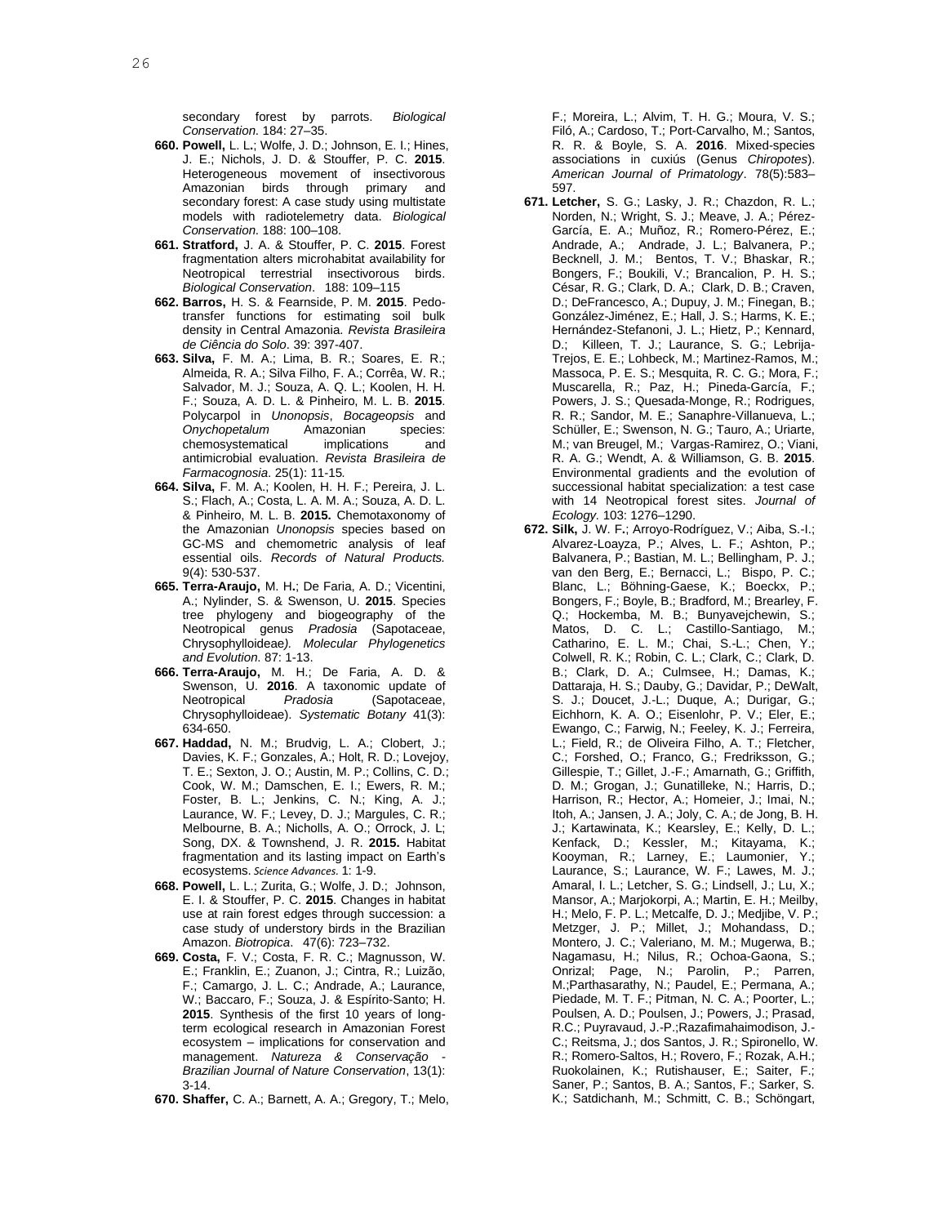secondary forest by parrots. *Biological Conservation*. 184: 27–35.

- **660. Powell,** L. L**.**; Wolfe, J. D.; Johnson, E. I.; Hines, J. E.; Nichols, J. D. & Stouffer, P. C. **2015**. Heterogeneous movement of insectivorous Amazonian birds through primary and secondary forest: A case study using multistate models with radiotelemetry data. *Biological Conservation*. 188: 100–108.
- **661. Stratford,** J. A. & Stouffer, P. C. **2015**. Forest fragmentation alters microhabitat availability for Neotropical terrestrial insectivorous birds. *Biological Conservation*. 188: 109–115
- **662. Barros,** H. S. & Fearnside, P. M. **2015**. Pedotransfer functions for estimating soil bulk density in Central Amazonia. *Revista Brasileira de Ciência do Solo*. 39: 397-407.
- **663. Silva,** F. M. A.; Lima, B. R.; Soares, E. R.; Almeida, R. A.; Silva Filho, F. A.; Corrêa, W. R.; Salvador, M. J.; Souza, A. Q. L.; Koolen, H. H. F.; Souza, A. D. L. & Pinheiro, M. L. B. **2015**. Polycarpol in *Unonopsis*, *Bocageopsis* and **Onychopetalum** chemosystematical implications and antimicrobial evaluation. *Revista Brasileira de Farmacognosia*. 25(1): 11-15*.*
- **664. Silva,** F. M. A.; Koolen, H. H. F.; Pereira, J. L. S.; Flach, A.; Costa, L. A. M. A.; Souza, A. D. L. & Pinheiro, M. L. B. **2015.** Chemotaxonomy of the Amazonian *Unonopsis* species based on GC-MS and chemometric analysis of leaf essential oils. *Records of Natural Products.* 9(4): 530-537.
- **665. Terra-Araujo,** M. H**.**; De Faria, A. D.; Vicentini, A.; Nylinder, S. & Swenson, U. **2015**. Species tree phylogeny and biogeography of the Neotropical genus *Pradosia* (Sapotaceae, Chrysophylloideae*). Molecular Phylogenetics and Evolution*. 87: 1-13.
- **666. Terra-Araujo,** M. H.; De Faria, A. D. & Swenson, U. **2016**. A taxonomic update of Neotropical *Pradosia* (Sapotaceae, Chrysophylloideae). *Systematic Botany* 41(3): 634-650.
- **667. Haddad,** N. M.; Brudvig, L. A.; Clobert, J.; Davies, K. F.; Gonzales, A.; Holt, R. D.; Lovejoy, T. E.; Sexton, J. O.; Austin, M. P.; Collins, C. D.; Cook, W. M.; Damschen, E. I.; Ewers, R. M.; Foster, B. L.; Jenkins, C. N.; King, A. J.; Laurance, W. F.; Levey, D. J.; Margules, C. R.; Melbourne, B. A.; Nicholls, A. O.; Orrock, J. L; Song, DX. & Townshend, J. R. **2015.** Habitat fragmentation and its lasting impact on Earth's ecosystems. *Science Advances.* 1: 1-9.
- **668. Powell,** L. L.; Zurita, G.; Wolfe, J. D.; Johnson, E. I. & Stouffer, P. C. **2015**. Changes in habitat use at rain forest edges through succession: a case study of understory birds in the Brazilian Amazon. *Biotropica*. 47(6): 723–732.
- **669. Costa,** F. V.; Costa, F. R. C.; Magnusson, W. E.; Franklin, E.; Zuanon, J.; Cintra, R.; Luizão, F.; Camargo, J. L. C.; Andrade, A.; Laurance, W.; Baccaro, F.; Souza, J. & Espírito-Santo; H. **2015**. Synthesis of the first 10 years of longterm ecological research in Amazonian Forest ecosystem – implications for conservation and management. *Natureza & Conservação - Brazilian Journal of Nature Conservation*, 13(1): 3-14.
- **670. Shaffer,** C. A.; Barnett, A. A.; Gregory, T.; Melo,

F.; Moreira, L.; Alvim, T. H. G.; Moura, V. S.; Filó, A.; Cardoso, T.; Port-Carvalho, M.; Santos, R. R. & Boyle, S. A. **2016**. Mixed-species associations in cuxiús (Genus *Chiropotes*). *American Journal of Primatology*. 78(5):583– 597.

- **671. Letcher,** S. G.; Lasky, J. R.; Chazdon, R. L.; Norden, N.; Wright, S. J.; Meave, J. A.; Pérez-García, E. A.; Muñoz, R.; Romero-Pérez, E.; Andrade, A.; Andrade, J. L.; Balvanera, P.; Becknell, J. M.; Bentos, T. V.; Bhaskar, R.; Bongers, F.; Boukili, V.; Brancalion, P. H. S.; César, R. G.; Clark, D. A.; Clark, D. B.; Craven, D.; DeFrancesco, A.; Dupuy, J. M.; Finegan, B.; González-Jiménez, E.; Hall, J. S.; Harms, K. E.; Hernández-Stefanoni, J. L.; Hietz, P.; Kennard, D.; Killeen, T. J.; Laurance, S. G.; Lebrija-Trejos, E. E.; Lohbeck, M.; Martinez-Ramos, M.; Massoca, P. E. S.; Mesquita, R. C. G.; Mora, F.; Muscarella, R.; Paz, H.; Pineda-García, F.; Powers, J. S.; Quesada-Monge, R.; Rodrigues, R. R.; Sandor, M. E.; Sanaphre-Villanueva, L.; Schüller, E.; Swenson, N. G.; Tauro, A.; Uriarte, M.; van Breugel, M.; Vargas-Ramirez, O.; Viani, R. A. G.; Wendt, A. & Williamson, G. B. **2015**. Environmental gradients and the evolution of successional habitat specialization: a test case with 14 Neotropical forest sites. *Journal of Ecology.* 103: 1276–1290.
- **672. Silk,** J. W. F**.**; Arroyo-Rodríguez, V.; Aiba, S.-I.; Alvarez-Loayza, P.; Alves, L. F.; Ashton, P.; Balvanera, P.; Bastian, M. L.; Bellingham, P. J.; van den Berg, E.; Bernacci, L.; Bispo, P. C.; Blanc, L.; Böhning-Gaese, K.; Boeckx, P.; Bongers, F.; Boyle, B.; Bradford, M.; Brearley, F. Q.; Hockemba, M. B.; Bunyavejchewin, S.; Matos, D. C. L.; Castillo-Santiago, M.; Catharino, E. L. M.; Chai, S.-L.; Chen, Y.; Colwell, R. K.; Robin, C. L.; Clark, C.; Clark, D. B.; Clark, D. A.; Culmsee, H.; Damas, K.; Dattaraja, H. S.; Dauby, G.; Davidar, P.; DeWalt, S. J.; Doucet, J.-L.; Duque, A.; Durigar, G.; Eichhorn, K. A. O.; Eisenlohr, P. V.; Eler, E.; Ewango, C.; Farwig, N.; Feeley, K. J.; Ferreira, L.; Field, R.; de Oliveira Filho, A. T.; Fletcher, C.; Forshed, O.; Franco, G.; Fredriksson, G.; Gillespie, T.; Gillet, J.-F.; Amarnath, G.; Griffith, D. M.; Grogan, J.; Gunatilleke, N.; Harris, D.; Harrison, R.; Hector, A.; Homeier, J.; Imai, N.; Itoh, A.; Jansen, J. A.; Joly, C. A.; de Jong, B. H. J.; Kartawinata, K.; Kearsley, E.; Kelly, D. L.; Kenfack, D.; Kessler, M.; Kitayama, K.; Kooyman, R.; Larney, E.; Laumonier, Y.; Laurance, S.; Laurance, W. F.; Lawes, M. J.; Amaral, I. L.; Letcher, S. G.; Lindsell, J.; Lu, X.; Mansor, A.; Marjokorpi, A.; Martin, E. H.; Meilby, H.; Melo, F. P. L.; Metcalfe, D. J.; Medjibe, V. P.; Metzger, J. P.; Millet, J.; Mohandass, D.; Montero, J. C.; Valeriano, M. M.; Mugerwa, B.; Nagamasu, H.; Nilus, R.; Ochoa-Gaona, S.; Onrizal; Page, N.; Parolin, P.; Parren, M.;Parthasarathy, N.; Paudel, E.; Permana, A.; Piedade, M. T. F.; Pitman, N. C. A.; Poorter, L.; Poulsen, A. D.; Poulsen, J.; Powers, J.; Prasad, R.C.; Puyravaud, J.-P.;Razafimahaimodison, J.- C.; Reitsma, J.; dos Santos, J. R.; Spironello, W. R.; Romero-Saltos, H.; Rovero, F.; Rozak, A.H.; Ruokolainen, K.; Rutishauser, E.; Saiter, F.; Saner, P.; Santos, B. A.; Santos, F.; Sarker, S. K.; Satdichanh, M.; Schmitt, C. B.; Schöngart,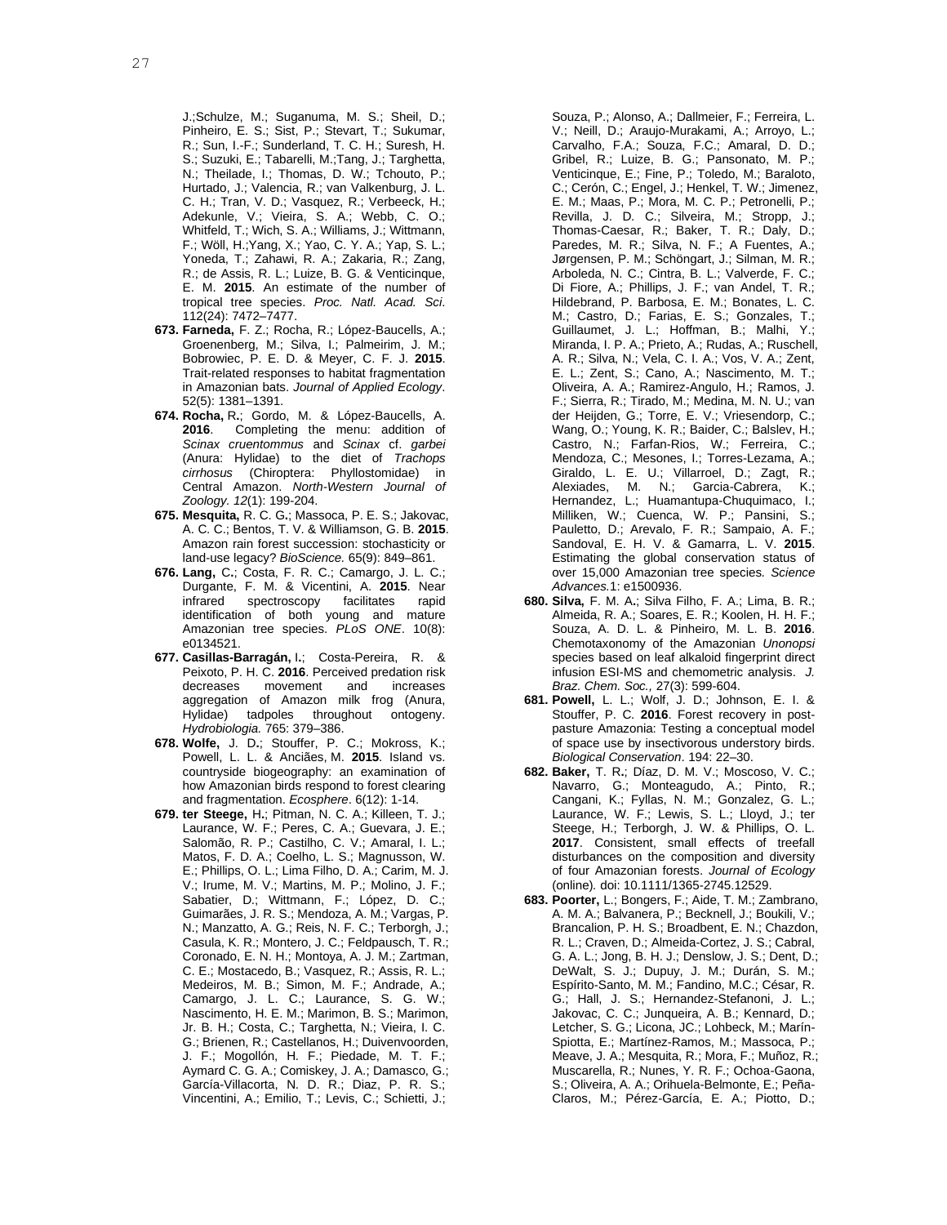J.;Schulze, M.; Suganuma, M. S.; Sheil, D.; Pinheiro, E. S.; Sist, P.; Stevart, T.; Sukumar, R.; Sun, I.-F.; Sunderland, T. C. H.; Suresh, H. S.; Suzuki, E.; Tabarelli, M.;Tang, J.; Targhetta, N.; Theilade, I.; Thomas, D. W.; Tchouto, P.; Hurtado, J.; Valencia, R.; van Valkenburg, J. L. C. H.; Tran, V. D.; Vasquez, R.; Verbeeck, H.; Adekunle, V.; Vieira, S. A.; Webb, C. O.; Whitfeld, T.; Wich, S. A.; Williams, J.; Wittmann, F.; Wöll, H.;Yang, X.; Yao, C. Y. A.; Yap, S. L.; Yoneda, T.; Zahawi, R. A.; Zakaria, R.; Zang, R.; de Assis, R. L.; Luize, B. G. & Venticinque, E. M. **2015**. An estimate of the number of tropical tree species. *Proc. Natl. Acad. Sci*. 112(24): 7472–7477.

- **673. Farneda,** F. Z.; Rocha, R.; López-Baucells, A.; Groenenberg, M.; Silva, I.; Palmeirim, J. M.; Bobrowiec, P. E. D. & Meyer, C. F. J. **2015**. Trait-related responses to habitat fragmentation in Amazonian bats. *Journal of Applied Ecology*. 52(5): 1381–1391.
- **674. Rocha,** R**.**; Gordo, M. & López-Baucells, A. **2016**. Completing the menu: addition of *Scinax cruentommus* and *Scinax* cf. *garbei* (Anura: Hylidae) to the diet of *Trachops cirrhosus* (Chiroptera: Phyllostomidae) in Central Amazon. *North-Western Journal of Zoology. 12*(1): 199-204.
- **675. Mesquita,** R. C. G**.**; Massoca, P. E. S.; Jakovac, A. C. C.; Bentos, T. V. & Williamson, G. B. **2015**. Amazon rain forest succession: stochasticity or land-use legacy? *BioScience.* 65(9): 849–861.
- **676. Lang,** C**.**; Costa, F. R. C.; Camargo, J. L. C.; Durgante, F. M. & Vicentini, A. **2015**. Near infrared spectroscopy facilitates rapid identification of both young and mature Amazonian tree species. *PLoS ONE*. 10(8): e0134521.
- **677. Casillas-Barragán,** I**.**; Costa-Pereira, R. & Peixoto, P. H. C. **2016**. Perceived predation risk decreases movement and increases aggregation of Amazon milk frog (Anura, Hylidae) tadpoles throughout ontogeny. *Hydrobiologia.* 765: 379–386.
- **678. Wolfe,** J. D**.**; Stouffer, P. C.; Mokross, K.; Powell, L. L. & Anciães, M. **2015**. Island vs. countryside biogeography: an examination of how Amazonian birds respond to forest clearing and fragmentation. *Ecosphere*. 6(12): 1-14.
- **679. ter Steege,** H**.**; Pitman, N. C. A.; Killeen, T. J.; Laurance, W. F.; Peres, C. A.; Guevara, J. E.; Salomão, R. P.; Castilho, C. V.; Amaral, I. L.; Matos, F. D. A.; Coelho, L. S.; Magnusson, W. E.; Phillips, O. L.; Lima Filho, D. A.; Carim, M. J. V.; Irume, M. V.; Martins, M. P.; Molino, J. F.; Sabatier, D.; Wittmann, F.; López, D. C.; Guimarães, J. R. S.; Mendoza, A. M.; Vargas, P. N.; Manzatto, A. G.; Reis, N. F. C.; Terborgh, J.; Casula, K. R.; Montero, J. C.; Feldpausch, T. R.; Coronado, E. N. H.; Montoya, A. J. M.; Zartman, C. E.; Mostacedo, B.; Vasquez, R.; Assis, R. L.; Medeiros, M. B.; Simon, M. F.; Andrade, A.; Camargo, J. L. C.; Laurance, S. G. W.; Nascimento, H. E. M.; Marimon, B. S.; Marimon, Jr. B. H.; Costa, C.; Targhetta, N.; Vieira, I. C. G.; Brienen, R.; Castellanos, H.; Duivenvoorden, J. F.; Mogollón, H. F.; Piedade, M. T. F.; Aymard C. G. A.; Comiskey, J. A.; Damasco, G.; García-Villacorta, N. D. R.; Diaz, P. R. S.; Vincentini, A.; Emilio, T.; Levis, C.; Schietti, J.;

Souza, P.; Alonso, A.; Dallmeier, F.; Ferreira, L. V.; Neill, D.; Araujo-Murakami, A.; Arroyo, L.; Carvalho, F.A.; Souza, F.C.; Amaral, D. D.; Gribel, R.; Luize, B. G.; Pansonato, M. P.; Venticinque, E.; Fine, P.; Toledo, M.; Baraloto, C.; Cerón, C.; Engel, J.; Henkel, T. W.; Jimenez, E. M.; Maas, P.; Mora, M. C. P.; Petronelli, P.; Revilla, J. D. C.; Silveira, M.; Stropp, J.; Thomas-Caesar, R.; Baker, T. R.; Daly, D.; Paredes, M. R.; Silva, N. F.; A Fuentes, A.; Jørgensen, P. M.; Schöngart, J.; Silman, M. R.; Arboleda, N. C.; Cintra, B. L.; Valverde, F. C.; Di Fiore, A.; Phillips, J. F.; van Andel, T. R.; Hildebrand, P. Barbosa, E. M.; Bonates, L. C. M.; Castro, D.; Farias, E. S.; Gonzales, T.; Guillaumet, J. L.; Hoffman, B.; Malhi, Y.; Miranda, I. P. A.; Prieto, A.; Rudas, A.; Ruschell, A. R.; Silva, N.; Vela, C. I. A.; Vos, V. A.; Zent, E. L.; Zent, S.; Cano, A.; Nascimento, M. T.; Oliveira, A. A.; Ramirez-Angulo, H.; Ramos, J. F.; Sierra, R.; Tirado, M.; Medina, M. N. U.; van der Heijden, G.; Torre, E. V.; Vriesendorp, C.; Wang, O.; Young, K. R.; Baider, C.; Balslev, H.; Castro, N.; Farfan-Rios, W.; Ferreira, C.; Mendoza, C.; Mesones, I.; Torres-Lezama, A.; Giraldo, L. E. U.; Villarroel, D.; Zagt, R.; Alexiades, M. N.; Garcia-Cabrera, K.; Hernandez, L.; Huamantupa-Chuquimaco, I.; Milliken, W.; Cuenca, W. P.; Pansini, S.; Pauletto, D.; Arevalo, F. R.; Sampaio, A. F.; Sandoval, E. H. V. & Gamarra, L. V. **2015**. Estimating the global conservation status of over 15,000 Amazonian tree species*. Science Advances.*1: e1500936.

- **680. Silva,** F. M. A**.**; Silva Filho, F. A.; Lima, B. R.; Almeida, R. A.; Soares, E. R.; Koolen, H. H. F.; Souza, A. D. L. & Pinheiro, M. L. B. **2016**. Chemotaxonomy of the Amazonian *Unonopsi* species based on leaf alkaloid fingerprint direct infusion ESI-MS and chemometric analysis. *J. Braz. Chem. Soc.,* 27(3): 599-604.
- **681. Powell,** L. L.; Wolf, J. D.; Johnson, E. I. & Stouffer, P. C. **2016**. Forest recovery in postpasture Amazonia: Testing a conceptual model of space use by insectivorous understory birds. *Biological Conservation*. 194: 22–30.
- **682. Baker,** T. R**.**; Díaz, D. M. V.; Moscoso, V. C.; Navarro, G.; Monteagudo, A.; Pinto, R.; Cangani, K.; Fyllas, N. M.; Gonzalez, G. L.; Laurance, W. F.; Lewis, S. L.; Lloyd, J.; ter Steege, H.; Terborgh, J. W. & Phillips, O. L. **2017**. Consistent, small effects of treefall disturbances on the composition and diversity of four Amazonian forests. *Journal of Ecology* (online)*.* doi: 10.1111/1365-2745.12529.
- **683. Poorter,** L.; Bongers, F.; Aide, T. M.; Zambrano, A. M. A.; Balvanera, P.; Becknell, J.; Boukili, V.; Brancalion, P. H. S.; Broadbent, E. N.; Chazdon, R. L.; Craven, D.; Almeida-Cortez, J. S.; Cabral, G. A. L.; Jong, B. H. J.; Denslow, J. S.; Dent, D.; DeWalt, S. J.; Dupuy, J. M.; Durán, S. M.; Espírito-Santo, M. M.; Fandino, M.C.; César, R. G.; Hall, J. S.; Hernandez-Stefanoni, J. L.; Jakovac, C. C.; Junqueira, A. B.; Kennard, D.; Letcher, S. G.; Licona, JC.; Lohbeck, M.; Marín-Spiotta, E.; Martínez-Ramos, M.; Massoca, P.; Meave, J. A.; Mesquita, R.; Mora, F.; Muñoz, R.; Muscarella, R.; Nunes, Y. R. F.; Ochoa-Gaona, S.; Oliveira, A. A.; Orihuela-Belmonte, E.; Peña-Claros, M.; Pérez-García, E. A.; Piotto, D.;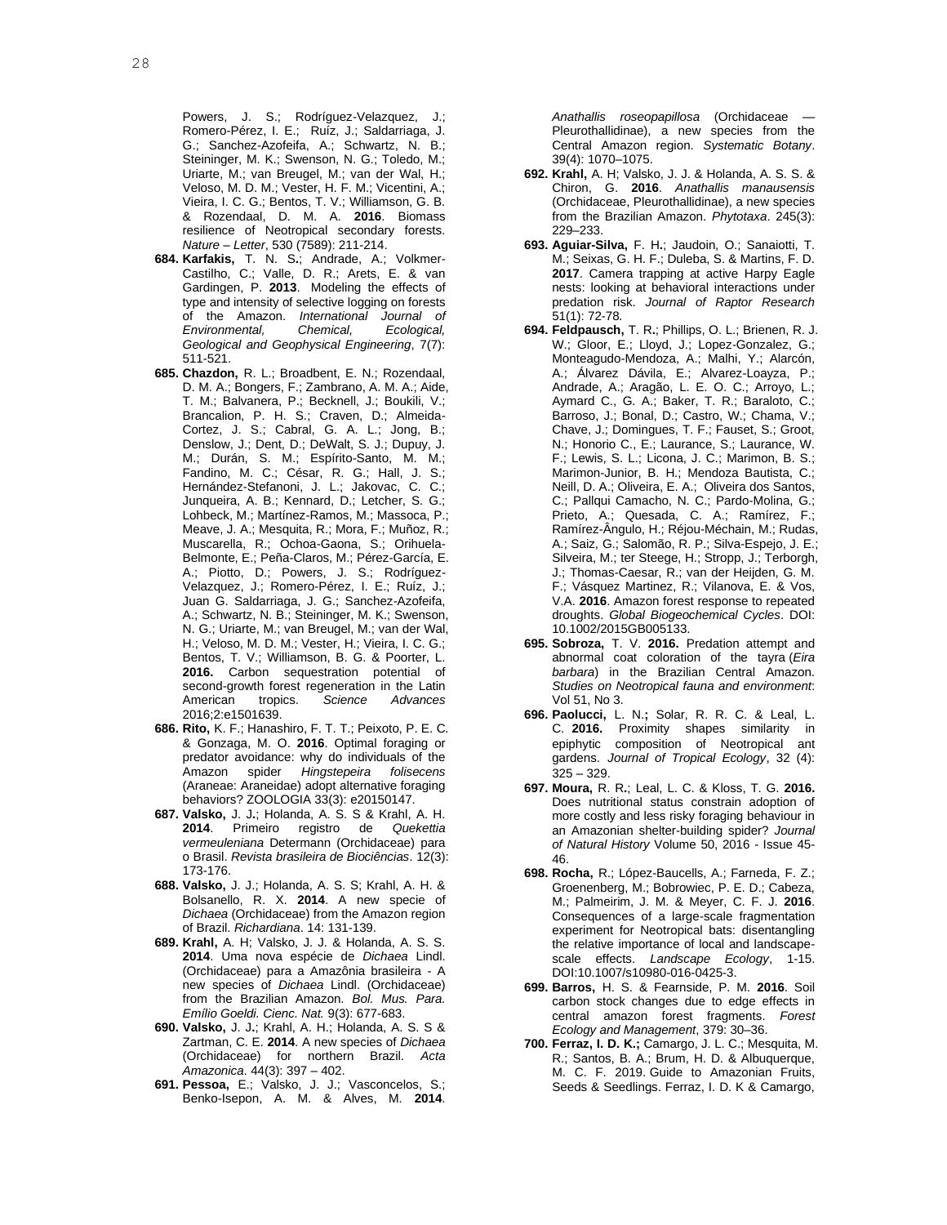Powers, J. S.; Rodríguez-Velazquez, J.; Romero-Pérez, I. E.; Ruíz, J.; Saldarriaga, J. G.; Sanchez-Azofeifa, A.; Schwartz, N. B.; Steininger, M. K.; Swenson, N. G.; Toledo, M.; Uriarte, M.; van Breugel, M.; van der Wal, H.; Veloso, M. D. M.; Vester, H. F. M.; Vicentini, A.; Vieira, I. C. G.; Bentos, T. V.; Williamson, G. B. & Rozendaal, D. M. A. **2016**. Biomass resilience of Neotropical secondary forests. *Nature* – *Letter*, 530 (7589): 211-214.

- **684. Karfakis,** T. N. S**.**; Andrade, A.; Volkmer-Castilho, C.; Valle, D. R.; Arets, E. & van Gardingen, P. **2013**. Modeling the effects of type and intensity of selective logging on forests of the Amazon. *International Journal of Environmental, Chemical, Ecological, Geological and Geophysical Engineering*, 7(7): 511-521.
- **685. Chazdon,** R. L.; Broadbent, E. N.; Rozendaal, D. M. A.; Bongers, F.; Zambrano, A. M. A.; Aide, T. M.; Balvanera, P.; Becknell, J.; Boukili, V.; Brancalion, P. H. S.; Craven, D.; Almeida-Cortez, J. S.; Cabral, G. A. L.; Jong, B.; Denslow, J.; Dent, D.; DeWalt, S. J.; Dupuy, J. M.; Durán, S. M.; Espírito-Santo, M. M.; Fandino, M. C.; César, R. G.; Hall, J. S.; Hernández-Stefanoni, J. L.; Jakovac, C. C.; Junqueira, A. B.; Kennard, D.; Letcher, S. G.; Lohbeck, M.; Martínez-Ramos, M.; Massoca, P.; Meave, J. A.; Mesquita, R.; Mora, F.; Muñoz, R.; Muscarella, R.; Ochoa-Gaona, S.; Orihuela-Belmonte, E.; Peña-Claros, M.; Pérez-García, E. A.; Piotto, D.; Powers, J. S.; Rodríguez-Velazquez, J.; Romero-Pérez, I. E.; Ruíz, J.; Juan G. Saldarriaga, J. G.; Sanchez-Azofeifa, A.; Schwartz, N. B.; Steininger, M. K.; Swenson, N. G.; Uriarte, M.; van Breugel, M.; van der Wal, H.; Veloso, M. D. M.; Vester, H.; Vieira, I. C. G.; Bentos, T. V.; Williamson, B. G. & Poorter, L. **2016.** Carbon sequestration potential of second-growth forest regeneration in the Latin<br>American tropics. Science Advances American tropics. *Science Advances* 2016;2:e1501639.
- **686. Rito,** K. F.; Hanashiro, F. T. T.; Peixoto, P. E. C. & Gonzaga, M. O. **2016**. Optimal foraging or predator avoidance: why do individuals of the Amazon spider *Hingstepeira folisecens* (Araneae: Araneidae) adopt alternative foraging behaviors? ZOOLOGIA 33(3): e20150147.
- **687. Valsko,** J. J**.**; Holanda, A. S. S & Krahl, A. H. **2014**. Primeiro registro de *Quekettia vermeuleniana* Determann (Orchidaceae) para o Brasil. *Revista brasileira de Biociências*. 12(3): 173-176.
- **688. Valsko,** J. J.; Holanda, A. S. S; Krahl, A. H. & Bolsanello, R. X. **2014**. A new specie of *Dichaea* (Orchidaceae) from the Amazon region of Brazil. *Richardiana*. 14: 131-139.
- **689. Krahl,** A. H; Valsko, J. J. & Holanda, A. S. S. **2014**. Uma nova espécie de *Dichaea* Lindl. (Orchidaceae) para a Amazônia brasileira - A new species of *Dichaea* Lindl. (Orchidaceae) from the Brazilian Amazon. *Bol. Mus. Para. Emílio Goeldi. Cienc. Nat.* 9(3): 677-683.
- **690. Valsko,** J. J**.**; Krahl, A. H.; Holanda, A. S. S & Zartman, C. E. **2014**. A new species of *Dichaea* (Orchidaceae) for northern Brazil. *Acta Amazonica*. 44(3): 397 – 402.
- **691. Pessoa,** E.; Valsko, J. J.; Vasconcelos, S.; Benko-Isepon, A. M. & Alves, M*.* **2014**.

*Anathallis roseopapillosa* (Orchidaceae — Pleurothallidinae), a new species from the Central Amazon region. *Systematic Botany*. 39(4): 1070–1075.

- **692. Krahl,** A. H; Valsko, J. J. & Holanda, A. S. S. & Chiron, G. **2016**. *Anathallis manausensis* (Orchidaceae, Pleurothallidinae), a new species from the Brazilian Amazon. *Phytotaxa*. 245(3): 229–233.
- **693. Aguiar-Silva,** F. H**.**; Jaudoin, O.; Sanaiotti, T. M.; Seixas, G. H. F.; Duleba, S. & Martins, F. D. **2017**. Camera trapping at active Harpy Eagle nests: looking at behavioral interactions under predation risk. *Journal of Raptor Research* 51(1): 72-78*.*
- **694. Feldpausch,** T. R**.**; Phillips, O. L.; Brienen, R. J. W.; Gloor, E.; Lloyd, J.; Lopez-Gonzalez, G.; Monteagudo-Mendoza, A.; Malhi, Y.; Alarcón, A.; Álvarez Dávila, E.; Alvarez-Loayza, P.; Andrade, A.; Aragão, L. E. O. C.; Arroyo, L.; Aymard C., G. A.; Baker, T. R.; Baraloto, C.; Barroso, J.; Bonal, D.; Castro, W.; Chama, V.; Chave, J.; Domingues, T. F.; Fauset, S.; Groot, N.; Honorio C., E.; Laurance, S.; Laurance, W. F.; Lewis, S. L.; Licona, J. C.; Marimon, B. S.; Marimon-Junior, B. H.; Mendoza Bautista, C.; Neill, D. A.; Oliveira, E. A.; Oliveira dos Santos, C.; Pallqui Camacho, N. C.; Pardo-Molina, G.; Prieto, A.; Quesada, C. A.; Ramírez, F.; Ramírez-Ângulo, H.; Réjou-Méchain, M.; Rudas, A.; Saiz, G.; Salomão, R. P.; Silva-Espejo, J. E.; Silveira, M.; ter Steege, H.; Stropp, J.; Terborgh, J.; Thomas-Caesar, R.; van der Heijden, G. M. F.; Vásquez Martinez, R.; Vilanova, E. & Vos, V.A. **2016**. Amazon forest response to repeated droughts. *Global Biogeochemical Cycles*. DOI: 10.1002/2015GB005133.
- **695. Sobroza,** T. V. **2016.** Predation attempt and abnormal coat coloration of the tayra (*Eira barbara*) in the Brazilian Central Amazon. *Studies on Neotropical fauna and environment*: Vol 51, No 3.
- **696. Paolucci,** L. N.**;** Solar, R. R. C. & Leal, L. C. **2016.** Proximity shapes similarity in epiphytic composition of Neotropical ant gardens. *Journal of Tropical Ecology*, 32 (4): 325 – 329.
- **697. Moura,** R. R**.**; Leal, L. C. & Kloss, T. G. **2016.**  Does nutritional status constrain adoption of more costly and less risky foraging behaviour in an Amazonian shelter-building spider? *Journal of Natural History* Volume 50, 2016 - Issue 45- 46.
- **698. Rocha,** R.; López-Baucells, A.; Farneda, F. Z.; Groenenberg, M.; Bobrowiec, P. E. D.; Cabeza, M.; Palmeirim, J. M. & Meyer, C. F. J. **2016**. Consequences of a large-scale fragmentation experiment for Neotropical bats: disentangling the relative importance of local and landscapescale effects. *Landscape Ecology*, 1-15. DOI:10.1007/s10980-016-0425-3.
- **699. Barros,** H. S. & Fearnside, P. M. **2016**. Soil carbon stock changes due to edge effects in central amazon forest fragments. *Forest Ecology and Management*, 379: 30–36.
- **700. Ferraz, I. D. K.;** Camargo, J. L. C.; Mesquita, M. R.; Santos, B. A.; Brum, H. D. & Albuquerque, M. C. F. 2019. Guide to Amazonian Fruits, Seeds & Seedlings. Ferraz, I. D. K & Camargo,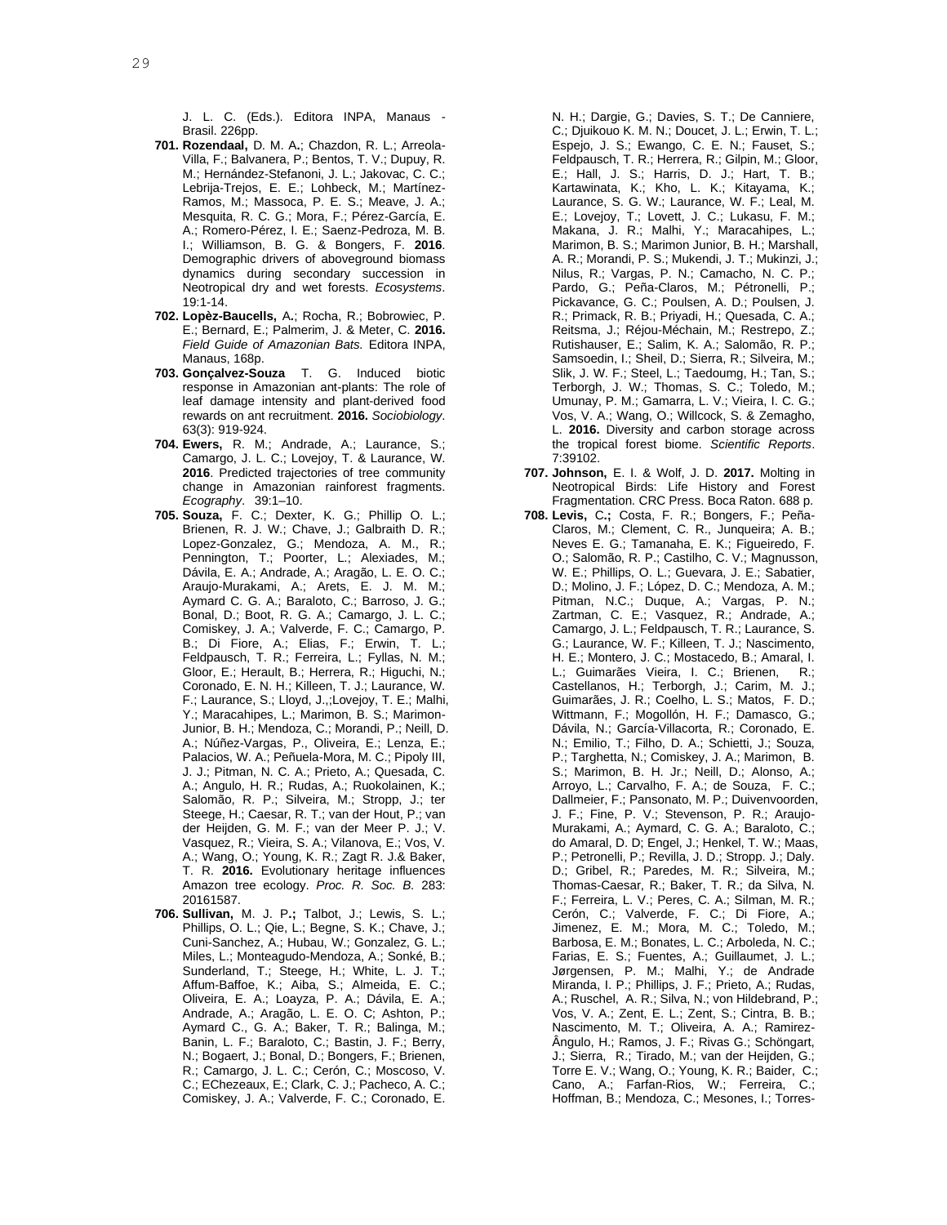J. L. C. (Eds.). Editora INPA, Manaus - Brasil. 226pp.

- **701. Rozendaal,** D. M. A**.**; Chazdon, R. L.; Arreola-Villa, F.; Balvanera, P.; Bentos, T. V.; Dupuy, R. M.; Hernández-Stefanoni, J. L.; Jakovac, C. C.; Lebrija-Trejos, E. E.; Lohbeck, M.; Martínez-Ramos, M.; Massoca, P. E. S.; Meave, J. A.; Mesquita, R. C. G.; Mora, F.; Pérez-García, E. A.; Romero-Pérez, I. E.; Saenz-Pedroza, M. B. I.; Williamson, B. G. & Bongers, F. **2016**. Demographic drivers of aboveground biomass dynamics during secondary succession in Neotropical dry and wet forests. *Ecosystems*. 19:1-14.
- **702. Lopèz-Baucells,** A**.**; Rocha, R.; Bobrowiec, P. E.; Bernard, E.; Palmerim, J. & Meter, C. **2016.** *Field Guide of Amazonian Bats.* Editora INPA, Manaus, 168p.
- **703. Gonçalvez-Souza** T. G. Induced biotic response in Amazonian ant-plants: The role of leaf damage intensity and plant-derived food rewards on ant recruitment. **2016.** *Sociobiology*. 63(3): 919-924.
- **704. Ewers,** R. M.; Andrade, A.; Laurance, S.; Camargo, J. L. C.; Lovejoy, T. & Laurance, W. **2016**. Predicted trajectories of tree community change in Amazonian rainforest fragments. *Ecography*. 39:1–10.
- **705. Souza,** F. C.; Dexter, K. G.; Phillip O. L.; Brienen, R. J. W.; Chave, J.; Galbraith D. R.; Lopez-Gonzalez, G.; Mendoza, A. M., R.; Pennington, T.; Poorter, L.; Alexiades, M.; Dávila, E. A.; Andrade, A.; Aragão, L. E. O. C.; Araujo-Murakami, A.; Arets, E. J. M. M.; Aymard C. G. A.; Baraloto, C.; Barroso, J. G.; Bonal, D.; Boot, R. G. A.; Camargo, J. L. C.; Comiskey, J. A.; Valverde, F. C.; Camargo, P. B.; Di Fiore, A.; Elias, F.; Erwin, T. L.; Feldpausch, T. R.; Ferreira, L.; Fyllas, N. M.; Gloor, E.; Herault, B.; Herrera, R.; Higuchi, N.; Coronado, E. N. H.; Killeen, T. J.; Laurance, W. F.; Laurance, S.; Lloyd, J.,;Lovejoy, T. E.; Malhi, Y.; Maracahipes, L.; Marimon, B. S.; Marimon-Junior, B. H.; Mendoza, C.; Morandi, P.; Neill, D. A.; Núñez-Vargas, P., Oliveira, E.; Lenza, E.; Palacios, W. A.; Peñuela-Mora, M. C.; Pipoly III, J. J.; Pitman, N. C. A.; Prieto, A.; Quesada, C. A.; Angulo, H. R.; Rudas, A.; Ruokolainen, K.; Salomão, R. P.; Silveira, M.; Stropp, J.; ter Steege, H.; Caesar, R. T.; van der Hout, P.; van der Heijden, G. M. F.; van der Meer P. J.; V. Vasquez, R.; Vieira, S. A.; Vilanova, E.; Vos, V. A.; Wang, O.; Young, K. R.; Zagt R. J.& Baker, T. R. **2016.** Evolutionary heritage influences Amazon tree ecology. *Proc. R. Soc. B.* 283: 20161587.
- **706. Sullivan,** M. J. P**.;** Talbot, J.; Lewis, S. L.; Phillips, O. L.; Qie, L.; Begne, S. K.; Chave, J.; Cuni-Sanchez, A.; Hubau, W.; Gonzalez, G. L.; Miles, L.; Monteagudo-Mendoza, A.; Sonké, B.; Sunderland, T.; Steege, H.; White, L. J. T.; Affum-Baffoe, K.; Aiba, S.; Almeida, E. C.; Oliveira, E. A.; Loayza, P. A.; Dávila, E. A.; Andrade, A.; Aragão, L. E. O. C; Ashton, P.; Aymard C., G. A.; Baker, T. R.; Balinga, M.; Banin, L. F.; Baraloto, C.; Bastin, J. F.; Berry, N.; Bogaert, J.; Bonal, D.; Bongers, F.; Brienen, R.; Camargo, J. L. C.; Cerón, C.; Moscoso, V. C.; EChezeaux, E.; Clark, C. J.; Pacheco, A. C.; Comiskey, J. A.; Valverde, F. C.; Coronado, E.

N. H.; Dargie, G.; Davies, S. T.; De Canniere, C.; Djuikouo K. M. N.; Doucet, J. L.; Erwin, T. L.; Espejo, J. S.; Ewango, C. E. N.; Fauset, S.; Feldpausch, T. R.; Herrera, R.; Gilpin, M.; Gloor, E.; Hall, J. S.; Harris, D. J.; Hart, T. B.; Kartawinata, K.; Kho, L. K.; Kitayama, K.; Laurance, S. G. W.; Laurance, W. F.; Leal, M. E.; Lovejoy, T.; Lovett, J. C.; Lukasu, F. M.; Makana, J. R.; Malhi, Y.; Maracahipes, L.; Marimon, B. S.; Marimon Junior, B. H.; Marshall, A. R.; Morandi, P. S.; Mukendi, J. T.; Mukinzi, J.; Nilus, R.; Vargas, P. N.; Camacho, N. C. P.; Pardo, G.; Peña-Claros, M.; Pétronelli, P.; Pickavance, G. C.; Poulsen, A. D.; Poulsen, J. R.; Primack, R. B.; Priyadi, H.; Quesada, C. A.; Reitsma, J.; Réjou-Méchain, M.; Restrepo, Z.; Rutishauser, E.; Salim, K. A.; Salomão, R. P.; Samsoedin, I.; Sheil, D.; Sierra, R.; Silveira, M.; Slik, J. W. F.; Steel, L.; Taedoumg, H.; Tan, S.; Terborgh, J. W.; Thomas, S. C.; Toledo, M.; Umunay, P. M.; Gamarra, L. V.; Vieira, I. C. G.; Vos, V. A.; Wang, O.; Willcock, S. & Zemagho, L. **2016.** Diversity and carbon storage across the tropical forest biome. *Scientific Reports*. 7:39102.

- **707. Johnson,** E. I. & Wolf, J. D. **2017.** Molting in Neotropical Birds: Life History and Forest Fragmentation. CRC Press. Boca Raton. 688 p.
- **708. Levis,** C**.;** Costa, F. R.; Bongers, F.; Peña-Claros, M.; Clement, C. R., Junqueira; A. B.; Neves E. G.; Tamanaha, E. K.; Figueiredo, F. O.; Salomão, R. P.; Castilho, C. V.; Magnusson, W. E.; Phillips, O. L.; Guevara, J. E.; Sabatier, D.; Molino, J. F.; López, D. C.; Mendoza, A. M.; Pitman, N.C.; Duque, A.; Vargas, P. N.; Zartman, C. E.; Vasquez, R.; Andrade, A.; Camargo, J. L.; Feldpausch, T. R.; Laurance, S. G.; Laurance, W. F.; Killeen, T. J.; Nascimento, H. E.; Montero, J. C.; Mostacedo, B.; Amaral, I. L.; Guimarães Vieira, I. C.; Brienen, R.; Castellanos, H.; Terborgh, J.; Carim, M. J.; Guimarães, J. R.; Coelho, L. S.; Matos, F. D.; Wittmann, F.; Mogollón, H. F.; Damasco, G.; Dávila, N.; García-Villacorta, R.; Coronado, E. N.; Emilio, T.; Filho, D. A.; Schietti, J.; Souza, P.; Targhetta, N.; Comiskey, J. A.; Marimon, B. S.; Marimon, B. H. Jr.; Neill, D.; Alonso, A.; Arroyo, L.; Carvalho, F. A.; de Souza, F. C.; Dallmeier, F.; Pansonato, M. P.; Duivenvoorden, J. F.; Fine, P. V.; Stevenson, P. R.; Araujo-Murakami, A.; Aymard, C. G. A.; Baraloto, C.; do Amaral, D. D; Engel, J.; Henkel, T. W.; Maas, P.; Petronelli, P.; Revilla, J. D.; Stropp. J.; Daly. D.; Gribel, R.; Paredes, M. R.; Silveira, M.; Thomas-Caesar, R.; Baker, T. R.; da Silva, N. F.; Ferreira, L. V.; Peres, C. A.; Silman, M. R.; Cerón, C.; Valverde, F. C.; Di Fiore, A.; Jimenez, E. M.; Mora, M. C.; Toledo, M.; Barbosa, E. M.; Bonates, L. C.; Arboleda, N. C.; Farias, E. S.; Fuentes, A.; Guillaumet, J. L.; Jørgensen, P. M.; Malhi, Y.; de Andrade Miranda, I. P.; Phillips, J. F.; Prieto, A.; Rudas, A.; Ruschel, A. R.; Silva, N.; von Hildebrand, P.; Vos, V. A.; Zent, E. L.; Zent, S.; Cintra, B. B.; Nascimento, M. T.; Oliveira, A. A.; Ramirez-Ângulo, H.; Ramos, J. F.; Rivas G.; Schöngart, J.; Sierra, R.; Tirado, M.; van der Heijden, G.; Torre E. V.; Wang, O.; Young, K. R.; Baider, C.; Cano, A.; Farfan-Rios, W.; Ferreira, C.; Hoffman, B.; Mendoza, C.; Mesones, I.; Torres-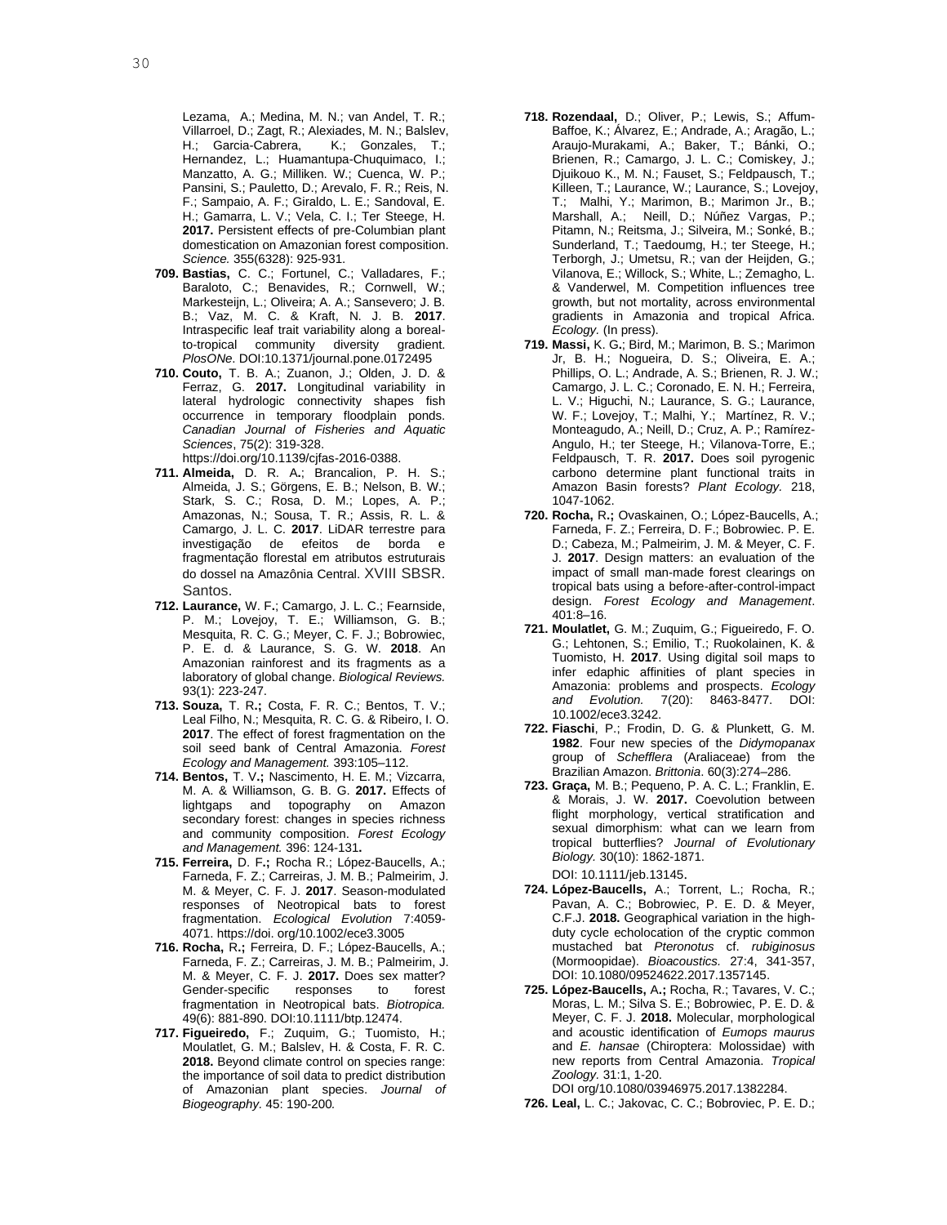Lezama, A.; Medina, M. N.; van Andel, T. R.; Villarroel, D.; Zagt, R.; Alexiades, M. N.; Balslev, H.; Garcia-Cabrera, K.; Gonzales, T.; Hernandez, L.; Huamantupa-Chuquimaco, I.; Manzatto, A. G.; Milliken. W.; Cuenca, W. P.; Pansini, S.; Pauletto, D.; Arevalo, F. R.; Reis, N. F.; Sampaio, A. F.; Giraldo, L. E.; Sandoval, E. H.; Gamarra, L. V.; Vela, C. I.; Ter Steege, H. **2017.** Persistent effects of pre-Columbian plant domestication on Amazonian forest composition. *Science.* 355(6328): 925-931.

30

- **709. Bastias,** C. C.; Fortunel, C.; Valladares, F.; Baraloto, C.; Benavides, R.; Cornwell, W.; Markesteijn, L.; Oliveira; A. A.; Sansevero; J. B. B.; Vaz, M. C. & Kraft, N. J. B. **2017**. Intraspecific leaf trait variability along a borealto-tropical community diversity gradient. *PlosONe*. DOI:10.1371/journal.pone.0172495
- **710. Couto,** T. B. A.; Zuanon, J.; Olden, J. D. & Ferraz, G. **2017.** Longitudinal variability in lateral hydrologic connectivity shapes fish occurrence in temporary floodplain ponds. *Canadian Journal of Fisheries and Aquatic Sciences*, 75(2): 319-328. [https://doi.org/10.1139/cjfas-2016-0388.](https://doi.org/10.1139/cjfas-2016-0388)
- **711. Almeida,** D. R. A**.**; Brancalion, P. H. S.; Almeida, J. S.; Görgens, E. B.; Nelson, B. W.; Stark, S. C.; Rosa, D. M.; Lopes, A. P.; Amazonas, N.; Sousa, T. R.; Assis, R. L. & Camargo, J. L. C. **2017**. LiDAR terrestre para investigação de efeitos de borda e fragmentação florestal em atributos estruturais do dossel na Amazônia Central. XVIII SBSR. Santos.
- **712. Laurance,** W. F**.**; Camargo, J. L. C.; Fearnside, P. M.; Lovejoy, T. E.; Williamson, G. B.; Mesquita, R. C. G.; Meyer, C. F. J.; Bobrowiec, P. E. d. & Laurance, S. G. W. **2018**. An Amazonian rainforest and its fragments as a laboratory of global change. *Biological Reviews.* 93(1): 223-247.
- **713. Souza,** T. R**.;** Costa, F. R. C.; Bentos, T. V.; Leal Filho, N.; Mesquita, R. C. G. & Ribeiro, I. O. **2017**. The effect of forest fragmentation on the soil seed bank of Central Amazonia. *Forest Ecology and Management.* 393:105–112.
- **714. Bentos,** T. V**.;** Nascimento, H. E. M.; Vizcarra, M. A. & Williamson, G. B. G. **2017.** Effects of lightgaps and topography on Amazon secondary forest: changes in species richness and community composition. *Forest Ecology and Management.* 396: 124-131**.**
- **715. Ferreira,** D. F**.;** Rocha R.; López-Baucells, A.; Farneda, F. Z.; Carreiras, J. M. B.; Palmeirim, J. M. & Meyer, C. F. J. **2017**. Season-modulated responses of Neotropical bats to forest fragmentation. *Ecological Evolution* 7:4059- 4071. https://doi. org/10.1002/ece3.3005
- **716. Rocha,** R**.;** Ferreira, D. F.; López-Baucells, A.; Farneda, F. Z.; Carreiras, J. M. B.; Palmeirim, J. M. & Meyer, C. F. J. **2017.** Does sex matter? Gender-specific responses to forest fragmentation in Neotropical bats. *Biotropica.* 49(6): 881-890. DOI:10.1111/btp.12474.
- **717. Figueiredo,** F.; Zuquim, G.; Tuomisto, H.; Moulatlet, G. M.; Balslev, H. & Costa, F. R. C. **2018.** Beyond climate control on species range: the importance of soil data to predict distribution of Amazonian plant species. *Journal of Biogeography.* 45: 190-200*.*
- **718. Rozendaal,** D.; Oliver, P.; Lewis, S.; Affum-Baffoe, K.; Álvarez, E.; Andrade, A.; Aragão, L.; Araujo-Murakami, A.; Baker, T.; Bánki, O.; Brienen, R.; Camargo, J. L. C.; Comiskey, J.; Djuikouo K., M. N.; Fauset, S.; Feldpausch, T.; Killeen, T.; Laurance, W.; Laurance, S.; Lovejoy, T.; Malhi, Y.; Marimon, B.; Marimon Jr., B.; Marshall, A.; Neill, D.; Núñez Vargas, P.; Pitamn, N.; Reitsma, J.; Silveira, M.; Sonké, B.; Sunderland, T.; Taedoumg, H.; ter Steege, H.; Terborgh, J.; Umetsu, R.; van der Heijden, G.; Vilanova, E.; Willock, S.; White, L.; Zemagho, L. & Vanderwel, M. Competition influences tree growth, but not mortality, across environmental gradients in Amazonia and tropical Africa. *Ecology.* (In press).
- **719. Massi,** K. G**.**; Bird, M.; Marimon, B. S.; Marimon Jr, B. H.; Nogueira, D. S.; Oliveira, E. A.; Phillips, O. L.; Andrade, A. S.; Brienen, R. J. W.; Camargo, J. L. C.; Coronado, E. N. H.; Ferreira, L. V.; Higuchi, N.; Laurance, S. G.; Laurance, W. F.; Lovejoy, T.; Malhi, Y.; Martínez, R. V.; Monteagudo, A.; Neill, D.; Cruz, A. P.; Ramírez-Angulo, H.; ter Steege, H.; Vilanova-Torre, E.; Feldpausch, T. R. **2017.** Does soil pyrogenic carbono determine plant functional traits in Amazon Basin forests? *Plant Ecology.* 218, 1047-1062.
- **720. Rocha,** R**.;** Ovaskainen, O.; López-Baucells, A.; Farneda, F. Z.; Ferreira, D. F.; Bobrowiec. P. E. D.; Cabeza, M.; Palmeirim, J. M. & Meyer, C. F. J. **2017**. Design matters: an evaluation of the impact of small man-made forest clearings on tropical bats using a before-after-control-impact design. *Forest Ecology and Management*. 401:8–16.
- **721. Moulatlet,** G. M.; Zuquim, G.; Figueiredo, F. O. G.; Lehtonen, S.; Emilio, T.; Ruokolainen, K. & Tuomisto, H. **2017**. Using digital soil maps to infer edaphic affinities of plant species in Amazonia: problems and prospects. *Ecology and Evolution.* 7(20): 8463-8477. DOI: 10.1002/ece3.3242.
- **722. Fiaschi**, P.; Frodin, D. G. & Plunkett, G. M. **1982**. Four new species of the *Didymopanax*  group of *Schefflera* (Araliaceae) from the Brazilian Amazon. *Brittonia*. 60(3):274–286.
- **723. Graça,** M. B.; Pequeno, P. A. C. L.; Franklin, E. & Morais, J. W. **2017.** Coevolution between flight morphology, vertical stratification and sexual dimorphism: what can we learn from tropical butterflies? *Journal of Evolutionary Biology.* 30(10): 1862-1871.
- DOI: 10.1111/jeb.13145. **724. López-Baucells,** A.; Torrent, L.; Rocha, R.; Pavan, A. C.; Bobrowiec, P. E. D. & Meyer, C.F.J. **2018.** Geographical variation in the high
	- duty cycle echolocation of the cryptic common mustached bat *Pteronotus* cf. *rubiginosus* (Mormoopidae). *Bioacoustics.* 27:4, 341-357, DOI: 10.1080/09524622.2017.1357145.
- **725. López-Baucells,** A**.;** Rocha, R.; Tavares, V. C.; Moras, L. M.; Silva S. E.; Bobrowiec, P. E. D. & Meyer, C. F. J. **2018.** Molecular, morphological and acoustic identification of *Eumops maurus* and *E. hansae* (Chiroptera: Molossidae) with new reports from Central Amazonia. *Tropical Zoology.* 31:1, 1-20.

DOI org/10.1080/03946975.2017.1382284. **726. Leal,** L. C.; Jakovac, C. C.; Bobroviec, P. E. D.;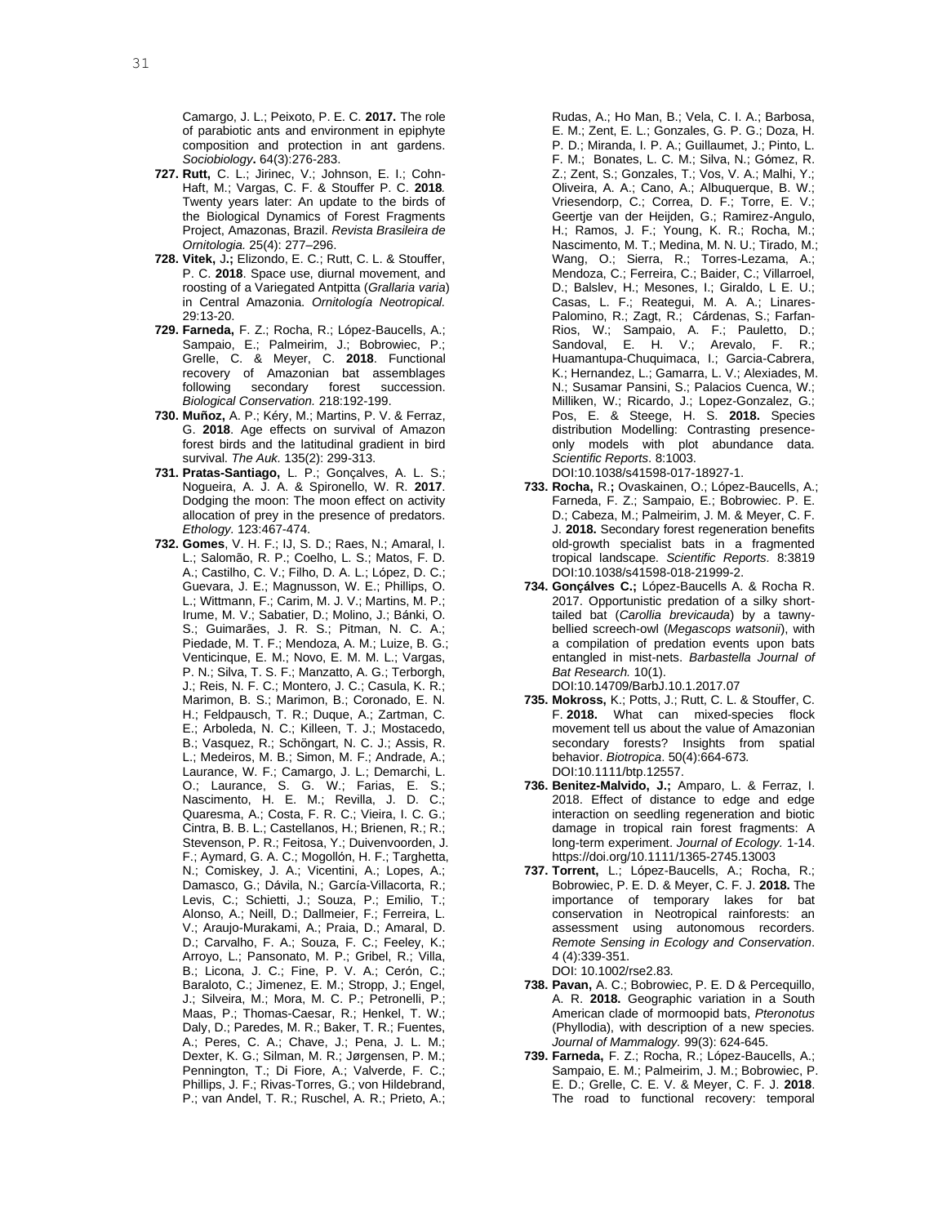Camargo, J. L.; Peixoto, P. E. C. **2017.** The role of parabiotic ants and environment in epiphyte composition and protection in ant gardens. *Sociobiology***.** 64(3):276-283.

- **727. Rutt,** C. L.; Jirinec, V.; Johnson, E. I.; Cohn-Haft, M.; Vargas, C. F. & Stouffer P. C. **2018***.* Twenty years later: An update to the birds of the Biological Dynamics of Forest Fragments Project, Amazonas, Brazil. *Revista Brasileira de Ornitologia.* 25(4): 277–296.
- **728. Vitek,** J**.;** Elizondo, E. C.; Rutt, C. L. & Stouffer, P. C. **2018**. Space use, diurnal movement, and roosting of a Variegated Antpitta (*Grallaria varia*) in Central Amazonia. *Ornitología Neotropical.* 29:13-20.
- **729. Farneda,** F. Z.; Rocha, R.; López-Baucells, A.; Sampaio, E.; Palmeirim, J.; Bobrowiec, P.; Grelle, C. & Meyer, C. **2018**. Functional recovery of Amazonian bat assemblages following secondary forest succession. *Biological Conservation.* 218:192-199.
- **730. Muñoz,** A. P.; Kéry, M.; Martins, P. V. & Ferraz, G. **2018**. Age effects on survival of Amazon forest birds and the latitudinal gradient in bird survival. *The Auk.* 135(2): 299-313.
- **731. Pratas-Santiago,** L. P.; Gonçalves, A. L. S.; Nogueira, A. J. A. & Spironello, W. R. **2017**. Dodging the moon: The moon effect on activity allocation of prey in the presence of predators. *Ethology.* 123:467-474.
- **732. Gomes**, V. H. F.; IJ, S. D.; Raes, N.; Amaral, I. L.; Salomão, R. P.; Coelho, L. S.; Matos, F. D. A.; Castilho, C. V.; Filho, D. A. L.; López, D. C.; Guevara, J. E.; Magnusson, W. E.; Phillips, O. L.; Wittmann, F.; Carim, M. J. V.; Martins, M. P.; Irume, M. V.; Sabatier, D.; Molino, J.; Bánki, O. S.; Guimarães, J. R. S.; Pitman, N. C. A.; Piedade, M. T. F.; Mendoza, A. M.; Luize, B. G.; Venticinque, E. M.; Novo, E. M. M. L.; Vargas, P. N.; Silva, T. S. F.; Manzatto, A. G.; Terborgh, J.; Reis, N. F. C.; Montero, J. C.; Casula, K. R.; Marimon, B. S.; Marimon, B.; Coronado, E. N. H.; Feldpausch, T. R.; Duque, A.; Zartman, C. E.; Arboleda, N. C.; Killeen, T. J.; Mostacedo, B.; Vasquez, R.; Schöngart, N. C. J.; Assis, R. L.; Medeiros, M. B.; Simon, M. F.; Andrade, A.; Laurance, W. F.; Camargo, J. L.; Demarchi, L. O.; Laurance, S. G. W.; Farias, E. S.; Nascimento, H. E. M.; Revilla, J. D. C.; Quaresma, A.; Costa, F. R. C.; Vieira, I. C. G.; Cintra, B. B. L.; Castellanos, H.; Brienen, R.; R.; Stevenson, P. R.; Feitosa, Y.; Duivenvoorden, J. F.; Aymard, G. A. C.; Mogollón, H. F.; Targhetta, N.; Comiskey, J. A.; Vicentini, A.; Lopes, A.; Damasco, G.; Dávila, N.; García-Villacorta, R.; Levis, C.; Schietti, J.; Souza, P.; Emilio, T.; Alonso, A.; Neill, D.; Dallmeier, F.; Ferreira, L. V.; Araujo-Murakami, A.; Praia, D.; Amaral, D. D.; Carvalho, F. A.; Souza, F. C.; Feeley, K.; Arroyo, L.; Pansonato, M. P.; Gribel, R.; Villa, B.; Licona, J. C.; Fine, P. V. A.; Cerón, C.; Baraloto, C.; Jimenez, E. M.; Stropp, J.; Engel, J.; Silveira, M.; Mora, M. C. P.; Petronelli, P.; Maas, P.; Thomas-Caesar, R.; Henkel, T. W.; Daly, D.; Paredes, M. R.; Baker, T. R.; Fuentes, A.; Peres, C. A.; Chave, J.; Pena, J. L. M.; Dexter, K. G.; Silman, M. R.; Jørgensen, P. M.; Pennington, T.; Di Fiore, A.; Valverde, F. C.; Phillips, J. F.; Rivas-Torres, G.; von Hildebrand, P.; van Andel, T. R.; Ruschel, A. R.; Prieto, A.;

Rudas, A.; Ho Man, B.; Vela, C. I. A.; Barbosa, E. M.; Zent, E. L.; Gonzales, G. P. G.; Doza, H. P. D.; Miranda, I. P. A.; Guillaumet, J.; Pinto, L. F. M.; Bonates, L. C. M.; Silva, N.; Gómez, R. Z.; Zent, S.; Gonzales, T.; Vos, V. A.; Malhi, Y.; Oliveira, A. A.; Cano, A.; Albuquerque, B. W.; Vriesendorp, C.; Correa, D. F.; Torre, E. V.; Geertje van der Heijden, G.; Ramirez-Angulo, H.; Ramos, J. F.; Young, K. R.; Rocha, M.; Nascimento, M. T.; Medina, M. N. U.; Tirado, M.; Wang, O.; Sierra, R.; Torres-Lezama, A.; Mendoza, C.; Ferreira, C.; Baider, C.; Villarroel, D.; Balslev, H.; Mesones, I.; Giraldo, L E. U.; Casas, L. F.; Reategui, M. A. A.; Linares-Palomino, R.; Zagt, R.; Cárdenas, S.; Farfan-Rios, W.; Sampaio, A. F.; Pauletto, D.; Sandoval, E. H. V.; Arevalo, F. R.; Huamantupa-Chuquimaca, I.; Garcia-Cabrera, K.; Hernandez, L.; Gamarra, L. V.; Alexiades, M. N.; Susamar Pansini, S.; Palacios Cuenca, W.; Milliken, W.; Ricardo, J.; Lopez-Gonzalez, G.; Pos, E. & Steege, H. S. **2018.** Species distribution Modelling: Contrasting presenceonly models with plot abundance data. *Scientific Reports*. 8:1003.

- DOI:10.1038/s41598-017-18927-1. **733. Rocha,** R.**;** Ovaskainen, O.; López-Baucells, A.; Farneda, F. Z.; Sampaio, E.; Bobrowiec. P. E. D.; Cabeza, M.; Palmeirim, J. M. & Meyer, C. F. J. **2018.** Secondary forest regeneration benefits old-growth specialist bats in a fragmented tropical landscape. *Scientific Reports.* 8:3819 DOI:10.1038/s41598-018-21999-2.
- **734. Gonçálves C.;** López-Baucells A. & Rocha R. 2017. Opportunistic predation of a silky shorttailed bat (*Carollia brevicauda*) by a tawnybellied screech-owl (*Megascops watsonii*), with a compilation of predation events upon bats entangled in mist-nets. *Barbastella Journal of Bat Research.* 10(1). DO[I:10.14709/BarbJ.10.1.2017.07](https://www.researchgate.net/deref/http%3A%2F%2Fdx.doi.org%2F10.14709%2FBarbJ.10.1.2017.07?_sg%5B0%5D=-gmHqTlcv3pZ3FT7BJ9wqcwrNSmwLwCgBRC5XB1IlD77n5-N5i3etOqRpJNiNx0cJdoL0QjL8wvHNISOcPL_YF3pZQ.ZfdhEeALJm8J6n_3QkIFZPiqFD1Np92N0JE_JxjDnFSOmGW3hdfLBerBqrZKVYG5YArcrmp0kqJc7YvOyWUJ2A)
- **735. Mokross,** K.; Potts, J.; Rutt, C. L. & Stouffer, C. F. **2018.** What can mixed-species flock movement tell us about the value of Amazonian secondary forests? Insights from spatial behavior. *Biotropica*. 50(4):664-673*.* DOI:10.1111/btp.12557.
- **736. Benitez-Malvido, J.;** Amparo, L. & Ferraz, I. 2018. Effect of distance to edge and edge interaction on seedling regeneration and biotic damage in tropical rain forest fragments: A long-term experiment. *Journal of Ecology.* 1-14. https://doi.org/10.1111/1365-2745.13003
- **737. Torrent,** L.; López-Baucells, A.; Rocha, R.; Bobrowiec, P. E. D. & Meyer, C. F. J. **2018.** The importance of temporary lakes for bat conservation in Neotropical rainforests: an assessment using autonomous recorders. *Remote Sensing in Ecology and Conservation*. 4 (4):339-351. DOI: 10.1002/rse2.83.
- **738. Pavan,** A. C.; Bobrowiec, P. E. D & Percequillo, A. R. **2018.** Geographic variation in a South American clade of mormoopid bats, *Pteronotus* (Phyllodia), with description of a new species. *Journal of Mammalogy.* 99(3): 624-645.
- **739. Farneda,** F. Z.; Rocha, R.; López-Baucells, A.; Sampaio, E. M.; Palmeirim, J. M.; Bobrowiec, P. E. D.; Grelle, C. E. V. & Meyer, C. F. J. **2018**. The road to functional recovery: temporal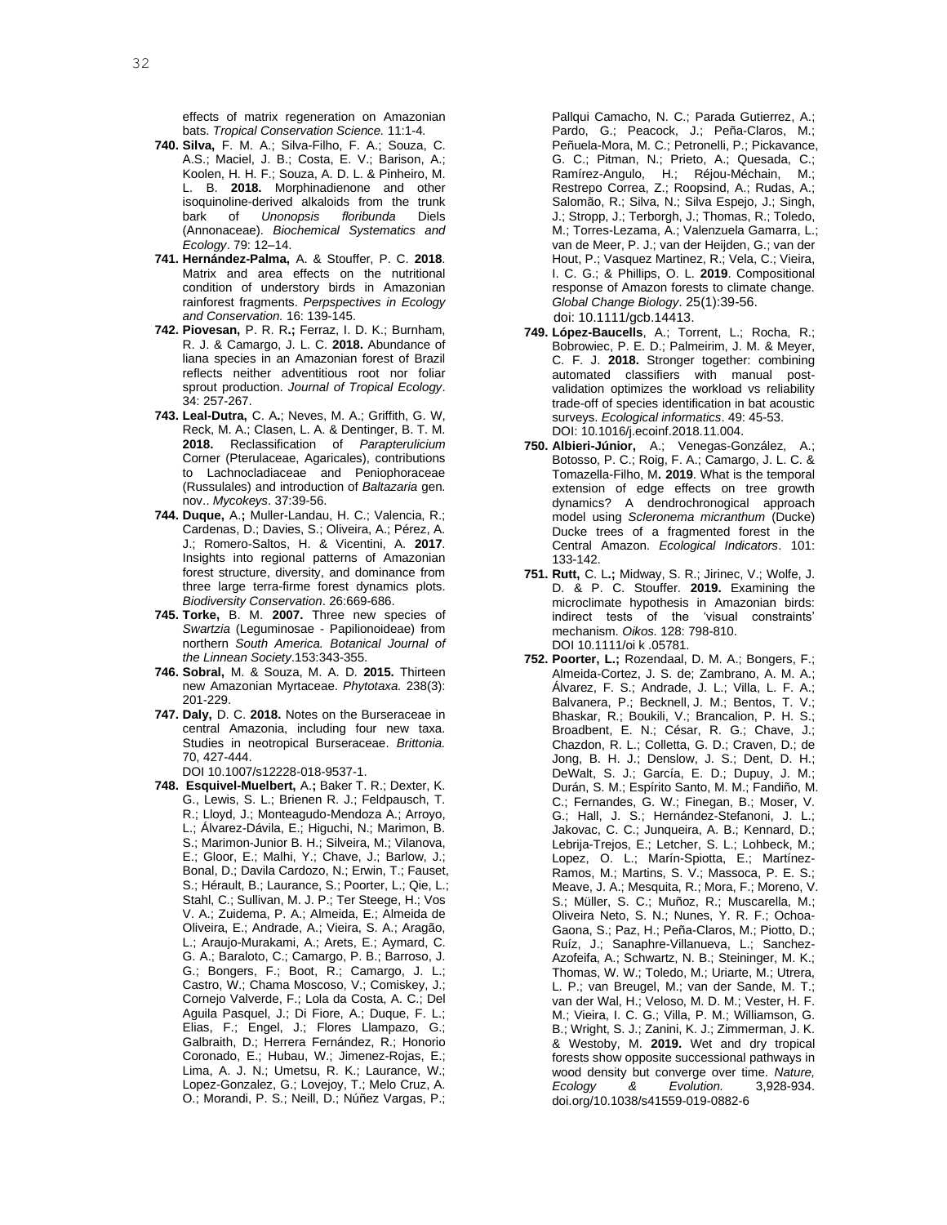effects of matrix regeneration on Amazonian bats. *Tropical Conservation Science.* 11:1-4*.*

- **740. Silva,** F. M. A.; Silva-Filho, F. A.; Souza, C. A.S.; Maciel, J. B.; Costa, E. V.; Barison, A.; Koolen, H. H. F.; Souza, A. D. L. & Pinheiro, M. L. B. **2018.** Morphinadienone and other isoquinoline-derived alkaloids from the trunk<br>bark of *Unonopsis floribunda* Diels bark of *Unonopsis floribunda* Diels (Annonaceae). *Biochemical Systematics and Ecology*. 79: 12–14.
- **741. Hernández-Palma,** A. & Stouffer, P. C. **2018**. Matrix and area effects on the nutritional condition of understory birds in Amazonian rainforest fragments. *Perpspectives in Ecology and Conservation.* 16: 139-145.
- **742. Piovesan,** P. R. R**.;** Ferraz, I. D. K.; Burnham, R. J. & Camargo, J. L. C. **2018.** Abundance of liana species in an Amazonian forest of Brazil reflects neither adventitious root nor foliar sprout production. *Journal of Tropical Ecology*. 34: 257-267.
- **743. Leal-Dutra,** C. A**.**; Neves, M. A.; Griffith, G. W, Reck, M. A.; Clasen, L. A. & Dentinger, B. T. M. **2018.** Reclassification of *Parapterulicium* Corner (Pterulaceae, Agaricales), contributions to Lachnocladiaceae and Peniophoraceae (Russulales) and introduction of *Baltazaria* gen. nov.. *Mycokeys*. 37:39-56.
- **744. Duque,** A.**;** Muller-Landau, H. C.; Valencia, R.; Cardenas, D.; Davies, S.; Oliveira, A.; Pérez, A. J.; Romero-Saltos, H. & Vicentini, A. **2017**. Insights into regional patterns of Amazonian forest structure, diversity, and dominance from three large terra-firme forest dynamics plots. *Biodiversity Conservation*. 26:669-686.
- **745. Torke,** B. M. **2007.** Three new species of *Swartzia* (Leguminosae - Papilionoideae) from northern *South America. Botanical Journal of the Linnean Society*.153:343-355.
- **746. Sobral,** M. & Souza, M. A. D. **2015.** Thirteen new Amazonian Myrtaceae. *Phytotaxa.* 238(3): 201-229.
- **747. Daly,** D. C. **2018.** Notes on the Burseraceae in central Amazonia, including four new taxa. Studies in neotropical Burseraceae. *Brittonia.* 70, 427-444.

DOI 10.1007/s12228-018-9537-1.

**748. Esquivel-Muelbert,** A.**;** Baker T. R.; Dexter, K. G., Lewis, S. L.; Brienen R. J.; Feldpausch, T. R.; Lloyd, J.; Monteagudo-Mendoza A.; Arroyo, L.; Álvarez-Dávila, E.; Higuchi, N.; Marimon, B. S.; Marimon-Junior B. H.; Silveira, M.; Vilanova, E.; Gloor, E.; Malhi, Y.; Chave, J.; Barlow, J.; Bonal, D.; Davila Cardozo, N.; Erwin, T.; Fauset, S.; Hérault, B.; Laurance, S.; Poorter, L.; Qie, L.; Stahl, C.; Sullivan, M. J. P.; Ter Steege, H.; Vos V. A.; Zuidema, P. A.; Almeida, E.; Almeida de Oliveira, E.; Andrade, A.; Vieira, S. A.; Aragão, L.; Araujo-Murakami, A.; Arets, E.; Aymard, C. G. A.; Baraloto, C.; Camargo, P. B.; Barroso, J. G.; Bongers, F.; Boot, R.; Camargo, J. L.; Castro, W.; Chama Moscoso, V.; Comiskey, J.; Cornejo Valverde, F.; Lola da Costa, A. C.; Del Aguila Pasquel, J.; Di Fiore, A.; Duque, F. L.; Elias, F.; Engel, J.; Flores Llampazo, G.; Galbraith, D.; Herrera Fernández, R.; Honorio Coronado, E.; Hubau, W.; Jimenez-Rojas, E.; Lima, A. J. N.; Umetsu, R. K.; Laurance, W.; Lopez-Gonzalez, G.; Lovejoy, T.; Melo Cruz, A. O.; Morandi, P. S.; Neill, D.; Núñez Vargas, P.;

Pallqui Camacho, N. C.; Parada Gutierrez, A.; Pardo, G.; Peacock, J.; Peña-Claros, M.; Peñuela-Mora, M. C.; Petronelli, P.; Pickavance, G. C.; Pitman, N.; Prieto, A.; Quesada, C.; Ramírez-Angulo, H.; Réjou-Méchain, M.; Restrepo Correa, Z.; Roopsind, A.; Rudas, A.; Salomão, R.; Silva, N.; Silva Espejo, J.; Singh, J.; Stropp, J.; Terborgh, J.; Thomas, R.; Toledo, M.; Torres-Lezama, A.; Valenzuela Gamarra, L.; van de Meer, P. J.; van der Heijden, G.; van der Hout, P.; Vasquez Martinez, R.; Vela, C.; Vieira, I. C. G.; & Phillips, O. L. **2019**. Compositional response of Amazon forests to climate change. *Global Change Biology*. 25(1):39-56. doi: 10.1111/gcb.14413.

- **749. López-Baucells**, A.; Torrent, L.; Rocha, R.; Bobrowiec, P. E. D.; Palmeirim, J. M. & Meyer, C. F. J. **2018.** Stronger together: combining automated classifiers with manual postvalidation optimizes the workload vs reliability trade-off of species identification in bat acoustic surveys. *Ecological informatics*. 49: 45-53. DOI: 10.1016/j.ecoinf.2018.11.004.
- **750. Albieri-Júnior,** A.; Venegas-González, A.; Botosso, P. C.; Roig, F. A.; Camargo, J. L. C. & Tomazella-Filho, M**. 2019**. What is the temporal extension of edge effects on tree growth dynamics? A dendrochronogical approach model using *Scleronema micranthum* (Ducke) Ducke trees of a fragmented forest in the Central Amazon. *Ecological Indicators*. 101: 133-142.
- **751. Rutt,** C. L**.;** Midway, S. R.; Jirinec, V.; Wolfe, J. D. & P. C. Stouffer. **2019.** Examining the microclimate hypothesis in Amazonian birds: indirect tests of the 'visual constraints' mechanism. *Oikos.* 128: 798-810. DOI 10.1111/oi k .05781.
- **752. Poorter, L.;** Rozendaal, D. M. A.; Bongers, F.; Almeida-Cortez, J. S. de; Zambrano, A. M. A.; Álvarez, F. S.; Andrade, J. L.; Villa, L. F. A.; Balvanera, P.; Becknell, J. M.; Bentos, T. V.; Bhaskar, R.; Boukili, V.; Brancalion, P. H. S.; Broadbent, E. N.; César, R. G.; Chave, J.; Chazdon, R. L.; Colletta, G. D.; Craven, D.; de Jong, B. H. J.; Denslow, J. S.; Dent, D. H.; DeWalt, S. J.; García, E. D.; Dupuy, J. M.; Durán, S. M.; Espírito Santo, M. M.; Fandiño, M. C.; Fernandes, G. W.; Finegan, B.; Moser, V. G.; Hall, J. S.; Hernández-Stefanoni, J. L.; Jakovac, C. C.; Junqueira, A. B.; Kennard, D.; Lebrija-Trejos, E.; Letcher, S. L.; Lohbeck, M.; Lopez, O. L.; Marín-Spiotta, E.; Martínez-Ramos, M.; Martins, S. V.; Massoca, P. E. S.; Meave, J. A.; Mesquita, R.; Mora, F.; Moreno, V. S.; Müller, S. C.; Muñoz, R.; Muscarella, M.; Oliveira Neto, S. N.; Nunes, Y. R. F.; Ochoa-Gaona, S.; Paz, H.; Peña-Claros, M.; Piotto, D.; Ruíz, J.; Sanaphre-Villanueva, L.; Sanchez-Azofeifa, A.; Schwartz, N. B.; Steininger, M. K.; Thomas, W. W.; Toledo, M.; Uriarte, M.; Utrera, L. P.; van Breugel, M.; van der Sande, M. T.; van der Wal, H.; Veloso, M. D. M.; Vester, H. F. M.; Vieira, I. C. G.; Villa, P. M.; Williamson, G. B.; Wright, S. J.; Zanini, K. J.; Zimmerman, J. K. & Westoby, M. **2019.** Wet and dry tropical forests show opposite successional pathways in wood density but converge over time. *Nature, Ecology & Evolution.* 3,928-934. doi.org/10.1038/s41559-019-0882-6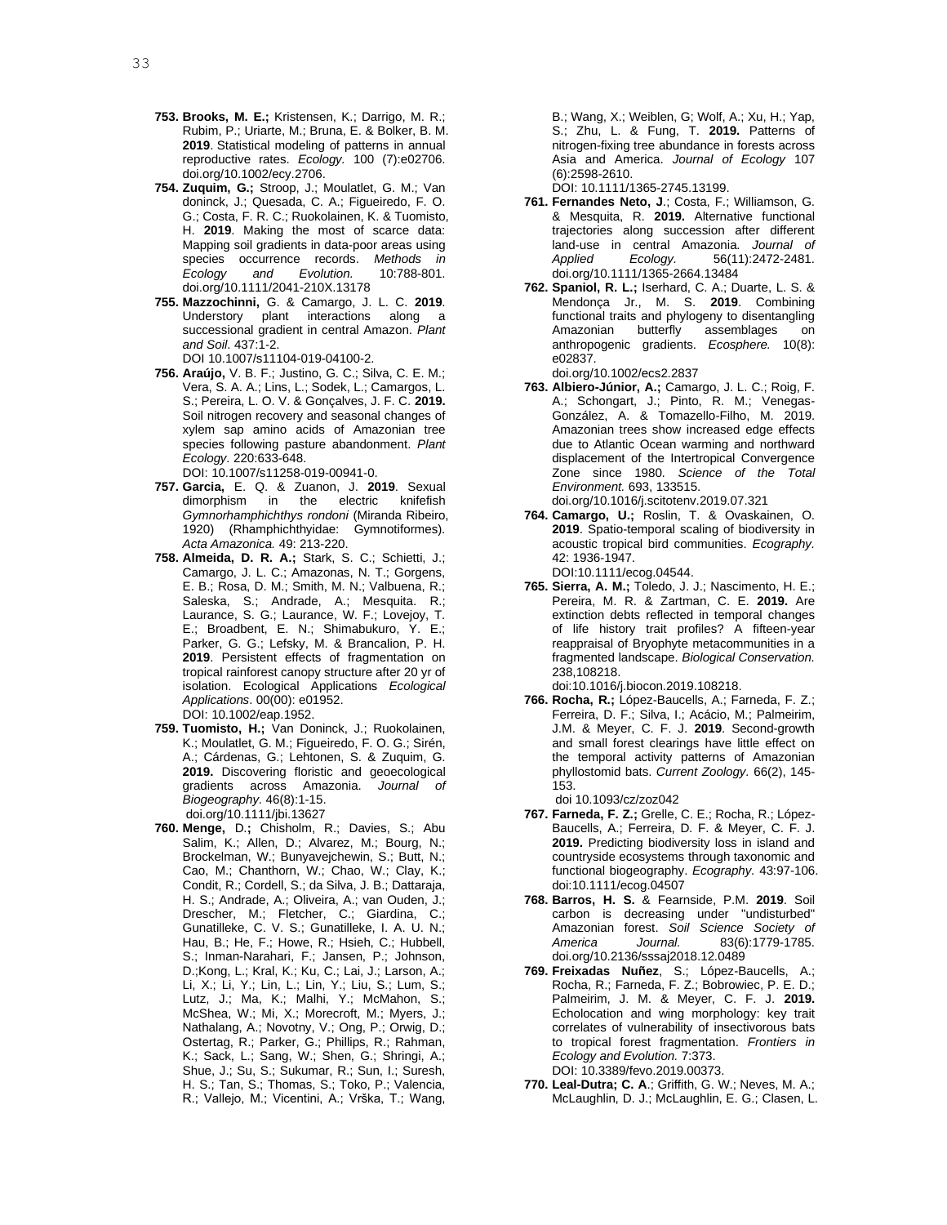- **753. Brooks, M. E.;** Kristensen, K.; Darrigo, M. R.; Rubim, P.; Uriarte, M.; Bruna, E. & Bolker, B. M. **2019**. Statistical modeling of patterns in annual reproductive rates. *Ecology.* 100 (7):e02706. doi.org/10.1002/ecy.2706.
- **754. Zuquim, G.;** Stroop, J.; Moulatlet, G. M.; Van doninck, J.; Quesada, C. A.; Figueiredo, F. O. G.; Costa, F. R. C.; Ruokolainen, K. & Tuomisto, H. **2019**. Making the most of scarce data: Mapping soil gradients in data-poor areas using species occurrence records. *Methods in Ecology and Evolution.* 10:788-801. doi.org/10.1111/2041-210X.13178
- **755. Mazzochinni,** G. & Camargo, J. L. C. **2019**. Understory plant interactions along a successional gradient in central Amazon. *Plant and Soil*. 437:1-2.
- DOI 10.1007/s11104-019-04100-2. **756. Araújo,** V. B. F.; Justino, G. C.; Silva, C. E. M.; Vera, S. A. A.; Lins, L.; Sodek, L.; Camargos, L. S.; Pereira, L. O. V. & Gonçalves, J. F. C. **2019.**  Soil nitrogen recovery and seasonal changes of xylem sap amino acids of Amazonian tree species following pasture abandonment. *Plant Ecology.* 220:633-648.

DOI: 10.1007/s11258-019-00941-0.

- **757. Garcia,** E. Q. & Zuanon, J. **2019**. Sexual dimorphism in the electric knifefish *Gymnorhamphichthys rondoni* (Miranda Ribeiro, 1920) (Rhamphichthyidae: Gymnotiformes). *Acta Amazonica.* 49: 213-220.
- **758. Almeida, D. R. A.;** Stark, S. C.; Schietti, J.; Camargo, J. L. C.; Amazonas, N. T.; Gorgens, E. B.; Rosa, D. M.; Smith, M. N.; Valbuena, R.; Saleska, S.; Andrade, A.; Mesquita. R.; Laurance, S. G.; Laurance, W. F.; Lovejoy, T. E.; Broadbent, E. N.; Shimabukuro, Y. E.; Parker, G. G.; Lefsky, M. & Brancalion, P. H. **2019**. Persistent effects of fragmentation on tropical rainforest canopy structure after 20 yr of isolation. Ecological Applications *Ecological Applications*. 00(00): e01952. DOI: 10.1002/eap.1952.
- **759. Tuomisto, H.;** Van Doninck, J.; Ruokolainen, K.; Moulatlet, G. M.; Figueiredo, F. O. G.; Sirén, A.; Cárdenas, G.; Lehtonen, S. & Zuquim, G. **2019.** Discovering floristic and geoecological gradients across Amazonia. *Journal of Biogeography.* 46(8):1-15. doi.org/10.1111/jbi.13627
- **760. Menge,** D.**;** Chisholm, R.; Davies, S.; Abu Salim, K.; Allen, D.; Alvarez, M.; Bourg, N.; Brockelman, W.; Bunyavejchewin, S.; Butt, N.; Cao, M.; Chanthorn, W.; Chao, W.; Clay, K.; Condit, R.; Cordell, S.; da Silva, J. B.; Dattaraja, H. S.; Andrade, A.; Oliveira, A.; van Ouden, J.; Drescher, M.; Fletcher, C.; Giardina, C.; Gunatilleke, C. V. S.; Gunatilleke, I. A. U. N.; Hau, B.; He, F.; Howe, R.; Hsieh, C.; Hubbell, S.; Inman-Narahari, F.; Jansen, P.; Johnson, D.;Kong, L.; Kral, K.; Ku, C.; Lai, J.; Larson, A.; Li, X.; Li, Y.; Lin, L.; Lin, Y.; Liu, S.; Lum, S.; Lutz, J.; Ma, K.; Malhi, Y.; McMahon, S.; McShea, W.; Mi, X.; Morecroft, M.; Myers, J.; Nathalang, A.; Novotny, V.; Ong, P.; Orwig, D.; Ostertag, R.; Parker, G.; Phillips, R.; Rahman, K.; Sack, L.; Sang, W.; Shen, G.; Shringi, A.; Shue, J.; Su, S.; Sukumar, R.; Sun, I.; Suresh, H. S.; Tan, S.; Thomas, S.; Toko, P.; Valencia, R.; Vallejo, M.; Vicentini, A.; Vrška, T.; Wang,

B.; Wang, X.; Weiblen, G; Wolf, A.; Xu, H.; Yap, S.; Zhu, L. & Fung, T. **2019.** Patterns of nitrogen-fixing tree abundance in forests across Asia and America. *Journal of Ecology* 107 (6):2598-2610.

DOI: 10.1111/1365-2745.13199.

- **761. Fernandes Neto, J**.; Costa, F.; Williamson, G. & Mesquita, R. **2019.** Alternative functional trajectories along succession after different land-use in central Amazonia. *Journal of Applied Ecology.* 56(11):2472-2481. doi.org/10.1111/1365-2664.13484
- **762. Spaniol, R. L.;** Iserhard, C. A.; Duarte, L. S. & Mendonça Jr., M. S. **2019**. Combining functional traits and phylogeny to disentangling Amazonian butterfly assemblages on anthropogenic gradients. *Ecosphere.* 10(8): e02837. doi.org/10.1002/ecs2.2837
- **763. Albiero-Júnior, A.;** Camargo, J. L. C.; Roig, F. A.; Schongart, J.; Pinto, R. M.; Venegas-González, A. & Tomazello-Filho, M. 2019. Amazonian trees show increased edge effects due to Atlantic Ocean warming and northward displacement of the Intertropical Convergence Zone since 1980. *Science of the Total Environment.* 693, 133515. doi.org/10.1016/j.scitotenv.2019.07.321
- **764. Camargo, U.;** Roslin, T. & Ovaskainen, O. **2019**. Spatio-temporal scaling of biodiversity in acoustic tropical bird communities. *Ecography.* 42: 1936-1947.

DO[I:10.1111/ecog.04544.](https://doi.org/10.1111/ecog.04544)

**765. Sierra, A. M.;** Toledo, J. J.; Nascimento, H. E.; Pereira, M. R. & Zartman, C. E. **2019.** Are extinction debts reflected in temporal changes of life history trait profiles? A fifteen-year reappraisal of Bryophyte metacommunities in a fragmented landscape. *Biological Conservation.* 238,108218.

doi:10.1016/j.biocon.2019.108218.

**766. Rocha, R.;** López-Baucells, A.; Farneda, F. Z.; Ferreira, D. F.; Silva, I.; Acácio, M.; Palmeirim, J.M. & Meyer, C. F. J. **2019**. Second-growth and small forest clearings have little effect on the temporal activity patterns of Amazonian phyllostomid bats. *Current Zoology.* 66(2), 145- 153.

doi 10.1093/cz/zoz042

- **767. Farneda, F. Z.;** Grelle, C. E.; Rocha, R.; López-Baucells, A.; Ferreira, D. F. & Meyer, C. F. J. **2019.** Predicting biodiversity loss in island and countryside ecosystems through taxonomic and functional biogeography. *Ecography.* 43:97-106. doi:10.1111/ecog.04507
- **768. Barros, H. S.** & Fearnside, P.M. **2019**. Soil carbon is decreasing under "undisturbed" Amazonian forest. *Soil Science Society of America Journal.* 83(6):1779-1785. doi.org/10.2136/sssaj2018.12.0489
- **769. Freixadas Nuñez**, S.; López-Baucells, A.; Rocha, R.; Farneda, F. Z.; Bobrowiec, P. E. D.; Palmeirim, J. M. & Meyer, C. F. J. **2019.** [Echolocation and wing morphology: key trait](https://www.frontiersin.org/articles/10.3389/fevo.2019.00373/abstract)  [correlates of vulnerability of insectivorous bats](https://www.frontiersin.org/articles/10.3389/fevo.2019.00373/abstract)  [to tropical forest fragmentation.](https://www.frontiersin.org/articles/10.3389/fevo.2019.00373/abstract) *Frontiers in Ecology and Evolution.* 7:373. DOI: 10.3389/fevo.2019.00373.
- **770. Leal-Dutra; C. A**.; Griffith, G. W.; Neves, M. A.; McLaughlin, D. J.; McLaughlin, E. G.; Clasen, L.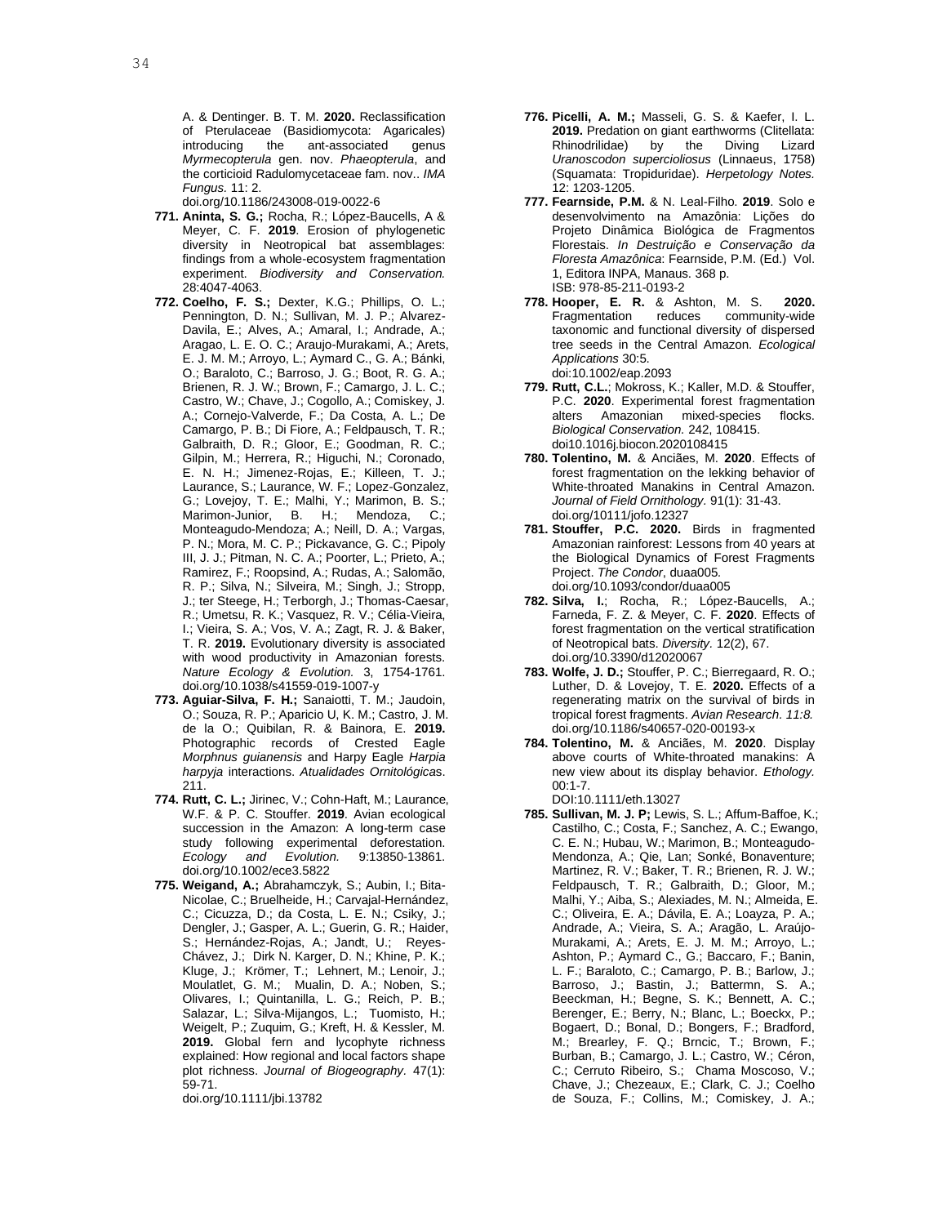A. & Dentinger. B. T. M. **2020.** Reclassification of Pterulaceae (Basidiomycota: Agaricales) introducing the ant-associated genus *Myrmecopterula* gen. nov. *Phaeopterula*, and the corticioid Radulomycetaceae fam. nov.. *IMA Fungus.* 11: 2.

doi.org/10.1186/243008-019-0022-6

- **771. Aninta, S. G.;** Rocha, R.; López-Baucells, A & Meyer, C. F. **2019**. Erosion of phylogenetic diversity in Neotropical bat assemblages: findings from a whole-ecosystem fragmentation experiment. *Biodiversity and Conservation.* 28:4047-4063.
- **772. Coelho, F. S.;** Dexter, K.G.; Phillips, O. L.; Pennington, D. N.; Sullivan, M. J. P.; Alvarez-Davila, E.; Alves, A.; Amaral, I.; Andrade, A.; Aragao, L. E. O. C.; Araujo-Murakami, A.; Arets, E. J. M. M.; Arroyo, L.; Aymard C., G. A.; Bánki, O.; Baraloto, C.; Barroso, J. G.; Boot, R. G. A.; Brienen, R. J. W.; Brown, F.; Camargo, J. L. C.; Castro, W.; Chave, J.; Cogollo, A.; Comiskey, J. A.; Cornejo-Valverde, F.; Da Costa, A. L.; De Camargo, P. B.; Di Fiore, A.; Feldpausch, T. R.; Galbraith, D. R.; Gloor, E.; Goodman, R. C.; Gilpin, M.; Herrera, R.; Higuchi, N.; Coronado, E. N. H.; Jimenez-Rojas, E.; Killeen, T. J.; Laurance, S.; Laurance, W. F.; Lopez-Gonzalez, G.; Lovejoy, T. E.; Malhi, Y.; Marimon, B. S.; Marimon-Junior, B. H.; Mendoza, C.; Monteagudo-Mendoza; A.; Neill, D. A.; Vargas, P. N.; Mora, M. C. P.; Pickavance, G. C.; Pipoly III, J. J.; Pitman, N. C. A.; Poorter, L.; Prieto, A.; Ramirez, F.; Roopsind, A.; Rudas, A.; Salomão, R. P.; Silva, N.; Silveira, M.; Singh, J.; Stropp, J.; ter Steege, H.; Terborgh, J.; Thomas-Caesar, R.; Umetsu, R. K.; Vasquez, R. V.; Célia-Vieira, I.; Vieira, S. A.; Vos, V. A.; Zagt, R. J. & Baker, T. R. **2019.** Evolutionary diversity is associated with wood productivity in Amazonian forests. *Nature Ecology & Evolution.* 3, 1754-1761. doi.org/10.1038/s41559-019-1007-y
- **773. Aguiar-Silva, F. H.;** Sanaiotti, T. M.; Jaudoin, O.; Souza, R. P.; Aparicio U, K. M.; Castro, J. M. de la O.; Quibilan, R. & Bainora, E. **2019.** Photographic records of Crested Eagle *Morphnus guianensis* and Harpy Eagle *Harpia harpyja* interactions. *Atualidades Ornitológica*s. 211.
- **774. Rutt, C. L.;** Jirinec, V.; Cohn-Haft, M.; Laurance, W.F. & P. C. Stouffer. **2019**. Avian ecological succession in the Amazon: A long-term case study following experimental deforestation.<br>Ecology and Evolution. 9:13850-13861. *Ecology and Evolution.* 9:13850-13861. [doi.org/10.1002/ece3.5822](https://doi.org/10.1002/ece3.5822)
- **775. Weigand, A.;** Abrahamczyk, S.; Aubin, I.; Bita-Nicolae, C.; Bruelheide, H.; Carvajal-Hernández, C.; Cicuzza, D.; da Costa, L. E. N.; Csiky, J.; Dengler, J.; Gasper, A. L.; Guerin, G. R.; Haider, S.; Hernández-Rojas, A.; Jandt, U.; Reyes-Chávez, J.; Dirk N. Karger, D. N.; Khine, P. K.; Kluge, J.; Krömer, T.; Lehnert, M.; Lenoir, J.; Moulatlet, G. M.; Mualin, D. A.; Noben, S.; Olivares, I.; Quintanilla, L. G.; Reich, P. B.; Salazar, L.; Silva-Mijangos, L.; Tuomisto, H.; Weigelt, P.; Zuquim, G.; Kreft, H. & Kessler, M. **2019.** Global fern and lycophyte richness explained: How regional and local factors shape plot richness. *Journal of Biogeography.* 47(1): 59-71.

[doi.org/10.1111/jbi.13782](https://doi.org/10.1111/jbi.13782)

- **776. Picelli, A. M.;** Masseli, G. S. & Kaefer, I. L. **2019.** Predation on giant earthworms (Clitellata: Rhinodrilidae) by the Diving Lizard *Uranoscodon supercioliosus* (Linnaeus, 1758) (Squamata: Tropiduridae). *Herpetology Notes.* 12: 1203-1205.
- **777. Fearnside, P.M.** & N. Leal-Filho. **2019**. Solo e desenvolvimento na Amazônia: Lições do Projeto Dinâmica Biológica de Fragmentos Florestais. *In Destruição e Conservação da Floresta Amazônica*: Fearnside, P.M. (Ed.) Vol. 1, Editora INPA, Manaus. 368 p. ISB: 978-85-211-0193-2
- **778. Hooper, E. R.** & Ashton, M. S. **2020.**  Fragmentation reduces community-wide taxonomic and functional diversity of dispersed tree seeds in the Central Amazon. *Ecological Applications* 30:5. doi:10.1002/eap.2093
- **779. Rutt, C.L.**; Mokross, K.; Kaller, M.D. & Stouffer, P.C. **2020**. Experimental forest fragmentation alters Amazonian mixed-species flocks. *Biological Conservation.* 242, 108415. doi10.1016j.biocon.2020108415
- **780. Tolentino, M.** & Anciães, M. **2020**. Effects of forest fragmentation on the lekking behavior of White-throated Manakins in Central Amazon. *Journal of Field Ornithology.* 91(1): 31-43. doi.org/10111/jofo.12327
- **781. Stouffer, P.C. 2020.** Birds in fragmented Amazonian rainforest: Lessons from 40 years at the Biological Dynamics of Forest Fragments Project. *The Condor*, duaa005*.*  doi.org/10.1093/condor/duaa005
- **782. Silva, I.**; Rocha, R.; López-Baucells, A.; Farneda, F. Z. & Meyer, C. F. **2020**. Effects of forest fragmentation on the vertical stratification of Neotropical bats. *Diversity.* 12(2), 67. doi.org/10.3390/d12020067
- **783. Wolfe, J. D.;** Stouffer, P. C.; Bierregaard, R. O.; Luther, D. & Lovejoy, T. E. **2020.** Effects of a regenerating matrix on the survival of birds in tropical forest fragments. *Avian Research. 11:8.* doi.org/10.1186/s40657-020-00193-x
- **784. Tolentino, M.** & Anciães, M. **2020**. Display above courts of White-throated manakins: A new view about its display behavior. *Ethology.* 00:1-7.

DOI:10.1111/eth.13027

**785. Sullivan, M. J. P;** Lewis, S. L.; Affum-Baffoe, K.; Castilho, C.; Costa, F.; Sanchez, A. C.; Ewango, C. E. N.; Hubau, W.; Marimon, B.; Monteagudo-Mendonza, A.; Qie, Lan; Sonké, Bonaventure; Martinez, R. V.; Baker, T. R.; Brienen, R. J. W.; Feldpausch, T. R.; Galbraith, D.; Gloor, M.; Malhi, Y.; Aiba, S.; Alexiades, M. N.; Almeida, E. C.; Oliveira, E. A.; Dávila, E. A.; Loayza, P. A.; Andrade, A.; Vieira, S. A.; Aragão, L. Araújo-Murakami, A.; Arets, E. J. M. M.; Arroyo, L.; Ashton, P.; Aymard C., G.; Baccaro, F.; Banin, L. F.; Baraloto, C.; Camargo, P. B.; Barlow, J.; Barroso, J.; Bastin, J.; Battermn, S. A.; Beeckman, H.; Begne, S. K.; Bennett, A. C.; Berenger, E.; Berry, N.; Blanc, L.; Boeckx, P.; Bogaert, D.; Bonal, D.; Bongers, F.; Bradford, M.; Brearley, F. Q.; Brncic, T.; Brown, F.; Burban, B.; Camargo, J. L.; Castro, W.; Céron, C.; Cerruto Ribeiro, S.; Chama Moscoso, V.; Chave, J.; Chezeaux, E.; Clark, C. J.; Coelho de Souza, F.; Collins, M.; Comiskey, J. A.;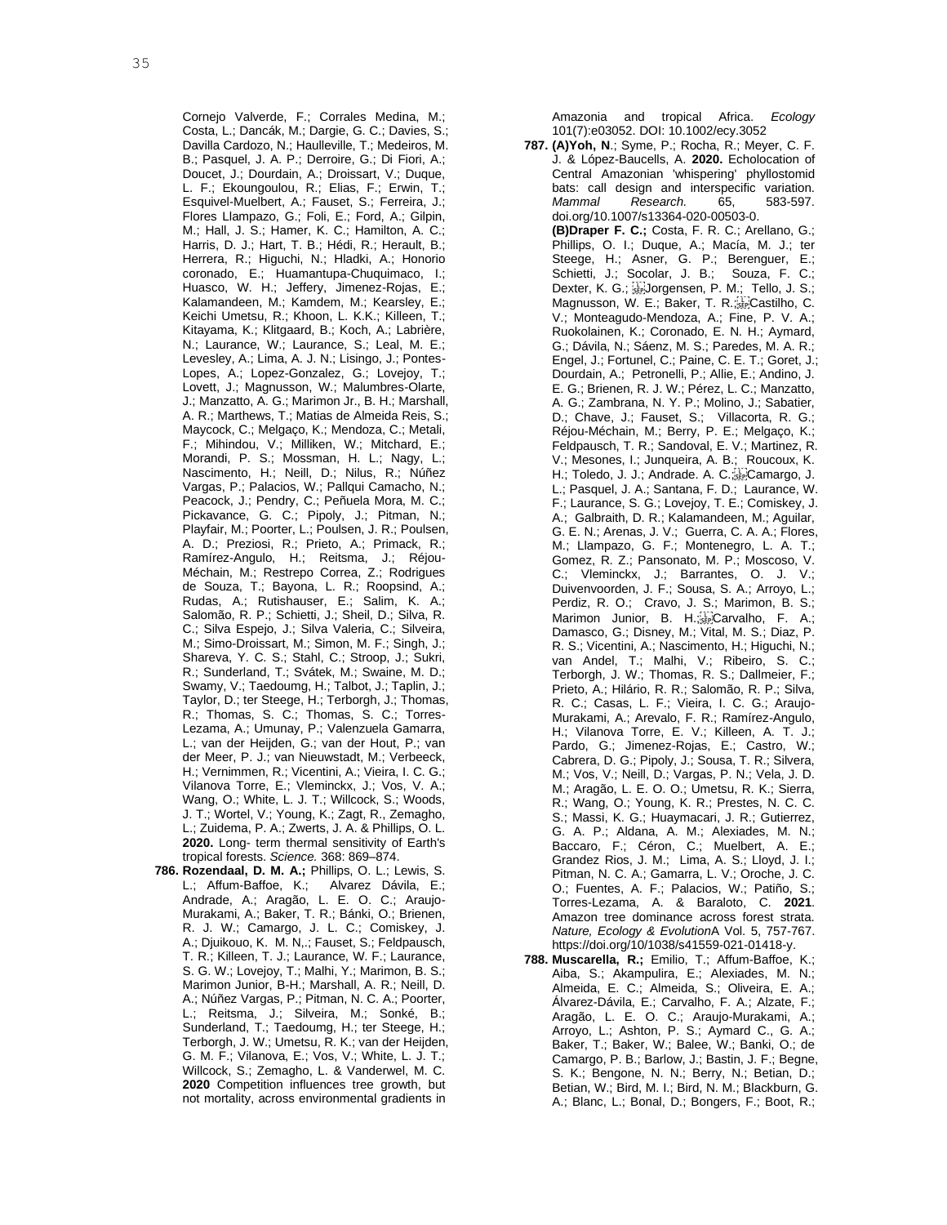Cornejo Valverde, F.; Corrales Medina, M.; Costa, L.; Dancák, M.; Dargie, G. C.; Davies, S.; Davilla Cardozo, N.; Haulleville, T.; Medeiros, M. B.; Pasquel, J. A. P.; Derroire, G.; Di Fiori, A.; Doucet, J.; Dourdain, A.; Droissart, V.; Duque, L. F.; Ekoungoulou, R.; Elias, F.; Erwin, T.; Esquivel-Muelbert, A.; Fauset, S.; Ferreira, J.; Flores Llampazo, G.; Foli, E.; Ford, A.; Gilpin, M.; Hall, J. S.; Hamer, K. C.; Hamilton, A. C.; Harris, D. J.; Hart, T. B.; Hédi, R.; Herault, B.; Herrera, R.; Higuchi, N.; Hladki, A.; Honorio coronado, E.; Huamantupa-Chuquimaco, I.; Huasco, W. H.; Jeffery, Jimenez-Rojas, E.; Kalamandeen, M.; Kamdem, M.; Kearsley, E.; Keichi Umetsu, R.; Khoon, L. K.K.; Killeen, T.; Kitayama, K.; Klitgaard, B.; Koch, A.; Labrière, N.; Laurance, W.; Laurance, S.; Leal, M. E.; Levesley, A.; Lima, A. J. N.; Lisingo, J.; Pontes-Lopes, A.; Lopez-Gonzalez, G.; Lovejoy, T.; Lovett, J.; Magnusson, W.; Malumbres-Olarte, J.; Manzatto, A. G.; Marimon Jr., B. H.; Marshall, A. R.; Marthews, T.; Matias de Almeida Reis, S.; Maycock, C.; Melgaço, K.; Mendoza, C.; Metali, F.; Mihindou, V.; Milliken, W.; Mitchard, E.; Morandi, P. S.; Mossman, H. L.; Nagy, L.; Nascimento, H.; Neill, D.; Nilus, R.; Núñez Vargas, P.; Palacios, W.; Pallqui Camacho, N.; Peacock, J.; Pendry, C.; Peñuela Mora, M. C.; Pickavance, G. C.; Pipoly, J.; Pitman, N.; Playfair, M.; Poorter, L.; Poulsen, J. R.; Poulsen, A. D.; Preziosi, R.; Prieto, A.; Primack, R.; Ramírez-Angulo, H.; Reitsma, J.; Réjou-Méchain, M.; Restrepo Correa, Z.; Rodrigues de Souza, T.; Bayona, L. R.; Roopsind, A.; Rudas, A.; Rutishauser, E.; Salim, K. A.; Salomão, R. P.; Schietti, J.; Sheil, D.; Silva, R. C.; Silva Espejo, J.; Silva Valeria, C.; Silveira, M.; Simo-Droissart, M.; Simon, M. F.; Singh, J.; Shareva, Y. C. S.; Stahl, C.; Stroop, J.; Sukri, R.; Sunderland, T.; Svátek, M.; Swaine, M. D.; Swamy, V.; Taedoumg, H.; Talbot, J.; Taplin, J.; Taylor, D.; ter Steege, H.; Terborgh, J.; Thomas, R.; Thomas, S. C.; Thomas, S. C.; Torres-Lezama, A.; Umunay, P.; Valenzuela Gamarra, L.; van der Heijden, G.; van der Hout, P.; van der Meer, P. J.; van Nieuwstadt, M.; Verbeeck, H.; Vernimmen, R.; Vicentini, A.; Vieira, I. C. G.; Vilanova Torre, E.; Vleminckx, J.; Vos, V. A.; Wang, O.; White, L. J. T.; Willcock, S.; Woods, J. T.; Wortel, V.; Young, K.; Zagt, R., Zemagho, L.; Zuidema, P. A.; Zwerts, J. A. & Phillips, O. L. **2020.** Long- term thermal sensitivity of Earth's tropical forests. *Science.* 368: 869–874.

**786. Rozendaal, D. M. A.;** Phillips, O. L.; Lewis, S. L.; Affum-Baffoe, K.; Alvarez Dávila, E.; Andrade, A.; Aragão, L. E. O. C.; Araujo-Murakami, A.; Baker, T. R.; Bánki, O.; Brienen, R. J. W.; Camargo, J. L. C.; Comiskey, J. A.; Djuikouo, K. M. N,.; Fauset, S.; Feldpausch, T. R.; Killeen, T. J.; Laurance, W. F.; Laurance, S. G. W.; Lovejoy, T.; Malhi, Y.; Marimon, B. S.; Marimon Junior, B-H.; Marshall, A. R.; Neill, D. A.; Núñez Vargas, P.; Pitman, N. C. A.; Poorter, L.; Reitsma, J.; Silveira, M.; Sonké, B.; Sunderland, T.; Taedoumg, H.; ter Steege, H.; Terborgh, J. W.; Umetsu, R. K.; van der Heijden, G. M. F.; Vilanova, E.; Vos, V.; White, L. J. T.; Willcock, S.; Zemagho, L. & Vanderwel, M. C. **2020** Competition influences tree growth, but not mortality, across environmental gradients in

Amazonia and tropical Africa. *Ecology*  101(7):e03052. DOI: 10.1002/ecy.3052

**787. (A)Yoh, N**.; Syme, P.; Rocha, R.; Meyer, C. F. J. & López-Baucells, A. **2020.** Echolocation of Central Amazonian 'whispering' phyllostomid bats: call design and interspecific variation. *Mammal Research.* 65, 583-597. doi.org/10.1007/s13364-020-00503-0. **(B)Draper F. C.;** Costa, F. R. C.; Arellano, G.; Phillips, O. I.; Duque, A.; Macía, M. J.; ter Steege, H.; Asner, G. P.; Berenguer, E.; Schietti, J.; Socolar, J. B.; Souza, F. C.; Dexter, K. G.; [1] Jorgensen, P. M.; Tello, J. S.; Magnusson, W. E.; Baker, T. R.; E. Castilho, C. V.; Monteagudo-Mendoza, A.; Fine, P. V. A.; Ruokolainen, K.; Coronado, E. N. H.; Aymard, G.; Dávila, N.; Sáenz, M. S.; Paredes, M. A. R.; Engel, J.; Fortunel, C.; Paine, C. E. T.; Goret, J.; Dourdain, A.; Petronelli, P.; Allie, E.; Andino, J. E. G.; Brienen, R. J. W.; Pérez, L. C.; Manzatto, A. G.; Zambrana, N. Y. P.; Molino, J.; Sabatier, D.; Chave, J.; Fauset, S.; Villacorta, R. G.; Réjou-Méchain, M.; Berry, P. E.; Melgaço, K.; Feldpausch, T. R.; Sandoval, E. V.; Martinez, R. V.; Mesones, I.; Junqueira, A. B.; Roucoux, K. H.; Toledo, J. J.; Andrade. A. C.; Camargo, J. L.; Pasquel, J. A.; Santana, F. D.; Laurance, W. F.; Laurance, S. G.; Lovejoy, T. E.; Comiskey, J. A.; Galbraith, D. R.; Kalamandeen, M.; Aguilar, G. E. N.; Arenas, J. V.; Guerra, C. A. A.; Flores, M.; Llampazo, G. F.; Montenegro, L. A. T.; Gomez, R. Z.; Pansonato, M. P.; Moscoso, V. C.; Vleminckx, J.; Barrantes, O. J. V.; Duivenvoorden, J. F.; Sousa, S. A.; Arroyo, L.; Perdiz, R. O.; Cravo, J. S.; Marimon, B. S.; Marimon Junior, B. H.; Carvalho, F. A.; Damasco, G.; Disney, M.; Vital, M. S.; Diaz, P. R. S.; Vicentini, A.; Nascimento, H.; Higuchi, N.; van Andel, T.; Malhi, V.; Ribeiro, S. C.; Terborgh, J. W.; Thomas, R. S.; Dallmeier, F.; Prieto, A.; Hilário, R. R.; Salomão, R. P.; Silva, R. C.; Casas, L. F.; Vieira, I. C. G.; Araujo-Murakami, A.; Arevalo, F. R.; Ramírez-Angulo, H.; Vilanova Torre, E. V.; Killeen, A. T. J.; Pardo, G.; Jimenez-Rojas, E.; Castro, W.; Cabrera, D. G.; Pipoly, J.; Sousa, T. R.; Silvera, M.; Vos, V.; Neill, D.; Vargas, P. N.; Vela, J. D. M.; Aragão, L. E. O. O.; Umetsu, R. K.; Sierra, R.; Wang, O.; Young, K. R.; Prestes, N. C. C. S.; Massi, K. G.; Huaymacari, J. R.; Gutierrez, G. A. P.; Aldana, A. M.; Alexiades, M. N.; Baccaro, F.; Céron, C.; Muelbert, A. E.; Grandez Rios, J. M.; Lima, A. S.; Lloyd, J. I.; Pitman, N. C. A.; Gamarra, L. V.; Oroche, J. C. O.; Fuentes, A. F.; Palacios, W.; Patiño, S.; Torres-Lezama, A. & Baraloto, C. **2021**. Amazon tree dominance across forest strata. *Nature, Ecology & Evolution*A Vol. 5, 757-767. https://doi.org/10/1038/s41559-021-01418-y.

**788. Muscarella, R.;** Emilio, T.; Affum-Baffoe, K.; Aiba, S.; Akampulira, E.; Alexiades, M. N.; Almeida, E. C.; Almeida, S.; Oliveira, E. A.; Álvarez-Dávila, E.; Carvalho, F. A.; Alzate, F.; Aragão, L. E. O. C.; Araujo-Murakami, A.; Arroyo, L.; Ashton, P. S.; Aymard C., G. A.; Baker, T.; Baker, W.; Balee, W.; Banki, O.; de Camargo, P. B.; Barlow, J.; Bastin, J. F.; Begne, S. K.; Bengone, N. N.; Berry, N.; Betian, D.; Betian, W.; Bird, M. I.; Bird, N. M.; Blackburn, G. A.; Blanc, L.; Bonal, D.; Bongers, F.; Boot, R.;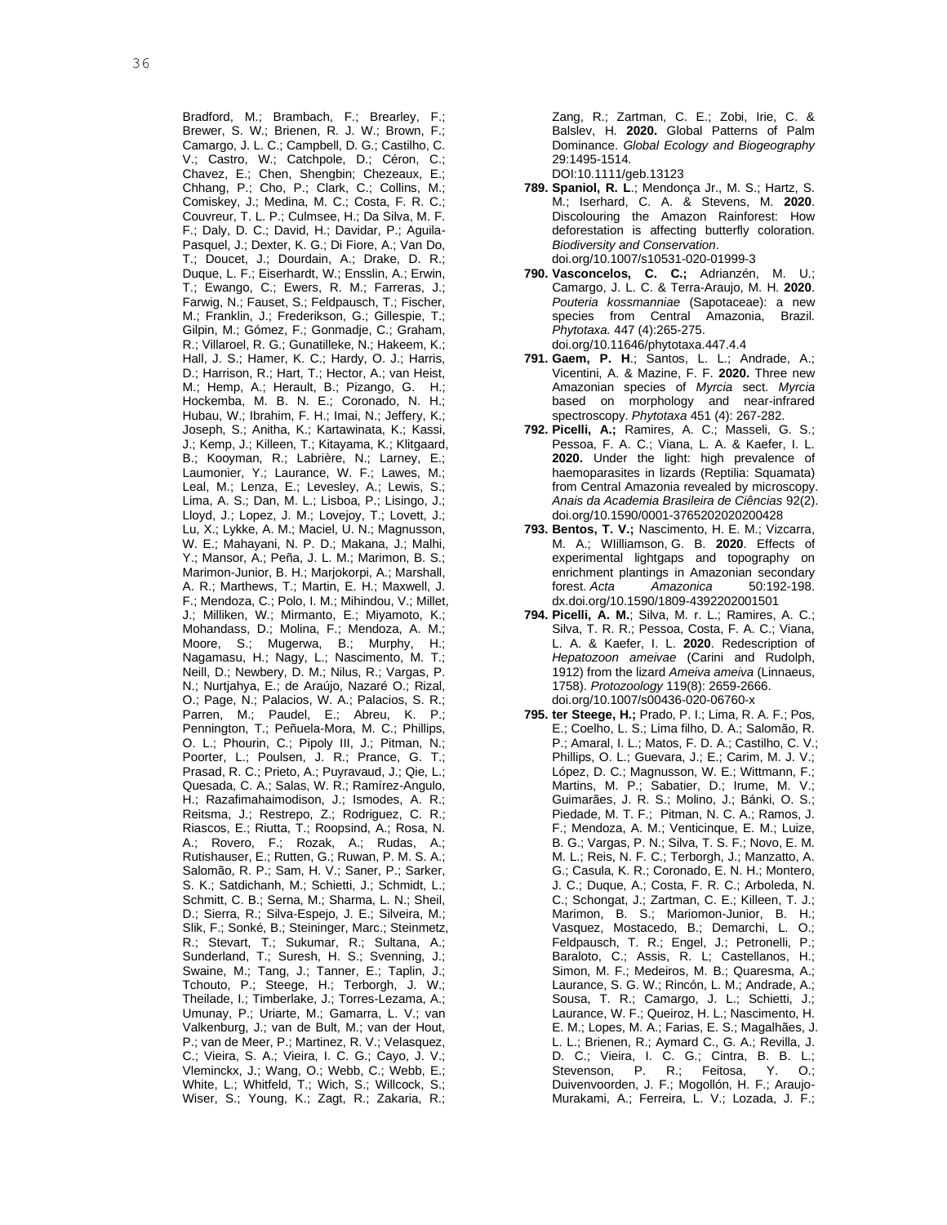Bradford, M.; Brambach, F.; Brearley, F.; Brewer, S. W.; Brienen, R. J. W.; Brown, F.; Camargo, J. L. C.; Campbell, D. G.; Castilho, C. V.; Castro, W.; Catchpole, D.; Céron, C.; Chavez, E.; Chen, Shengbin; Chezeaux, E.; Chhang, P.; Cho, P.; Clark, C.; Collins, M.; Comiskey, J.; Medina, M. C.; Costa, F. R. C.; Couvreur, T. L. P.; Culmsee, H.; Da Silva, M. F. F.; Daly, D. C.; David, H.; Davidar, P.; Aguila-Pasquel, J.; Dexter, K. G.; Di Fiore, A.; Van Do, T.; Doucet, J.; Dourdain, A.; Drake, D. R.; Duque, L. F.; Eiserhardt, W.; Ensslin, A.; Erwin, T.; Ewango, C.; Ewers, R. M.; Farreras, J.; Farwig, N.; Fauset, S.; Feldpausch, T.; Fischer, M.; Franklin, J.; Frederikson, G.; Gillespie, T.; Gilpin, M.; Gómez, F.; Gonmadje, C.; Graham, R.; Villaroel, R. G.; Gunatilleke, N.; Hakeem, K.; Hall, J. S.; Hamer, K. C.; Hardy, O. J.; Harris, D.; Harrison, R.; Hart, T.; Hector, A.; van Heist, M.; Hemp, A.; Herault, B.; Pizango, G. H.; Hockemba, M. B. N. E.; Coronado, N. H.; Hubau, W.; Ibrahim, F. H.; Imai, N.; Jeffery, K.; Joseph, S.; Anitha, K.; Kartawinata, K.; Kassi, J.; Kemp, J.; Killeen, T.; Kitayama, K.; Klitgaard, B.; Kooyman, R.; Labrière, N.; Larney, E.; Laumonier, Y.; Laurance, W. F.; Lawes, M.; Leal, M.; Lenza, E.; Levesley, A.; Lewis, S.; Lima, A. S.; Dan, M. L.; Lisboa, P.; Lisingo, J.; Lloyd, J.; Lopez, J. M.; Lovejoy, T.; Lovett, J.; Lu, X.; Lykke, A. M.; Maciel, U. N.; Magnusson, W. E.; Mahayani, N. P. D.; Makana, J.; Malhi, Y.; Mansor, A.; Peña, J. L. M.; Marimon, B. S.; Marimon-Junior, B. H.; Marjokorpi, A.; Marshall, A. R.; Marthews, T.; Martin, E. H.; Maxwell, J. F.; Mendoza, C.; Polo, I. M.; Mihindou, V.; Millet, J.; Milliken, W.; Mirmanto, E.; Miyamoto, K.; Mohandass, D.; Molina, F.; Mendoza, A. M.; Moore, S.; Mugerwa, B.; Murphy, H.; Nagamasu, H.; Nagy, L.; Nascimento, M. T.; Neill, D.; Newbery, D. M.; Nilus, R.; Vargas, P. N.; Nurtjahya, E.; de Araújo, Nazaré O.; Rizal, O.; Page, N.; Palacios, W. A.; Palacios, S. R.; Parren, M.; Paudel, E.; Abreu, K. P.; Pennington, T.; Peñuela-Mora, M. C.; Phillips, O. L.; Phourin, C.; Pipoly III, J.; Pitman, N.; Poorter, L.; Poulsen, J. R.; Prance, G. T.; Prasad, R. C.; Prieto, A.; Puyravaud, J.; Qie, L.; Quesada, C. A.; Salas, W. R.; Ramírez-Angulo, H.; Razafimahaimodison, J.; Ismodes, A. R.; Reitsma, J.; Restrepo, Z.; Rodriguez, C. R.; Riascos, E.; Riutta, T.; Roopsind, A.; Rosa, N. A.; Rovero, F.; Rozak, A.; Rudas, A.; Rutishauser, E.; Rutten, G.; Ruwan, P. M. S. A.; Salomão, R. P.; Sam, H. V.; Saner, P.; Sarker, S. K.; Satdichanh, M.; Schietti, J.; Schmidt, L.; Schmitt, C. B.; Serna, M.; Sharma, L. N.; Sheil, D.; Sierra, R.; Silva-Espejo, J. E.; Silveira, M.; Slik, F.; Sonké, B.; Steininger, Marc.; Steinmetz, R.; Stevart, T.; Sukumar, R.; Sultana, A.; Sunderland, T.; Suresh, H. S.; Svenning, J.; Swaine, M.; Tang, J.; Tanner, E.; Taplin, J.; Tchouto, P.; Steege, H.; Terborgh, J. W.; Theilade, I.; Timberlake, J.; Torres-Lezama, A.; Umunay, P.; Uriarte, M.; Gamarra, L. V.; van Valkenburg, J.; van de Bult, M.; van der Hout, P.; van de Meer, P.; Martinez, R. V.; Velasquez, C.; Vieira, S. A.; Vieira, I. C. G.; Cayo, J. V.; Vleminckx, J.; Wang, O.; Webb, C.; Webb, E.; White, L.; Whitfeld, T.; Wich, S.; Willcock, S.; Wiser, S.; Young, K.; Zagt, R.; Zakaria, R.;

Zang, R.; Zartman, C. E.; Zobi, Irie, C. & Balslev, H. **2020.** Global Patterns of Palm Dominance. *Global Ecology and Biogeography* 29:1495-1514*.*

DOI:10.1111/geb.13123

- **789. Spaniol, R. L**.; Mendonça Jr., M. S.; Hartz, S. M.; Iserhard, C. A. & Stevens, M. **2020**. Discolouring the Amazon Rainforest: How deforestation is affecting butterfly coloration. *Biodiversity and Conservation*. doi.org/10.1007/s10531-020-01999-3
- **790. Vasconcelos, C. C.;** Adrianzén, M. U.; Camargo, J. L. C. & Terra-Araujo, M. H. **2020**. *Pouteria kossmanniae* (Sapotaceae): a new species from Central Amazonia, Brazil. *Phytotaxa.* 447 (4):265-275. doi.org/10.11646/phytotaxa.447.4.4
- **791. Gaem, P. H**.; Santos, L. L.; Andrade, A.; Vicentini, A. & Mazine, F. F. **2020.** Three new Amazonian species of *Myrcia* sect. *Myrcia* based on morphology and near-infrared spectroscopy. *Phytotaxa* 451 (4): 267-282.
- **792. Picelli, A.;** Ramires, A. C.; Masseli, G. S.; Pessoa, F. A. C.; Viana, L. A. & Kaefer, I. L. **2020.** Under the light: high prevalence of haemoparasites in lizards (Reptilia: Squamata) from Central Amazonia revealed by microscopy. *Anais da Academia Brasileira de Ciências* 92(2). doi.org/10.1590/0001-3765202020200428
- **793. Bentos, T. V.;** Nascimento, H. E. M.; Vizcarra, M. A.; WIilliamson, G. B. **2020**. Effects of experimental lightgaps and topography on enrichment plantings in Amazonian secondary forest. *Acta Amazonica* 50:192-198. dx.doi.org/10.1590/1809-4392202001501
- **794. Picelli, A. M.**; Silva, M. r. L.; Ramires, A. C.; Silva, T. R. R.; Pessoa, Costa, F. A. C.; Viana, L. A. & Kaefer, I. L. **2020**. Redescription of *Hepatozoon ameivae* (Carini and Rudolph, 1912) from the lizard *Ameiva ameiva* (Linnaeus, 1758). *Protozoology* 119(8): 2659-2666. doi.org/10.1007/s00436-020-06760-x
- **795. ter Steege, H.;** Prado, P. I.; Lima, R. A. F.; Pos, E.; Coelho, L. S.; Lima filho, D. A.; Salomão, R. P.; Amaral, I. L.; Matos, F. D. A.; Castilho, C. V.; Phillips, O. L.; Guevara, J.; E.; Carim, M. J. V.; López, D. C.; Magnusson, W. E.; Wittmann, F.; Martins, M. P.; Sabatier, D.; Irume, M. V.; Guimarães, J. R. S.; Molino, J.; Bánki, O. S.; Piedade, M. T. F.; Pitman, N. C. A.; Ramos, J. F.; Mendoza, A. M.; Venticinque, E. M.; Luize, B. G.; Vargas, P. N.; Silva, T. S. F.; Novo, E. M. M. L.; Reis, N. F. C.; Terborgh, J.; Manzatto, A. G.; Casula, K. R.; Coronado, E. N. H.; Montero, J. C.; Duque, A.; Costa, F. R. C.; Arboleda, N. C.; Schongat, J.; Zartman, C. E.; Killeen, T. J.; Marimon, B. S.; Mariomon-Junior, B. H.; Vasquez, Mostacedo, B.; Demarchi, L. O.; Feldpausch, T. R.; Engel, J.; Petronelli, P.; Baraloto, C.; Assis, R. L; Castellanos, H.; Simon, M. F.; Medeiros, M. B.; Quaresma, A.; Laurance, S. G. W.; Rincón, L. M.; Andrade, A.; Sousa, T. R.; Camargo, J. L.; Schietti, J.; Laurance, W. F.; Queiroz, H. L.; Nascimento, H. E. M.; Lopes, M. A.; Farias, E. S.; Magalhães, J. L. L.; Brienen, R.; Aymard C., G. A.; Revilla, J. D. C.; Vieira, I. C. G.; Cintra, B. B. L.; Stevenson, P. R.; Feitosa, Y. O.; Duivenvoorden, J. F.; Mogollón, H. F.; Araujo-Murakami, A.; Ferreira, L. V.; Lozada, J. F.;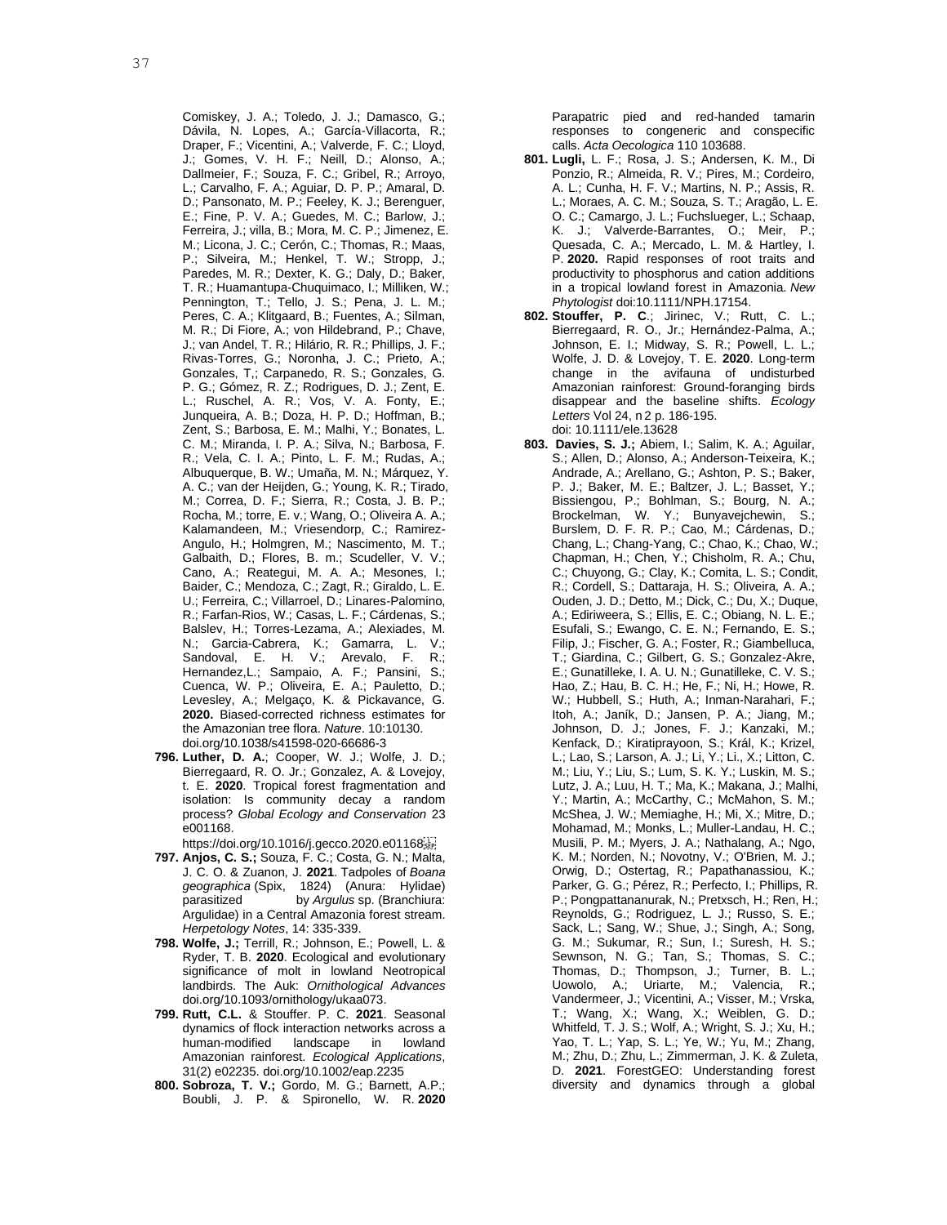Comiskey, J. A.; Toledo, J. J.; Damasco, G.; Dávila, N. Lopes, A.; García-Villacorta, R.; Draper, F.; Vicentini, A.; Valverde, F. C.; Lloyd, J.; Gomes, V. H. F.; Neill, D.; Alonso, A.; Dallmeier, F.; Souza, F. C.; Gribel, R.; Arroyo, L.; Carvalho, F. A.; Aguiar, D. P. P.; Amaral, D. D.; Pansonato, M. P.; Feeley, K. J.; Berenguer, E.; Fine, P. V. A.; Guedes, M. C.; Barlow, J.; Ferreira, J.; villa, B.; Mora, M. C. P.; Jimenez, E. M.; Licona, J. C.; Cerón, C.; Thomas, R.; Maas, P.; Silveira, M.; Henkel, T. W.; Stropp, J.; Paredes, M. R.; Dexter, K. G.; Daly, D.; Baker, T. R.; Huamantupa-Chuquimaco, I.; Milliken, W.; Pennington, T.; Tello, J. S.; Pena, J. L. M.; Peres, C. A.; Klitgaard, B.; Fuentes, A.; Silman, M. R.; Di Fiore, A.; von Hildebrand, P.; Chave, J.; van Andel, T. R.; Hilário, R. R.; Phillips, J. F.; Rivas-Torres, G.; Noronha, J. C.; Prieto, A.; Gonzales, T,; Carpanedo, R. S.; Gonzales, G. P. G.; Gómez, R. Z.; Rodrigues, D. J.; Zent, E. L.; Ruschel, A. R.; Vos, V. A. Fonty, E.; Junqueira, A. B.; Doza, H. P. D.; Hoffman, B.; Zent, S.; Barbosa, E. M.; Malhi, Y.; Bonates, L. C. M.; Miranda, I. P. A.; Silva, N.; Barbosa, F. R.; Vela, C. I. A.; Pinto, L. F. M.; Rudas, A.; Albuquerque, B. W.; Umaña, M. N.; Márquez, Y. A. C.; van der Heijden, G.; Young, K. R.; Tirado, M.; Correa, D. F.; Sierra, R.; Costa, J. B. P.; Rocha, M.; torre, E. v.; Wang, O.; Oliveira A. A.; Kalamandeen, M.; Vriesendorp, C.; Ramirez-Angulo, H.; Holmgren, M.; Nascimento, M. T.; Galbaith, D.; Flores, B. m.; Scudeller, V. V.; Cano, A.; Reategui, M. A. A.; Mesones, I.; Baider, C.; Mendoza, C.; Zagt, R.; Giraldo, L. E. U.; Ferreira, C.; Villarroel, D.; Linares-Palomino, R.; Farfan-Rios, W.; Casas, L. F.; Cárdenas, S.; Balslev, H.; Torres-Lezama, A.; Alexiades, M. N.; Garcia-Cabrera, K.; Gamarra, L. V.; Sandoval, E. H. V.; Arevalo, F. R.; Hernandez,L.; Sampaio, A. F.; Pansini, S.; Cuenca, W. P.; Oliveira, E. A.; Pauletto, D.; Levesley, A.; Melgaço, K. & Pickavance, G. **2020.** Biased-corrected richness estimates for the Amazonian tree flora. *Nature*. 10:10130. doi.org/10.1038/s41598-020-66686-3

- **796. Luther, D. A.**; Cooper, W. J.; Wolfe, J. D.; Bierregaard, R. O. Jr.; Gonzalez, A. & Lovejoy, t. E. **2020**. Tropical forest fragmentation and isolation: Is community decay a random process? *Global Ecology and Conservation* 23 e001168.
	- https://doi.org/10.1016/j.gecco.2020.e01168
- **797. Anjos, C. S.;** Souza, F. C.; Costa, G. N.; Malta, J. C. O. & Zuanon, J. **2021**. Tadpoles of *Boana geographica* (Spix, 1824) (Anura: Hylidae) by *Argulus* sp. (Branchiura: Argulidae) in a Central Amazonia forest stream. *Herpetology Notes*, 14: 335-339.
- **798. Wolfe, J.;** Terrill, R.; Johnson, E.; Powell, L. & Ryder, T. B. **2020**. Ecological and evolutionary significance of molt in lowland Neotropical landbirds. The Auk: *Ornithological Advances* [doi.org/10.1093/ornithology/ukaa073.](https://doi.org/10.1093/ornithology/ukaa073)
- **799. Rutt, C.L.** & Stouffer. P. C. **2021**. Seasonal dynamics of flock interaction networks across a human-modified landscape in lowland Amazonian rainforest. *Ecological Applications*, 31(2) e02235. [doi.org/10.1002/eap.2235](https://doi.org/10.1002/eap.2235)
- **800. Sobroza, T. V.;** Gordo, M. G.; Barnett, A.P.; Boubli, J. P. & Spironello, W. R. **2020**

Parapatric pied and red-handed tamarin responses to congeneric and conspecific calls. *Acta Oecologica* 110 103688.

- **801. Lugli,** L. F.; Rosa, J. S.; Andersen, K. M., Di Ponzio, R.; Almeida, R. V.; Pires, M.; Cordeiro, A. L.; Cunha, H. F. V.; Martins, N. P.; Assis, R. L.; Moraes, A. C. M.; Souza, S. T.; Aragão, L. E. O. C.; Camargo, J. L.; Fuchslueger, L.; Schaap, K. J.; Valverde-Barrantes, O.; Meir, P.; Quesada, C. A.; Mercado, L. M. & Hartley, I. P. **2020.** Rapid responses of root traits and productivity to phosphorus and cation additions in a tropical lowland forest in Amazonia. *New Phytologist* doi:10.1111/NPH.17154.
- **802. Stouffer, P. C**.; Jirinec, V.; Rutt, C. L.; Bierregaard, R. O., Jr.; Hernández-Palma, A.; Johnson, E. I.; Midway, S. R.; Powell, L. L.; Wolfe, J. D. & Lovejoy, T. E. **2020**. Long-term change in the avifauna of undisturbed Amazonian rainforest: Ground-foranging birds disappear and the baseline shifts. *Ecology Letters* Vol 24, n 2 p. 186-195. doi: 10.1111/ele.13628
- **803. Davies, S. J.;** Abiem, I.; Salim, K. A.; Aguilar, S.; Allen, D.; Alonso, A.; Anderson-Teixeira, K.; Andrade, A.; Arellano, G.; Ashton, P. S.; Baker, P. J.; Baker, M. E.; Baltzer, J. L.; Basset, Y.; Bissiengou, P.; Bohlman, S.; Bourg, N. A.; Brockelman, W. Y.; Bunyavejchewin, S.; Burslem, D. F. R. P.; Cao, M.; Cárdenas, D.; Chang, L.; Chang-Yang, C.; Chao, K.; Chao, W.; Chapman, H.; Chen, Y.; Chisholm, R. A.; Chu, C.; Chuyong, G.; Clay, K.; Comita, L. S.; Condit, R.; Cordell, S.; Dattaraja, H. S.; Oliveira, A. A.; Ouden, J. D.; Detto, M.; Dick, C.; Du, X.; Duque, A.; Ediriweera, S.; Ellis, E. C.; Obiang, N. L. E.; Esufali, S.; Ewango, C. E. N.; Fernando, E. S.; Filip, J.; Fischer, G. A.; Foster, R.; Giambelluca, T.; Giardina, C.; Gilbert, G. S.; Gonzalez-Akre, E.; Gunatilleke, I. A. U. N.; Gunatilleke, C. V. S.; Hao, Z.; Hau, B. C. H.; He, F.; Ni, H.; Howe, R. W.; Hubbell, S.; Huth, A.; Inman-Narahari, F.; Itoh, A.; Janík, D.; Jansen, P. A.; Jiang, M.; Johnson, D. J.; Jones, F. J.; Kanzaki, M.; Kenfack, D.; Kiratiprayoon, S.; Král, K.; Krizel, L.; Lao, S.; Larson, A. J.; Li, Y.; Li., X.; Litton, C. M.; Liu, Y.; Liu, S.; Lum, S. K. Y.; Luskin, M. S.; Lutz, J. A.; Luu, H. T.; Ma, K.; Makana, J.; Malhi, Y.; Martin, A.; McCarthy, C.; McMahon, S. M.; McShea, J. W.; Memiaghe, H.; Mi, X.; Mitre, D.; Mohamad, M.; Monks, L.; Muller-Landau, H. C.; Musili, P. M.; Myers, J. A.; Nathalang, A.; Ngo, K. M.; Norden, N.; Novotny, V.; O'Brien, M. J.; Orwig, D.; Ostertag, R.; Papathanassiou, K.; Parker, G. G.; Pérez, R.; Perfecto, I.; Phillips, R. P.; Pongpattananurak, N.; Pretxsch, H.; Ren, H.; Reynolds, G.; Rodriguez, L. J.; Russo, S. E.; Sack, L.; Sang, W.; Shue, J.; Singh, A.; Song, G. M.; Sukumar, R.; Sun, I.; Suresh, H. S.; Sewnson, N. G.; Tan, S.; Thomas, S. C.; Thomas, D.; Thompson, J.; Turner, B. L.; Uowolo, A.; Uriarte, M.; Valencia, R.; Vandermeer, J.; Vicentini, A.; Visser, M.; Vrska, T.; Wang, X.; Wang, X.; Weiblen, G. D.; Whitfeld, T. J. S.; Wolf, A.; Wright, S. J.; Xu, H.; Yao, T. L.; Yap, S. L.; Ye, W.; Yu, M.; Zhang, M.; Zhu, D.; Zhu, L.; Zimmerman, J. K. & Zuleta, D. **2021**. ForestGEO: Understanding forest diversity and dynamics through a global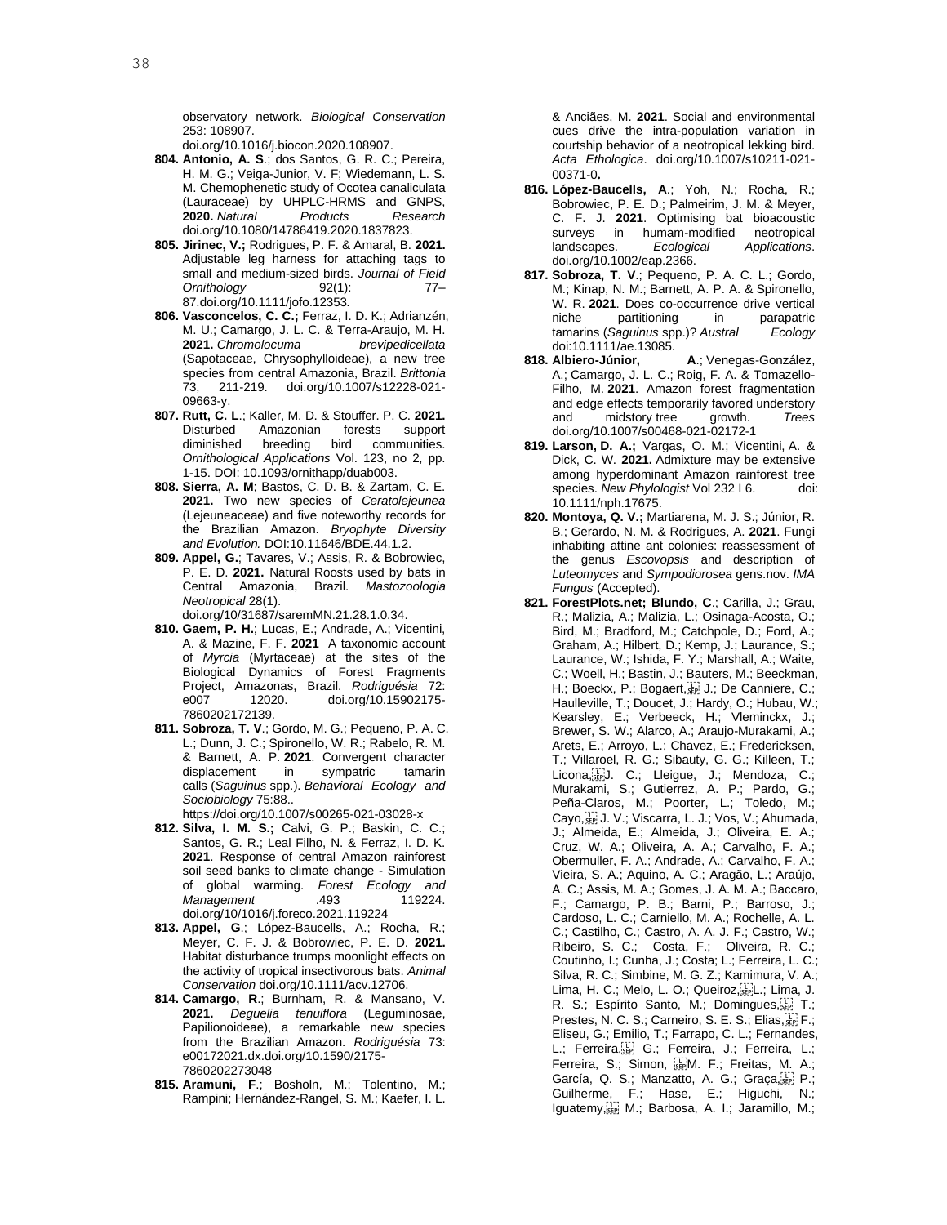observatory network. *Biological Conservation*  253: 108907.

doi.org/10.1016/j.biocon.2020.108907.

- **804. Antonio, A. S**.; dos Santos, G. R. C.; Pereira, H. M. G.; Veiga-Junior, V. F; Wiedemann, L. S. M. Chemophenetic study of Ocotea canaliculata (Lauraceae) by UHPLC-HRMS and GNPS, **2020.** *Natural Products Research* doi.org/10.1080/14786419.2020.1837823.
- **805. Jirinec, V.;** Rodrigues, P. F. & Amaral, B. **2021.** Adjustable leg harness for attaching tags to small and medium-sized birds. *Journal of Field Ornithology* 92(1): 77– 87.doi.org/10.1111/jofo.12353*.*
- **806. Vasconcelos, C. C.;** Ferraz, I. D. K.; Adrianzén, M. U.; Camargo, J. L. C. & Terra-Araujo, M. H. **2021.** *Chromolocuma brevipedicellata* (Sapotaceae, Chrysophylloideae), a new tree species from central Amazonia, Brazil. *Brittonia*  73, 211-219. doi.org/10.1007/s12228-021- 09663-y.
- **807. Rutt, C. L**.; Kaller, M. D. & Stouffer. P. C. **2021.** Amazonian forests support diminished breeding bird communities. *Ornithological Applications* Vol. 123, no 2, pp. 1-15. DOI: 10.1093/ornithapp/duab003.
- **808. Sierra, A. M**; Bastos, C. D. B. & Zartam, C. E. **2021.** Two new species of *Ceratolejeunea* (Lejeuneaceae) and five noteworthy records for the Brazilian Amazon. *Bryophyte Diversity and Evolution.* DOI:10.11646/BDE.44.1.2.
- **809. Appel, G.**; Tavares, V.; Assis, R. & Bobrowiec, P. E. D. **2021.** Natural Roosts used by bats in Central Amazonia, Brazil. *Mastozoologia Neotropical* 28(1).

doi.org/10/31687/saremMN.21.28.1.0.34.

- **810. Gaem, P. H.**; Lucas, E.; Andrade, A.; Vicentini, A. & Mazine, F. F. **2021** A taxonomic account of *Myrcia* (Myrtaceae) at the sites of the Biological Dynamics of Forest Fragments Project, Amazonas, Brazil. *Rodriguésia* 72: e007 12020. doi.org/10.15902175- 7860202172139.
- **811. Sobroza, T. V**.; Gordo, M. G.; Pequeno, P. A. C. L.; Dunn, J. C.; Spironello, W. R.; Rabelo, R. M. & Barnett, A. P. **2021**. Convergent character displacement in sympatric tamarin calls (*Saguinus* spp.). *Behavioral Ecology and Sociobiology* 75:88..
- https://doi.org/10.1007/s00265-021-03028-x **812. Silva, I. M. S.;** Calvi, G. P.; Baskin, C. C.; Santos, G. R.; Leal Filho, N. & Ferraz, I. D. K. **2021**. Response of central Amazon rainforest soil seed banks to climate change - Simulation of global warming. *Forest Ecology and Management* .493 119224.
- doi.org/10/1016/j.foreco.2021.119224 **813. Appel, G**.; López-Baucells, A.; Rocha, R.; Meyer, C. F. J. & Bobrowiec, P. E. D. **2021.** Habitat disturbance trumps moonlight effects on the activity of tropical insectivorous bats. *Animal Conservation* doi.org/10.1111/acv.12706.
- **814. Camargo, R**.; Burnham, R. & Mansano, V. **2021.** *Deguelia tenuiflora* (Leguminosae, Papilionoideae), a remarkable new species from the Brazilian Amazon. *Rodriguésia* 73: e00172021*.*dx.doi.org/10.1590/2175- 7860202273048
- **815. Aramuni, F**.; Bosholn, M.; Tolentino, M.; Rampini; Hernández-Rangel, S. M.; Kaefer, I. L.

& Anciães, M. **2021**. Social and environmental cues drive the intra-population variation in courtship behavior of a neotropical lekking bird. *Acta Ethologica*. doi.org/10.1007/s10211-021- 00371-0**.**

- **816. López-Baucells, A**.; Yoh, N.; Rocha, R.; Bobrowiec, P. E. D.; Palmeirim, J. M. & Meyer, C. F. J. **2021**. Optimising bat bioacoustic surveys in humam-modified neotropical landscapes. *Ecological Applications*. doi.org/10.1002/eap.2366.
- **817. Sobroza, T. V**.; Pequeno, P. A. C. L.; Gordo, M.; Kinap, N. M.; Barnett, A. P. A. & Spironello, W. R. **2021**. Does co-occurrence drive vertical niche partitioning in parapatric tamarins (*Saguinus* spp.)? *Austral Ecology* doi:10.1111/ae.13085.
- **818. Albiero-Júnior, A**.; Venegas-González, A.; Camargo, J. L. C.; Roig, F. A. & Tomazello-Filho, M. **2021**. Amazon forest fragmentation and edge effects temporarily favored understory and midstory tree growth. *Trees* doi.org/10.1007/s00468-021-02172-1
- **819. Larson, D. A.;** Vargas, O. M.; Vicentini, A. & Dick, C. W. **2021.** Admixture may be extensive among hyperdominant Amazon rainforest tree species. *New Phylologist* Vol 232 I 6. doi: 10.1111/nph.17675.
- **820. Montoya, Q. V.;** Martiarena, M. J. S.; Júnior, R. B.; Gerardo, N. M. & Rodrigues, A. **2021**. Fungi inhabiting attine ant colonies: reassessment of the genus *Escovopsis* and description of *Luteomyces* and *Sympodiorosea* gens.nov. *IMA Fungus* (Accepted).
- **821. ForestPlots.net; Blundo, C**.; Carilla, J.; Grau, R.; Malizia, A.; Malizia, L.; Osinaga-Acosta, O.; Bird, M.; Bradford, M.; Catchpole, D.; Ford, A.; Graham, A.; Hilbert, D.; Kemp, J.; Laurance, S.; Laurance, W.; Ishida, F. Y.; Marshall, A.; Waite, C.; Woell, H.; Bastin, J.; Bauters, M.; Beeckman, H.; Boeckx, P.; Bogaert, E.; J.; De Canniere, C.; Haulleville, T.; Doucet, J.; Hardy, O.; Hubau, W.; Kearsley, E.; Verbeeck, H.; Vleminckx, J.; Brewer, S. W.; Alarco, A.; Araujo-Murakami, A.; Arets, E.; Arroyo, L.; Chavez, E.; Fredericksen, T.; Villaroel, R. G.; Sibauty, G. G.; Killeen, T.; Licona, U., C.; Lleigue, J.; Mendoza, C.; Murakami, S.; Gutierrez, A. P.; Pardo, G.; Peña-Claros, M.; Poorter, L.; Toledo, M.; Cayo, E. J. V.; Viscarra, L. J.; Vos, V.; Ahumada, J.; Almeida, E.; Almeida, J.; Oliveira, E. A.; Cruz, W. A.; Oliveira, A. A.; Carvalho, F. A.; Obermuller, F. A.; Andrade, A.; Carvalho, F. A.; Vieira, S. A.; Aquino, A. C.; Aragão, L.; Araújo, A. C.; Assis, M. A.; Gomes, J. A. M. A.; Baccaro, F.; Camargo, P. B.; Barni, P.; Barroso, J.; Cardoso, L. C.; Carniello, M. A.; Rochelle, A. L. C.; Castilho, C.; Castro, A. A. J. F.; Castro, W.; Ribeiro, S. C.; Costa, F.; Oliveira, R. C.; Coutinho, I.; Cunha, J.; Costa; L.; Ferreira, L. C.; Silva, R. C.; Simbine, M. G. Z.; Kamimura, V. A.; Lima, H. C.; Melo, L. O.; Queiroz, [Le]L.; Lima, J. R. S.; Espírito Santo, M.; Domingues, F.; Prestes, N. C. S.; Carneiro, S. E. S.; Elias, Eliseu, G.; Emilio, T.; Farrapo, C. L.; Fernandes, L.; Ferreira, G.; Ferreira, J.; Ferreira, L.; Ferreira, S.; Simon, F.; F.; Freitas, M. A.; García, Q. S.; Manzatto, A. G.; Graça, F.; Guilherme, F.; Hase, E.; Higuchi, N.; Iguatemy, M.; Barbosa, A. I.; Jaramillo, M.;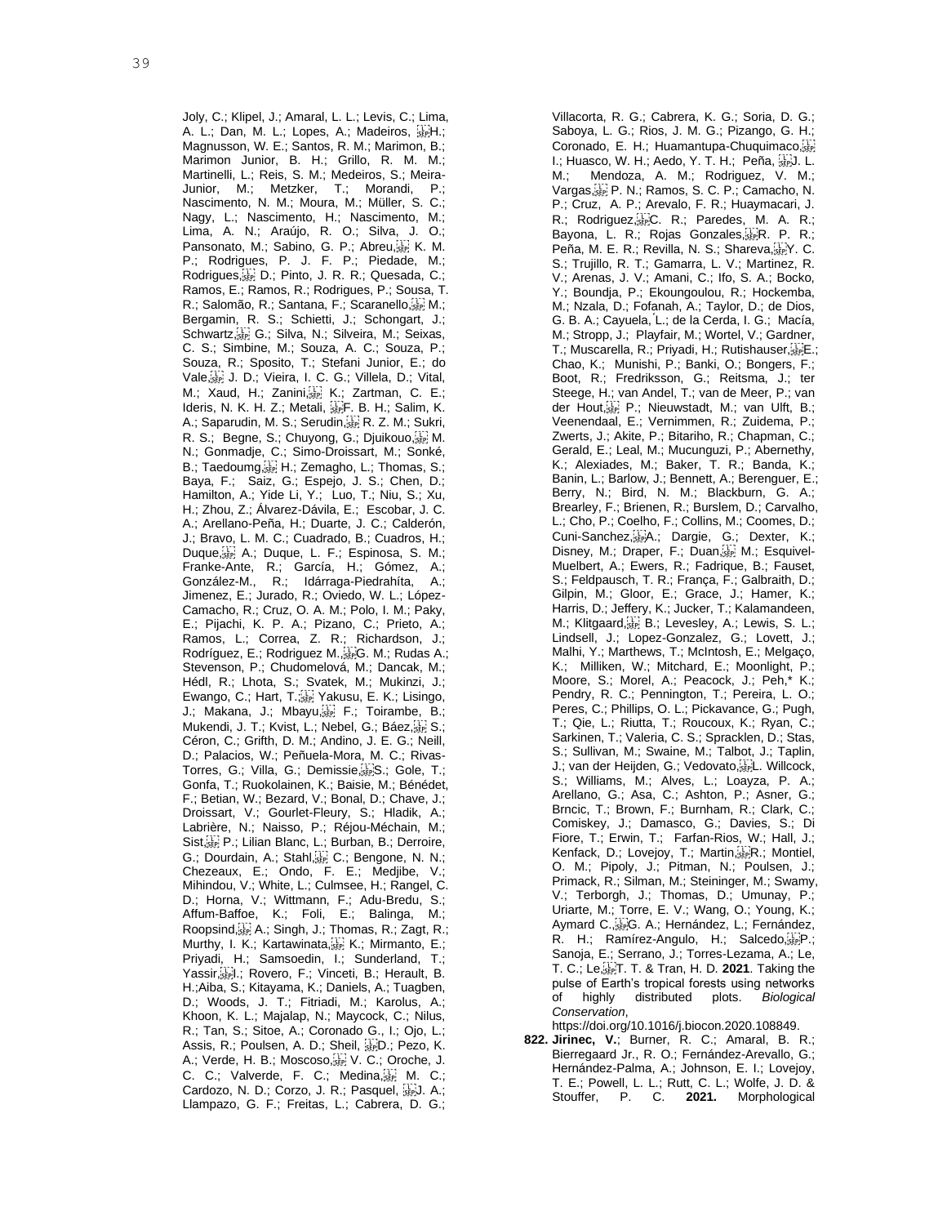Joly, C.; Klipel, J.; Amaral, L. L.; Levis, C.; Lima, A. L.; Dan, M. L.; Lopes, A.; Madeiros,  $\frac{17}{556}H$ .; Magnusson, W. E.; Santos, R. M.; Marimon, B.; Marimon Junior, B. H.; Grillo, R. M. M.; Martinelli, L.; Reis, S. M.; Medeiros, S.; Meira-Junior, M.; Metzker, T.; Morandi, P.; Nascimento, N. M.; Moura, M.; Müller, S. C.; Nagy, L.; Nascimento, H.; Nascimento, M.; Lima, A. N.; Araújo, R. O.; Silva, J. O.; Pansonato, M.; Sabino, G. P.; Abreu, F.; K. M. P.; Rodrigues, P. J. F. P.; Piedade, M.; Rodrigues, E.; D.; Pinto, J. R. R.; Quesada, C.; Ramos, E.; Ramos, R.; Rodrigues, P.; Sousa, T. R.; Salomão, R.; Santana, F.; Scaranello, F.; M.; Bergamin, R. S.; Schietti, J.; Schongart, J.; Schwartz, E.; G.; Silva, N.; Silveira, M.; Seixas, C. S.; Simbine, M.; Souza, A. C.; Souza, P.; Souza, R.; Sposito, T.; Stefani Junior, E.; do Vale, J. D.; Vieira, I. C. G.; Villela, D.; Vital, M.; Xaud, H.; Zanini, R.; Zartman, C. E.; Ideris, N. K. H. Z.; Metali, F. B. H.; Salim, K. A.; Saparudin, M. S.; Serudin, F.; R. Z. M.; Sukri, R. S.; Begne, S.; Chuyong, G.; Djuikouo, SEP M. N.; Gonmadje, C.; Simo-Droissart, M.; Sonké, B.; Taedoumg, F.; H.; Zemagho, L.; Thomas, S.; Baya, F.; Saiz, G.; Espejo, J. S.; Chen, D.; Hamilton, A.; Yide Li, Y.; Luo, T.; Niu, S.; Xu, H.; Zhou, Z.; Álvarez-Dávila, E.; Escobar, J. C. A.; Arellano-Peña, H.; Duarte, J. C.; Calderón, J.; Bravo, L. M. C.; Cuadrado, B.; Cuadros, H.; Duque, R.; Duque, L. F.; Espinosa, S. M.; Franke-Ante, R.; García, H.; Gómez, A.; González-M., R.; Idárraga-Piedrahíta, A.; Jimenez, E.; Jurado, R.; Oviedo, W. L.; López-Camacho, R.; Cruz, O. A. M.; Polo, I. M.; Paky, E.; Pijachi, K. P. A.; Pizano, C.; Prieto, A.; Ramos, L.; Correa, Z. R.; Richardson, J.; Rodríguez, E.; Rodriguez M., G. M.; Rudas A.; Stevenson, P.; Chudomelová, M.; Dancak, M.; Hédl, R.; Lhota, S.; Svatek, M.; Mukinzi, J.; Ewango, C.; Hart, T.; Yakusu, E. K.; Lisingo, J.; Makana, J.; Mbayu, F.; Toirambe, B.; Mukendi, J. T.; Kvist, L.; Nebel, G.; Báez, se S.; Céron, C.; Grifth, D. M.; Andino, J. E. G.; Neill, D.; Palacios, W.; Peñuela-Mora, M. C.; Rivas-Torres, G.; Villa, G.; Demissie, S.; Gole, T.; Gonfa, T.; Ruokolainen, K.; Baisie, M.; Bénédet, F.; Betian, W.; Bezard, V.; Bonal, D.; Chave, J.; Droissart, V.; Gourlet-Fleury, S.; Hladik, A.; Labrière, N.; Naisso, P.; Réjou-Méchain, M.; Sist, Sign, P.; Lilian Blanc, L.; Burban, B.; Derroire, G.; Dourdain, A.; Stahl, SEP; C.; Bengone, N. N.; Chezeaux, E.; Ondo, F. E.; Medjibe, V.; Mihindou, V.; White, L.; Culmsee, H.; Rangel, C. D.; Horna, V.; Wittmann, F.; Adu-Bredu, S.; Affum-Baffoe, K.; Foli, E.; Balinga, M.; Roopsind, E. A.; Singh, J.; Thomas, R.; Zagt, R.; Murthy, I. K.; Kartawinata, F.; K.; Mirmanto, E.; Priyadi, H.; Samsoedin, I.; Sunderland, T.; Yassir, Fil.; Rovero, F.; Vinceti, B.; Herault, B. H.;Aiba, S.; Kitayama, K.; Daniels, A.; Tuagben, D.; Woods, J. T.; Fitriadi, M.; Karolus, A.; Khoon, K. L.; Majalap, N.; Maycock, C.; Nilus, R.; Tan, S.; Sitoe, A.; Coronado G., I.; Ojo, L.; Assis, R.; Poulsen, A. D.; Sheil, P.D.; Pezo, K. A.; Verde, H. B.; Moscoso, see V. C.; Oroche, J. C. C.; Valverde, F. C.; Medina, F. M. C.; Cardozo, N. D.; Corzo, J. R.; Pasquel, F.J. A.; Llampazo, G. F.; Freitas, L.; Cabrera, D. G.;

Villacorta, R. G.; Cabrera, K. G.; Soria, D. G.; Saboya, L. G.; Rios, J. M. G.; Pizango, G. H.; Coronado, E. H.; Huamantupa-Chuquimaco, SEP I.; Huasco, W. H.; Aedo, Y. T. H.; Peña, sepJ. L. M.; Mendoza, A. M.; Rodriguez, V. M.; Vargas, F. P. N.; Ramos, S. C. P.; Camacho, N. P.; Cruz, A. P.; Arevalo, F. R.; Huaymacari, J. R.; Rodriguez, FPC. R.; Paredes, M. A. R.; Bayona, L. R.; Rojas Gonzales, R. P. R.; Peña, M. E. R.; Revilla, N. S.; Shareva, F.Y. C. S.; Trujillo, R. T.; Gamarra, L. V.; Martinez, R. V.; Arenas, J. V.; Amani, C.; Ifo, S. A.; Bocko, Y.; Boundja, P.; Ekoungoulou, R.; Hockemba, M.; Nzala, D.; Fofanah, A.; Taylor, D.; de Dios, G. B. A.; Cayuela, ́L.; de la Cerda, I. G.; Macía, M.; Stropp, J.; Playfair, M.; Wortel, V.; Gardner, T.; Muscarella, R.; Priyadi, H.; Rutishauser, E.; Chao, K.; Munishi, P.; Banki, O.; Bongers, F.; Boot, R.; Fredriksson, G.; Reitsma, J.; ter Steege, H.; van Andel, T.; van de Meer, P.; van der Hout, P.; Nieuwstadt, M.; van Ulft, B.; Veenendaal, E.; Vernimmen, R.; Zuidema, P.; Zwerts, J.; Akite, P.; Bitariho, R.; Chapman, C.; Gerald, E.; Leal, M.; Mucunguzi, P.; Abernethy, K.; Alexiades, M.; Baker, T. R.; Banda, K.; Banin, L.; Barlow, J.; Bennett, A.; Berenguer, E.; Berry, N.; Bird, N. M.; Blackburn, G. A.; Brearley, F.; Brienen, R.; Burslem, D.; Carvalho, L.; Cho, P.; Coelho, F.; Collins, M.; Coomes, D.; Cuni-Sanchez, FA: Dargie, G.; Dexter, K.; Disney, M.; Draper, F.; Duan, E.; M.; Esquivel-Muelbert, A.; Ewers, R.; Fadrique, B.; Fauset, S.; Feldpausch, T. R.; França, F.; Galbraith, D.; Gilpin, M.; Gloor, E.; Grace, J.; Hamer, K.; Harris, D.; Jeffery, K.; Jucker, T.; Kalamandeen, M.; Klitgaard, E.; Levesley, A.; Lewis, S. L.; Lindsell, J.; Lopez-Gonzalez, G.; Lovett, J.; Malhi, Y.; Marthews, T.; McIntosh, E.; Melgaço, K.; Milliken, W.; Mitchard, E.; Moonlight, P.; Moore, S.; Morel, A.; Peacock, J.; Peh,\* K.; Pendry, R. C.; Pennington, T.; Pereira, L. O.; Peres, C.; Phillips, O. L.; Pickavance, G.; Pugh, T.; Qie, L.; Riutta, T.; Roucoux, K.; Ryan, C.; Sarkinen, T.; Valeria, C. S.; Spracklen, D.; Stas, S.; Sullivan, M.; Swaine, M.; Talbot, J.; Taplin, J.; van der Heijden, G.; Vedovato, L. Willcock, S.; Williams, M.; Alves, L.; Loayza, P. A.; Arellano, G.; Asa, C.; Ashton, P.; Asner, G.; Brncic, T.; Brown, F.; Burnham, R.; Clark, C.; Comiskey, J.; Damasco, G.; Davies, S.; Di Fiore, T.; Erwin, T.; Farfan-Rios, W.; Hall, J.; Kenfack, D.; Lovejoy, T.; Martin, F.; Montiel, O. M.; Pipoly, J.; Pitman, N.; Poulsen, J.; Primack, R.; Silman, M.; Steininger, M.; Swamy, V.; Terborgh, J.; Thomas, D.; Umunay, P.; Uriarte, M.; Torre, E. V.; Wang, O.; Young, K.; Aymard C., G. A.; Hernández, L.; Fernández, R. H.; Ramírez-Angulo, H.; Salcedo, F.; Sanoja, E.; Serrano, J.; Torres-Lezama, A.; Le, T. C.; Le, T. T. & Tran, H. D. **2021**. Taking the pulse of Earth's tropical forests using networks<br>of brighly distributed plots. Biological of highly distributed plots. *Conservation*,

https://doi.org/10.1016/j.biocon.2020.108849.

**822. Jirinec, V.**; Burner, R. C.; Amaral, B. R.; Bierregaard Jr., R. O.; Fernández-Arevallo, G.; Hernández-Palma, A.; Johnson, E. I.; Lovejoy, T. E.; Powell, L. L.; Rutt, C. L.; Wolfe, J. D. & Stouffer, P. C. **2021.** Morphological